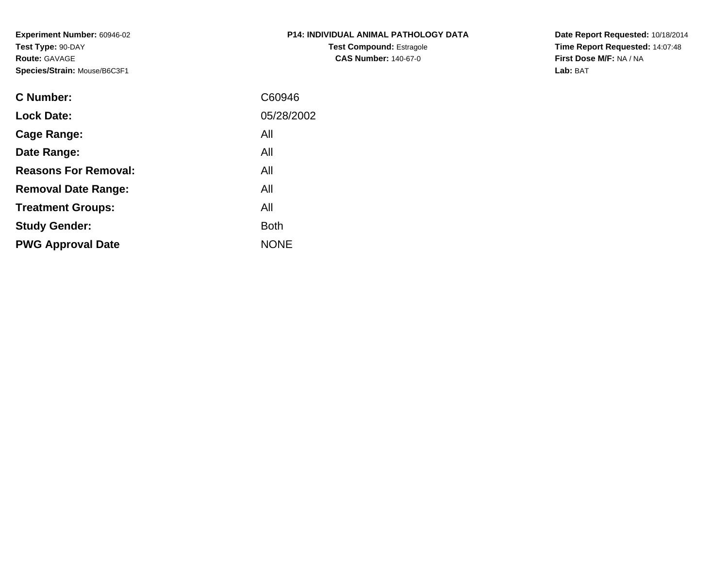**Experiment Number:** 60946-02**Test Type:** 90-DAY**Route:** GAVAGE**Species/Strain:** Mouse/B6C3F1

| <b>P14: INDIVIDUAL ANIMAL PATHOLOGY DATA</b> |
|----------------------------------------------|
| <b>Test Compound: Estragole</b>              |
| <b>CAS Number: 140-67-0</b>                  |

**Date Report Requested:** 10/18/2014 **Time Report Requested:** 14:07:48**First Dose M/F:** NA / NA**Lab:** BAT

| C Number:                   | C60946      |
|-----------------------------|-------------|
|                             |             |
| <b>Lock Date:</b>           | 05/28/2002  |
| Cage Range:                 | All         |
| Date Range:                 | All         |
| <b>Reasons For Removal:</b> | All         |
| <b>Removal Date Range:</b>  | All         |
| <b>Treatment Groups:</b>    | All         |
| <b>Study Gender:</b>        | <b>Both</b> |
| <b>PWG Approval Date</b>    | <b>NONE</b> |
|                             |             |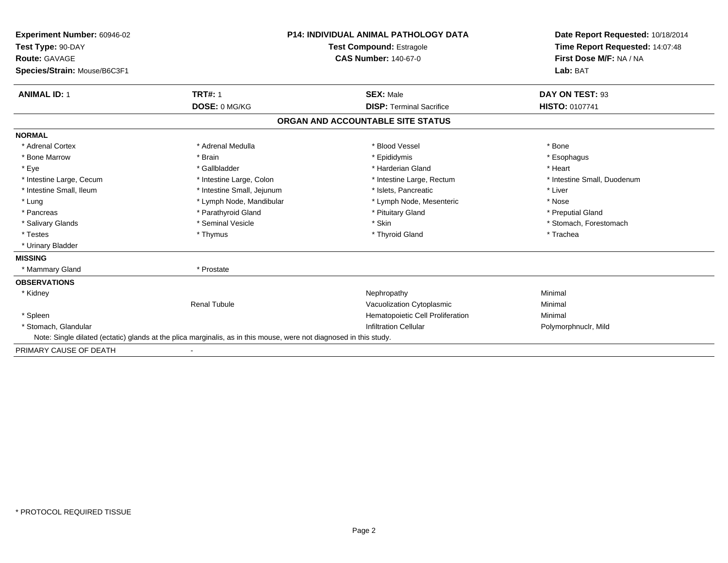| Experiment Number: 60946-02  | <b>P14: INDIVIDUAL ANIMAL PATHOLOGY DATA</b><br><b>Test Compound: Estragole</b>                                    |                                   | Date Report Requested: 10/18/2014<br>Time Report Requested: 14:07:48 |
|------------------------------|--------------------------------------------------------------------------------------------------------------------|-----------------------------------|----------------------------------------------------------------------|
| Test Type: 90-DAY            |                                                                                                                    |                                   |                                                                      |
| <b>Route: GAVAGE</b>         |                                                                                                                    | <b>CAS Number: 140-67-0</b>       | First Dose M/F: NA / NA                                              |
| Species/Strain: Mouse/B6C3F1 |                                                                                                                    |                                   | Lab: BAT                                                             |
| <b>ANIMAL ID: 1</b>          | <b>TRT#: 1</b>                                                                                                     | <b>SEX: Male</b>                  | DAY ON TEST: 93                                                      |
|                              | DOSE: 0 MG/KG                                                                                                      | <b>DISP:</b> Terminal Sacrifice   | <b>HISTO: 0107741</b>                                                |
|                              |                                                                                                                    | ORGAN AND ACCOUNTABLE SITE STATUS |                                                                      |
| <b>NORMAL</b>                |                                                                                                                    |                                   |                                                                      |
| * Adrenal Cortex             | * Adrenal Medulla                                                                                                  | * Blood Vessel                    | * Bone                                                               |
| * Bone Marrow                | * Brain                                                                                                            | * Epididymis                      | * Esophagus                                                          |
| * Eye                        | * Gallbladder                                                                                                      | * Harderian Gland                 | * Heart                                                              |
| * Intestine Large, Cecum     | * Intestine Large, Colon                                                                                           | * Intestine Large, Rectum         | * Intestine Small, Duodenum                                          |
| * Intestine Small, Ileum     | * Intestine Small, Jejunum                                                                                         | * Islets, Pancreatic              | * Liver                                                              |
| * Lung                       | * Lymph Node, Mandibular                                                                                           | * Lymph Node, Mesenteric          | * Nose                                                               |
| * Pancreas                   | * Parathyroid Gland                                                                                                | * Pituitary Gland                 | * Preputial Gland                                                    |
| * Salivary Glands            | * Seminal Vesicle                                                                                                  | * Skin                            | * Stomach, Forestomach                                               |
| * Testes                     | * Thymus                                                                                                           | * Thyroid Gland                   | * Trachea                                                            |
| * Urinary Bladder            |                                                                                                                    |                                   |                                                                      |
| <b>MISSING</b>               |                                                                                                                    |                                   |                                                                      |
| * Mammary Gland              | * Prostate                                                                                                         |                                   |                                                                      |
| <b>OBSERVATIONS</b>          |                                                                                                                    |                                   |                                                                      |
| * Kidney                     |                                                                                                                    | Nephropathy                       | Minimal                                                              |
|                              | <b>Renal Tubule</b>                                                                                                | Vacuolization Cytoplasmic         | Minimal                                                              |
| * Spleen                     |                                                                                                                    | Hematopoietic Cell Proliferation  | Minimal                                                              |
| * Stomach, Glandular         |                                                                                                                    | <b>Infiltration Cellular</b>      | Polymorphnuclr, Mild                                                 |
|                              | Note: Single dilated (ectatic) glands at the plica marginalis, as in this mouse, were not diagnosed in this study. |                                   |                                                                      |
| PRIMARY CAUSE OF DEATH       |                                                                                                                    |                                   |                                                                      |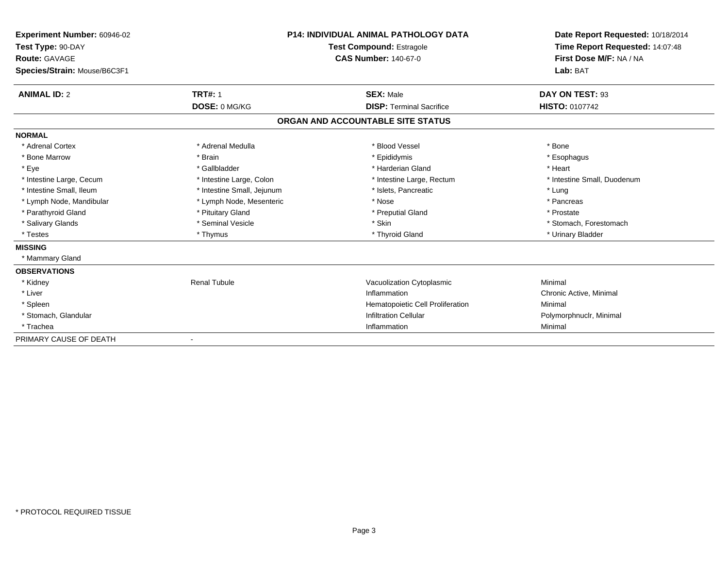| Experiment Number: 60946-02  | <b>P14: INDIVIDUAL ANIMAL PATHOLOGY DATA</b><br><b>Test Compound: Estragole</b> |                                   | Date Report Requested: 10/18/2014<br>Time Report Requested: 14:07:48 |
|------------------------------|---------------------------------------------------------------------------------|-----------------------------------|----------------------------------------------------------------------|
| Test Type: 90-DAY            |                                                                                 |                                   |                                                                      |
| <b>Route: GAVAGE</b>         |                                                                                 | <b>CAS Number: 140-67-0</b>       | First Dose M/F: NA / NA                                              |
| Species/Strain: Mouse/B6C3F1 |                                                                                 |                                   | Lab: BAT                                                             |
| <b>ANIMAL ID: 2</b>          | <b>TRT#: 1</b>                                                                  | <b>SEX: Male</b>                  | DAY ON TEST: 93                                                      |
|                              | DOSE: 0 MG/KG                                                                   | <b>DISP: Terminal Sacrifice</b>   | HISTO: 0107742                                                       |
|                              |                                                                                 | ORGAN AND ACCOUNTABLE SITE STATUS |                                                                      |
| <b>NORMAL</b>                |                                                                                 |                                   |                                                                      |
| * Adrenal Cortex             | * Adrenal Medulla                                                               | * Blood Vessel                    | * Bone                                                               |
| * Bone Marrow                | * Brain                                                                         | * Epididymis                      | * Esophagus                                                          |
| * Eye                        | * Gallbladder                                                                   | * Harderian Gland                 | * Heart                                                              |
| * Intestine Large, Cecum     | * Intestine Large, Colon                                                        | * Intestine Large, Rectum         | * Intestine Small, Duodenum                                          |
| * Intestine Small, Ileum     | * Intestine Small, Jejunum                                                      | * Islets, Pancreatic              | * Lung                                                               |
| * Lymph Node, Mandibular     | * Lymph Node, Mesenteric                                                        | * Nose                            | * Pancreas                                                           |
| * Parathyroid Gland          | * Pituitary Gland                                                               | * Preputial Gland                 | * Prostate                                                           |
| * Salivary Glands            | * Seminal Vesicle                                                               | * Skin                            | * Stomach, Forestomach                                               |
| * Testes                     | * Thymus                                                                        | * Thyroid Gland                   | * Urinary Bladder                                                    |
| <b>MISSING</b>               |                                                                                 |                                   |                                                                      |
| * Mammary Gland              |                                                                                 |                                   |                                                                      |
| <b>OBSERVATIONS</b>          |                                                                                 |                                   |                                                                      |
| * Kidney                     | <b>Renal Tubule</b>                                                             | Vacuolization Cytoplasmic         | Minimal                                                              |
| * Liver                      |                                                                                 | Inflammation                      | Chronic Active, Minimal                                              |
| * Spleen                     |                                                                                 | Hematopoietic Cell Proliferation  | Minimal                                                              |
| * Stomach, Glandular         |                                                                                 | <b>Infiltration Cellular</b>      | Polymorphnuclr, Minimal                                              |
| * Trachea                    |                                                                                 | Inflammation                      | Minimal                                                              |
| PRIMARY CAUSE OF DEATH       |                                                                                 |                                   |                                                                      |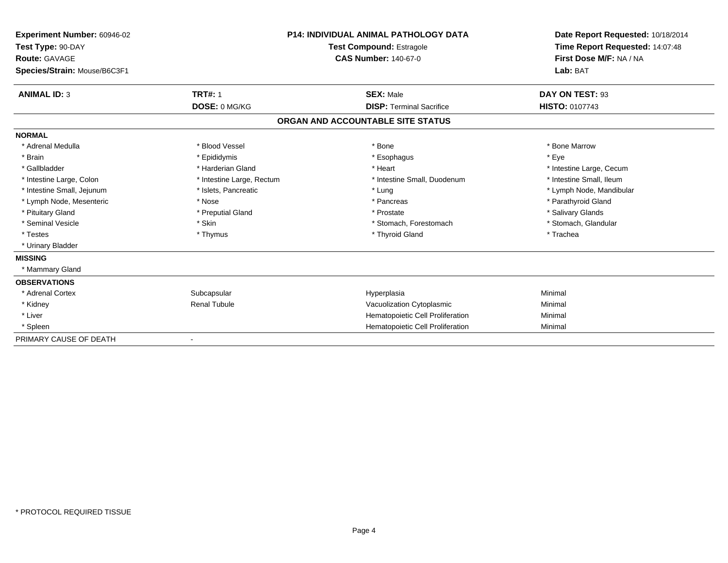| Experiment Number: 60946-02<br>Test Type: 90-DAY<br><b>Route: GAVAGE</b> |                           | <b>P14: INDIVIDUAL ANIMAL PATHOLOGY DATA</b><br>Test Compound: Estragole<br><b>CAS Number: 140-67-0</b> | Date Report Requested: 10/18/2014<br>Time Report Requested: 14:07:48<br>First Dose M/F: NA / NA |
|--------------------------------------------------------------------------|---------------------------|---------------------------------------------------------------------------------------------------------|-------------------------------------------------------------------------------------------------|
| Species/Strain: Mouse/B6C3F1                                             |                           |                                                                                                         | Lab: BAT                                                                                        |
| <b>ANIMAL ID: 3</b>                                                      | <b>TRT#: 1</b>            | <b>SEX: Male</b>                                                                                        | DAY ON TEST: 93                                                                                 |
|                                                                          | DOSE: 0 MG/KG             | <b>DISP: Terminal Sacrifice</b>                                                                         | <b>HISTO: 0107743</b>                                                                           |
|                                                                          |                           | ORGAN AND ACCOUNTABLE SITE STATUS                                                                       |                                                                                                 |
| <b>NORMAL</b>                                                            |                           |                                                                                                         |                                                                                                 |
| * Adrenal Medulla                                                        | * Blood Vessel            | * Bone                                                                                                  | * Bone Marrow                                                                                   |
| * Brain                                                                  | * Epididymis              | * Esophagus                                                                                             | * Eve                                                                                           |
| * Gallbladder                                                            | * Harderian Gland         | * Heart                                                                                                 | * Intestine Large, Cecum                                                                        |
| * Intestine Large, Colon                                                 | * Intestine Large, Rectum | * Intestine Small, Duodenum                                                                             | * Intestine Small, Ileum                                                                        |
| * Intestine Small, Jejunum                                               | * Islets, Pancreatic      | * Lung                                                                                                  | * Lymph Node, Mandibular                                                                        |
| * Lymph Node, Mesenteric                                                 | * Nose                    | * Pancreas                                                                                              | * Parathyroid Gland                                                                             |
| * Pituitary Gland                                                        | * Preputial Gland         | * Prostate                                                                                              | * Salivary Glands                                                                               |
| * Seminal Vesicle                                                        | * Skin                    | * Stomach, Forestomach                                                                                  | * Stomach, Glandular                                                                            |
| * Testes                                                                 | * Thymus                  | * Thyroid Gland                                                                                         | * Trachea                                                                                       |
| * Urinary Bladder                                                        |                           |                                                                                                         |                                                                                                 |
| <b>MISSING</b>                                                           |                           |                                                                                                         |                                                                                                 |
| * Mammary Gland                                                          |                           |                                                                                                         |                                                                                                 |
| <b>OBSERVATIONS</b>                                                      |                           |                                                                                                         |                                                                                                 |
| * Adrenal Cortex                                                         | Subcapsular               | Hyperplasia                                                                                             | Minimal                                                                                         |
| * Kidney                                                                 | <b>Renal Tubule</b>       | Vacuolization Cytoplasmic                                                                               | Minimal                                                                                         |
| * Liver                                                                  |                           | Hematopoietic Cell Proliferation                                                                        | Minimal                                                                                         |
| * Spleen                                                                 |                           | Hematopoietic Cell Proliferation                                                                        | Minimal                                                                                         |
| PRIMARY CAUSE OF DEATH                                                   |                           |                                                                                                         |                                                                                                 |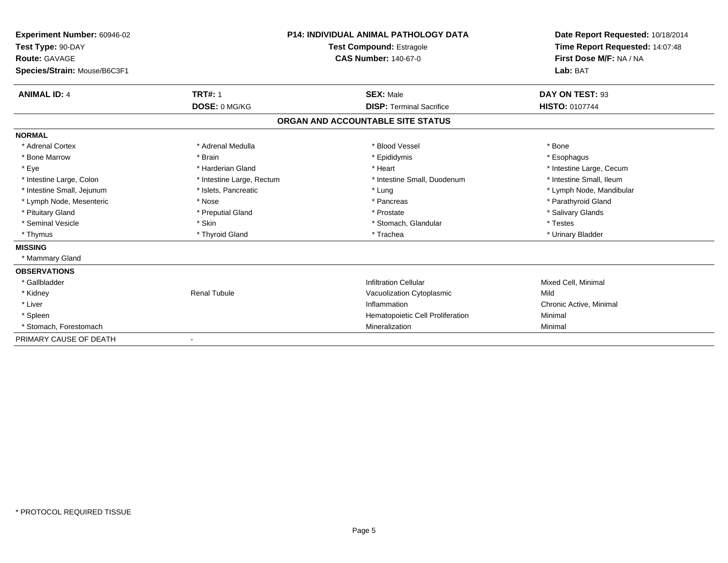| Experiment Number: 60946-02  | <b>P14: INDIVIDUAL ANIMAL PATHOLOGY DATA</b><br><b>Test Compound: Estragole</b> |                                   | Date Report Requested: 10/18/2014 |
|------------------------------|---------------------------------------------------------------------------------|-----------------------------------|-----------------------------------|
| Test Type: 90-DAY            |                                                                                 |                                   | Time Report Requested: 14:07:48   |
| <b>Route: GAVAGE</b>         |                                                                                 | <b>CAS Number: 140-67-0</b>       | First Dose M/F: NA / NA           |
| Species/Strain: Mouse/B6C3F1 |                                                                                 |                                   | Lab: BAT                          |
| <b>ANIMAL ID: 4</b>          | <b>TRT#: 1</b>                                                                  | <b>SEX: Male</b>                  | DAY ON TEST: 93                   |
|                              | DOSE: 0 MG/KG                                                                   | <b>DISP: Terminal Sacrifice</b>   | <b>HISTO: 0107744</b>             |
|                              |                                                                                 | ORGAN AND ACCOUNTABLE SITE STATUS |                                   |
| <b>NORMAL</b>                |                                                                                 |                                   |                                   |
| * Adrenal Cortex             | * Adrenal Medulla                                                               | * Blood Vessel                    | * Bone                            |
| * Bone Marrow                | * Brain                                                                         | * Epididymis                      | * Esophagus                       |
| * Eye                        | * Harderian Gland                                                               | * Heart                           | * Intestine Large, Cecum          |
| * Intestine Large, Colon     | * Intestine Large, Rectum                                                       | * Intestine Small, Duodenum       | * Intestine Small, Ileum          |
| * Intestine Small, Jejunum   | * Islets, Pancreatic                                                            | * Lung                            | * Lymph Node, Mandibular          |
| * Lymph Node, Mesenteric     | * Nose                                                                          | * Pancreas                        | * Parathyroid Gland               |
| * Pituitary Gland            | * Preputial Gland                                                               | * Prostate                        | * Salivary Glands                 |
| * Seminal Vesicle            | * Skin                                                                          | * Stomach, Glandular              | * Testes                          |
| * Thymus                     | * Thyroid Gland                                                                 | * Trachea                         | * Urinary Bladder                 |
| <b>MISSING</b>               |                                                                                 |                                   |                                   |
| * Mammary Gland              |                                                                                 |                                   |                                   |
| <b>OBSERVATIONS</b>          |                                                                                 |                                   |                                   |
| * Gallbladder                |                                                                                 | <b>Infiltration Cellular</b>      | Mixed Cell, Minimal               |
| * Kidney                     | <b>Renal Tubule</b>                                                             | Vacuolization Cytoplasmic         | Mild                              |
| * Liver                      |                                                                                 | Inflammation                      | Chronic Active, Minimal           |
| * Spleen                     |                                                                                 | Hematopoietic Cell Proliferation  | Minimal                           |
| * Stomach, Forestomach       |                                                                                 | Mineralization                    | Minimal                           |
| PRIMARY CAUSE OF DEATH       |                                                                                 |                                   |                                   |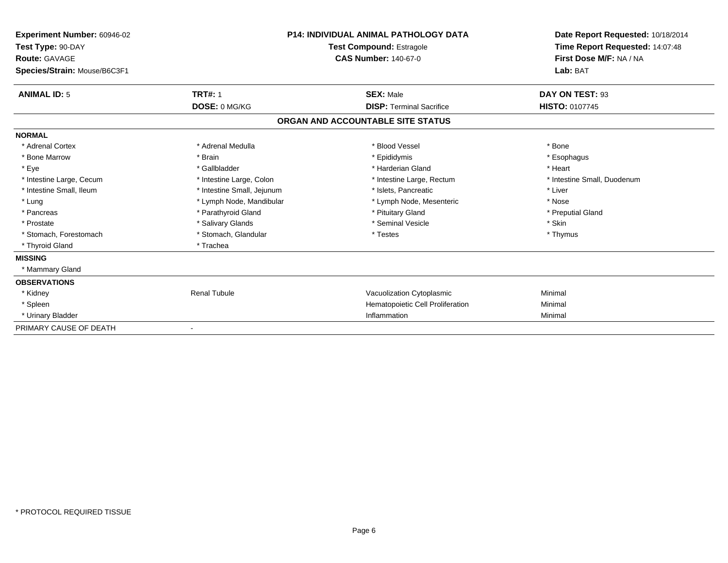| <b>Experiment Number: 60946-02</b><br>Test Type: 90-DAY<br>Route: GAVAGE<br>Species/Strain: Mouse/B6C3F1 |                            | <b>P14: INDIVIDUAL ANIMAL PATHOLOGY DATA</b><br><b>Test Compound: Estragole</b><br><b>CAS Number: 140-67-0</b> | Date Report Requested: 10/18/2014<br>Time Report Requested: 14:07:48<br>First Dose M/F: NA / NA<br>Lab: BAT |
|----------------------------------------------------------------------------------------------------------|----------------------------|----------------------------------------------------------------------------------------------------------------|-------------------------------------------------------------------------------------------------------------|
| <b>ANIMAL ID: 5</b>                                                                                      | <b>TRT#: 1</b>             | <b>SEX: Male</b>                                                                                               | DAY ON TEST: 93                                                                                             |
|                                                                                                          | DOSE: 0 MG/KG              | <b>DISP: Terminal Sacrifice</b>                                                                                | HISTO: 0107745                                                                                              |
|                                                                                                          |                            | ORGAN AND ACCOUNTABLE SITE STATUS                                                                              |                                                                                                             |
| <b>NORMAL</b>                                                                                            |                            |                                                                                                                |                                                                                                             |
| * Adrenal Cortex                                                                                         | * Adrenal Medulla          | * Blood Vessel                                                                                                 | * Bone                                                                                                      |
| * Bone Marrow                                                                                            | * Brain                    | * Epididymis                                                                                                   | * Esophagus                                                                                                 |
| * Eye                                                                                                    | * Gallbladder              | * Harderian Gland                                                                                              | * Heart                                                                                                     |
| * Intestine Large, Cecum                                                                                 | * Intestine Large, Colon   | * Intestine Large, Rectum                                                                                      | * Intestine Small, Duodenum                                                                                 |
| * Intestine Small, Ileum                                                                                 | * Intestine Small, Jejunum | * Islets, Pancreatic                                                                                           | * Liver                                                                                                     |
| * Lung                                                                                                   | * Lymph Node, Mandibular   | * Lymph Node, Mesenteric                                                                                       | * Nose                                                                                                      |
| * Pancreas                                                                                               | * Parathyroid Gland        | * Pituitary Gland                                                                                              | * Preputial Gland                                                                                           |
| * Prostate                                                                                               | * Salivary Glands          | * Seminal Vesicle                                                                                              | * Skin                                                                                                      |
| * Stomach, Forestomach                                                                                   | * Stomach, Glandular       | * Testes                                                                                                       | * Thymus                                                                                                    |
| * Thyroid Gland                                                                                          | * Trachea                  |                                                                                                                |                                                                                                             |
| <b>MISSING</b>                                                                                           |                            |                                                                                                                |                                                                                                             |
| * Mammary Gland                                                                                          |                            |                                                                                                                |                                                                                                             |
| <b>OBSERVATIONS</b>                                                                                      |                            |                                                                                                                |                                                                                                             |
| * Kidney                                                                                                 | <b>Renal Tubule</b>        | Vacuolization Cytoplasmic                                                                                      | Minimal                                                                                                     |
| * Spleen                                                                                                 |                            | Hematopoietic Cell Proliferation                                                                               | Minimal                                                                                                     |
| * Urinary Bladder                                                                                        |                            | Inflammation                                                                                                   | Minimal                                                                                                     |
| PRIMARY CAUSE OF DEATH                                                                                   |                            |                                                                                                                |                                                                                                             |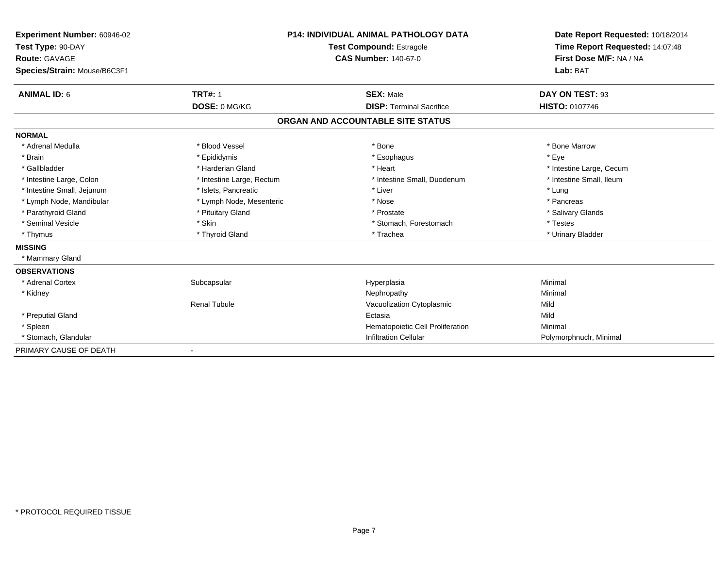| Experiment Number: 60946-02  | <b>P14: INDIVIDUAL ANIMAL PATHOLOGY DATA</b><br><b>Test Compound: Estragole</b> |                                   | Date Report Requested: 10/18/2014 |
|------------------------------|---------------------------------------------------------------------------------|-----------------------------------|-----------------------------------|
| Test Type: 90-DAY            |                                                                                 |                                   | Time Report Requested: 14:07:48   |
| <b>Route: GAVAGE</b>         |                                                                                 | <b>CAS Number: 140-67-0</b>       | First Dose M/F: NA / NA           |
| Species/Strain: Mouse/B6C3F1 |                                                                                 |                                   | Lab: BAT                          |
| <b>ANIMAL ID: 6</b>          | <b>TRT#: 1</b>                                                                  | <b>SEX: Male</b>                  | DAY ON TEST: 93                   |
|                              | DOSE: 0 MG/KG                                                                   | <b>DISP: Terminal Sacrifice</b>   | HISTO: 0107746                    |
|                              |                                                                                 | ORGAN AND ACCOUNTABLE SITE STATUS |                                   |
| <b>NORMAL</b>                |                                                                                 |                                   |                                   |
| * Adrenal Medulla            | * Blood Vessel                                                                  | * Bone                            | * Bone Marrow                     |
| * Brain                      | * Epididymis                                                                    | * Esophagus                       | * Eye                             |
| * Gallbladder                | * Harderian Gland                                                               | * Heart                           | * Intestine Large, Cecum          |
| * Intestine Large, Colon     | * Intestine Large, Rectum                                                       | * Intestine Small, Duodenum       | * Intestine Small, Ileum          |
| * Intestine Small, Jejunum   | * Islets, Pancreatic                                                            | * Liver                           | * Lung                            |
| * Lymph Node, Mandibular     | * Lymph Node, Mesenteric                                                        | * Nose                            | * Pancreas                        |
| * Parathyroid Gland          | * Pituitary Gland                                                               | * Prostate                        | * Salivary Glands                 |
| * Seminal Vesicle            | * Skin                                                                          | * Stomach, Forestomach            | * Testes                          |
| * Thymus                     | * Thyroid Gland                                                                 | * Trachea                         | * Urinary Bladder                 |
| <b>MISSING</b>               |                                                                                 |                                   |                                   |
| * Mammary Gland              |                                                                                 |                                   |                                   |
| <b>OBSERVATIONS</b>          |                                                                                 |                                   |                                   |
| * Adrenal Cortex             | Subcapsular                                                                     | Hyperplasia                       | Minimal                           |
| * Kidney                     |                                                                                 | Nephropathy                       | Minimal                           |
|                              | <b>Renal Tubule</b>                                                             | Vacuolization Cytoplasmic         | Mild                              |
| * Preputial Gland            |                                                                                 | Ectasia                           | Mild                              |
| * Spleen                     |                                                                                 | Hematopoietic Cell Proliferation  | Minimal                           |
| * Stomach, Glandular         |                                                                                 | <b>Infiltration Cellular</b>      | Polymorphnuclr, Minimal           |
| PRIMARY CAUSE OF DEATH       | $\blacksquare$                                                                  |                                   |                                   |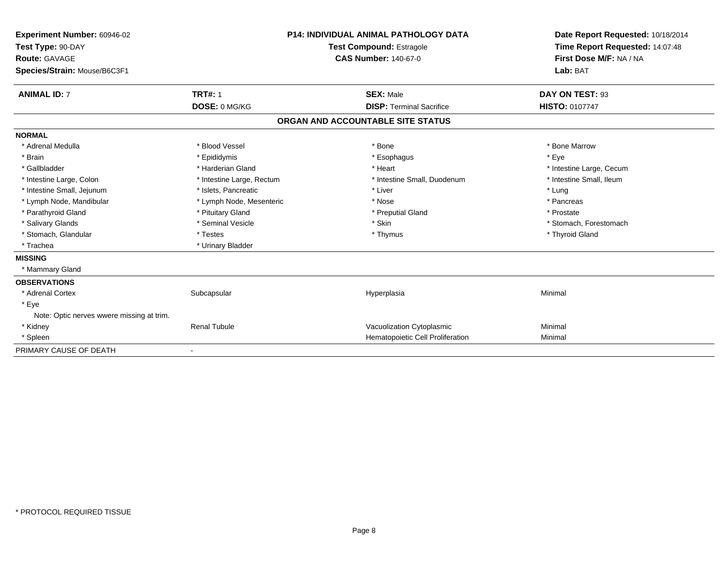| Experiment Number: 60946-02<br>Test Type: 90-DAY<br>Route: GAVAGE<br>Species/Strain: Mouse/B6C3F1 |                           | <b>P14: INDIVIDUAL ANIMAL PATHOLOGY DATA</b><br>Test Compound: Estragole<br><b>CAS Number: 140-67-0</b> | Date Report Requested: 10/18/2014<br>Time Report Requested: 14:07:48<br>First Dose M/F: NA / NA<br>Lab: BAT |
|---------------------------------------------------------------------------------------------------|---------------------------|---------------------------------------------------------------------------------------------------------|-------------------------------------------------------------------------------------------------------------|
| <b>ANIMAL ID: 7</b>                                                                               | <b>TRT#: 1</b>            | <b>SEX: Male</b>                                                                                        | DAY ON TEST: 93                                                                                             |
|                                                                                                   | DOSE: 0 MG/KG             | <b>DISP: Terminal Sacrifice</b>                                                                         | <b>HISTO: 0107747</b>                                                                                       |
|                                                                                                   |                           | ORGAN AND ACCOUNTABLE SITE STATUS                                                                       |                                                                                                             |
| <b>NORMAL</b>                                                                                     |                           |                                                                                                         |                                                                                                             |
| * Adrenal Medulla                                                                                 | * Blood Vessel            | * Bone                                                                                                  | * Bone Marrow                                                                                               |
| * Brain                                                                                           | * Epididymis              | * Esophagus                                                                                             | * Eye                                                                                                       |
| * Gallbladder                                                                                     | * Harderian Gland         | * Heart                                                                                                 | * Intestine Large, Cecum                                                                                    |
| * Intestine Large, Colon                                                                          | * Intestine Large, Rectum | * Intestine Small, Duodenum                                                                             | * Intestine Small, Ileum                                                                                    |
| * Intestine Small, Jejunum                                                                        | * Islets, Pancreatic      | * Liver                                                                                                 | * Lung                                                                                                      |
| * Lymph Node, Mandibular                                                                          | * Lymph Node, Mesenteric  | * Nose                                                                                                  | * Pancreas                                                                                                  |
| * Parathyroid Gland                                                                               | * Pituitary Gland         | * Preputial Gland                                                                                       | * Prostate                                                                                                  |
| * Salivary Glands                                                                                 | * Seminal Vesicle         | * Skin                                                                                                  | * Stomach, Forestomach                                                                                      |
| * Stomach, Glandular                                                                              | * Testes                  | * Thymus                                                                                                | * Thyroid Gland                                                                                             |
| * Trachea                                                                                         | * Urinary Bladder         |                                                                                                         |                                                                                                             |
| <b>MISSING</b>                                                                                    |                           |                                                                                                         |                                                                                                             |
| * Mammary Gland                                                                                   |                           |                                                                                                         |                                                                                                             |
| <b>OBSERVATIONS</b>                                                                               |                           |                                                                                                         |                                                                                                             |
| * Adrenal Cortex                                                                                  | Subcapsular               | Hyperplasia                                                                                             | Minimal                                                                                                     |
| * Eye                                                                                             |                           |                                                                                                         |                                                                                                             |
| Note: Optic nerves wwere missing at trim.                                                         |                           |                                                                                                         |                                                                                                             |
| * Kidney                                                                                          | <b>Renal Tubule</b>       | Vacuolization Cytoplasmic                                                                               | Minimal                                                                                                     |
| * Spleen                                                                                          |                           | Hematopoietic Cell Proliferation                                                                        | Minimal                                                                                                     |
| PRIMARY CAUSE OF DEATH                                                                            |                           |                                                                                                         |                                                                                                             |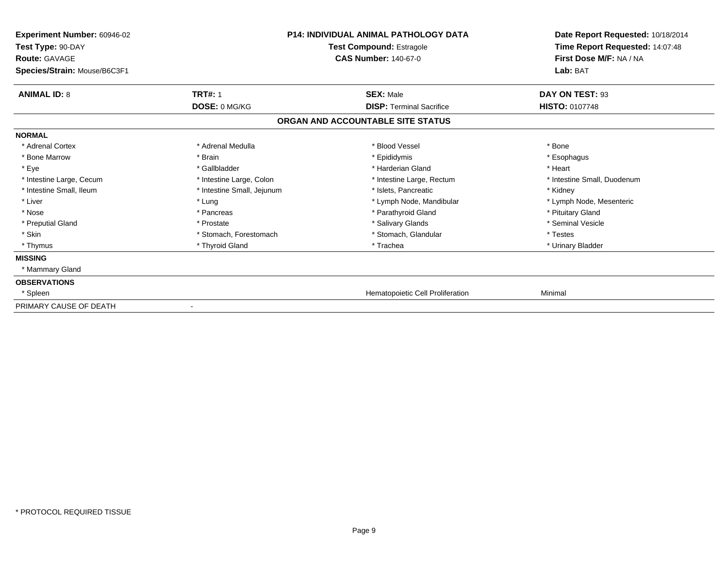| <b>Experiment Number: 60946-02</b><br>Test Type: 90-DAY<br><b>Route: GAVAGE</b><br>Species/Strain: Mouse/B6C3F1 |                            | <b>P14: INDIVIDUAL ANIMAL PATHOLOGY DATA</b><br><b>Test Compound: Estragole</b><br><b>CAS Number: 140-67-0</b> | Date Report Requested: 10/18/2014<br>Time Report Requested: 14:07:48<br>First Dose M/F: NA / NA<br>Lab: BAT |
|-----------------------------------------------------------------------------------------------------------------|----------------------------|----------------------------------------------------------------------------------------------------------------|-------------------------------------------------------------------------------------------------------------|
| <b>ANIMAL ID: 8</b>                                                                                             | <b>TRT#: 1</b>             | <b>SEX: Male</b>                                                                                               | DAY ON TEST: 93                                                                                             |
|                                                                                                                 | DOSE: 0 MG/KG              | <b>DISP: Terminal Sacrifice</b>                                                                                | <b>HISTO: 0107748</b>                                                                                       |
|                                                                                                                 |                            | ORGAN AND ACCOUNTABLE SITE STATUS                                                                              |                                                                                                             |
| <b>NORMAL</b>                                                                                                   |                            |                                                                                                                |                                                                                                             |
| * Adrenal Cortex                                                                                                | * Adrenal Medulla          | * Blood Vessel                                                                                                 | * Bone                                                                                                      |
| * Bone Marrow                                                                                                   | * Brain                    | * Epididymis                                                                                                   | * Esophagus                                                                                                 |
| * Eye                                                                                                           | * Gallbladder              | * Harderian Gland                                                                                              | * Heart                                                                                                     |
| * Intestine Large, Cecum                                                                                        | * Intestine Large, Colon   | * Intestine Large, Rectum                                                                                      | * Intestine Small, Duodenum                                                                                 |
| * Intestine Small, Ileum                                                                                        | * Intestine Small, Jejunum | * Islets, Pancreatic                                                                                           | * Kidney                                                                                                    |
| * Liver                                                                                                         | * Lung                     | * Lymph Node, Mandibular                                                                                       | * Lymph Node, Mesenteric                                                                                    |
| * Nose                                                                                                          | * Pancreas                 | * Parathyroid Gland                                                                                            | * Pituitary Gland                                                                                           |
| * Preputial Gland                                                                                               | * Prostate                 | * Salivary Glands                                                                                              | * Seminal Vesicle                                                                                           |
| * Skin                                                                                                          | * Stomach, Forestomach     | * Stomach, Glandular                                                                                           | * Testes                                                                                                    |
| * Thymus                                                                                                        | * Thyroid Gland            | * Trachea                                                                                                      | * Urinary Bladder                                                                                           |
| <b>MISSING</b>                                                                                                  |                            |                                                                                                                |                                                                                                             |
| * Mammary Gland                                                                                                 |                            |                                                                                                                |                                                                                                             |
| <b>OBSERVATIONS</b>                                                                                             |                            |                                                                                                                |                                                                                                             |
| * Spleen                                                                                                        |                            | Hematopoietic Cell Proliferation                                                                               | Minimal                                                                                                     |
| PRIMARY CAUSE OF DEATH                                                                                          | $\overline{\phantom{a}}$   |                                                                                                                |                                                                                                             |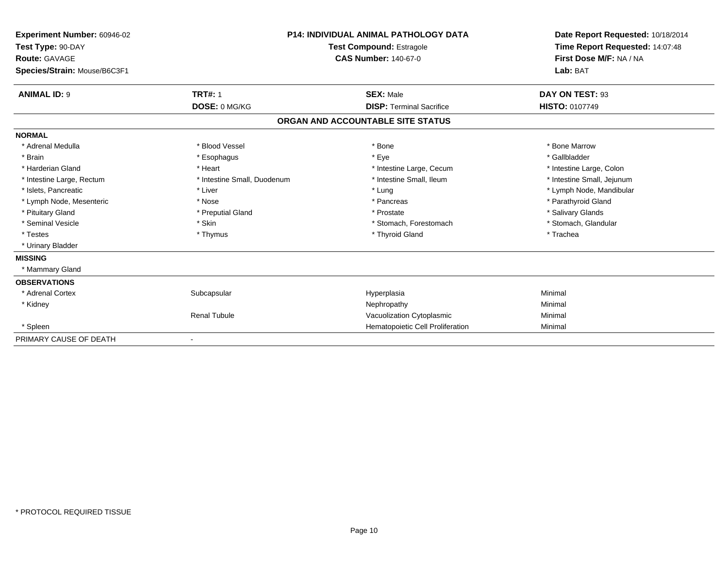| Experiment Number: 60946-02<br>Test Type: 90-DAY<br>Route: GAVAGE<br>Species/Strain: Mouse/B6C3F1 |                             | <b>P14: INDIVIDUAL ANIMAL PATHOLOGY DATA</b><br><b>Test Compound: Estragole</b><br><b>CAS Number: 140-67-0</b> | Date Report Requested: 10/18/2014<br>Time Report Requested: 14:07:48<br>First Dose M/F: NA / NA<br>Lab: BAT |
|---------------------------------------------------------------------------------------------------|-----------------------------|----------------------------------------------------------------------------------------------------------------|-------------------------------------------------------------------------------------------------------------|
| <b>ANIMAL ID: 9</b>                                                                               | <b>TRT#: 1</b>              | <b>SEX: Male</b>                                                                                               | DAY ON TEST: 93                                                                                             |
|                                                                                                   | DOSE: 0 MG/KG               | <b>DISP: Terminal Sacrifice</b>                                                                                | <b>HISTO: 0107749</b>                                                                                       |
|                                                                                                   |                             | ORGAN AND ACCOUNTABLE SITE STATUS                                                                              |                                                                                                             |
| <b>NORMAL</b>                                                                                     |                             |                                                                                                                |                                                                                                             |
| * Adrenal Medulla                                                                                 | * Blood Vessel              | * Bone                                                                                                         | * Bone Marrow                                                                                               |
| * Brain                                                                                           | * Esophagus                 | * Eye                                                                                                          | * Gallbladder                                                                                               |
| * Harderian Gland                                                                                 | * Heart                     | * Intestine Large, Cecum                                                                                       | * Intestine Large, Colon                                                                                    |
| * Intestine Large, Rectum                                                                         | * Intestine Small, Duodenum | * Intestine Small. Ileum                                                                                       | * Intestine Small, Jejunum                                                                                  |
| * Islets, Pancreatic                                                                              | * Liver                     | * Lung                                                                                                         | * Lymph Node, Mandibular                                                                                    |
| * Lymph Node, Mesenteric                                                                          | * Nose                      | * Pancreas                                                                                                     | * Parathyroid Gland                                                                                         |
| * Pituitary Gland                                                                                 | * Preputial Gland           | * Prostate                                                                                                     | * Salivary Glands                                                                                           |
| * Seminal Vesicle                                                                                 | * Skin                      | * Stomach, Forestomach                                                                                         | * Stomach, Glandular                                                                                        |
| * Testes                                                                                          | * Thymus                    | * Thyroid Gland                                                                                                | * Trachea                                                                                                   |
| * Urinary Bladder                                                                                 |                             |                                                                                                                |                                                                                                             |
| <b>MISSING</b>                                                                                    |                             |                                                                                                                |                                                                                                             |
| * Mammary Gland                                                                                   |                             |                                                                                                                |                                                                                                             |
| <b>OBSERVATIONS</b>                                                                               |                             |                                                                                                                |                                                                                                             |
| * Adrenal Cortex                                                                                  | Subcapsular                 | Hyperplasia                                                                                                    | Minimal                                                                                                     |
| * Kidney                                                                                          |                             | Nephropathy                                                                                                    | Minimal                                                                                                     |
|                                                                                                   | <b>Renal Tubule</b>         | Vacuolization Cytoplasmic                                                                                      | Minimal                                                                                                     |
| * Spleen                                                                                          |                             | Hematopoietic Cell Proliferation                                                                               | Minimal                                                                                                     |
| PRIMARY CAUSE OF DEATH                                                                            |                             |                                                                                                                |                                                                                                             |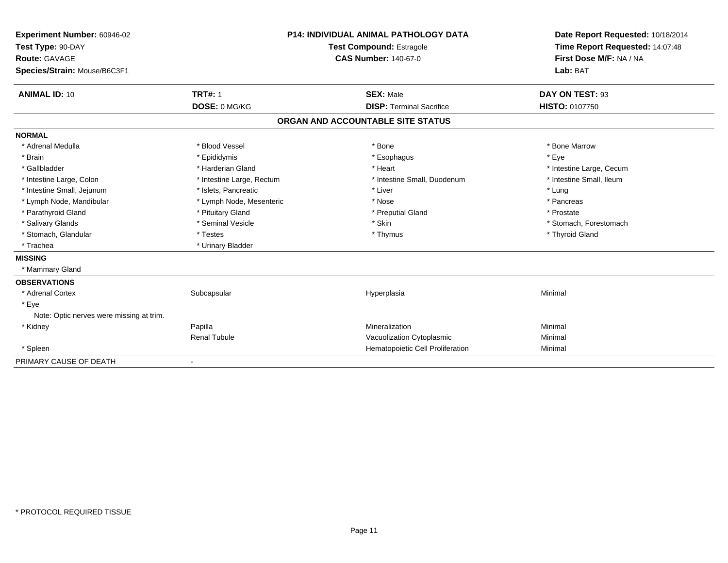| Experiment Number: 60946-02<br>Test Type: 90-DAY  |                           | <b>P14: INDIVIDUAL ANIMAL PATHOLOGY DATA</b> | Date Report Requested: 10/18/2014 |
|---------------------------------------------------|---------------------------|----------------------------------------------|-----------------------------------|
|                                                   |                           | <b>Test Compound: Estragole</b>              | Time Report Requested: 14:07:48   |
| <b>Route: GAVAGE</b>                              |                           | <b>CAS Number: 140-67-0</b>                  | First Dose M/F: NA / NA           |
| Species/Strain: Mouse/B6C3F1                      |                           |                                              | Lab: BAT                          |
| <b>ANIMAL ID: 10</b>                              | <b>TRT#: 1</b>            | <b>SEX: Male</b>                             | DAY ON TEST: 93                   |
|                                                   | DOSE: 0 MG/KG             | <b>DISP: Terminal Sacrifice</b>              | <b>HISTO: 0107750</b>             |
|                                                   |                           | ORGAN AND ACCOUNTABLE SITE STATUS            |                                   |
| <b>NORMAL</b>                                     |                           |                                              |                                   |
| * Adrenal Medulla                                 | * Blood Vessel            | * Bone                                       | * Bone Marrow                     |
| * Brain                                           | * Epididymis              | * Esophagus                                  | * Eye                             |
| * Gallbladder                                     | * Harderian Gland         | * Heart                                      | * Intestine Large, Cecum          |
| * Intestine Large, Colon                          | * Intestine Large, Rectum | * Intestine Small, Duodenum                  | * Intestine Small, Ileum          |
| * Intestine Small, Jejunum                        | * Islets, Pancreatic      | * Liver                                      | * Lung                            |
| * Lymph Node, Mandibular                          | * Lymph Node, Mesenteric  | * Nose                                       | * Pancreas                        |
| * Parathyroid Gland                               | * Pituitary Gland         | * Preputial Gland                            | * Prostate                        |
| * Salivary Glands                                 | * Seminal Vesicle         | * Skin                                       | * Stomach, Forestomach            |
| * Stomach, Glandular                              | * Testes                  | * Thymus                                     | * Thyroid Gland                   |
| * Trachea                                         | * Urinary Bladder         |                                              |                                   |
| <b>MISSING</b>                                    |                           |                                              |                                   |
| * Mammary Gland                                   |                           |                                              |                                   |
| <b>OBSERVATIONS</b>                               |                           |                                              |                                   |
| * Adrenal Cortex                                  | Subcapsular               | Hyperplasia                                  | Minimal                           |
| * Eye<br>Note: Optic nerves were missing at trim. |                           |                                              |                                   |
| * Kidney                                          | Papilla                   | Mineralization                               | Minimal                           |
|                                                   | <b>Renal Tubule</b>       | Vacuolization Cytoplasmic                    | Minimal                           |
| * Spleen                                          |                           | Hematopoietic Cell Proliferation             | Minimal                           |
| PRIMARY CAUSE OF DEATH                            |                           |                                              |                                   |
|                                                   |                           |                                              |                                   |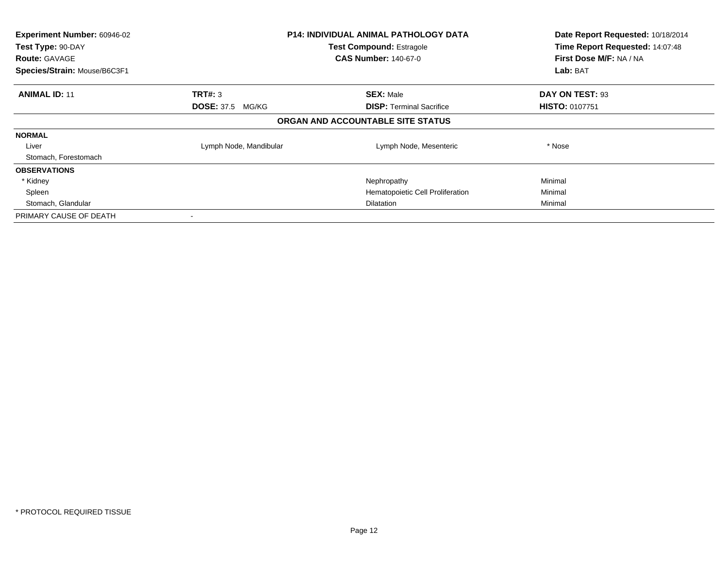| Experiment Number: 60946-02<br>Test Type: 90-DAY<br><b>Route: GAVAGE</b><br>Species/Strain: Mouse/B6C3F1 |                                    | <b>P14: INDIVIDUAL ANIMAL PATHOLOGY DATA</b><br><b>Test Compound: Estragole</b><br><b>CAS Number: 140-67-0</b> | Date Report Requested: 10/18/2014<br>Time Report Requested: 14:07:48<br>First Dose M/F: NA / NA<br>Lab: BAT |
|----------------------------------------------------------------------------------------------------------|------------------------------------|----------------------------------------------------------------------------------------------------------------|-------------------------------------------------------------------------------------------------------------|
| <b>ANIMAL ID: 11</b>                                                                                     | TRT#: 3<br><b>DOSE: 37.5 MG/KG</b> | <b>SEX: Male</b><br><b>DISP:</b> Terminal Sacrifice                                                            | DAY ON TEST: 93<br><b>HISTO: 0107751</b>                                                                    |
|                                                                                                          |                                    | ORGAN AND ACCOUNTABLE SITE STATUS                                                                              |                                                                                                             |
| <b>NORMAL</b>                                                                                            |                                    |                                                                                                                |                                                                                                             |
| Liver                                                                                                    | Lymph Node, Mandibular             | Lymph Node, Mesenteric                                                                                         | * Nose                                                                                                      |
| Stomach, Forestomach                                                                                     |                                    |                                                                                                                |                                                                                                             |
| <b>OBSERVATIONS</b>                                                                                      |                                    |                                                                                                                |                                                                                                             |
| * Kidney                                                                                                 |                                    | Nephropathy                                                                                                    | Minimal                                                                                                     |
| Spleen                                                                                                   |                                    | Hematopoietic Cell Proliferation                                                                               | Minimal                                                                                                     |
| Stomach, Glandular                                                                                       |                                    | <b>Dilatation</b>                                                                                              | Minimal                                                                                                     |
| PRIMARY CAUSE OF DEATH                                                                                   |                                    |                                                                                                                |                                                                                                             |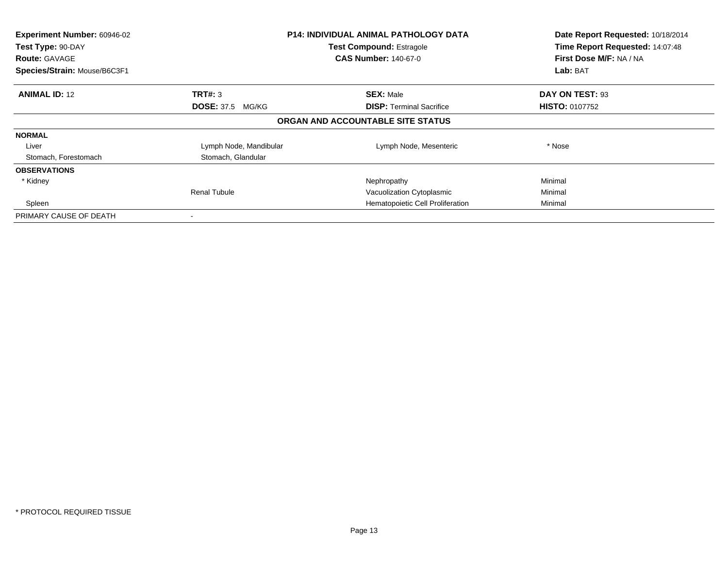| Experiment Number: 60946-02<br>Test Type: 90-DAY<br><b>Route: GAVAGE</b><br>Species/Strain: Mouse/B6C3F1 |                         | <b>P14: INDIVIDUAL ANIMAL PATHOLOGY DATA</b><br><b>Test Compound: Estragole</b><br><b>CAS Number: 140-67-0</b> | Date Report Requested: 10/18/2014<br>Time Report Requested: 14:07:48<br>First Dose M/F: NA / NA<br>Lab: BAT |
|----------------------------------------------------------------------------------------------------------|-------------------------|----------------------------------------------------------------------------------------------------------------|-------------------------------------------------------------------------------------------------------------|
|                                                                                                          |                         |                                                                                                                |                                                                                                             |
| <b>ANIMAL ID: 12</b>                                                                                     | TRT#: 3                 | <b>SEX: Male</b>                                                                                               | DAY ON TEST: 93                                                                                             |
|                                                                                                          | <b>DOSE: 37.5 MG/KG</b> | <b>DISP:</b> Terminal Sacrifice                                                                                | <b>HISTO: 0107752</b>                                                                                       |
|                                                                                                          |                         | ORGAN AND ACCOUNTABLE SITE STATUS                                                                              |                                                                                                             |
| <b>NORMAL</b>                                                                                            |                         |                                                                                                                |                                                                                                             |
| Liver                                                                                                    | Lymph Node, Mandibular  | Lymph Node, Mesenteric                                                                                         | * Nose                                                                                                      |
| Stomach, Forestomach                                                                                     | Stomach, Glandular      |                                                                                                                |                                                                                                             |
| <b>OBSERVATIONS</b>                                                                                      |                         |                                                                                                                |                                                                                                             |
| * Kidney                                                                                                 |                         | Nephropathy                                                                                                    | Minimal                                                                                                     |
|                                                                                                          | <b>Renal Tubule</b>     | Vacuolization Cytoplasmic                                                                                      | Minimal                                                                                                     |
| Spleen                                                                                                   |                         | Hematopoietic Cell Proliferation                                                                               | Minimal                                                                                                     |
| PRIMARY CAUSE OF DEATH                                                                                   |                         |                                                                                                                |                                                                                                             |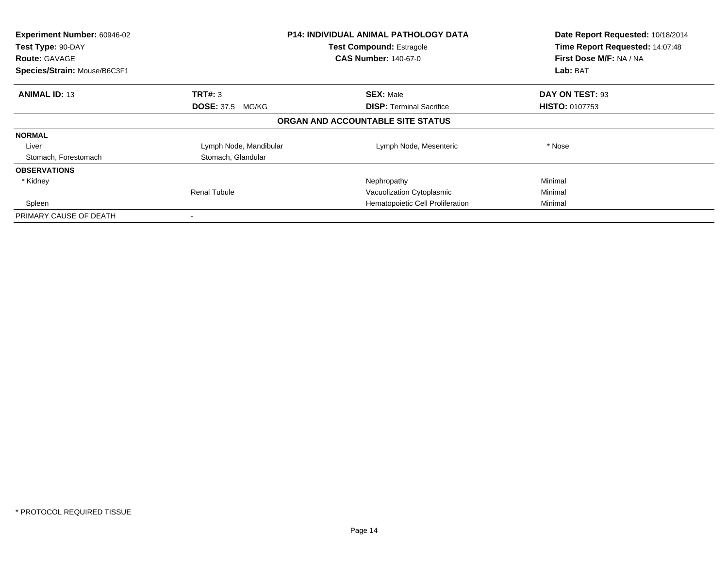| Experiment Number: 60946-02<br>Test Type: 90-DAY<br><b>Route: GAVAGE</b><br>Species/Strain: Mouse/B6C3F1 |                         | <b>P14: INDIVIDUAL ANIMAL PATHOLOGY DATA</b><br><b>Test Compound: Estragole</b><br><b>CAS Number: 140-67-0</b> | Date Report Requested: 10/18/2014<br>Time Report Requested: 14:07:48<br>First Dose M/F: NA / NA<br>Lab: BAT |
|----------------------------------------------------------------------------------------------------------|-------------------------|----------------------------------------------------------------------------------------------------------------|-------------------------------------------------------------------------------------------------------------|
|                                                                                                          |                         |                                                                                                                |                                                                                                             |
| <b>ANIMAL ID: 13</b>                                                                                     | TRT#: 3                 | <b>SEX: Male</b>                                                                                               | DAY ON TEST: 93                                                                                             |
|                                                                                                          | <b>DOSE: 37.5 MG/KG</b> | <b>DISP:</b> Terminal Sacrifice                                                                                | <b>HISTO: 0107753</b>                                                                                       |
|                                                                                                          |                         | ORGAN AND ACCOUNTABLE SITE STATUS                                                                              |                                                                                                             |
| <b>NORMAL</b>                                                                                            |                         |                                                                                                                |                                                                                                             |
| Liver                                                                                                    | Lymph Node, Mandibular  | Lymph Node, Mesenteric                                                                                         | * Nose                                                                                                      |
| Stomach, Forestomach                                                                                     | Stomach, Glandular      |                                                                                                                |                                                                                                             |
| <b>OBSERVATIONS</b>                                                                                      |                         |                                                                                                                |                                                                                                             |
| * Kidney                                                                                                 |                         | Nephropathy                                                                                                    | Minimal                                                                                                     |
|                                                                                                          | <b>Renal Tubule</b>     | Vacuolization Cytoplasmic                                                                                      | Minimal                                                                                                     |
| Spleen                                                                                                   |                         | Hematopoietic Cell Proliferation                                                                               | Minimal                                                                                                     |
| PRIMARY CAUSE OF DEATH                                                                                   |                         |                                                                                                                |                                                                                                             |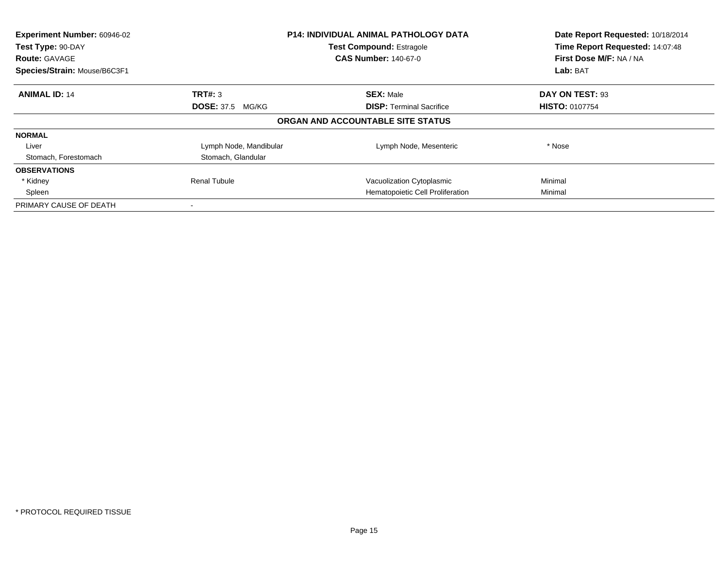| Experiment Number: 60946-02<br>Test Type: 90-DAY | <b>P14: INDIVIDUAL ANIMAL PATHOLOGY DATA</b><br><b>Test Compound: Estragole</b> |                                   | Date Report Requested: 10/18/2014<br>Time Report Requested: 14:07:48 |
|--------------------------------------------------|---------------------------------------------------------------------------------|-----------------------------------|----------------------------------------------------------------------|
| <b>Route: GAVAGE</b>                             |                                                                                 | <b>CAS Number: 140-67-0</b>       | First Dose M/F: NA / NA                                              |
| Species/Strain: Mouse/B6C3F1                     |                                                                                 |                                   | <b>Lab: BAT</b>                                                      |
| <b>ANIMAL ID: 14</b>                             | TRT#: 3                                                                         | <b>SEX: Male</b>                  | DAY ON TEST: 93                                                      |
|                                                  | <b>DOSE: 37.5 MG/KG</b>                                                         | <b>DISP:</b> Terminal Sacrifice   | <b>HISTO: 0107754</b>                                                |
|                                                  |                                                                                 | ORGAN AND ACCOUNTABLE SITE STATUS |                                                                      |
| <b>NORMAL</b>                                    |                                                                                 |                                   |                                                                      |
| Liver                                            | Lymph Node, Mandibular                                                          | Lymph Node, Mesenteric            | * Nose                                                               |
| Stomach, Forestomach                             | Stomach, Glandular                                                              |                                   |                                                                      |
| <b>OBSERVATIONS</b>                              |                                                                                 |                                   |                                                                      |
| * Kidney                                         | <b>Renal Tubule</b>                                                             | Vacuolization Cytoplasmic         | Minimal                                                              |
| Spleen                                           |                                                                                 | Hematopoietic Cell Proliferation  | Minimal                                                              |
| PRIMARY CAUSE OF DEATH                           |                                                                                 |                                   |                                                                      |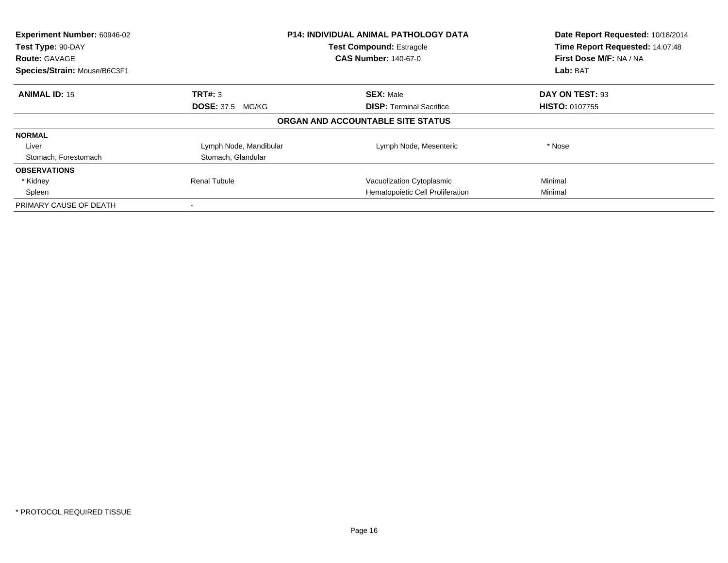| Experiment Number: 60946-02<br>Test Type: 90-DAY | <b>P14: INDIVIDUAL ANIMAL PATHOLOGY DATA</b><br><b>Test Compound: Estragole</b> |                                   | Date Report Requested: 10/18/2014<br>Time Report Requested: 14:07:48 |
|--------------------------------------------------|---------------------------------------------------------------------------------|-----------------------------------|----------------------------------------------------------------------|
| <b>Route: GAVAGE</b>                             |                                                                                 | <b>CAS Number: 140-67-0</b>       | First Dose M/F: NA / NA                                              |
| Species/Strain: Mouse/B6C3F1                     |                                                                                 |                                   | <b>Lab: BAT</b>                                                      |
| <b>ANIMAL ID: 15</b>                             | TRT#: 3                                                                         | <b>SEX: Male</b>                  | DAY ON TEST: 93                                                      |
|                                                  | <b>DOSE: 37.5 MG/KG</b>                                                         | <b>DISP:</b> Terminal Sacrifice   | <b>HISTO: 0107755</b>                                                |
|                                                  |                                                                                 | ORGAN AND ACCOUNTABLE SITE STATUS |                                                                      |
| <b>NORMAL</b>                                    |                                                                                 |                                   |                                                                      |
| Liver                                            | Lymph Node, Mandibular                                                          | Lymph Node, Mesenteric            | * Nose                                                               |
| Stomach, Forestomach                             | Stomach, Glandular                                                              |                                   |                                                                      |
| <b>OBSERVATIONS</b>                              |                                                                                 |                                   |                                                                      |
| * Kidney                                         | <b>Renal Tubule</b>                                                             | Vacuolization Cytoplasmic         | Minimal                                                              |
| Spleen                                           |                                                                                 | Hematopoietic Cell Proliferation  | Minimal                                                              |
| PRIMARY CAUSE OF DEATH                           |                                                                                 |                                   |                                                                      |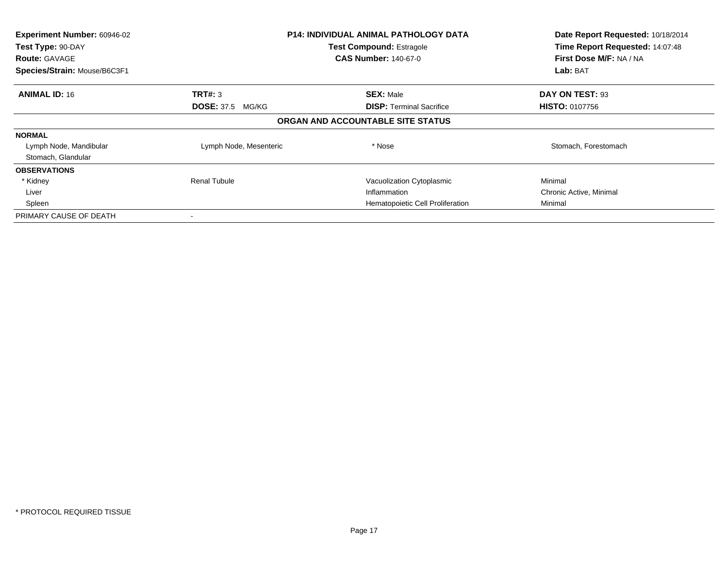| Experiment Number: 60946-02<br>Test Type: 90-DAY<br><b>Route: GAVAGE</b><br>Species/Strain: Mouse/B6C3F1 | <b>P14: INDIVIDUAL ANIMAL PATHOLOGY DATA</b><br><b>Test Compound: Estragole</b><br><b>CAS Number: 140-67-0</b> |                                   | Date Report Requested: 10/18/2014<br>Time Report Requested: 14:07:48<br>First Dose M/F: NA / NA<br>Lab: BAT |
|----------------------------------------------------------------------------------------------------------|----------------------------------------------------------------------------------------------------------------|-----------------------------------|-------------------------------------------------------------------------------------------------------------|
|                                                                                                          |                                                                                                                |                                   |                                                                                                             |
| <b>ANIMAL ID: 16</b>                                                                                     | TRT#: 3                                                                                                        | <b>SEX: Male</b>                  | DAY ON TEST: 93                                                                                             |
|                                                                                                          | <b>DOSE: 37.5 MG/KG</b>                                                                                        | <b>DISP:</b> Terminal Sacrifice   | <b>HISTO: 0107756</b>                                                                                       |
|                                                                                                          |                                                                                                                | ORGAN AND ACCOUNTABLE SITE STATUS |                                                                                                             |
| <b>NORMAL</b>                                                                                            |                                                                                                                |                                   |                                                                                                             |
| Lymph Node, Mandibular                                                                                   | Lymph Node, Mesenteric                                                                                         | * Nose                            | Stomach, Forestomach                                                                                        |
| Stomach, Glandular                                                                                       |                                                                                                                |                                   |                                                                                                             |
| <b>OBSERVATIONS</b>                                                                                      |                                                                                                                |                                   |                                                                                                             |
| * Kidney                                                                                                 | <b>Renal Tubule</b>                                                                                            | Vacuolization Cytoplasmic         | Minimal                                                                                                     |
| Liver                                                                                                    |                                                                                                                | Inflammation                      | Chronic Active, Minimal                                                                                     |
| Spleen                                                                                                   |                                                                                                                | Hematopoietic Cell Proliferation  | Minimal                                                                                                     |
| PRIMARY CAUSE OF DEATH                                                                                   |                                                                                                                |                                   |                                                                                                             |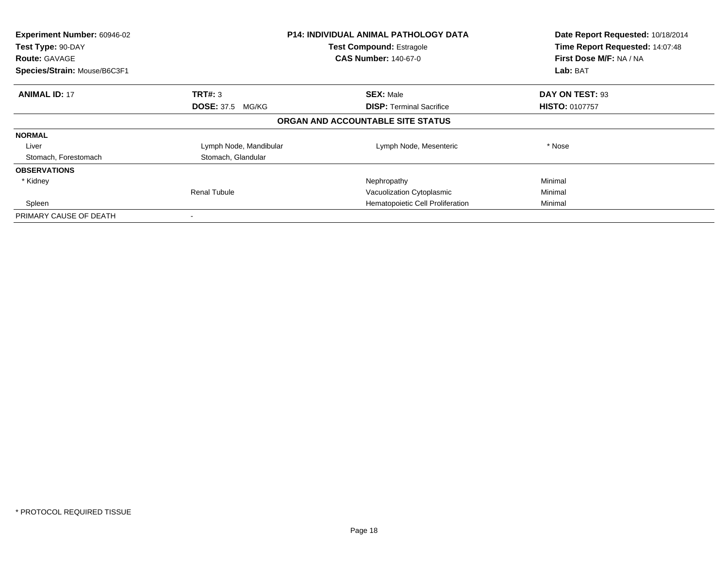| Experiment Number: 60946-02<br>Test Type: 90-DAY<br><b>Route: GAVAGE</b><br>Species/Strain: Mouse/B6C3F1 |                                    | P14: INDIVIDUAL ANIMAL PATHOLOGY DATA<br><b>Test Compound: Estragole</b><br><b>CAS Number: 140-67-0</b> | Date Report Requested: 10/18/2014<br>Time Report Requested: 14:07:48<br>First Dose M/F: NA / NA<br>Lab: BAT |
|----------------------------------------------------------------------------------------------------------|------------------------------------|---------------------------------------------------------------------------------------------------------|-------------------------------------------------------------------------------------------------------------|
| <b>ANIMAL ID: 17</b>                                                                                     | TRT#: 3<br><b>DOSE: 37.5 MG/KG</b> | <b>SEX: Male</b><br><b>DISP:</b> Terminal Sacrifice                                                     | DAY ON TEST: 93<br><b>HISTO: 0107757</b>                                                                    |
|                                                                                                          |                                    | ORGAN AND ACCOUNTABLE SITE STATUS                                                                       |                                                                                                             |
| <b>NORMAL</b>                                                                                            |                                    |                                                                                                         |                                                                                                             |
| Liver                                                                                                    | Lymph Node, Mandibular             | Lymph Node, Mesenteric                                                                                  | * Nose                                                                                                      |
| Stomach, Forestomach                                                                                     | Stomach, Glandular                 |                                                                                                         |                                                                                                             |
| <b>OBSERVATIONS</b>                                                                                      |                                    |                                                                                                         |                                                                                                             |
| * Kidney                                                                                                 |                                    | Nephropathy                                                                                             | Minimal                                                                                                     |
|                                                                                                          | <b>Renal Tubule</b>                | Vacuolization Cytoplasmic                                                                               | Minimal                                                                                                     |
| Spleen                                                                                                   |                                    | Hematopoietic Cell Proliferation                                                                        | Minimal                                                                                                     |
| PRIMARY CAUSE OF DEATH                                                                                   |                                    |                                                                                                         |                                                                                                             |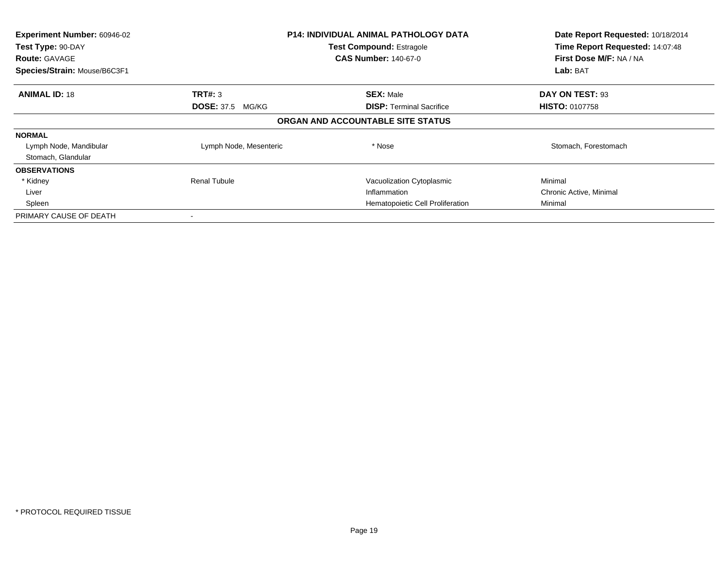| Experiment Number: 60946-02<br>Test Type: 90-DAY<br><b>Route: GAVAGE</b><br>Species/Strain: Mouse/B6C3F1 | <b>P14: INDIVIDUAL ANIMAL PATHOLOGY DATA</b><br><b>Test Compound: Estragole</b><br><b>CAS Number: 140-67-0</b> |                                   | Date Report Requested: 10/18/2014<br>Time Report Requested: 14:07:48<br>First Dose M/F: NA / NA<br>Lab: BAT |
|----------------------------------------------------------------------------------------------------------|----------------------------------------------------------------------------------------------------------------|-----------------------------------|-------------------------------------------------------------------------------------------------------------|
|                                                                                                          |                                                                                                                |                                   |                                                                                                             |
| <b>ANIMAL ID: 18</b>                                                                                     | TRT#: 3                                                                                                        | <b>SEX: Male</b>                  | DAY ON TEST: 93                                                                                             |
|                                                                                                          | <b>DOSE: 37.5 MG/KG</b>                                                                                        | <b>DISP:</b> Terminal Sacrifice   | <b>HISTO: 0107758</b>                                                                                       |
|                                                                                                          |                                                                                                                | ORGAN AND ACCOUNTABLE SITE STATUS |                                                                                                             |
| <b>NORMAL</b>                                                                                            |                                                                                                                |                                   |                                                                                                             |
| Lymph Node, Mandibular                                                                                   | Lymph Node, Mesenteric                                                                                         | * Nose                            | Stomach, Forestomach                                                                                        |
| Stomach, Glandular                                                                                       |                                                                                                                |                                   |                                                                                                             |
| <b>OBSERVATIONS</b>                                                                                      |                                                                                                                |                                   |                                                                                                             |
| * Kidney                                                                                                 | <b>Renal Tubule</b>                                                                                            | Vacuolization Cytoplasmic         | Minimal                                                                                                     |
| Liver                                                                                                    |                                                                                                                | Inflammation                      | Chronic Active, Minimal                                                                                     |
| Spleen                                                                                                   |                                                                                                                | Hematopoietic Cell Proliferation  | Minimal                                                                                                     |
| PRIMARY CAUSE OF DEATH                                                                                   |                                                                                                                |                                   |                                                                                                             |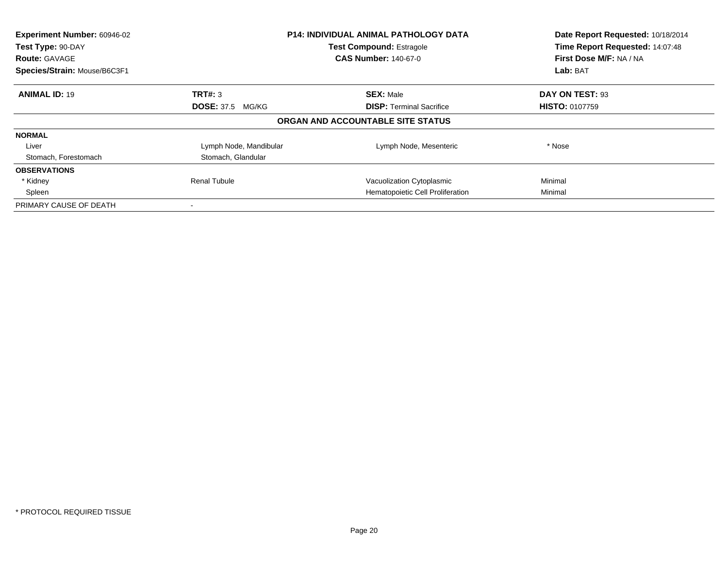| Experiment Number: 60946-02<br>Test Type: 90-DAY | <b>P14: INDIVIDUAL ANIMAL PATHOLOGY DATA</b><br><b>Test Compound: Estragole</b> |                                   | Date Report Requested: 10/18/2014<br>Time Report Requested: 14:07:48 |
|--------------------------------------------------|---------------------------------------------------------------------------------|-----------------------------------|----------------------------------------------------------------------|
| <b>Route: GAVAGE</b>                             |                                                                                 | <b>CAS Number: 140-67-0</b>       | First Dose M/F: NA / NA                                              |
| Species/Strain: Mouse/B6C3F1                     |                                                                                 |                                   | <b>Lab: BAT</b>                                                      |
| <b>ANIMAL ID: 19</b>                             | TRT#: 3                                                                         | <b>SEX: Male</b>                  | DAY ON TEST: 93                                                      |
|                                                  | <b>DOSE: 37.5 MG/KG</b>                                                         | <b>DISP:</b> Terminal Sacrifice   | <b>HISTO: 0107759</b>                                                |
|                                                  |                                                                                 | ORGAN AND ACCOUNTABLE SITE STATUS |                                                                      |
| <b>NORMAL</b>                                    |                                                                                 |                                   |                                                                      |
| Liver                                            | Lymph Node, Mandibular                                                          | Lymph Node, Mesenteric            | * Nose                                                               |
| Stomach, Forestomach                             | Stomach, Glandular                                                              |                                   |                                                                      |
| <b>OBSERVATIONS</b>                              |                                                                                 |                                   |                                                                      |
| * Kidney                                         | <b>Renal Tubule</b>                                                             | Vacuolization Cytoplasmic         | Minimal                                                              |
| Spleen                                           |                                                                                 | Hematopoietic Cell Proliferation  | Minimal                                                              |
| PRIMARY CAUSE OF DEATH                           |                                                                                 |                                   |                                                                      |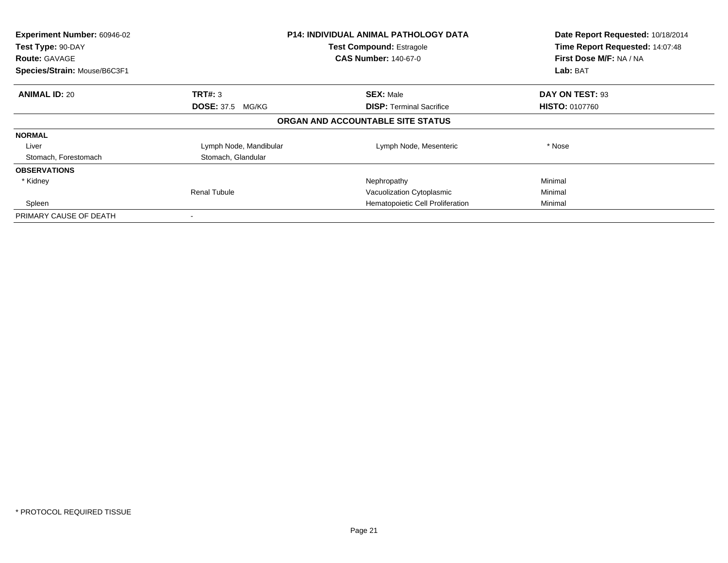| Experiment Number: 60946-02<br>Test Type: 90-DAY<br><b>Route: GAVAGE</b><br>Species/Strain: Mouse/B6C3F1 |                         | <b>P14: INDIVIDUAL ANIMAL PATHOLOGY DATA</b><br><b>Test Compound: Estragole</b><br><b>CAS Number: 140-67-0</b> | Date Report Requested: 10/18/2014<br>Time Report Requested: 14:07:48<br>First Dose M/F: NA / NA<br>Lab: BAT |
|----------------------------------------------------------------------------------------------------------|-------------------------|----------------------------------------------------------------------------------------------------------------|-------------------------------------------------------------------------------------------------------------|
|                                                                                                          |                         |                                                                                                                |                                                                                                             |
| <b>ANIMAL ID: 20</b>                                                                                     | TRT#: 3                 | <b>SEX: Male</b>                                                                                               | DAY ON TEST: 93                                                                                             |
|                                                                                                          | <b>DOSE: 37.5 MG/KG</b> | <b>DISP:</b> Terminal Sacrifice                                                                                | <b>HISTO: 0107760</b>                                                                                       |
|                                                                                                          |                         | ORGAN AND ACCOUNTABLE SITE STATUS                                                                              |                                                                                                             |
| <b>NORMAL</b>                                                                                            |                         |                                                                                                                |                                                                                                             |
| Liver                                                                                                    | Lymph Node, Mandibular  | Lymph Node, Mesenteric                                                                                         | * Nose                                                                                                      |
| Stomach, Forestomach                                                                                     | Stomach, Glandular      |                                                                                                                |                                                                                                             |
| <b>OBSERVATIONS</b>                                                                                      |                         |                                                                                                                |                                                                                                             |
| * Kidney                                                                                                 |                         | Nephropathy                                                                                                    | Minimal                                                                                                     |
|                                                                                                          | <b>Renal Tubule</b>     | Vacuolization Cytoplasmic                                                                                      | Minimal                                                                                                     |
| Spleen                                                                                                   |                         | Hematopoietic Cell Proliferation                                                                               | Minimal                                                                                                     |
| PRIMARY CAUSE OF DEATH                                                                                   |                         |                                                                                                                |                                                                                                             |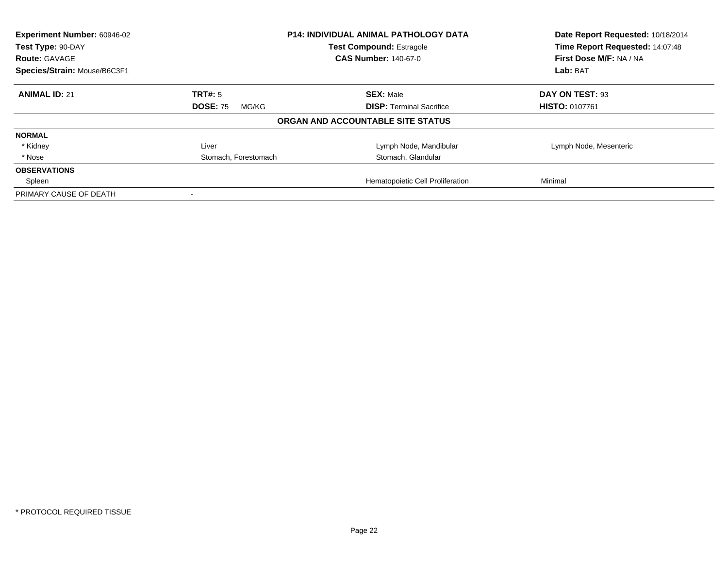| Experiment Number: 60946-02  |                          | <b>P14: INDIVIDUAL ANIMAL PATHOLOGY DATA</b> | Date Report Requested: 10/18/2014 |
|------------------------------|--------------------------|----------------------------------------------|-----------------------------------|
| Test Type: 90-DAY            |                          | <b>Test Compound: Estragole</b>              | Time Report Requested: 14:07:48   |
| <b>Route: GAVAGE</b>         |                          | <b>CAS Number: 140-67-0</b>                  | First Dose M/F: NA / NA           |
| Species/Strain: Mouse/B6C3F1 |                          |                                              | Lab: BAT                          |
| <b>ANIMAL ID: 21</b>         | <b>TRT#: 5</b>           | <b>SEX: Male</b>                             | DAY ON TEST: 93                   |
|                              | <b>DOSE: 75</b><br>MG/KG | <b>DISP:</b> Terminal Sacrifice              | <b>HISTO: 0107761</b>             |
|                              |                          | ORGAN AND ACCOUNTABLE SITE STATUS            |                                   |
| <b>NORMAL</b>                |                          |                                              |                                   |
| * Kidney                     | Liver                    | Lymph Node, Mandibular                       | Lymph Node, Mesenteric            |
| * Nose                       | Stomach, Forestomach     | Stomach, Glandular                           |                                   |
| <b>OBSERVATIONS</b>          |                          |                                              |                                   |
| Spleen                       |                          | Hematopoietic Cell Proliferation             | Minimal                           |
| PRIMARY CAUSE OF DEATH       |                          |                                              |                                   |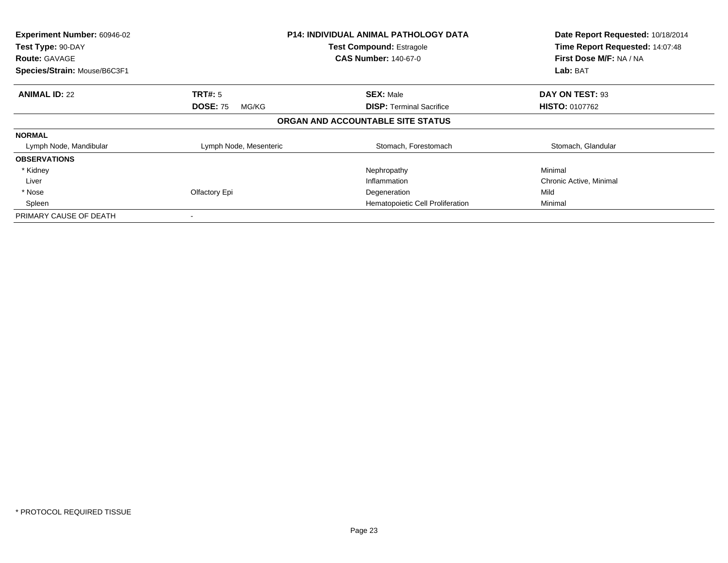| Experiment Number: 60946-02<br>Test Type: 90-DAY |                          | <b>P14: INDIVIDUAL ANIMAL PATHOLOGY DATA</b><br><b>Test Compound: Estragole</b> | Date Report Requested: 10/18/2014<br>Time Report Requested: 14:07:48 |
|--------------------------------------------------|--------------------------|---------------------------------------------------------------------------------|----------------------------------------------------------------------|
| <b>Route: GAVAGE</b>                             |                          | <b>CAS Number: 140-67-0</b>                                                     | First Dose M/F: NA / NA                                              |
| Species/Strain: Mouse/B6C3F1                     |                          |                                                                                 | Lab: BAT                                                             |
| <b>ANIMAL ID: 22</b>                             | <b>TRT#:</b> 5           | <b>SEX: Male</b>                                                                | DAY ON TEST: 93                                                      |
|                                                  | <b>DOSE: 75</b><br>MG/KG | <b>DISP:</b> Terminal Sacrifice                                                 | <b>HISTO: 0107762</b>                                                |
|                                                  |                          | ORGAN AND ACCOUNTABLE SITE STATUS                                               |                                                                      |
| <b>NORMAL</b>                                    |                          |                                                                                 |                                                                      |
| Lymph Node, Mandibular                           | Lymph Node, Mesenteric   | Stomach, Forestomach                                                            | Stomach, Glandular                                                   |
| <b>OBSERVATIONS</b>                              |                          |                                                                                 |                                                                      |
| * Kidney                                         |                          | Nephropathy                                                                     | Minimal                                                              |
| Liver                                            |                          | Inflammation                                                                    | Chronic Active, Minimal                                              |
| * Nose                                           | Olfactory Epi            | Degeneration                                                                    | Mild                                                                 |
| Spleen                                           |                          | Hematopoietic Cell Proliferation                                                | Minimal                                                              |
| PRIMARY CAUSE OF DEATH                           |                          |                                                                                 |                                                                      |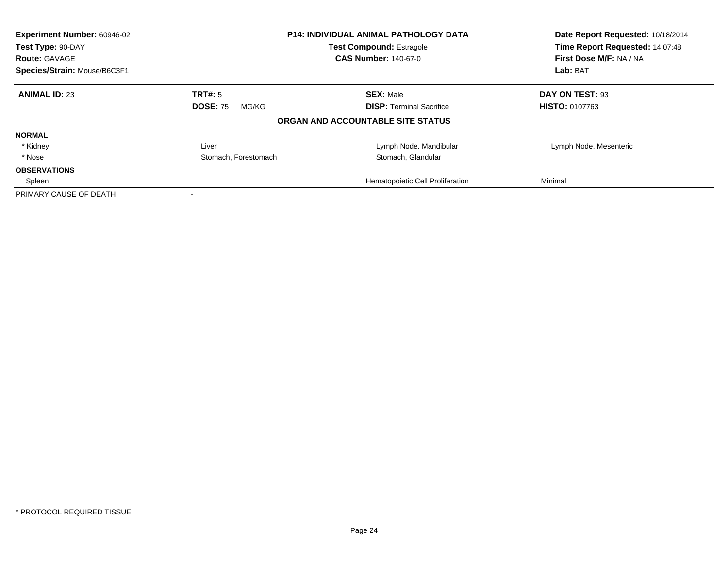| Experiment Number: 60946-02  |                          | <b>P14: INDIVIDUAL ANIMAL PATHOLOGY DATA</b> | Date Report Requested: 10/18/2014 |
|------------------------------|--------------------------|----------------------------------------------|-----------------------------------|
| Test Type: 90-DAY            |                          | <b>Test Compound: Estragole</b>              | Time Report Requested: 14:07:48   |
| <b>Route: GAVAGE</b>         |                          | <b>CAS Number: 140-67-0</b>                  | First Dose M/F: NA / NA           |
| Species/Strain: Mouse/B6C3F1 |                          |                                              | Lab: BAT                          |
| <b>ANIMAL ID: 23</b>         | <b>TRT#: 5</b>           | <b>SEX: Male</b>                             | DAY ON TEST: 93                   |
|                              | <b>DOSE: 75</b><br>MG/KG | <b>DISP:</b> Terminal Sacrifice              | <b>HISTO: 0107763</b>             |
|                              |                          | ORGAN AND ACCOUNTABLE SITE STATUS            |                                   |
| <b>NORMAL</b>                |                          |                                              |                                   |
| * Kidney                     | Liver                    | Lymph Node, Mandibular                       | Lymph Node, Mesenteric            |
| * Nose                       | Stomach, Forestomach     | Stomach, Glandular                           |                                   |
| <b>OBSERVATIONS</b>          |                          |                                              |                                   |
| Spleen                       |                          | Hematopoietic Cell Proliferation             | Minimal                           |
| PRIMARY CAUSE OF DEATH       |                          |                                              |                                   |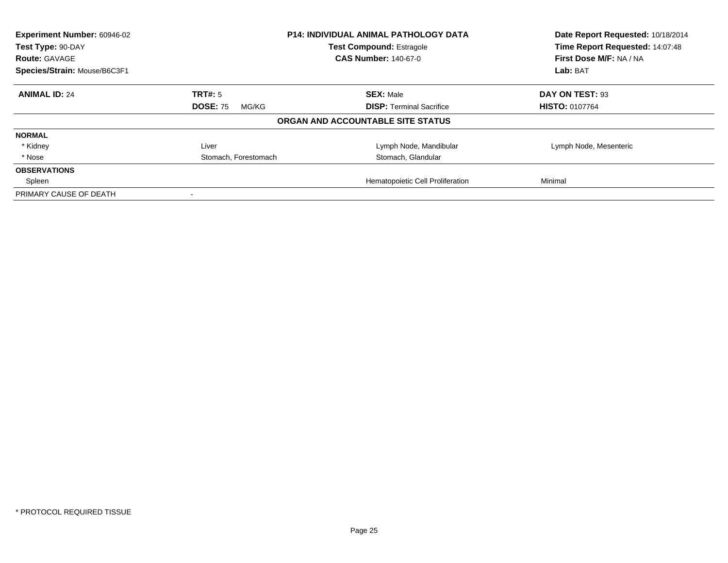| Experiment Number: 60946-02  |                          | <b>P14: INDIVIDUAL ANIMAL PATHOLOGY DATA</b> | Date Report Requested: 10/18/2014 |
|------------------------------|--------------------------|----------------------------------------------|-----------------------------------|
| Test Type: 90-DAY            |                          | <b>Test Compound: Estragole</b>              | Time Report Requested: 14:07:48   |
| <b>Route: GAVAGE</b>         |                          | <b>CAS Number: 140-67-0</b>                  | First Dose M/F: NA / NA           |
| Species/Strain: Mouse/B6C3F1 |                          |                                              | Lab: BAT                          |
| <b>ANIMAL ID: 24</b>         | <b>TRT#: 5</b>           | <b>SEX: Male</b>                             | DAY ON TEST: 93                   |
|                              | <b>DOSE: 75</b><br>MG/KG | <b>DISP:</b> Terminal Sacrifice              | <b>HISTO: 0107764</b>             |
|                              |                          | ORGAN AND ACCOUNTABLE SITE STATUS            |                                   |
| <b>NORMAL</b>                |                          |                                              |                                   |
| * Kidney                     | Liver                    | Lymph Node, Mandibular                       | Lymph Node, Mesenteric            |
| * Nose                       | Stomach, Forestomach     | Stomach, Glandular                           |                                   |
| <b>OBSERVATIONS</b>          |                          |                                              |                                   |
| Spleen                       |                          | Hematopoietic Cell Proliferation             | Minimal                           |
| PRIMARY CAUSE OF DEATH       |                          |                                              |                                   |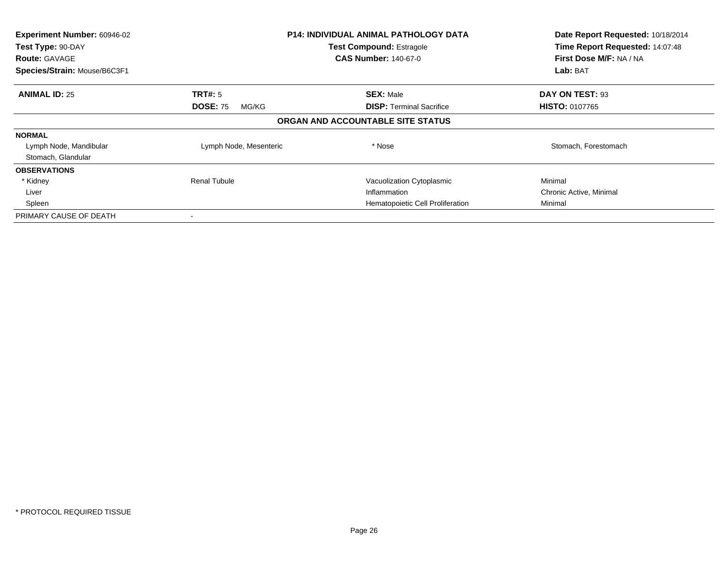| Experiment Number: 60946-02<br>Test Type: 90-DAY<br><b>Route: GAVAGE</b> |                          | <b>P14: INDIVIDUAL ANIMAL PATHOLOGY DATA</b><br><b>Test Compound: Estragole</b><br><b>CAS Number: 140-67-0</b> | Date Report Requested: 10/18/2014<br>Time Report Requested: 14:07:48<br>First Dose M/F: NA / NA |
|--------------------------------------------------------------------------|--------------------------|----------------------------------------------------------------------------------------------------------------|-------------------------------------------------------------------------------------------------|
| Species/Strain: Mouse/B6C3F1                                             |                          |                                                                                                                | Lab: BAT                                                                                        |
| <b>ANIMAL ID: 25</b>                                                     | <b>TRT#:</b> 5           | <b>SEX: Male</b>                                                                                               | DAY ON TEST: 93                                                                                 |
|                                                                          | <b>DOSE: 75</b><br>MG/KG | <b>DISP:</b> Terminal Sacrifice                                                                                | <b>HISTO: 0107765</b>                                                                           |
|                                                                          |                          | ORGAN AND ACCOUNTABLE SITE STATUS                                                                              |                                                                                                 |
| <b>NORMAL</b>                                                            |                          |                                                                                                                |                                                                                                 |
| Lymph Node, Mandibular                                                   | Lymph Node, Mesenteric   | * Nose                                                                                                         | Stomach, Forestomach                                                                            |
| Stomach, Glandular                                                       |                          |                                                                                                                |                                                                                                 |
| <b>OBSERVATIONS</b>                                                      |                          |                                                                                                                |                                                                                                 |
| * Kidney                                                                 | <b>Renal Tubule</b>      | Vacuolization Cytoplasmic                                                                                      | Minimal                                                                                         |
| Liver                                                                    |                          | Inflammation                                                                                                   | Chronic Active, Minimal                                                                         |
| Spleen                                                                   |                          | Hematopoietic Cell Proliferation                                                                               | Minimal                                                                                         |
| PRIMARY CAUSE OF DEATH                                                   |                          |                                                                                                                |                                                                                                 |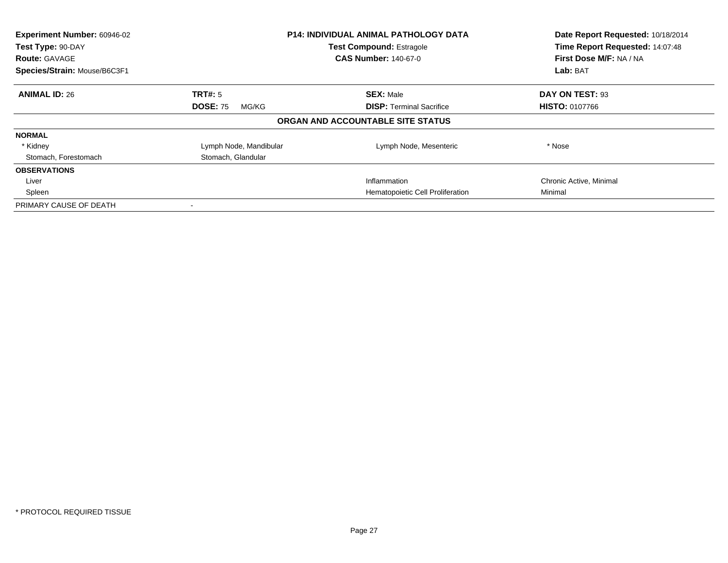| Experiment Number: 60946-02<br>Test Type: 90-DAY<br><b>Route: GAVAGE</b><br>Species/Strain: Mouse/B6C3F1 |                          | <b>P14: INDIVIDUAL ANIMAL PATHOLOGY DATA</b><br><b>Test Compound: Estragole</b><br><b>CAS Number: 140-67-0</b> | Date Report Requested: 10/18/2014<br>Time Report Requested: 14:07:48<br>First Dose M/F: NA / NA<br>Lab: BAT |
|----------------------------------------------------------------------------------------------------------|--------------------------|----------------------------------------------------------------------------------------------------------------|-------------------------------------------------------------------------------------------------------------|
| <b>ANIMAL ID: 26</b>                                                                                     | TRT#: 5                  | <b>SEX: Male</b>                                                                                               | DAY ON TEST: 93                                                                                             |
|                                                                                                          | <b>DOSE: 75</b><br>MG/KG | <b>DISP:</b> Terminal Sacrifice                                                                                | <b>HISTO: 0107766</b>                                                                                       |
|                                                                                                          |                          | ORGAN AND ACCOUNTABLE SITE STATUS                                                                              |                                                                                                             |
| <b>NORMAL</b>                                                                                            |                          |                                                                                                                |                                                                                                             |
| * Kidney                                                                                                 | Lymph Node, Mandibular   | Lymph Node, Mesenteric                                                                                         | * Nose                                                                                                      |
| Stomach, Forestomach                                                                                     | Stomach, Glandular       |                                                                                                                |                                                                                                             |
| <b>OBSERVATIONS</b>                                                                                      |                          |                                                                                                                |                                                                                                             |
| Liver                                                                                                    |                          | Inflammation                                                                                                   | Chronic Active, Minimal                                                                                     |
| Spleen                                                                                                   |                          | Hematopoietic Cell Proliferation                                                                               | Minimal                                                                                                     |
| PRIMARY CAUSE OF DEATH                                                                                   |                          |                                                                                                                |                                                                                                             |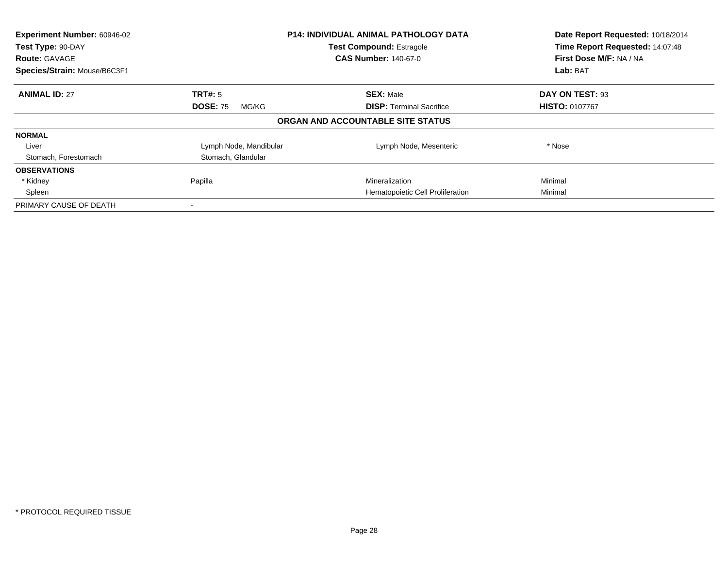| Experiment Number: 60946-02<br>Test Type: 90-DAY |                          | <b>P14: INDIVIDUAL ANIMAL PATHOLOGY DATA</b><br><b>Test Compound: Estragole</b> | Date Report Requested: 10/18/2014<br>Time Report Requested: 14:07:48 |
|--------------------------------------------------|--------------------------|---------------------------------------------------------------------------------|----------------------------------------------------------------------|
| <b>Route: GAVAGE</b>                             |                          | <b>CAS Number: 140-67-0</b>                                                     | First Dose M/F: NA / NA                                              |
| Species/Strain: Mouse/B6C3F1                     |                          |                                                                                 | Lab: BAT                                                             |
| <b>ANIMAL ID: 27</b>                             | TRT#: 5                  | <b>SEX: Male</b>                                                                | DAY ON TEST: 93                                                      |
|                                                  | <b>DOSE: 75</b><br>MG/KG | <b>DISP:</b> Terminal Sacrifice                                                 | <b>HISTO: 0107767</b>                                                |
|                                                  |                          | ORGAN AND ACCOUNTABLE SITE STATUS                                               |                                                                      |
| <b>NORMAL</b>                                    |                          |                                                                                 |                                                                      |
| Liver                                            | Lymph Node, Mandibular   | Lymph Node, Mesenteric                                                          | * Nose                                                               |
| Stomach, Forestomach                             | Stomach, Glandular       |                                                                                 |                                                                      |
| <b>OBSERVATIONS</b>                              |                          |                                                                                 |                                                                      |
| * Kidney                                         | Papilla                  | Mineralization                                                                  | Minimal                                                              |
| Spleen                                           |                          | Hematopoietic Cell Proliferation                                                | Minimal                                                              |
| PRIMARY CAUSE OF DEATH                           |                          |                                                                                 |                                                                      |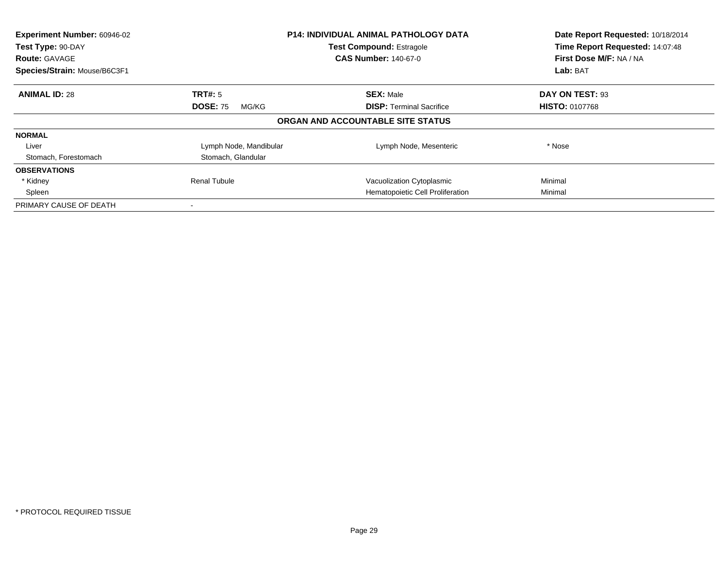| Experiment Number: 60946-02<br>Test Type: 90-DAY<br><b>Route: GAVAGE</b><br>Species/Strain: Mouse/B6C3F1 |                          | <b>P14: INDIVIDUAL ANIMAL PATHOLOGY DATA</b><br><b>Test Compound: Estragole</b><br><b>CAS Number: 140-67-0</b> | Date Report Requested: 10/18/2014<br>Time Report Requested: 14:07:48<br>First Dose M/F: NA / NA<br>Lab: BAT |
|----------------------------------------------------------------------------------------------------------|--------------------------|----------------------------------------------------------------------------------------------------------------|-------------------------------------------------------------------------------------------------------------|
| <b>ANIMAL ID: 28</b>                                                                                     | TRT#: 5                  | <b>SEX: Male</b>                                                                                               | DAY ON TEST: 93                                                                                             |
|                                                                                                          | <b>DOSE: 75</b><br>MG/KG | <b>DISP:</b> Terminal Sacrifice                                                                                | <b>HISTO: 0107768</b>                                                                                       |
|                                                                                                          |                          | ORGAN AND ACCOUNTABLE SITE STATUS                                                                              |                                                                                                             |
| <b>NORMAL</b>                                                                                            |                          |                                                                                                                |                                                                                                             |
| Liver                                                                                                    | Lymph Node, Mandibular   | Lymph Node, Mesenteric                                                                                         | * Nose                                                                                                      |
| Stomach, Forestomach                                                                                     | Stomach, Glandular       |                                                                                                                |                                                                                                             |
| <b>OBSERVATIONS</b>                                                                                      |                          |                                                                                                                |                                                                                                             |
| * Kidney                                                                                                 | <b>Renal Tubule</b>      | Vacuolization Cytoplasmic                                                                                      | Minimal                                                                                                     |
| Spleen                                                                                                   |                          | Hematopoietic Cell Proliferation                                                                               | Minimal                                                                                                     |
| PRIMARY CAUSE OF DEATH                                                                                   |                          |                                                                                                                |                                                                                                             |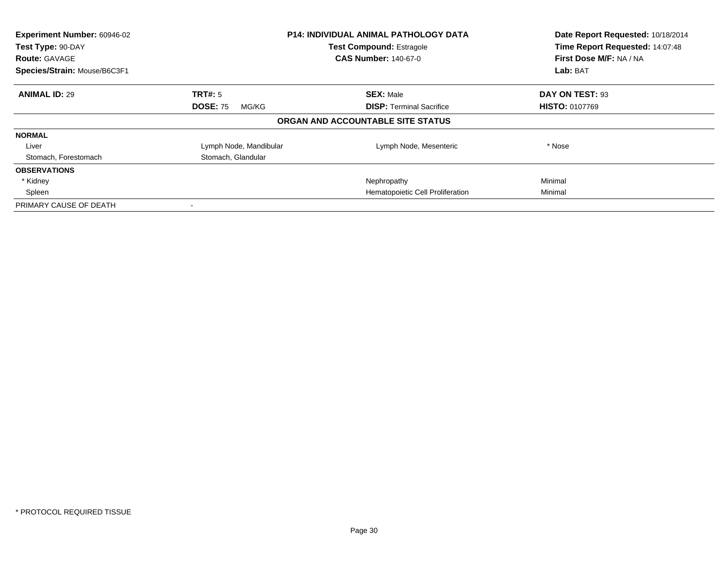| Experiment Number: 60946-02<br>Test Type: 90-DAY |                          | <b>P14: INDIVIDUAL ANIMAL PATHOLOGY DATA</b><br><b>Test Compound: Estragole</b> | Date Report Requested: 10/18/2014<br>Time Report Requested: 14:07:48 |
|--------------------------------------------------|--------------------------|---------------------------------------------------------------------------------|----------------------------------------------------------------------|
| <b>Route: GAVAGE</b>                             |                          | <b>CAS Number: 140-67-0</b>                                                     | First Dose M/F: NA / NA                                              |
| Species/Strain: Mouse/B6C3F1                     |                          |                                                                                 | Lab: BAT                                                             |
| <b>ANIMAL ID: 29</b>                             | TRT#: 5                  | <b>SEX: Male</b>                                                                | DAY ON TEST: 93                                                      |
|                                                  | <b>DOSE: 75</b><br>MG/KG | <b>DISP:</b> Terminal Sacrifice                                                 | <b>HISTO: 0107769</b>                                                |
|                                                  |                          | ORGAN AND ACCOUNTABLE SITE STATUS                                               |                                                                      |
| <b>NORMAL</b>                                    |                          |                                                                                 |                                                                      |
| Liver                                            | Lymph Node, Mandibular   | Lymph Node, Mesenteric                                                          | * Nose                                                               |
| Stomach, Forestomach                             | Stomach, Glandular       |                                                                                 |                                                                      |
| <b>OBSERVATIONS</b>                              |                          |                                                                                 |                                                                      |
| * Kidney                                         |                          | Nephropathy                                                                     | Minimal                                                              |
| Spleen                                           |                          | Hematopoietic Cell Proliferation                                                | Minimal                                                              |
| PRIMARY CAUSE OF DEATH                           |                          |                                                                                 |                                                                      |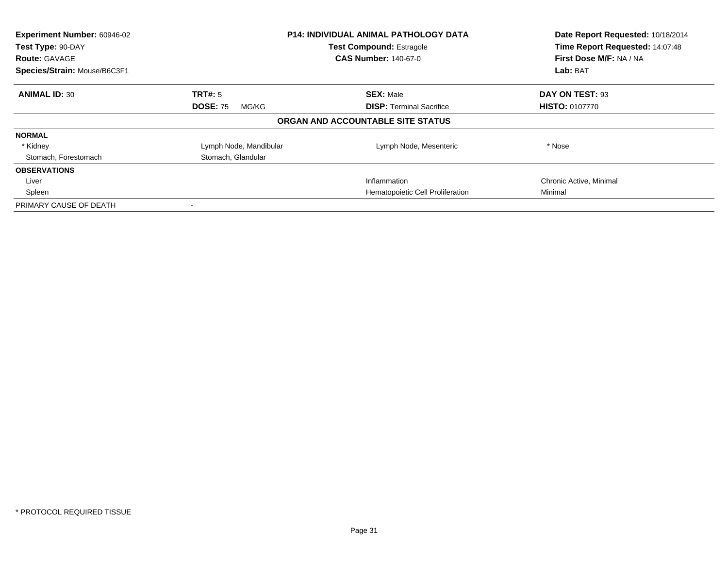| Experiment Number: 60946-02<br>Test Type: 90-DAY<br><b>Route: GAVAGE</b><br>Species/Strain: Mouse/B6C3F1 |                          | <b>P14: INDIVIDUAL ANIMAL PATHOLOGY DATA</b><br><b>Test Compound: Estragole</b><br><b>CAS Number: 140-67-0</b> | Date Report Requested: 10/18/2014<br>Time Report Requested: 14:07:48<br>First Dose M/F: NA / NA<br>Lab: BAT |
|----------------------------------------------------------------------------------------------------------|--------------------------|----------------------------------------------------------------------------------------------------------------|-------------------------------------------------------------------------------------------------------------|
| <b>ANIMAL ID: 30</b>                                                                                     | TRT#: 5                  | <b>SEX: Male</b>                                                                                               | DAY ON TEST: 93                                                                                             |
|                                                                                                          | <b>DOSE: 75</b><br>MG/KG | <b>DISP:</b> Terminal Sacrifice                                                                                | <b>HISTO: 0107770</b>                                                                                       |
|                                                                                                          |                          | ORGAN AND ACCOUNTABLE SITE STATUS                                                                              |                                                                                                             |
| <b>NORMAL</b>                                                                                            |                          |                                                                                                                |                                                                                                             |
| * Kidney                                                                                                 | Lymph Node, Mandibular   | Lymph Node, Mesenteric                                                                                         | * Nose                                                                                                      |
| Stomach, Forestomach                                                                                     | Stomach, Glandular       |                                                                                                                |                                                                                                             |
| <b>OBSERVATIONS</b>                                                                                      |                          |                                                                                                                |                                                                                                             |
| Liver                                                                                                    |                          | Inflammation                                                                                                   | Chronic Active, Minimal                                                                                     |
| Spleen                                                                                                   |                          | Hematopoietic Cell Proliferation                                                                               | Minimal                                                                                                     |
| PRIMARY CAUSE OF DEATH                                                                                   |                          |                                                                                                                |                                                                                                             |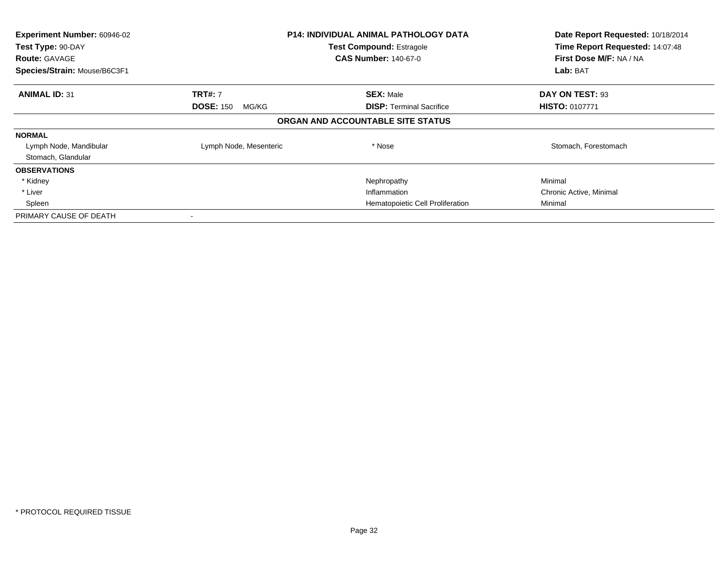| Experiment Number: 60946-02<br>Test Type: 90-DAY<br><b>Route: GAVAGE</b><br>Species/Strain: Mouse/B6C3F1 |                           | <b>P14: INDIVIDUAL ANIMAL PATHOLOGY DATA</b><br><b>Test Compound: Estragole</b><br><b>CAS Number: 140-67-0</b> | Date Report Requested: 10/18/2014<br>Time Report Requested: 14:07:48<br>First Dose M/F: NA / NA<br>Lab: BAT |
|----------------------------------------------------------------------------------------------------------|---------------------------|----------------------------------------------------------------------------------------------------------------|-------------------------------------------------------------------------------------------------------------|
|                                                                                                          |                           |                                                                                                                |                                                                                                             |
| <b>ANIMAL ID: 31</b>                                                                                     | <b>TRT#: 7</b>            | <b>SEX: Male</b>                                                                                               | DAY ON TEST: 93                                                                                             |
|                                                                                                          | <b>DOSE: 150</b><br>MG/KG | <b>DISP:</b> Terminal Sacrifice                                                                                | <b>HISTO: 0107771</b>                                                                                       |
|                                                                                                          |                           | ORGAN AND ACCOUNTABLE SITE STATUS                                                                              |                                                                                                             |
| <b>NORMAL</b>                                                                                            |                           |                                                                                                                |                                                                                                             |
| Lymph Node, Mandibular                                                                                   | Lymph Node, Mesenteric    | * Nose                                                                                                         | Stomach, Forestomach                                                                                        |
| Stomach, Glandular                                                                                       |                           |                                                                                                                |                                                                                                             |
| <b>OBSERVATIONS</b>                                                                                      |                           |                                                                                                                |                                                                                                             |
| * Kidney                                                                                                 |                           | Nephropathy                                                                                                    | Minimal                                                                                                     |
| * Liver                                                                                                  |                           | Inflammation                                                                                                   | Chronic Active, Minimal                                                                                     |
| Spleen                                                                                                   |                           | Hematopoietic Cell Proliferation                                                                               | Minimal                                                                                                     |
| PRIMARY CAUSE OF DEATH                                                                                   |                           |                                                                                                                |                                                                                                             |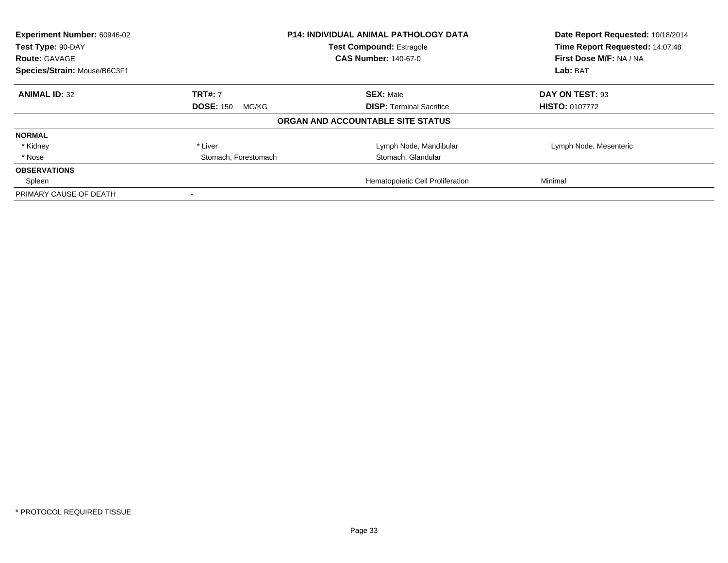| Experiment Number: 60946-02  |                           | <b>P14: INDIVIDUAL ANIMAL PATHOLOGY DATA</b> | Date Report Requested: 10/18/2014 |
|------------------------------|---------------------------|----------------------------------------------|-----------------------------------|
| Test Type: 90-DAY            |                           | <b>Test Compound: Estragole</b>              | Time Report Requested: 14:07:48   |
| <b>Route: GAVAGE</b>         |                           | <b>CAS Number: 140-67-0</b>                  | First Dose M/F: NA / NA           |
| Species/Strain: Mouse/B6C3F1 |                           |                                              | Lab: BAT                          |
| <b>ANIMAL ID: 32</b>         | <b>TRT#: 7</b>            | <b>SEX: Male</b>                             | DAY ON TEST: 93                   |
|                              | <b>DOSE: 150</b><br>MG/KG | <b>DISP:</b> Terminal Sacrifice              | <b>HISTO: 0107772</b>             |
|                              |                           | ORGAN AND ACCOUNTABLE SITE STATUS            |                                   |
| <b>NORMAL</b>                |                           |                                              |                                   |
| * Kidney                     | * Liver                   | Lymph Node, Mandibular                       | Lymph Node, Mesenteric            |
| * Nose                       | Stomach, Forestomach      | Stomach, Glandular                           |                                   |
| <b>OBSERVATIONS</b>          |                           |                                              |                                   |
| Spleen                       |                           | Hematopoietic Cell Proliferation             | Minimal                           |
| PRIMARY CAUSE OF DEATH       |                           |                                              |                                   |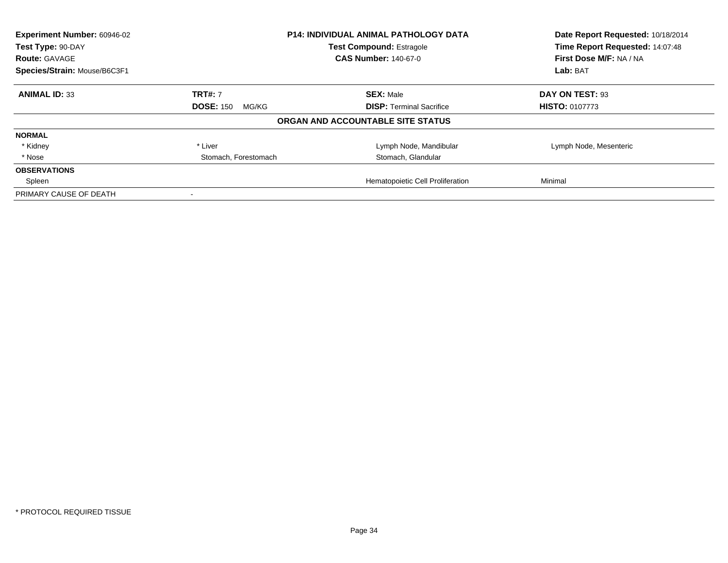| Experiment Number: 60946-02<br>Test Type: 90-DAY |                           | <b>P14: INDIVIDUAL ANIMAL PATHOLOGY DATA</b><br><b>Test Compound: Estragole</b> | Date Report Requested: 10/18/2014<br>Time Report Requested: 14:07:48 |
|--------------------------------------------------|---------------------------|---------------------------------------------------------------------------------|----------------------------------------------------------------------|
| <b>Route: GAVAGE</b>                             |                           | <b>CAS Number: 140-67-0</b>                                                     | First Dose M/F: NA / NA                                              |
| Species/Strain: Mouse/B6C3F1                     |                           |                                                                                 | Lab: BAT                                                             |
| <b>ANIMAL ID: 33</b>                             | <b>TRT#: 7</b>            | <b>SEX: Male</b>                                                                | DAY ON TEST: 93                                                      |
|                                                  | <b>DOSE: 150</b><br>MG/KG | <b>DISP:</b> Terminal Sacrifice                                                 | <b>HISTO: 0107773</b>                                                |
|                                                  |                           | ORGAN AND ACCOUNTABLE SITE STATUS                                               |                                                                      |
| <b>NORMAL</b>                                    |                           |                                                                                 |                                                                      |
| * Kidney                                         | * Liver                   | Lymph Node, Mandibular                                                          | Lymph Node, Mesenteric                                               |
| * Nose                                           | Stomach, Forestomach      | Stomach, Glandular                                                              |                                                                      |
| <b>OBSERVATIONS</b>                              |                           |                                                                                 |                                                                      |
| Spleen                                           |                           | Hematopoietic Cell Proliferation                                                | Minimal                                                              |
| PRIMARY CAUSE OF DEATH                           |                           |                                                                                 |                                                                      |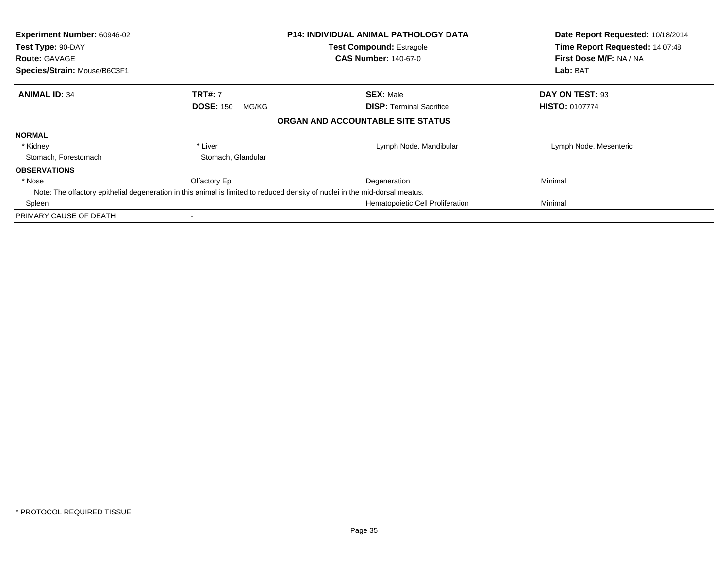| Experiment Number: 60946-02<br>Test Type: 90-DAY<br><b>Route: GAVAGE</b><br>Species/Strain: Mouse/B6C3F1 |                           | P14: INDIVIDUAL ANIMAL PATHOLOGY DATA<br><b>Test Compound: Estragole</b><br><b>CAS Number: 140-67-0</b>                      | Date Report Requested: 10/18/2014<br>Time Report Requested: 14:07:48<br>First Dose M/F: NA / NA<br>Lab: BAT |
|----------------------------------------------------------------------------------------------------------|---------------------------|------------------------------------------------------------------------------------------------------------------------------|-------------------------------------------------------------------------------------------------------------|
|                                                                                                          |                           |                                                                                                                              |                                                                                                             |
| <b>ANIMAL ID: 34</b>                                                                                     | <b>TRT#: 7</b>            | <b>SEX: Male</b>                                                                                                             | DAY ON TEST: 93                                                                                             |
|                                                                                                          | <b>DOSE: 150</b><br>MG/KG | <b>DISP:</b> Terminal Sacrifice                                                                                              | <b>HISTO: 0107774</b>                                                                                       |
|                                                                                                          |                           | ORGAN AND ACCOUNTABLE SITE STATUS                                                                                            |                                                                                                             |
| <b>NORMAL</b>                                                                                            |                           |                                                                                                                              |                                                                                                             |
| * Kidney                                                                                                 | * Liver                   | Lymph Node, Mandibular                                                                                                       | Lymph Node, Mesenteric                                                                                      |
| Stomach, Forestomach                                                                                     | Stomach, Glandular        |                                                                                                                              |                                                                                                             |
| <b>OBSERVATIONS</b>                                                                                      |                           |                                                                                                                              |                                                                                                             |
| * Nose                                                                                                   | Olfactory Epi             | Degeneration                                                                                                                 | Minimal                                                                                                     |
|                                                                                                          |                           | Note: The olfactory epithelial degeneration in this animal is limited to reduced density of nuclei in the mid-dorsal meatus. |                                                                                                             |
| Spleen                                                                                                   |                           | Hematopoietic Cell Proliferation                                                                                             | Minimal                                                                                                     |
| PRIMARY CAUSE OF DEATH                                                                                   |                           |                                                                                                                              |                                                                                                             |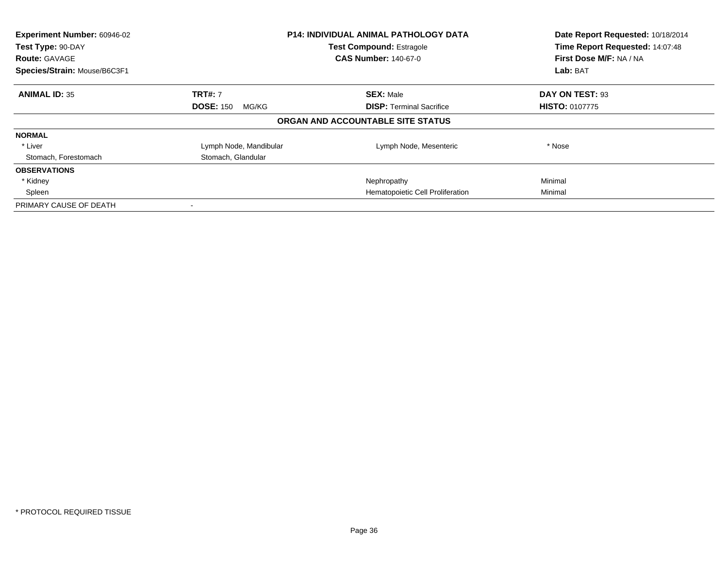| Experiment Number: 60946-02<br>Test Type: 90-DAY<br><b>Route: GAVAGE</b><br>Species/Strain: Mouse/B6C3F1 | <b>P14: INDIVIDUAL ANIMAL PATHOLOGY DATA</b><br><b>Test Compound: Estragole</b><br><b>CAS Number: 140-67-0</b> |                                   | Date Report Requested: 10/18/2014<br>Time Report Requested: 14:07:48<br>First Dose M/F: NA / NA<br>Lab: BAT |
|----------------------------------------------------------------------------------------------------------|----------------------------------------------------------------------------------------------------------------|-----------------------------------|-------------------------------------------------------------------------------------------------------------|
| <b>ANIMAL ID: 35</b>                                                                                     | <b>TRT#: 7</b>                                                                                                 | <b>SEX: Male</b>                  | DAY ON TEST: 93                                                                                             |
|                                                                                                          | <b>DOSE: 150</b><br>MG/KG                                                                                      | <b>DISP:</b> Terminal Sacrifice   | <b>HISTO: 0107775</b>                                                                                       |
|                                                                                                          |                                                                                                                | ORGAN AND ACCOUNTABLE SITE STATUS |                                                                                                             |
| <b>NORMAL</b>                                                                                            |                                                                                                                |                                   |                                                                                                             |
| * Liver                                                                                                  | Lymph Node, Mandibular                                                                                         | Lymph Node, Mesenteric            | * Nose                                                                                                      |
| Stomach, Forestomach                                                                                     | Stomach, Glandular                                                                                             |                                   |                                                                                                             |
| <b>OBSERVATIONS</b>                                                                                      |                                                                                                                |                                   |                                                                                                             |
| * Kidney                                                                                                 |                                                                                                                | Nephropathy                       | Minimal                                                                                                     |
| Spleen                                                                                                   |                                                                                                                | Hematopoietic Cell Proliferation  | Minimal                                                                                                     |
| PRIMARY CAUSE OF DEATH                                                                                   |                                                                                                                |                                   |                                                                                                             |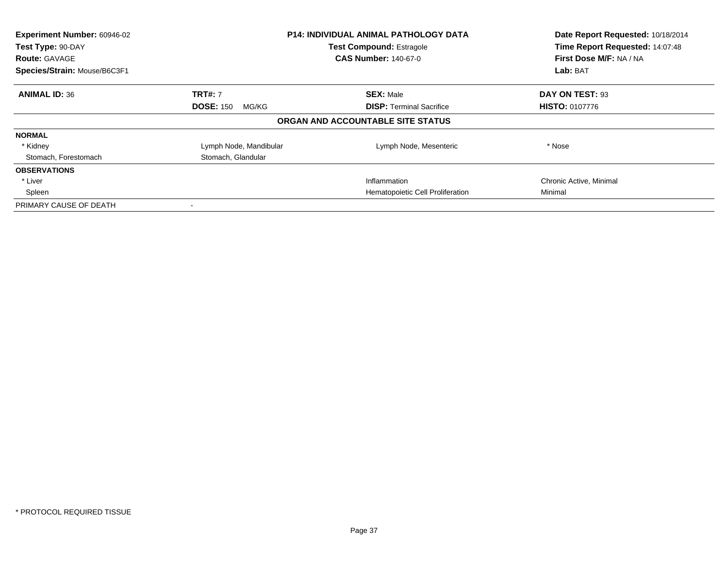| Experiment Number: 60946-02<br>Test Type: 90-DAY<br><b>Route: GAVAGE</b><br>Species/Strain: Mouse/B6C3F1 |                           | <b>P14: INDIVIDUAL ANIMAL PATHOLOGY DATA</b><br><b>Test Compound: Estragole</b><br><b>CAS Number: 140-67-0</b> | Date Report Requested: 10/18/2014<br>Time Report Requested: 14:07:48<br>First Dose M/F: NA / NA<br>Lab: BAT |
|----------------------------------------------------------------------------------------------------------|---------------------------|----------------------------------------------------------------------------------------------------------------|-------------------------------------------------------------------------------------------------------------|
| <b>ANIMAL ID: 36</b>                                                                                     | <b>TRT#: 7</b>            | <b>SEX: Male</b>                                                                                               | DAY ON TEST: 93                                                                                             |
|                                                                                                          | <b>DOSE: 150</b><br>MG/KG | <b>DISP:</b> Terminal Sacrifice                                                                                | <b>HISTO: 0107776</b>                                                                                       |
|                                                                                                          |                           | ORGAN AND ACCOUNTABLE SITE STATUS                                                                              |                                                                                                             |
| <b>NORMAL</b>                                                                                            |                           |                                                                                                                |                                                                                                             |
| * Kidney                                                                                                 | Lymph Node, Mandibular    | Lymph Node, Mesenteric                                                                                         | * Nose                                                                                                      |
| Stomach, Forestomach                                                                                     | Stomach, Glandular        |                                                                                                                |                                                                                                             |
| <b>OBSERVATIONS</b>                                                                                      |                           |                                                                                                                |                                                                                                             |
| * Liver                                                                                                  |                           | Inflammation                                                                                                   | Chronic Active, Minimal                                                                                     |
| Spleen                                                                                                   |                           | Hematopoietic Cell Proliferation                                                                               | Minimal                                                                                                     |
| PRIMARY CAUSE OF DEATH                                                                                   |                           |                                                                                                                |                                                                                                             |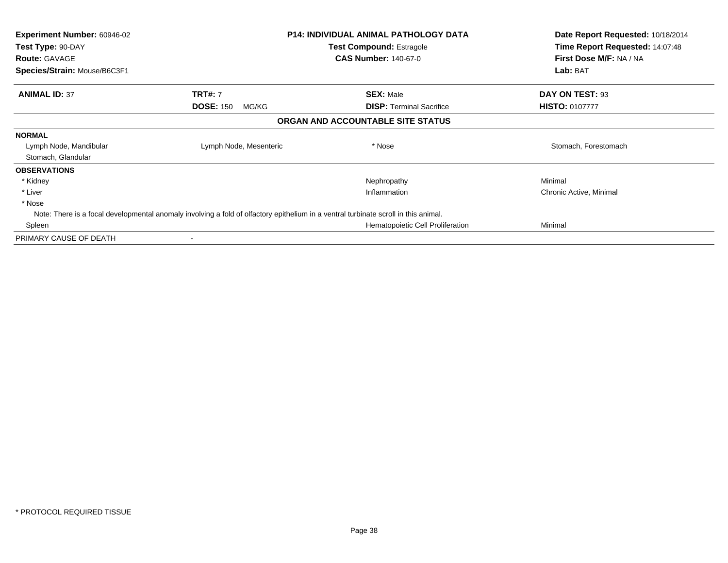| <b>Experiment Number: 60946-02</b><br>Test Type: 90-DAY<br><b>Route: GAVAGE</b>                                                     |                           | <b>P14: INDIVIDUAL ANIMAL PATHOLOGY DATA</b><br><b>Test Compound: Estragole</b><br><b>CAS Number: 140-67-0</b> | Date Report Requested: 10/18/2014<br>Time Report Requested: 14:07:48<br>First Dose M/F: NA / NA |
|-------------------------------------------------------------------------------------------------------------------------------------|---------------------------|----------------------------------------------------------------------------------------------------------------|-------------------------------------------------------------------------------------------------|
| Species/Strain: Mouse/B6C3F1                                                                                                        |                           |                                                                                                                | Lab: BAT                                                                                        |
| <b>ANIMAL ID: 37</b>                                                                                                                | <b>TRT#: 7</b>            | <b>SEX: Male</b>                                                                                               | DAY ON TEST: 93                                                                                 |
|                                                                                                                                     | <b>DOSE: 150</b><br>MG/KG | <b>DISP:</b> Terminal Sacrifice                                                                                | <b>HISTO: 0107777</b>                                                                           |
|                                                                                                                                     |                           | ORGAN AND ACCOUNTABLE SITE STATUS                                                                              |                                                                                                 |
| <b>NORMAL</b>                                                                                                                       |                           |                                                                                                                |                                                                                                 |
| Lymph Node, Mandibular                                                                                                              | Lymph Node, Mesenteric    | * Nose                                                                                                         | Stomach, Forestomach                                                                            |
| Stomach, Glandular                                                                                                                  |                           |                                                                                                                |                                                                                                 |
| <b>OBSERVATIONS</b>                                                                                                                 |                           |                                                                                                                |                                                                                                 |
| * Kidney                                                                                                                            |                           | Nephropathy                                                                                                    | Minimal                                                                                         |
| * Liver                                                                                                                             |                           | Inflammation                                                                                                   | Chronic Active, Minimal                                                                         |
| * Nose                                                                                                                              |                           |                                                                                                                |                                                                                                 |
| Note: There is a focal developmental anomaly involving a fold of olfactory epithelium in a ventral turbinate scroll in this animal. |                           |                                                                                                                |                                                                                                 |
| Spleen                                                                                                                              |                           | Hematopoietic Cell Proliferation                                                                               | Minimal                                                                                         |
| PRIMARY CAUSE OF DEATH                                                                                                              |                           |                                                                                                                |                                                                                                 |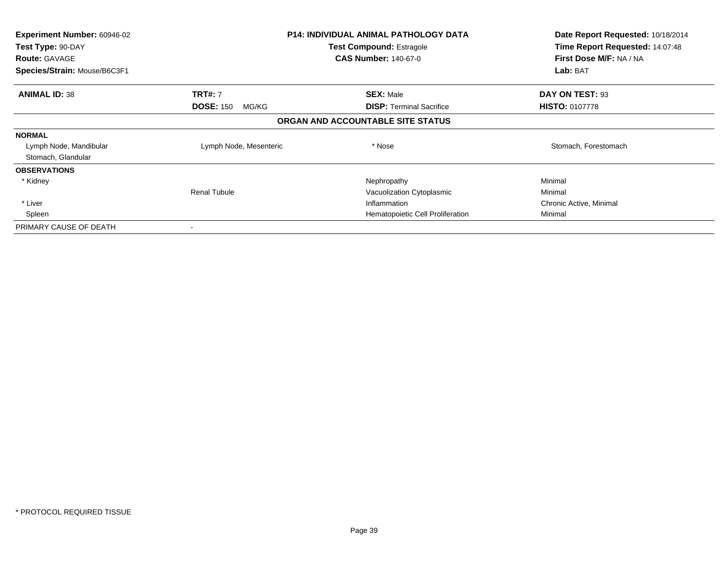| <b>Experiment Number: 60946-02</b><br>Test Type: 90-DAY<br><b>Route: GAVAGE</b> |                           | <b>P14: INDIVIDUAL ANIMAL PATHOLOGY DATA</b><br><b>Test Compound: Estragole</b><br><b>CAS Number: 140-67-0</b> | Date Report Requested: 10/18/2014<br>Time Report Requested: 14:07:48<br>First Dose M/F: NA / NA |
|---------------------------------------------------------------------------------|---------------------------|----------------------------------------------------------------------------------------------------------------|-------------------------------------------------------------------------------------------------|
| Species/Strain: Mouse/B6C3F1                                                    |                           |                                                                                                                | Lab: BAT                                                                                        |
| <b>ANIMAL ID: 38</b>                                                            | <b>TRT#:</b> 7            | <b>SEX: Male</b>                                                                                               | DAY ON TEST: 93                                                                                 |
|                                                                                 | <b>DOSE: 150</b><br>MG/KG | <b>DISP: Terminal Sacrifice</b>                                                                                | <b>HISTO: 0107778</b>                                                                           |
|                                                                                 |                           | ORGAN AND ACCOUNTABLE SITE STATUS                                                                              |                                                                                                 |
| <b>NORMAL</b>                                                                   |                           |                                                                                                                |                                                                                                 |
| Lymph Node, Mandibular                                                          | Lymph Node, Mesenteric    | * Nose                                                                                                         | Stomach, Forestomach                                                                            |
| Stomach, Glandular                                                              |                           |                                                                                                                |                                                                                                 |
| <b>OBSERVATIONS</b>                                                             |                           |                                                                                                                |                                                                                                 |
| * Kidney                                                                        |                           | Nephropathy                                                                                                    | Minimal                                                                                         |
|                                                                                 | <b>Renal Tubule</b>       | Vacuolization Cytoplasmic                                                                                      | Minimal                                                                                         |
| * Liver                                                                         |                           | Inflammation                                                                                                   | Chronic Active, Minimal                                                                         |
| Spleen                                                                          |                           | Hematopoietic Cell Proliferation                                                                               | Minimal                                                                                         |
| PRIMARY CAUSE OF DEATH                                                          |                           |                                                                                                                |                                                                                                 |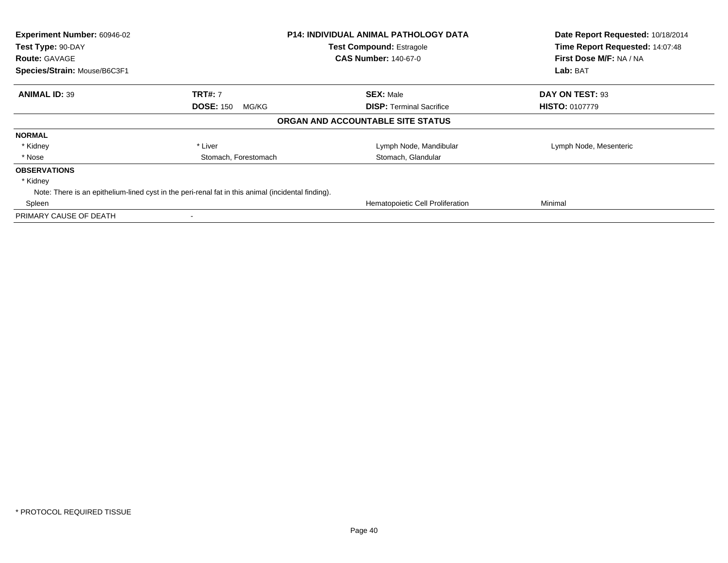| Experiment Number: 60946-02<br>Test Type: 90-DAY<br><b>Route: GAVAGE</b><br>Species/Strain: Mouse/B6C3F1 |                           | <b>P14: INDIVIDUAL ANIMAL PATHOLOGY DATA</b><br><b>Test Compound: Estragole</b><br><b>CAS Number: 140-67-0</b> | Date Report Requested: 10/18/2014<br>Time Report Requested: 14:07:48<br>First Dose M/F: NA / NA<br>Lab: BAT |
|----------------------------------------------------------------------------------------------------------|---------------------------|----------------------------------------------------------------------------------------------------------------|-------------------------------------------------------------------------------------------------------------|
|                                                                                                          |                           |                                                                                                                |                                                                                                             |
| <b>ANIMAL ID: 39</b>                                                                                     | <b>TRT#: 7</b>            | <b>SEX: Male</b>                                                                                               | DAY ON TEST: 93                                                                                             |
|                                                                                                          | <b>DOSE: 150</b><br>MG/KG | <b>DISP:</b> Terminal Sacrifice                                                                                | <b>HISTO: 0107779</b>                                                                                       |
|                                                                                                          |                           | ORGAN AND ACCOUNTABLE SITE STATUS                                                                              |                                                                                                             |
| <b>NORMAL</b>                                                                                            |                           |                                                                                                                |                                                                                                             |
| * Kidney                                                                                                 | * Liver                   | Lymph Node, Mandibular                                                                                         | Lymph Node, Mesenteric                                                                                      |
| * Nose                                                                                                   | Stomach, Forestomach      | Stomach, Glandular                                                                                             |                                                                                                             |
| <b>OBSERVATIONS</b>                                                                                      |                           |                                                                                                                |                                                                                                             |
| * Kidney                                                                                                 |                           |                                                                                                                |                                                                                                             |
| Note: There is an epithelium-lined cyst in the peri-renal fat in this animal (incidental finding).       |                           |                                                                                                                |                                                                                                             |
| Spleen                                                                                                   |                           | Hematopoietic Cell Proliferation                                                                               | Minimal                                                                                                     |
| PRIMARY CAUSE OF DEATH                                                                                   |                           |                                                                                                                |                                                                                                             |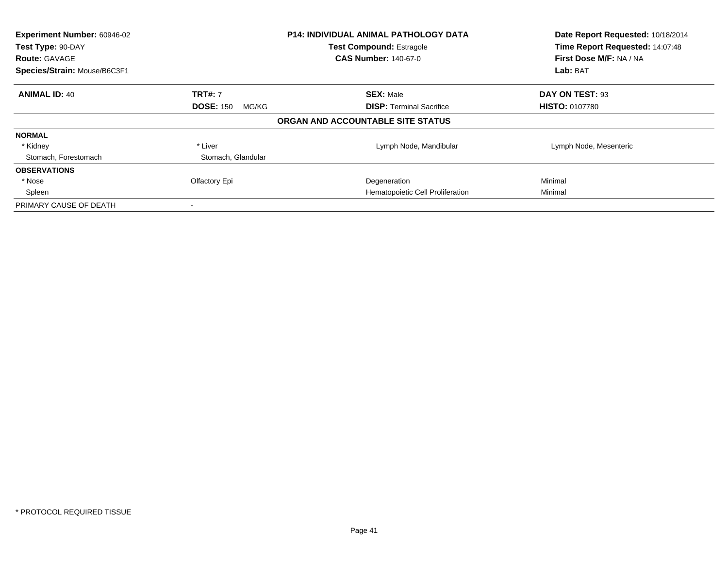| Experiment Number: 60946-02<br>Test Type: 90-DAY<br><b>Route: GAVAGE</b><br>Species/Strain: Mouse/B6C3F1 |                           | <b>P14: INDIVIDUAL ANIMAL PATHOLOGY DATA</b><br><b>Test Compound: Estragole</b><br><b>CAS Number: 140-67-0</b> | Date Report Requested: 10/18/2014<br>Time Report Requested: 14:07:48<br>First Dose M/F: NA / NA<br>Lab: BAT |
|----------------------------------------------------------------------------------------------------------|---------------------------|----------------------------------------------------------------------------------------------------------------|-------------------------------------------------------------------------------------------------------------|
| <b>ANIMAL ID: 40</b>                                                                                     | <b>TRT#: 7</b>            | <b>SEX: Male</b>                                                                                               | DAY ON TEST: 93                                                                                             |
|                                                                                                          | <b>DOSE: 150</b><br>MG/KG | <b>DISP:</b> Terminal Sacrifice                                                                                | <b>HISTO: 0107780</b>                                                                                       |
|                                                                                                          |                           | ORGAN AND ACCOUNTABLE SITE STATUS                                                                              |                                                                                                             |
| <b>NORMAL</b>                                                                                            |                           |                                                                                                                |                                                                                                             |
| * Kidney                                                                                                 | * Liver                   | Lymph Node, Mandibular                                                                                         | Lymph Node, Mesenteric                                                                                      |
| Stomach, Forestomach                                                                                     | Stomach, Glandular        |                                                                                                                |                                                                                                             |
| <b>OBSERVATIONS</b>                                                                                      |                           |                                                                                                                |                                                                                                             |
| * Nose                                                                                                   | Olfactory Epi             | Degeneration                                                                                                   | Minimal                                                                                                     |
| Spleen                                                                                                   |                           | Hematopoietic Cell Proliferation                                                                               | Minimal                                                                                                     |
| PRIMARY CAUSE OF DEATH                                                                                   |                           |                                                                                                                |                                                                                                             |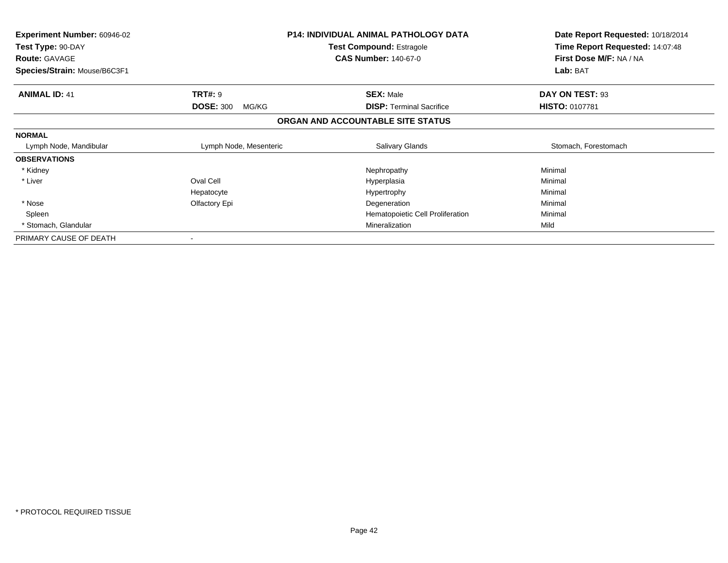| Experiment Number: 60946-02<br>Test Type: 90-DAY<br><b>Route: GAVAGE</b><br>Species/Strain: Mouse/B6C3F1 |                           | <b>P14: INDIVIDUAL ANIMAL PATHOLOGY DATA</b><br><b>Test Compound: Estragole</b><br><b>CAS Number: 140-67-0</b> | Date Report Requested: 10/18/2014<br>Time Report Requested: 14:07:48<br>First Dose M/F: NA / NA<br>Lab: BAT |
|----------------------------------------------------------------------------------------------------------|---------------------------|----------------------------------------------------------------------------------------------------------------|-------------------------------------------------------------------------------------------------------------|
| <b>ANIMAL ID: 41</b>                                                                                     | <b>TRT#:</b> 9            | <b>SEX: Male</b>                                                                                               | DAY ON TEST: 93                                                                                             |
|                                                                                                          | <b>DOSE: 300</b><br>MG/KG | <b>DISP:</b> Terminal Sacrifice                                                                                | <b>HISTO: 0107781</b>                                                                                       |
|                                                                                                          |                           | ORGAN AND ACCOUNTABLE SITE STATUS                                                                              |                                                                                                             |
| <b>NORMAL</b>                                                                                            |                           |                                                                                                                |                                                                                                             |
| Lymph Node, Mandibular                                                                                   | Lymph Node, Mesenteric    | <b>Salivary Glands</b>                                                                                         | Stomach, Forestomach                                                                                        |
| <b>OBSERVATIONS</b>                                                                                      |                           |                                                                                                                |                                                                                                             |
| * Kidney                                                                                                 |                           | Nephropathy                                                                                                    | Minimal                                                                                                     |
| * Liver                                                                                                  | Oval Cell                 | Hyperplasia                                                                                                    | Minimal                                                                                                     |
|                                                                                                          | Hepatocyte                | Hypertrophy                                                                                                    | Minimal                                                                                                     |
| * Nose                                                                                                   | Olfactory Epi             | Degeneration                                                                                                   | Minimal                                                                                                     |
| Spleen                                                                                                   |                           | Hematopoietic Cell Proliferation                                                                               | Minimal                                                                                                     |
| * Stomach, Glandular                                                                                     |                           | Mineralization                                                                                                 | Mild                                                                                                        |
| PRIMARY CAUSE OF DEATH                                                                                   | $\,$                      |                                                                                                                |                                                                                                             |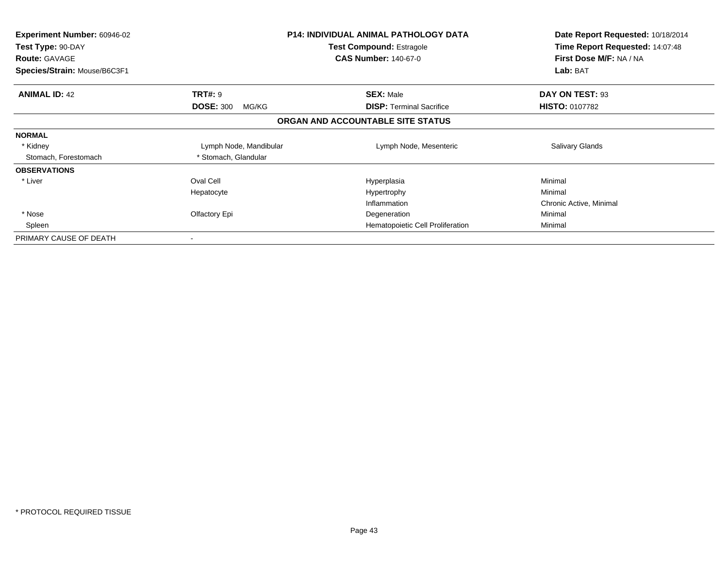| <b>Experiment Number: 60946-02</b><br>Test Type: 90-DAY<br><b>Route: GAVAGE</b><br>Species/Strain: Mouse/B6C3F1 |                           | <b>P14: INDIVIDUAL ANIMAL PATHOLOGY DATA</b><br><b>Test Compound: Estragole</b><br><b>CAS Number: 140-67-0</b> | Date Report Requested: 10/18/2014<br>Time Report Requested: 14:07:48<br>First Dose M/F: NA / NA<br>Lab: BAT |
|-----------------------------------------------------------------------------------------------------------------|---------------------------|----------------------------------------------------------------------------------------------------------------|-------------------------------------------------------------------------------------------------------------|
| <b>ANIMAL ID: 42</b>                                                                                            | <b>TRT#: 9</b>            | <b>SEX: Male</b>                                                                                               | DAY ON TEST: 93                                                                                             |
|                                                                                                                 | <b>DOSE: 300</b><br>MG/KG | <b>DISP:</b> Terminal Sacrifice                                                                                | <b>HISTO: 0107782</b>                                                                                       |
|                                                                                                                 |                           | ORGAN AND ACCOUNTABLE SITE STATUS                                                                              |                                                                                                             |
| <b>NORMAL</b>                                                                                                   |                           |                                                                                                                |                                                                                                             |
| * Kidney                                                                                                        | Lymph Node, Mandibular    | Lymph Node, Mesenteric                                                                                         | <b>Salivary Glands</b>                                                                                      |
| Stomach, Forestomach                                                                                            | * Stomach, Glandular      |                                                                                                                |                                                                                                             |
| <b>OBSERVATIONS</b>                                                                                             |                           |                                                                                                                |                                                                                                             |
| * Liver                                                                                                         | Oval Cell                 | Hyperplasia                                                                                                    | Minimal                                                                                                     |
|                                                                                                                 | Hepatocyte                | Hypertrophy                                                                                                    | Minimal                                                                                                     |
|                                                                                                                 |                           | Inflammation                                                                                                   | Chronic Active, Minimal                                                                                     |
| * Nose                                                                                                          | Olfactory Epi             | Degeneration                                                                                                   | Minimal                                                                                                     |
| Spleen                                                                                                          |                           | Hematopoietic Cell Proliferation                                                                               | Minimal                                                                                                     |
| PRIMARY CAUSE OF DEATH                                                                                          |                           |                                                                                                                |                                                                                                             |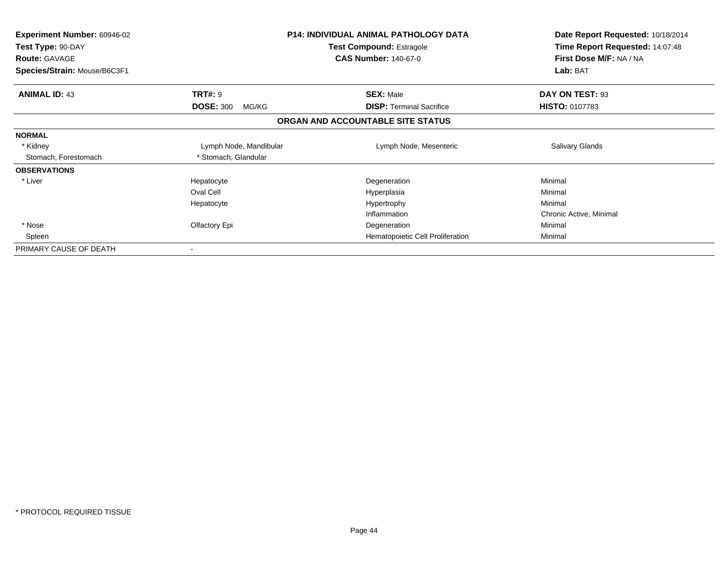| <b>Experiment Number: 60946-02</b><br>Test Type: 90-DAY<br><b>Route: GAVAGE</b><br>Species/Strain: Mouse/B6C3F1 |                           | <b>P14: INDIVIDUAL ANIMAL PATHOLOGY DATA</b><br><b>Test Compound: Estragole</b><br><b>CAS Number: 140-67-0</b> | Date Report Requested: 10/18/2014<br>Time Report Requested: 14:07:48<br>First Dose M/F: NA / NA<br>Lab: BAT |
|-----------------------------------------------------------------------------------------------------------------|---------------------------|----------------------------------------------------------------------------------------------------------------|-------------------------------------------------------------------------------------------------------------|
| <b>ANIMAL ID: 43</b>                                                                                            | <b>TRT#: 9</b>            | <b>SEX: Male</b>                                                                                               | DAY ON TEST: 93                                                                                             |
|                                                                                                                 | <b>DOSE: 300</b><br>MG/KG | <b>DISP:</b> Terminal Sacrifice                                                                                | <b>HISTO: 0107783</b>                                                                                       |
|                                                                                                                 |                           | ORGAN AND ACCOUNTABLE SITE STATUS                                                                              |                                                                                                             |
| <b>NORMAL</b>                                                                                                   |                           |                                                                                                                |                                                                                                             |
| * Kidney                                                                                                        | Lymph Node, Mandibular    | Lymph Node, Mesenteric                                                                                         | Salivary Glands                                                                                             |
| Stomach, Forestomach                                                                                            | * Stomach, Glandular      |                                                                                                                |                                                                                                             |
| <b>OBSERVATIONS</b>                                                                                             |                           |                                                                                                                |                                                                                                             |
| * Liver                                                                                                         | Hepatocyte                | Degeneration                                                                                                   | Minimal                                                                                                     |
|                                                                                                                 | Oval Cell                 | Hyperplasia                                                                                                    | Minimal                                                                                                     |
|                                                                                                                 | Hepatocyte                | Hypertrophy                                                                                                    | Minimal                                                                                                     |
|                                                                                                                 |                           | Inflammation                                                                                                   | Chronic Active, Minimal                                                                                     |
| * Nose                                                                                                          | Olfactory Epi             | Degeneration                                                                                                   | Minimal                                                                                                     |
| Spleen                                                                                                          |                           | Hematopoietic Cell Proliferation                                                                               | Minimal                                                                                                     |
| PRIMARY CAUSE OF DEATH                                                                                          |                           |                                                                                                                |                                                                                                             |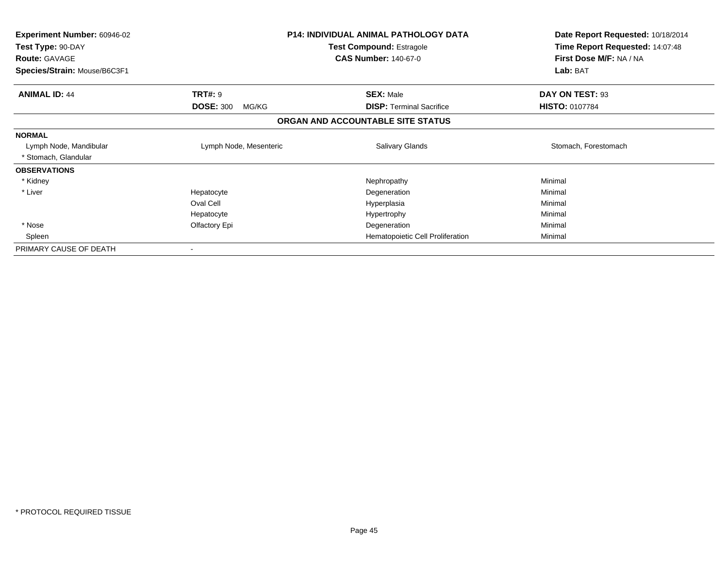| <b>Experiment Number: 60946-02</b><br>Test Type: 90-DAY<br><b>Route: GAVAGE</b><br>Species/Strain: Mouse/B6C3F1 |                                             | <b>P14: INDIVIDUAL ANIMAL PATHOLOGY DATA</b><br><b>Test Compound: Estragole</b><br><b>CAS Number: 140-67-0</b> | Date Report Requested: 10/18/2014<br>Time Report Requested: 14:07:48<br>First Dose M/F: NA / NA<br>Lab: BAT |
|-----------------------------------------------------------------------------------------------------------------|---------------------------------------------|----------------------------------------------------------------------------------------------------------------|-------------------------------------------------------------------------------------------------------------|
| <b>ANIMAL ID: 44</b>                                                                                            | <b>TRT#: 9</b><br><b>DOSE: 300</b><br>MG/KG | <b>SEX: Male</b><br><b>DISP:</b> Terminal Sacrifice                                                            | DAY ON TEST: 93<br><b>HISTO: 0107784</b>                                                                    |
|                                                                                                                 |                                             | ORGAN AND ACCOUNTABLE SITE STATUS                                                                              |                                                                                                             |
| <b>NORMAL</b>                                                                                                   |                                             |                                                                                                                |                                                                                                             |
| Lymph Node, Mandibular<br>* Stomach, Glandular                                                                  | Lymph Node, Mesenteric                      | Salivary Glands                                                                                                | Stomach, Forestomach                                                                                        |
| <b>OBSERVATIONS</b>                                                                                             |                                             |                                                                                                                |                                                                                                             |
| * Kidney                                                                                                        |                                             | Nephropathy                                                                                                    | Minimal                                                                                                     |
| * Liver                                                                                                         | Hepatocyte                                  | Degeneration                                                                                                   | Minimal                                                                                                     |
|                                                                                                                 | Oval Cell                                   | Hyperplasia                                                                                                    | Minimal                                                                                                     |
|                                                                                                                 | Hepatocyte                                  | Hypertrophy                                                                                                    | Minimal                                                                                                     |
| * Nose                                                                                                          | Olfactory Epi                               | Degeneration                                                                                                   | Minimal                                                                                                     |
| Spleen                                                                                                          |                                             | Hematopoietic Cell Proliferation                                                                               | Minimal                                                                                                     |
| PRIMARY CAUSE OF DEATH                                                                                          |                                             |                                                                                                                |                                                                                                             |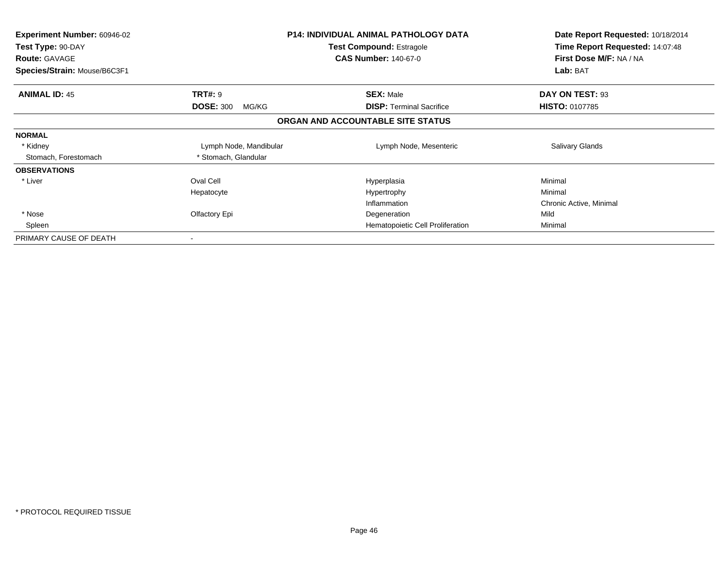| <b>Experiment Number: 60946-02</b><br>Test Type: 90-DAY<br><b>Route: GAVAGE</b><br>Species/Strain: Mouse/B6C3F1 |                           | <b>P14: INDIVIDUAL ANIMAL PATHOLOGY DATA</b><br><b>Test Compound: Estragole</b><br><b>CAS Number: 140-67-0</b> | Date Report Requested: 10/18/2014<br>Time Report Requested: 14:07:48<br>First Dose M/F: NA / NA<br>Lab: BAT |
|-----------------------------------------------------------------------------------------------------------------|---------------------------|----------------------------------------------------------------------------------------------------------------|-------------------------------------------------------------------------------------------------------------|
| <b>ANIMAL ID: 45</b>                                                                                            | <b>TRT#: 9</b>            | <b>SEX: Male</b>                                                                                               | DAY ON TEST: 93                                                                                             |
|                                                                                                                 | <b>DOSE: 300</b><br>MG/KG | <b>DISP:</b> Terminal Sacrifice                                                                                | <b>HISTO: 0107785</b>                                                                                       |
|                                                                                                                 |                           | ORGAN AND ACCOUNTABLE SITE STATUS                                                                              |                                                                                                             |
| <b>NORMAL</b>                                                                                                   |                           |                                                                                                                |                                                                                                             |
| * Kidney                                                                                                        | Lymph Node, Mandibular    | Lymph Node, Mesenteric                                                                                         | <b>Salivary Glands</b>                                                                                      |
| Stomach, Forestomach                                                                                            | * Stomach, Glandular      |                                                                                                                |                                                                                                             |
| <b>OBSERVATIONS</b>                                                                                             |                           |                                                                                                                |                                                                                                             |
| * Liver                                                                                                         | Oval Cell                 | Hyperplasia                                                                                                    | Minimal                                                                                                     |
|                                                                                                                 | Hepatocyte                | Hypertrophy                                                                                                    | Minimal                                                                                                     |
|                                                                                                                 |                           | Inflammation                                                                                                   | Chronic Active, Minimal                                                                                     |
| * Nose                                                                                                          | Olfactory Epi             | Degeneration                                                                                                   | Mild                                                                                                        |
| Spleen                                                                                                          |                           | Hematopoietic Cell Proliferation                                                                               | Minimal                                                                                                     |
| PRIMARY CAUSE OF DEATH                                                                                          |                           |                                                                                                                |                                                                                                             |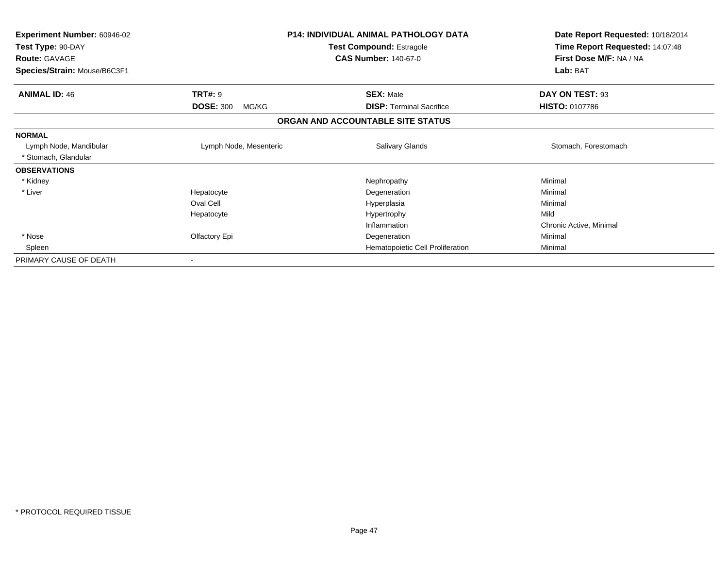| Experiment Number: 60946-02<br>Test Type: 90-DAY<br><b>Route: GAVAGE</b> |                           | <b>P14: INDIVIDUAL ANIMAL PATHOLOGY DATA</b><br><b>Test Compound: Estragole</b><br><b>CAS Number: 140-67-0</b> | Date Report Requested: 10/18/2014<br>Time Report Requested: 14:07:48<br>First Dose M/F: NA / NA |
|--------------------------------------------------------------------------|---------------------------|----------------------------------------------------------------------------------------------------------------|-------------------------------------------------------------------------------------------------|
| Species/Strain: Mouse/B6C3F1                                             |                           |                                                                                                                | Lab: BAT                                                                                        |
| <b>ANIMAL ID: 46</b>                                                     | <b>TRT#: 9</b>            | <b>SEX: Male</b>                                                                                               | DAY ON TEST: 93                                                                                 |
|                                                                          | <b>DOSE: 300</b><br>MG/KG | <b>DISP: Terminal Sacrifice</b>                                                                                | <b>HISTO: 0107786</b>                                                                           |
|                                                                          |                           | ORGAN AND ACCOUNTABLE SITE STATUS                                                                              |                                                                                                 |
| <b>NORMAL</b>                                                            |                           |                                                                                                                |                                                                                                 |
| Lymph Node, Mandibular                                                   | Lymph Node, Mesenteric    | Salivary Glands                                                                                                | Stomach, Forestomach                                                                            |
| * Stomach, Glandular                                                     |                           |                                                                                                                |                                                                                                 |
| <b>OBSERVATIONS</b>                                                      |                           |                                                                                                                |                                                                                                 |
| * Kidney                                                                 |                           | Nephropathy                                                                                                    | Minimal                                                                                         |
| * Liver                                                                  | Hepatocyte                | Degeneration                                                                                                   | Minimal                                                                                         |
|                                                                          | Oval Cell                 | Hyperplasia                                                                                                    | Minimal                                                                                         |
|                                                                          | Hepatocyte                | Hypertrophy                                                                                                    | Mild                                                                                            |
|                                                                          |                           | Inflammation                                                                                                   | Chronic Active, Minimal                                                                         |
| * Nose                                                                   | Olfactory Epi             | Degeneration                                                                                                   | Minimal                                                                                         |
| Spleen                                                                   |                           | Hematopoietic Cell Proliferation                                                                               | Minimal                                                                                         |
| PRIMARY CAUSE OF DEATH                                                   |                           |                                                                                                                |                                                                                                 |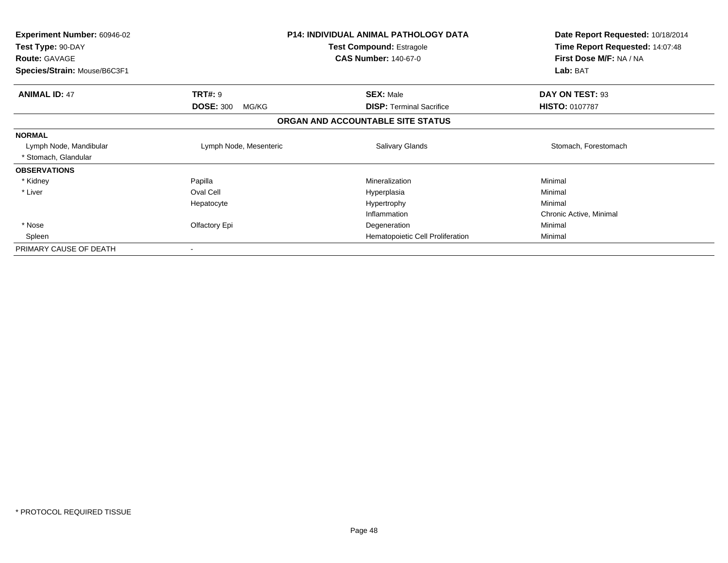| <b>Experiment Number: 60946-02</b><br>Test Type: 90-DAY<br><b>Route: GAVAGE</b> | P14: INDIVIDUAL ANIMAL PATHOLOGY DATA<br>Test Compound: Estragole<br><b>CAS Number: 140-67-0</b> |                                   | Date Report Requested: 10/18/2014<br>Time Report Requested: 14:07:48<br>First Dose M/F: NA / NA |
|---------------------------------------------------------------------------------|--------------------------------------------------------------------------------------------------|-----------------------------------|-------------------------------------------------------------------------------------------------|
| Species/Strain: Mouse/B6C3F1                                                    |                                                                                                  |                                   | Lab: BAT                                                                                        |
| <b>ANIMAL ID: 47</b>                                                            | <b>TRT#: 9</b>                                                                                   | <b>SEX: Male</b>                  | DAY ON TEST: 93                                                                                 |
|                                                                                 | <b>DOSE: 300</b><br>MG/KG                                                                        | <b>DISP:</b> Terminal Sacrifice   | <b>HISTO: 0107787</b>                                                                           |
|                                                                                 |                                                                                                  | ORGAN AND ACCOUNTABLE SITE STATUS |                                                                                                 |
| <b>NORMAL</b>                                                                   |                                                                                                  |                                   |                                                                                                 |
| Lymph Node, Mandibular                                                          | Lymph Node, Mesenteric                                                                           | Salivary Glands                   | Stomach, Forestomach                                                                            |
| * Stomach, Glandular                                                            |                                                                                                  |                                   |                                                                                                 |
| <b>OBSERVATIONS</b>                                                             |                                                                                                  |                                   |                                                                                                 |
| * Kidney                                                                        | Papilla                                                                                          | Mineralization                    | Minimal                                                                                         |
| * Liver                                                                         | Oval Cell                                                                                        | Hyperplasia                       | Minimal                                                                                         |
|                                                                                 | Hepatocyte                                                                                       | Hypertrophy                       | Minimal                                                                                         |
|                                                                                 |                                                                                                  | Inflammation                      | Chronic Active, Minimal                                                                         |
| * Nose                                                                          | Olfactory Epi                                                                                    | Degeneration                      | Minimal                                                                                         |
| Spleen                                                                          |                                                                                                  | Hematopoietic Cell Proliferation  | Minimal                                                                                         |
| PRIMARY CAUSE OF DEATH                                                          |                                                                                                  |                                   |                                                                                                 |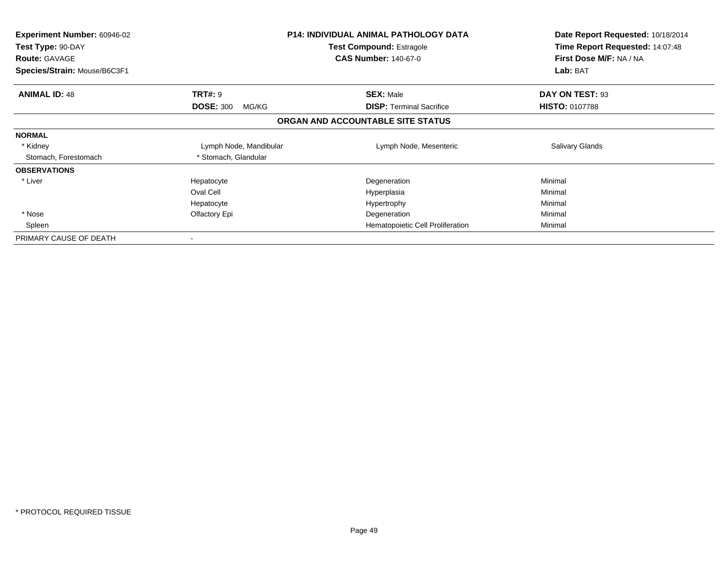| <b>Experiment Number: 60946-02</b><br>Test Type: 90-DAY<br><b>Route: GAVAGE</b><br>Species/Strain: Mouse/B6C3F1 |                           | <b>P14: INDIVIDUAL ANIMAL PATHOLOGY DATA</b><br><b>Test Compound: Estragole</b><br><b>CAS Number: 140-67-0</b> | Date Report Requested: 10/18/2014<br>Time Report Requested: 14:07:48<br>First Dose M/F: NA / NA<br>Lab: BAT |
|-----------------------------------------------------------------------------------------------------------------|---------------------------|----------------------------------------------------------------------------------------------------------------|-------------------------------------------------------------------------------------------------------------|
| <b>ANIMAL ID: 48</b>                                                                                            | <b>TRT#: 9</b>            | <b>SEX: Male</b>                                                                                               | DAY ON TEST: 93                                                                                             |
|                                                                                                                 | <b>DOSE: 300</b><br>MG/KG | <b>DISP:</b> Terminal Sacrifice                                                                                | <b>HISTO: 0107788</b>                                                                                       |
|                                                                                                                 |                           | ORGAN AND ACCOUNTABLE SITE STATUS                                                                              |                                                                                                             |
| <b>NORMAL</b>                                                                                                   |                           |                                                                                                                |                                                                                                             |
| * Kidney                                                                                                        | Lymph Node, Mandibular    | Lymph Node, Mesenteric                                                                                         | <b>Salivary Glands</b>                                                                                      |
| Stomach, Forestomach                                                                                            | * Stomach, Glandular      |                                                                                                                |                                                                                                             |
| <b>OBSERVATIONS</b>                                                                                             |                           |                                                                                                                |                                                                                                             |
| * Liver                                                                                                         | Hepatocyte                | Degeneration                                                                                                   | Minimal                                                                                                     |
|                                                                                                                 | Oval Cell                 | Hyperplasia                                                                                                    | Minimal                                                                                                     |
|                                                                                                                 | Hepatocyte                | Hypertrophy                                                                                                    | Minimal                                                                                                     |
| * Nose                                                                                                          | Olfactory Epi             | Degeneration                                                                                                   | Minimal                                                                                                     |
| Spleen                                                                                                          |                           | Hematopoietic Cell Proliferation                                                                               | Minimal                                                                                                     |
| PRIMARY CAUSE OF DEATH                                                                                          |                           |                                                                                                                |                                                                                                             |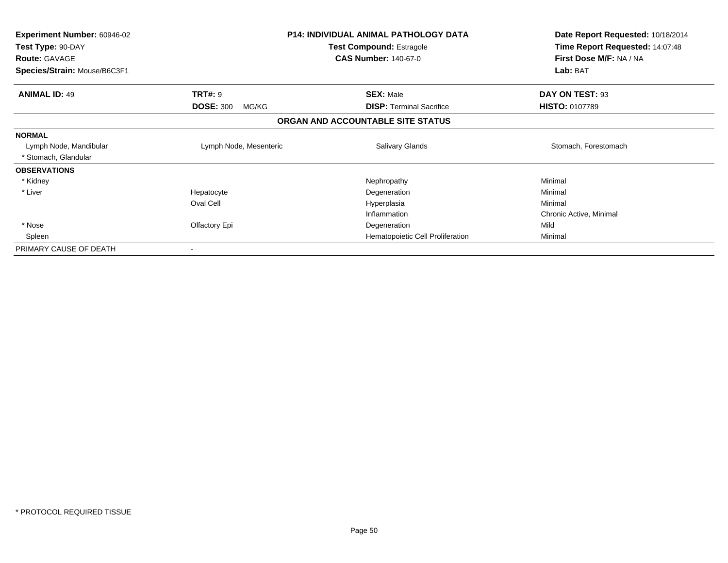| <b>Experiment Number: 60946-02</b><br>Test Type: 90-DAY<br><b>Route: GAVAGE</b> | <b>P14: INDIVIDUAL ANIMAL PATHOLOGY DATA</b><br><b>Test Compound: Estragole</b><br><b>CAS Number: 140-67-0</b> |                                   | Date Report Requested: 10/18/2014<br>Time Report Requested: 14:07:48<br>First Dose M/F: NA / NA |
|---------------------------------------------------------------------------------|----------------------------------------------------------------------------------------------------------------|-----------------------------------|-------------------------------------------------------------------------------------------------|
| Species/Strain: Mouse/B6C3F1                                                    |                                                                                                                |                                   | Lab: BAT                                                                                        |
| <b>ANIMAL ID: 49</b>                                                            | <b>TRT#: 9</b>                                                                                                 | <b>SEX: Male</b>                  | DAY ON TEST: 93                                                                                 |
|                                                                                 | <b>DOSE: 300</b><br>MG/KG                                                                                      | <b>DISP:</b> Terminal Sacrifice   | <b>HISTO: 0107789</b>                                                                           |
|                                                                                 |                                                                                                                | ORGAN AND ACCOUNTABLE SITE STATUS |                                                                                                 |
| <b>NORMAL</b>                                                                   |                                                                                                                |                                   |                                                                                                 |
| Lymph Node, Mandibular                                                          | Lymph Node, Mesenteric                                                                                         | Salivary Glands                   | Stomach, Forestomach                                                                            |
| * Stomach, Glandular                                                            |                                                                                                                |                                   |                                                                                                 |
| <b>OBSERVATIONS</b>                                                             |                                                                                                                |                                   |                                                                                                 |
| * Kidney                                                                        |                                                                                                                | Nephropathy                       | Minimal                                                                                         |
| * Liver                                                                         | Hepatocyte                                                                                                     | Degeneration                      | Minimal                                                                                         |
|                                                                                 | Oval Cell                                                                                                      | Hyperplasia                       | Minimal                                                                                         |
|                                                                                 |                                                                                                                | Inflammation                      | Chronic Active, Minimal                                                                         |
| * Nose                                                                          | Olfactory Epi                                                                                                  | Degeneration                      | Mild                                                                                            |
| Spleen                                                                          |                                                                                                                | Hematopoietic Cell Proliferation  | Minimal                                                                                         |
| PRIMARY CAUSE OF DEATH                                                          |                                                                                                                |                                   |                                                                                                 |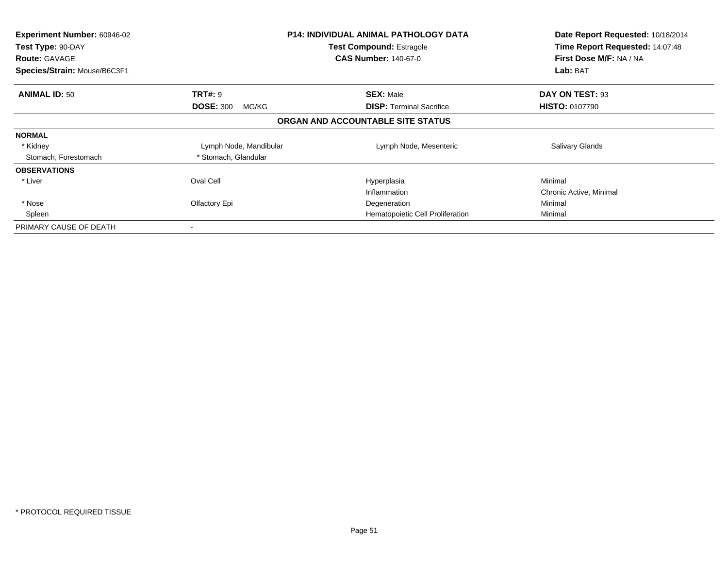| <b>Experiment Number: 60946-02</b><br>Test Type: 90-DAY<br><b>Route: GAVAGE</b><br>Species/Strain: Mouse/B6C3F1 |                                             | <b>P14: INDIVIDUAL ANIMAL PATHOLOGY DATA</b><br><b>Test Compound: Estragole</b><br><b>CAS Number: 140-67-0</b> | Date Report Requested: 10/18/2014<br>Time Report Requested: 14:07:48<br>First Dose M/F: NA / NA<br>Lab: BAT |
|-----------------------------------------------------------------------------------------------------------------|---------------------------------------------|----------------------------------------------------------------------------------------------------------------|-------------------------------------------------------------------------------------------------------------|
|                                                                                                                 |                                             |                                                                                                                |                                                                                                             |
| <b>ANIMAL ID: 50</b>                                                                                            | <b>TRT#: 9</b><br><b>DOSE: 300</b><br>MG/KG | <b>SEX: Male</b><br><b>DISP: Terminal Sacrifice</b>                                                            | DAY ON TEST: 93<br><b>HISTO: 0107790</b>                                                                    |
|                                                                                                                 |                                             | ORGAN AND ACCOUNTABLE SITE STATUS                                                                              |                                                                                                             |
| <b>NORMAL</b>                                                                                                   |                                             |                                                                                                                |                                                                                                             |
| * Kidney                                                                                                        | Lymph Node, Mandibular                      | Lymph Node, Mesenteric                                                                                         | <b>Salivary Glands</b>                                                                                      |
| Stomach, Forestomach                                                                                            | * Stomach, Glandular                        |                                                                                                                |                                                                                                             |
| <b>OBSERVATIONS</b>                                                                                             |                                             |                                                                                                                |                                                                                                             |
| * Liver                                                                                                         | Oval Cell                                   | Hyperplasia                                                                                                    | Minimal                                                                                                     |
|                                                                                                                 |                                             | Inflammation                                                                                                   | Chronic Active, Minimal                                                                                     |
| * Nose                                                                                                          | Olfactory Epi                               | Degeneration                                                                                                   | Minimal                                                                                                     |
| Spleen                                                                                                          |                                             | Hematopoietic Cell Proliferation                                                                               | Minimal                                                                                                     |
| PRIMARY CAUSE OF DEATH                                                                                          |                                             |                                                                                                                |                                                                                                             |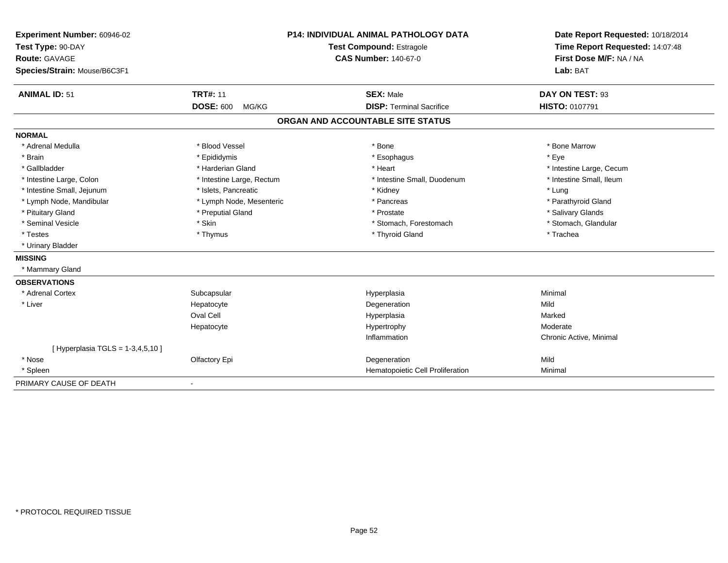| Experiment Number: 60946-02        |                           | <b>P14: INDIVIDUAL ANIMAL PATHOLOGY DATA</b> | Date Report Requested: 10/18/2014 |
|------------------------------------|---------------------------|----------------------------------------------|-----------------------------------|
| Test Type: 90-DAY                  | Test Compound: Estragole  |                                              | Time Report Requested: 14:07:48   |
| <b>Route: GAVAGE</b>               |                           | <b>CAS Number: 140-67-0</b>                  | First Dose M/F: NA / NA           |
| Species/Strain: Mouse/B6C3F1       |                           |                                              | Lab: BAT                          |
|                                    |                           |                                              |                                   |
| <b>ANIMAL ID: 51</b>               | <b>TRT#: 11</b>           | <b>SEX: Male</b>                             | DAY ON TEST: 93                   |
|                                    | <b>DOSE: 600</b><br>MG/KG | <b>DISP: Terminal Sacrifice</b>              | HISTO: 0107791                    |
|                                    |                           | ORGAN AND ACCOUNTABLE SITE STATUS            |                                   |
| <b>NORMAL</b>                      |                           |                                              |                                   |
| * Adrenal Medulla                  | * Blood Vessel            | * Bone                                       | * Bone Marrow                     |
| * Brain                            | * Epididymis              | * Esophagus                                  | * Eye                             |
| * Gallbladder                      | * Harderian Gland         | * Heart                                      | * Intestine Large, Cecum          |
| * Intestine Large, Colon           | * Intestine Large, Rectum | * Intestine Small, Duodenum                  | * Intestine Small, Ileum          |
| * Intestine Small, Jejunum         | * Islets, Pancreatic      | * Kidney                                     | * Lung                            |
| * Lymph Node, Mandibular           | * Lymph Node, Mesenteric  | * Pancreas                                   | * Parathyroid Gland               |
| * Pituitary Gland                  | * Preputial Gland         | * Prostate                                   | * Salivary Glands                 |
| * Seminal Vesicle                  | * Skin                    | * Stomach, Forestomach                       | * Stomach, Glandular              |
| * Testes                           | * Thymus                  | * Thyroid Gland                              | * Trachea                         |
| * Urinary Bladder                  |                           |                                              |                                   |
| <b>MISSING</b>                     |                           |                                              |                                   |
| * Mammary Gland                    |                           |                                              |                                   |
| <b>OBSERVATIONS</b>                |                           |                                              |                                   |
| * Adrenal Cortex                   | Subcapsular               | Hyperplasia                                  | Minimal                           |
| * Liver                            | Hepatocyte                | Degeneration                                 | Mild                              |
|                                    | <b>Oval Cell</b>          | Hyperplasia                                  | Marked                            |
|                                    | Hepatocyte                | Hypertrophy                                  | Moderate                          |
|                                    |                           | Inflammation                                 | Chronic Active, Minimal           |
| [Hyperplasia TGLS = $1-3,4,5,10$ ] |                           |                                              |                                   |
| * Nose                             | Olfactory Epi             | Degeneration                                 | Mild                              |
| * Spleen                           |                           | Hematopoietic Cell Proliferation             | Minimal                           |
| PRIMARY CAUSE OF DEATH             | $\blacksquare$            |                                              |                                   |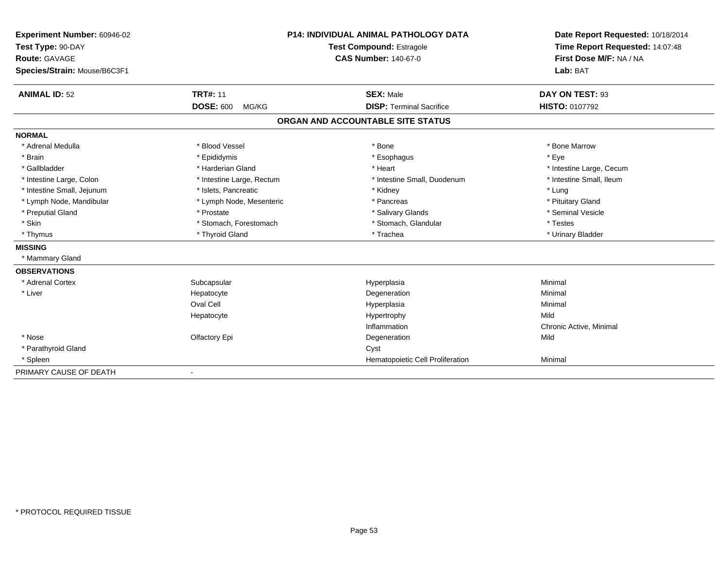| Experiment Number: 60946-02  |                           | <b>P14: INDIVIDUAL ANIMAL PATHOLOGY DATA</b> | Date Report Requested: 10/18/2014                          |
|------------------------------|---------------------------|----------------------------------------------|------------------------------------------------------------|
| Test Type: 90-DAY            |                           | <b>Test Compound: Estragole</b>              | Time Report Requested: 14:07:48<br>First Dose M/F: NA / NA |
| <b>Route: GAVAGE</b>         |                           | <b>CAS Number: 140-67-0</b>                  |                                                            |
| Species/Strain: Mouse/B6C3F1 |                           |                                              | Lab: BAT                                                   |
| <b>ANIMAL ID: 52</b>         | <b>TRT#: 11</b>           | <b>SEX: Male</b>                             | DAY ON TEST: 93                                            |
|                              | <b>DOSE: 600</b><br>MG/KG | <b>DISP: Terminal Sacrifice</b>              | <b>HISTO: 0107792</b>                                      |
|                              |                           | ORGAN AND ACCOUNTABLE SITE STATUS            |                                                            |
| <b>NORMAL</b>                |                           |                                              |                                                            |
| * Adrenal Medulla            | * Blood Vessel            | * Bone                                       | * Bone Marrow                                              |
| * Brain                      | * Epididymis              | * Esophagus                                  | * Eye                                                      |
| * Gallbladder                | * Harderian Gland         | * Heart                                      | * Intestine Large, Cecum                                   |
| * Intestine Large, Colon     | * Intestine Large, Rectum | * Intestine Small, Duodenum                  | * Intestine Small, Ileum                                   |
| * Intestine Small, Jejunum   | * Islets, Pancreatic      | * Kidney                                     | * Lung                                                     |
| * Lymph Node, Mandibular     | * Lymph Node, Mesenteric  | * Pancreas                                   | * Pituitary Gland                                          |
| * Preputial Gland            | * Prostate                | * Salivary Glands                            | * Seminal Vesicle                                          |
| * Skin                       | * Stomach, Forestomach    | * Stomach, Glandular                         | * Testes                                                   |
| * Thymus                     | * Thyroid Gland           | * Trachea                                    | * Urinary Bladder                                          |
| <b>MISSING</b>               |                           |                                              |                                                            |
| * Mammary Gland              |                           |                                              |                                                            |
| <b>OBSERVATIONS</b>          |                           |                                              |                                                            |
| * Adrenal Cortex             | Subcapsular               | Hyperplasia                                  | Minimal                                                    |
| * Liver                      | Hepatocyte                | Degeneration                                 | Minimal                                                    |
|                              | Oval Cell                 | Hyperplasia                                  | Minimal                                                    |
|                              | Hepatocyte                | Hypertrophy                                  | Mild                                                       |
|                              |                           | Inflammation                                 | Chronic Active, Minimal                                    |
| * Nose                       | Olfactory Epi             | Degeneration                                 | Mild                                                       |
| * Parathyroid Gland          |                           | Cyst                                         |                                                            |
| * Spleen                     |                           | Hematopoietic Cell Proliferation             | Minimal                                                    |
| PRIMARY CAUSE OF DEATH       |                           |                                              |                                                            |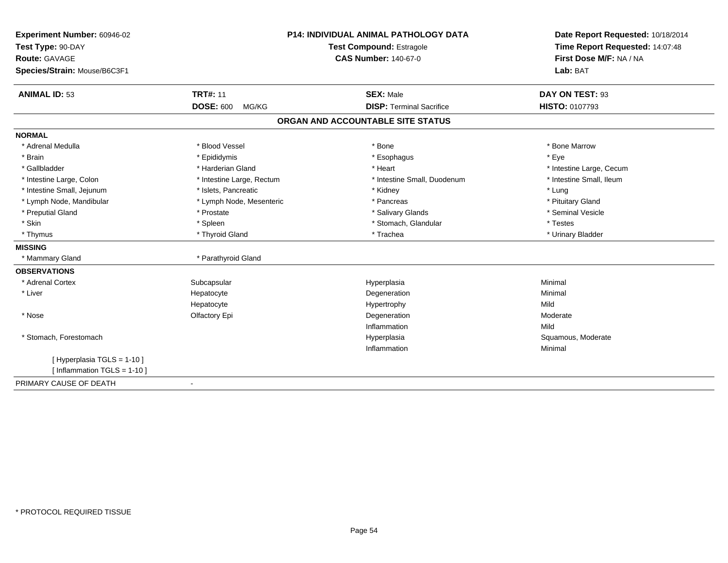| Experiment Number: 60946-02  | P14: INDIVIDUAL ANIMAL PATHOLOGY DATA<br><b>Test Compound: Estragole</b> |                                   | Date Report Requested: 10/18/2014<br>Time Report Requested: 14:07:48 |
|------------------------------|--------------------------------------------------------------------------|-----------------------------------|----------------------------------------------------------------------|
| Test Type: 90-DAY            |                                                                          |                                   |                                                                      |
| <b>Route: GAVAGE</b>         |                                                                          | <b>CAS Number: 140-67-0</b>       | First Dose M/F: NA / NA                                              |
| Species/Strain: Mouse/B6C3F1 |                                                                          |                                   | Lab: BAT                                                             |
| <b>ANIMAL ID: 53</b>         | <b>TRT#: 11</b>                                                          | <b>SEX: Male</b>                  | DAY ON TEST: 93                                                      |
|                              | <b>DOSE: 600</b><br>MG/KG                                                | <b>DISP: Terminal Sacrifice</b>   | HISTO: 0107793                                                       |
|                              |                                                                          | ORGAN AND ACCOUNTABLE SITE STATUS |                                                                      |
| <b>NORMAL</b>                |                                                                          |                                   |                                                                      |
| * Adrenal Medulla            | * Blood Vessel                                                           | * Bone                            | * Bone Marrow                                                        |
| * Brain                      | * Epididymis                                                             | * Esophagus                       | * Eye                                                                |
| * Gallbladder                | * Harderian Gland                                                        | * Heart                           | * Intestine Large, Cecum                                             |
| * Intestine Large, Colon     | * Intestine Large, Rectum                                                | * Intestine Small, Duodenum       | * Intestine Small, Ileum                                             |
| * Intestine Small, Jejunum   | * Islets, Pancreatic                                                     | * Kidney                          | * Lung                                                               |
| * Lymph Node, Mandibular     | * Lymph Node, Mesenteric                                                 | * Pancreas                        | * Pituitary Gland                                                    |
| * Preputial Gland            | * Prostate                                                               | * Salivary Glands                 | * Seminal Vesicle                                                    |
| * Skin                       | * Spleen                                                                 | * Stomach, Glandular              | * Testes                                                             |
| * Thymus                     | * Thyroid Gland                                                          | * Trachea                         | * Urinary Bladder                                                    |
| <b>MISSING</b>               |                                                                          |                                   |                                                                      |
| * Mammary Gland              | * Parathyroid Gland                                                      |                                   |                                                                      |
| <b>OBSERVATIONS</b>          |                                                                          |                                   |                                                                      |
| * Adrenal Cortex             | Subcapsular                                                              | Hyperplasia                       | Minimal                                                              |
| * Liver                      | Hepatocyte                                                               | Degeneration                      | Minimal                                                              |
|                              | Hepatocyte                                                               | Hypertrophy                       | Mild                                                                 |
| * Nose                       | Olfactory Epi                                                            | Degeneration                      | Moderate                                                             |
|                              |                                                                          | Inflammation                      | Mild                                                                 |
| * Stomach, Forestomach       |                                                                          | Hyperplasia                       | Squamous, Moderate                                                   |
|                              |                                                                          | Inflammation                      | Minimal                                                              |
| [Hyperplasia TGLS = 1-10]    |                                                                          |                                   |                                                                      |
| [ Inflammation TGLS = 1-10 ] |                                                                          |                                   |                                                                      |
| PRIMARY CAUSE OF DEATH       | $\blacksquare$                                                           |                                   |                                                                      |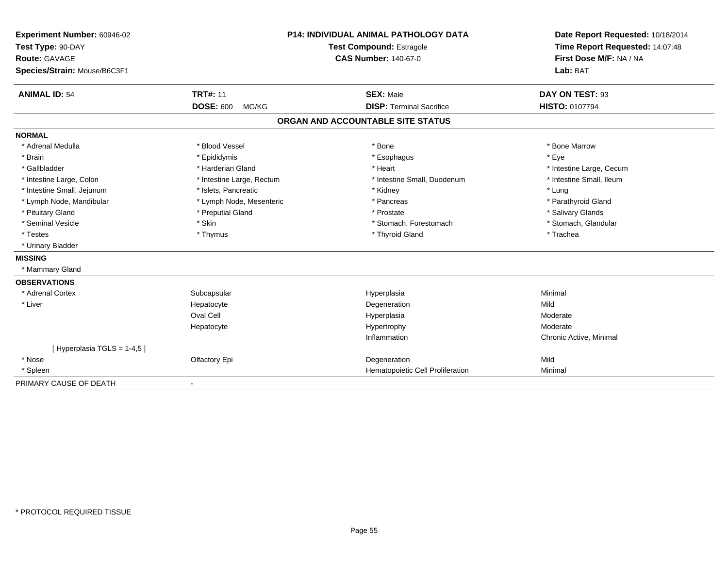| Experiment Number: 60946-02  |                           | <b>P14: INDIVIDUAL ANIMAL PATHOLOGY DATA</b> | Date Report Requested: 10/18/2014 |
|------------------------------|---------------------------|----------------------------------------------|-----------------------------------|
| Test Type: 90-DAY            | Test Compound: Estragole  |                                              | Time Report Requested: 14:07:48   |
| <b>Route: GAVAGE</b>         |                           | <b>CAS Number: 140-67-0</b>                  | First Dose M/F: NA / NA           |
| Species/Strain: Mouse/B6C3F1 |                           |                                              | Lab: BAT                          |
| <b>ANIMAL ID: 54</b>         | <b>TRT#: 11</b>           | <b>SEX: Male</b>                             | DAY ON TEST: 93                   |
|                              | <b>DOSE: 600</b><br>MG/KG | <b>DISP: Terminal Sacrifice</b>              | <b>HISTO: 0107794</b>             |
|                              |                           | ORGAN AND ACCOUNTABLE SITE STATUS            |                                   |
| <b>NORMAL</b>                |                           |                                              |                                   |
| * Adrenal Medulla            | * Blood Vessel            | * Bone                                       | * Bone Marrow                     |
| * Brain                      | * Epididymis              | * Esophagus                                  | * Eye                             |
| * Gallbladder                | * Harderian Gland         | * Heart                                      | * Intestine Large, Cecum          |
| * Intestine Large, Colon     | * Intestine Large, Rectum | * Intestine Small, Duodenum                  | * Intestine Small, Ileum          |
| * Intestine Small, Jejunum   | * Islets, Pancreatic      | * Kidney                                     | * Lung                            |
| * Lymph Node, Mandibular     | * Lymph Node, Mesenteric  | * Pancreas                                   | * Parathyroid Gland               |
| * Pituitary Gland            | * Preputial Gland         | * Prostate                                   | * Salivary Glands                 |
| * Seminal Vesicle            | * Skin                    | * Stomach, Forestomach                       | * Stomach, Glandular              |
| * Testes                     | * Thymus                  | * Thyroid Gland                              | * Trachea                         |
| * Urinary Bladder            |                           |                                              |                                   |
| <b>MISSING</b>               |                           |                                              |                                   |
| * Mammary Gland              |                           |                                              |                                   |
| <b>OBSERVATIONS</b>          |                           |                                              |                                   |
| * Adrenal Cortex             | Subcapsular               | Hyperplasia                                  | Minimal                           |
| * Liver                      | Hepatocyte                | Degeneration                                 | Mild                              |
|                              | Oval Cell                 | Hyperplasia                                  | Moderate                          |
|                              | Hepatocyte                | Hypertrophy                                  | Moderate                          |
|                              |                           | Inflammation                                 | Chronic Active, Minimal           |
| [Hyperplasia TGLS = 1-4,5]   |                           |                                              |                                   |
| * Nose                       | Olfactory Epi             | Degeneration                                 | Mild                              |
| * Spleen                     |                           | Hematopoietic Cell Proliferation             | Minimal                           |
| PRIMARY CAUSE OF DEATH       |                           |                                              |                                   |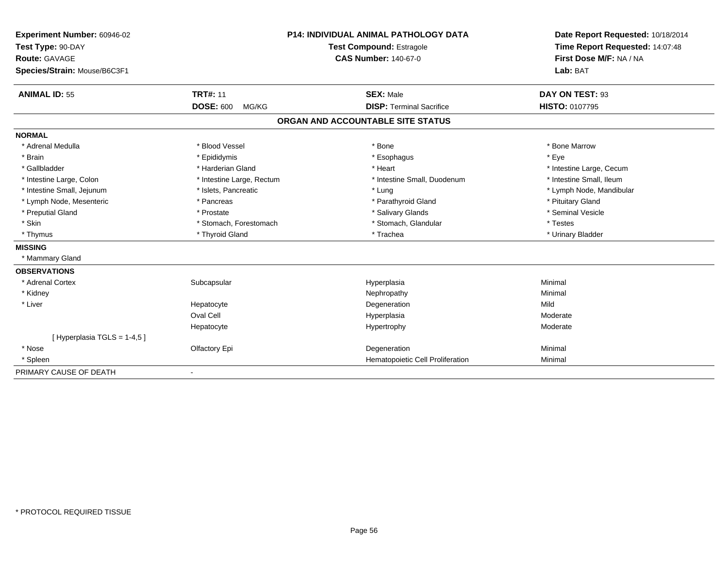| Experiment Number: 60946-02  |                           | <b>P14: INDIVIDUAL ANIMAL PATHOLOGY DATA</b> | Date Report Requested: 10/18/2014 |
|------------------------------|---------------------------|----------------------------------------------|-----------------------------------|
| Test Type: 90-DAY            |                           | <b>Test Compound: Estragole</b>              | Time Report Requested: 14:07:48   |
| <b>Route: GAVAGE</b>         |                           | <b>CAS Number: 140-67-0</b>                  | First Dose M/F: NA / NA           |
| Species/Strain: Mouse/B6C3F1 |                           |                                              | Lab: BAT                          |
| <b>ANIMAL ID: 55</b>         | <b>TRT#: 11</b>           | <b>SEX: Male</b>                             | DAY ON TEST: 93                   |
|                              | <b>DOSE: 600</b><br>MG/KG | <b>DISP: Terminal Sacrifice</b>              | <b>HISTO: 0107795</b>             |
|                              |                           | ORGAN AND ACCOUNTABLE SITE STATUS            |                                   |
| <b>NORMAL</b>                |                           |                                              |                                   |
| * Adrenal Medulla            | * Blood Vessel            | * Bone                                       | * Bone Marrow                     |
| * Brain                      | * Epididymis              | * Esophagus                                  | * Eye                             |
| * Gallbladder                | * Harderian Gland         | * Heart                                      | * Intestine Large, Cecum          |
| * Intestine Large, Colon     | * Intestine Large, Rectum | * Intestine Small, Duodenum                  | * Intestine Small, Ileum          |
| * Intestine Small, Jejunum   | * Islets, Pancreatic      | * Lung                                       | * Lymph Node, Mandibular          |
| * Lymph Node, Mesenteric     | * Pancreas                | * Parathyroid Gland                          | * Pituitary Gland                 |
| * Preputial Gland            | * Prostate                | * Salivary Glands                            | * Seminal Vesicle                 |
| * Skin                       | * Stomach, Forestomach    | * Stomach, Glandular                         | * Testes                          |
| * Thymus                     | * Thyroid Gland           | * Trachea                                    | * Urinary Bladder                 |
| <b>MISSING</b>               |                           |                                              |                                   |
| * Mammary Gland              |                           |                                              |                                   |
| <b>OBSERVATIONS</b>          |                           |                                              |                                   |
| * Adrenal Cortex             | Subcapsular               | Hyperplasia                                  | Minimal                           |
| * Kidney                     |                           | Nephropathy                                  | Minimal                           |
| * Liver                      | Hepatocyte                | Degeneration                                 | Mild                              |
|                              | Oval Cell                 | Hyperplasia                                  | Moderate                          |
|                              | Hepatocyte                | Hypertrophy                                  | Moderate                          |
| [Hyperplasia TGLS = 1-4,5]   |                           |                                              |                                   |
| * Nose                       | Olfactory Epi             | Degeneration                                 | Minimal                           |
| * Spleen                     |                           | Hematopoietic Cell Proliferation             | Minimal                           |
| PRIMARY CAUSE OF DEATH       |                           |                                              |                                   |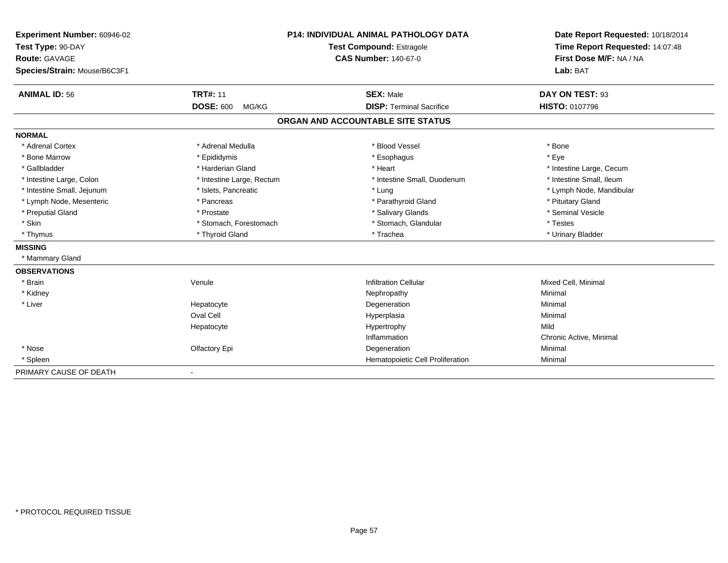| Experiment Number: 60946-02  |                           | <b>P14: INDIVIDUAL ANIMAL PATHOLOGY DATA</b> | Date Report Requested: 10/18/2014<br>Time Report Requested: 14:07:48<br>First Dose M/F: NA / NA |
|------------------------------|---------------------------|----------------------------------------------|-------------------------------------------------------------------------------------------------|
| Test Type: 90-DAY            |                           | <b>Test Compound: Estragole</b>              |                                                                                                 |
| <b>Route: GAVAGE</b>         |                           | <b>CAS Number: 140-67-0</b>                  |                                                                                                 |
| Species/Strain: Mouse/B6C3F1 |                           |                                              | Lab: BAT                                                                                        |
|                              |                           |                                              |                                                                                                 |
| <b>ANIMAL ID: 56</b>         | <b>TRT#: 11</b>           | <b>SEX: Male</b>                             | DAY ON TEST: 93                                                                                 |
|                              | <b>DOSE: 600</b><br>MG/KG | <b>DISP: Terminal Sacrifice</b>              | HISTO: 0107796                                                                                  |
|                              |                           | ORGAN AND ACCOUNTABLE SITE STATUS            |                                                                                                 |
| <b>NORMAL</b>                |                           |                                              |                                                                                                 |
| * Adrenal Cortex             | * Adrenal Medulla         | * Blood Vessel                               | * Bone                                                                                          |
| * Bone Marrow                | * Epididymis              | * Esophagus                                  | * Eye                                                                                           |
| * Gallbladder                | * Harderian Gland         | * Heart                                      | * Intestine Large, Cecum                                                                        |
| * Intestine Large, Colon     | * Intestine Large, Rectum | * Intestine Small, Duodenum                  | * Intestine Small, Ileum                                                                        |
| * Intestine Small, Jejunum   | * Islets, Pancreatic      | * Lung                                       | * Lymph Node, Mandibular                                                                        |
| * Lymph Node, Mesenteric     | * Pancreas                | * Parathyroid Gland                          | * Pituitary Gland                                                                               |
| * Preputial Gland            | * Prostate                | * Salivary Glands                            | * Seminal Vesicle                                                                               |
| * Skin                       | * Stomach, Forestomach    | * Stomach, Glandular                         | * Testes                                                                                        |
| * Thymus                     | * Thyroid Gland           | * Trachea                                    | * Urinary Bladder                                                                               |
| <b>MISSING</b>               |                           |                                              |                                                                                                 |
| * Mammary Gland              |                           |                                              |                                                                                                 |
| <b>OBSERVATIONS</b>          |                           |                                              |                                                                                                 |
| * Brain                      | Venule                    | <b>Infiltration Cellular</b>                 | Mixed Cell, Minimal                                                                             |
| * Kidney                     |                           | Nephropathy                                  | Minimal                                                                                         |
| * Liver                      | Hepatocyte                | Degeneration                                 | Minimal                                                                                         |
|                              | <b>Oval Cell</b>          | Hyperplasia                                  | Minimal                                                                                         |
|                              | Hepatocyte                | Hypertrophy                                  | Mild                                                                                            |
|                              |                           | Inflammation                                 | Chronic Active, Minimal                                                                         |
| * Nose                       | Olfactory Epi             | Degeneration                                 | Minimal                                                                                         |
| * Spleen                     |                           | Hematopoietic Cell Proliferation             | Minimal                                                                                         |
| PRIMARY CAUSE OF DEATH       |                           |                                              |                                                                                                 |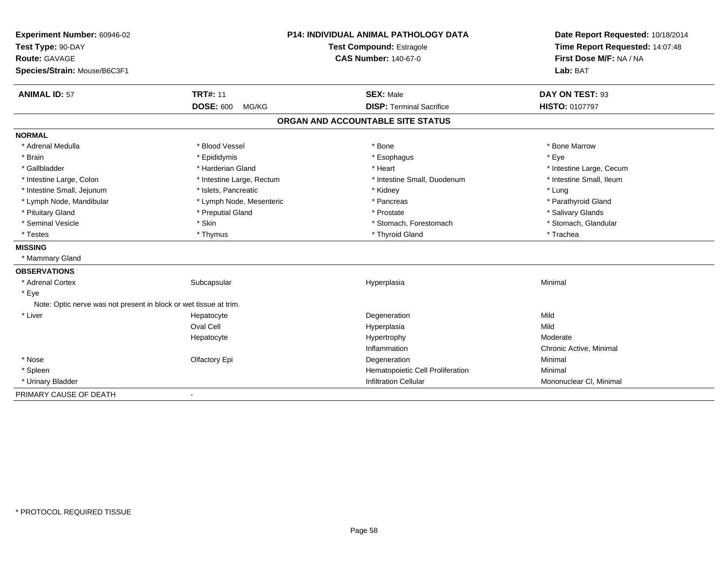| Experiment Number: 60946-02<br>Test Type: 90-DAY<br>Route: GAVAGE<br>Species/Strain: Mouse/B6C3F1 |                           | P14: INDIVIDUAL ANIMAL PATHOLOGY DATA<br><b>Test Compound: Estragole</b><br><b>CAS Number: 140-67-0</b> | Date Report Requested: 10/18/2014<br>Time Report Requested: 14:07:48<br>First Dose M/F: NA / NA<br>Lab: BAT |
|---------------------------------------------------------------------------------------------------|---------------------------|---------------------------------------------------------------------------------------------------------|-------------------------------------------------------------------------------------------------------------|
| <b>ANIMAL ID: 57</b>                                                                              | <b>TRT#: 11</b>           | <b>SEX: Male</b>                                                                                        | DAY ON TEST: 93                                                                                             |
|                                                                                                   | <b>DOSE: 600</b><br>MG/KG | <b>DISP: Terminal Sacrifice</b>                                                                         | HISTO: 0107797                                                                                              |
|                                                                                                   |                           | ORGAN AND ACCOUNTABLE SITE STATUS                                                                       |                                                                                                             |
| <b>NORMAL</b>                                                                                     |                           |                                                                                                         |                                                                                                             |
| * Adrenal Medulla                                                                                 | * Blood Vessel            | * Bone                                                                                                  | * Bone Marrow                                                                                               |
| * Brain                                                                                           | * Epididymis              | * Esophagus                                                                                             | * Eye                                                                                                       |
| * Gallbladder                                                                                     | * Harderian Gland         | * Heart                                                                                                 | * Intestine Large, Cecum                                                                                    |
| * Intestine Large, Colon                                                                          | * Intestine Large, Rectum | * Intestine Small. Duodenum                                                                             | * Intestine Small, Ileum                                                                                    |
| * Intestine Small, Jejunum                                                                        | * Islets, Pancreatic      | * Kidney                                                                                                | * Lung                                                                                                      |
| * Lymph Node, Mandibular                                                                          | * Lymph Node, Mesenteric  | * Pancreas                                                                                              | * Parathyroid Gland                                                                                         |
| * Pituitary Gland                                                                                 | * Preputial Gland         | * Prostate                                                                                              | * Salivary Glands                                                                                           |
| * Seminal Vesicle                                                                                 | * Skin                    | * Stomach, Forestomach                                                                                  | * Stomach, Glandular                                                                                        |
| * Testes                                                                                          | * Thymus                  | * Thyroid Gland                                                                                         | * Trachea                                                                                                   |
| <b>MISSING</b>                                                                                    |                           |                                                                                                         |                                                                                                             |
| * Mammary Gland                                                                                   |                           |                                                                                                         |                                                                                                             |
| <b>OBSERVATIONS</b>                                                                               |                           |                                                                                                         |                                                                                                             |
| * Adrenal Cortex                                                                                  | Subcapsular               | Hyperplasia                                                                                             | Minimal                                                                                                     |
| * Eye                                                                                             |                           |                                                                                                         |                                                                                                             |
| Note: Optic nerve was not present in block or wet tissue at trim.                                 |                           |                                                                                                         |                                                                                                             |
| * Liver                                                                                           | Hepatocyte                | Degeneration                                                                                            | Mild                                                                                                        |
|                                                                                                   | Oval Cell                 | Hyperplasia                                                                                             | Mild                                                                                                        |
|                                                                                                   | Hepatocyte                | Hypertrophy                                                                                             | Moderate                                                                                                    |
|                                                                                                   |                           | Inflammation                                                                                            | Chronic Active, Minimal                                                                                     |
| * Nose                                                                                            | Olfactory Epi             | Degeneration                                                                                            | Minimal                                                                                                     |
| * Spleen                                                                                          |                           | Hematopoietic Cell Proliferation                                                                        | Minimal                                                                                                     |
| * Urinary Bladder                                                                                 |                           | <b>Infiltration Cellular</b>                                                                            | Mononuclear CI, Minimal                                                                                     |
| PRIMARY CAUSE OF DEATH                                                                            |                           |                                                                                                         |                                                                                                             |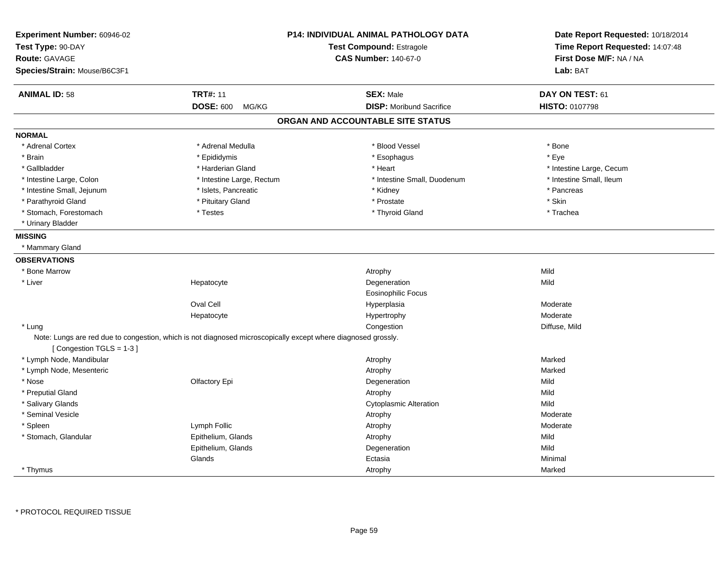| Experiment Number: 60946-02<br>Test Type: 90-DAY<br><b>Route: GAVAGE</b><br>Species/Strain: Mouse/B6C3F1 |                                                                                                               | <b>P14: INDIVIDUAL ANIMAL PATHOLOGY DATA</b><br>Test Compound: Estragole<br><b>CAS Number: 140-67-0</b> | Date Report Requested: 10/18/2014<br>Time Report Requested: 14:07:48<br>First Dose M/F: NA / NA<br>Lab: BAT |
|----------------------------------------------------------------------------------------------------------|---------------------------------------------------------------------------------------------------------------|---------------------------------------------------------------------------------------------------------|-------------------------------------------------------------------------------------------------------------|
| <b>ANIMAL ID: 58</b>                                                                                     | <b>TRT#: 11</b>                                                                                               | <b>SEX: Male</b>                                                                                        | DAY ON TEST: 61                                                                                             |
|                                                                                                          | <b>DOSE: 600</b><br>MG/KG                                                                                     | <b>DISP:</b> Moribund Sacrifice                                                                         | <b>HISTO: 0107798</b>                                                                                       |
|                                                                                                          |                                                                                                               | ORGAN AND ACCOUNTABLE SITE STATUS                                                                       |                                                                                                             |
| <b>NORMAL</b>                                                                                            |                                                                                                               |                                                                                                         |                                                                                                             |
| * Adrenal Cortex                                                                                         | * Adrenal Medulla                                                                                             | * Blood Vessel                                                                                          | * Bone                                                                                                      |
| * Brain                                                                                                  | * Epididymis                                                                                                  | * Esophagus                                                                                             | * Eye                                                                                                       |
| * Gallbladder                                                                                            | * Harderian Gland                                                                                             | * Heart                                                                                                 | * Intestine Large, Cecum                                                                                    |
| * Intestine Large, Colon                                                                                 | * Intestine Large, Rectum                                                                                     | * Intestine Small, Duodenum                                                                             | * Intestine Small, Ileum                                                                                    |
| * Intestine Small, Jejunum                                                                               | * Islets, Pancreatic                                                                                          | * Kidney                                                                                                | * Pancreas                                                                                                  |
| * Parathyroid Gland                                                                                      | * Pituitary Gland                                                                                             | * Prostate                                                                                              | * Skin                                                                                                      |
| * Stomach, Forestomach                                                                                   | * Testes                                                                                                      | * Thyroid Gland                                                                                         | * Trachea                                                                                                   |
| * Urinary Bladder                                                                                        |                                                                                                               |                                                                                                         |                                                                                                             |
| <b>MISSING</b>                                                                                           |                                                                                                               |                                                                                                         |                                                                                                             |
| * Mammary Gland                                                                                          |                                                                                                               |                                                                                                         |                                                                                                             |
| <b>OBSERVATIONS</b>                                                                                      |                                                                                                               |                                                                                                         |                                                                                                             |
| * Bone Marrow                                                                                            |                                                                                                               | Atrophy                                                                                                 | Mild                                                                                                        |
| * Liver                                                                                                  | Hepatocyte                                                                                                    | Degeneration                                                                                            | Mild                                                                                                        |
|                                                                                                          |                                                                                                               | Eosinophilic Focus                                                                                      |                                                                                                             |
|                                                                                                          | <b>Oval Cell</b>                                                                                              | Hyperplasia                                                                                             | Moderate                                                                                                    |
|                                                                                                          | Hepatocyte                                                                                                    | Hypertrophy                                                                                             | Moderate                                                                                                    |
| * Lung                                                                                                   |                                                                                                               | Congestion                                                                                              | Diffuse, Mild                                                                                               |
| [Congestion TGLS = 1-3]                                                                                  | Note: Lungs are red due to congestion, which is not diagnosed microscopically except where diagnosed grossly. |                                                                                                         |                                                                                                             |
| * Lymph Node, Mandibular                                                                                 |                                                                                                               | Atrophy                                                                                                 | Marked                                                                                                      |
| * Lymph Node, Mesenteric                                                                                 |                                                                                                               | Atrophy                                                                                                 | Marked                                                                                                      |
| * Nose                                                                                                   | Olfactory Epi                                                                                                 | Degeneration                                                                                            | Mild                                                                                                        |
| * Preputial Gland                                                                                        |                                                                                                               | Atrophy                                                                                                 | Mild                                                                                                        |
| * Salivary Glands                                                                                        |                                                                                                               | <b>Cytoplasmic Alteration</b>                                                                           | Mild                                                                                                        |
| * Seminal Vesicle                                                                                        |                                                                                                               | Atrophy                                                                                                 | Moderate                                                                                                    |
| * Spleen                                                                                                 | Lymph Follic                                                                                                  | Atrophy                                                                                                 | Moderate                                                                                                    |
| * Stomach, Glandular                                                                                     | Epithelium, Glands                                                                                            | Atrophy                                                                                                 | Mild                                                                                                        |
|                                                                                                          | Epithelium, Glands                                                                                            | Degeneration                                                                                            | Mild                                                                                                        |
|                                                                                                          | Glands                                                                                                        | Ectasia                                                                                                 | Minimal                                                                                                     |
| * Thymus                                                                                                 |                                                                                                               | Atrophy                                                                                                 | Marked                                                                                                      |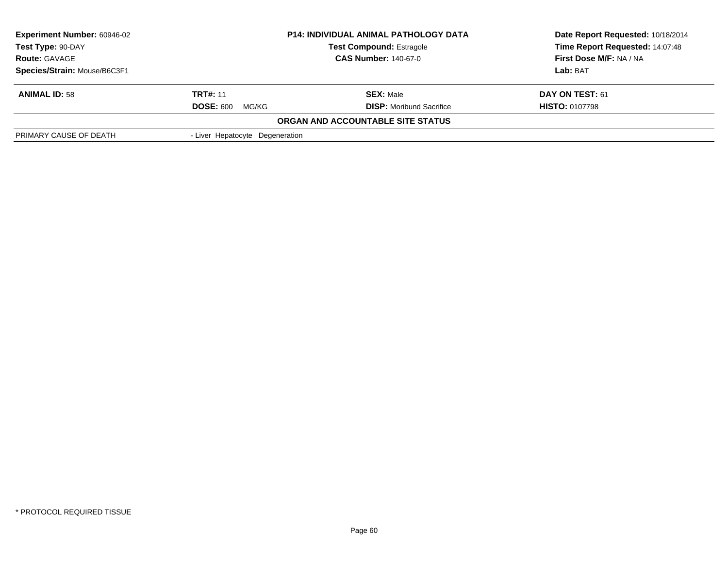| <b>Experiment Number: 60946-02</b><br><b>P14: INDIVIDUAL ANIMAL PATHOLOGY DATA</b><br>Test Type: 90-DAY<br><b>Test Compound: Estragole</b><br><b>CAS Number: 140-67-0</b><br><b>Route: GAVAGE</b> |                                                                        | Date Report Requested: 10/18/2014 |  |
|---------------------------------------------------------------------------------------------------------------------------------------------------------------------------------------------------|------------------------------------------------------------------------|-----------------------------------|--|
|                                                                                                                                                                                                   |                                                                        | Time Report Requested: 14:07:48   |  |
|                                                                                                                                                                                                   |                                                                        | First Dose M/F: NA / NA           |  |
|                                                                                                                                                                                                   |                                                                        | Lab: BAT                          |  |
|                                                                                                                                                                                                   | <b>SEX: Male</b>                                                       | DAY ON TEST: 61                   |  |
| MG/KG                                                                                                                                                                                             | <b>DISP:</b> Moribund Sacrifice                                        | <b>HISTO: 0107798</b>             |  |
|                                                                                                                                                                                                   |                                                                        |                                   |  |
|                                                                                                                                                                                                   |                                                                        |                                   |  |
|                                                                                                                                                                                                   | <b>TRT#: 11</b><br><b>DOSE: 600</b><br>- Liver Hepatocyte Degeneration | ORGAN AND ACCOUNTABLE SITE STATUS |  |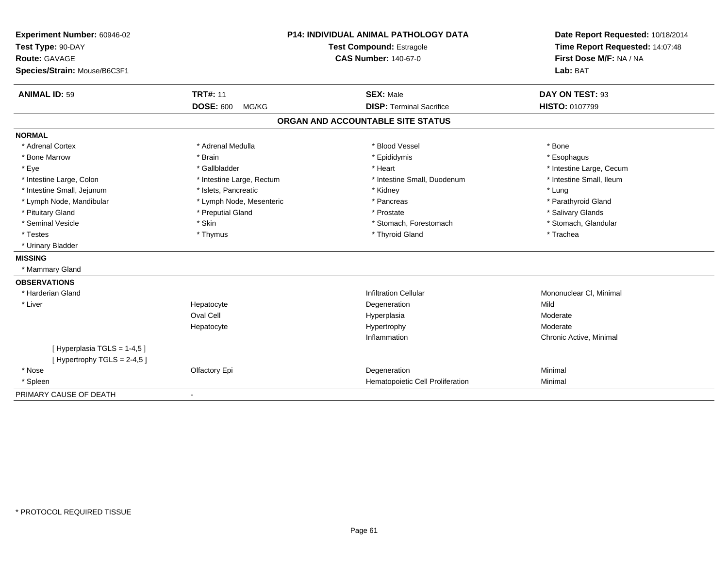| Experiment Number: 60946-02<br>Test Type: 90-DAY<br>Route: GAVAGE<br>Species/Strain: Mouse/B6C3F1 |                           | <b>P14: INDIVIDUAL ANIMAL PATHOLOGY DATA</b><br><b>Test Compound: Estragole</b><br><b>CAS Number: 140-67-0</b> | Date Report Requested: 10/18/2014<br>Time Report Requested: 14:07:48<br>First Dose M/F: NA / NA<br>Lab: BAT |  |
|---------------------------------------------------------------------------------------------------|---------------------------|----------------------------------------------------------------------------------------------------------------|-------------------------------------------------------------------------------------------------------------|--|
| <b>ANIMAL ID: 59</b>                                                                              | <b>TRT#: 11</b>           | <b>SEX: Male</b>                                                                                               | DAY ON TEST: 93                                                                                             |  |
|                                                                                                   | <b>DOSE: 600</b><br>MG/KG | <b>DISP: Terminal Sacrifice</b>                                                                                | <b>HISTO: 0107799</b>                                                                                       |  |
|                                                                                                   |                           | ORGAN AND ACCOUNTABLE SITE STATUS                                                                              |                                                                                                             |  |
| <b>NORMAL</b>                                                                                     |                           |                                                                                                                |                                                                                                             |  |
| * Adrenal Cortex                                                                                  | * Adrenal Medulla         | * Blood Vessel                                                                                                 | * Bone                                                                                                      |  |
| * Bone Marrow                                                                                     | * Brain                   | * Epididymis                                                                                                   | * Esophagus                                                                                                 |  |
| * Eye                                                                                             | * Gallbladder             | * Heart                                                                                                        | * Intestine Large, Cecum                                                                                    |  |
| * Intestine Large, Colon                                                                          | * Intestine Large, Rectum | * Intestine Small, Duodenum                                                                                    | * Intestine Small, Ileum                                                                                    |  |
| * Intestine Small, Jejunum                                                                        | * Islets, Pancreatic      | * Kidney                                                                                                       | * Lung                                                                                                      |  |
| * Lymph Node, Mandibular                                                                          | * Lymph Node, Mesenteric  | * Pancreas                                                                                                     | * Parathyroid Gland                                                                                         |  |
| * Pituitary Gland                                                                                 | * Preputial Gland         | * Prostate                                                                                                     | * Salivary Glands                                                                                           |  |
| * Seminal Vesicle                                                                                 | * Skin                    | * Stomach, Forestomach                                                                                         | * Stomach, Glandular                                                                                        |  |
| * Testes                                                                                          | * Thymus                  | * Thyroid Gland                                                                                                | * Trachea                                                                                                   |  |
| * Urinary Bladder                                                                                 |                           |                                                                                                                |                                                                                                             |  |
| <b>MISSING</b>                                                                                    |                           |                                                                                                                |                                                                                                             |  |
| * Mammary Gland                                                                                   |                           |                                                                                                                |                                                                                                             |  |
| <b>OBSERVATIONS</b>                                                                               |                           |                                                                                                                |                                                                                                             |  |
| * Harderian Gland                                                                                 |                           | <b>Infiltration Cellular</b>                                                                                   | Mononuclear CI, Minimal                                                                                     |  |
| * Liver                                                                                           | Hepatocyte                | Degeneration                                                                                                   | Mild                                                                                                        |  |
|                                                                                                   | Oval Cell                 | Hyperplasia                                                                                                    | Moderate                                                                                                    |  |
|                                                                                                   | Hepatocyte                | Hypertrophy                                                                                                    | Moderate                                                                                                    |  |
|                                                                                                   |                           | Inflammation                                                                                                   | Chronic Active, Minimal                                                                                     |  |
| [Hyperplasia TGLS = 1-4,5]<br>[Hypertrophy TGLS = $2-4,5$ ]                                       |                           |                                                                                                                |                                                                                                             |  |
| * Nose                                                                                            | Olfactory Epi             | Degeneration                                                                                                   | Minimal                                                                                                     |  |
| * Spleen                                                                                          |                           | Hematopoietic Cell Proliferation                                                                               | Minimal                                                                                                     |  |
| PRIMARY CAUSE OF DEATH                                                                            | $\blacksquare$            |                                                                                                                |                                                                                                             |  |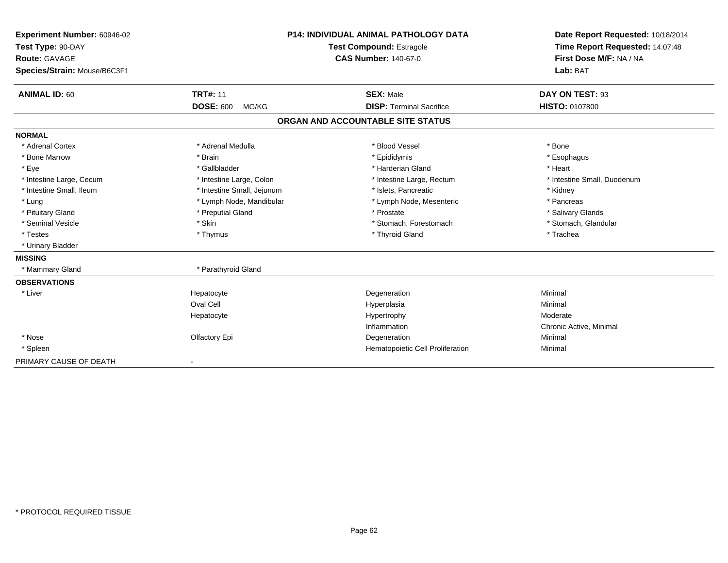| Experiment Number: 60946-02<br>Test Type: 90-DAY     | <b>P14: INDIVIDUAL ANIMAL PATHOLOGY DATA</b><br>Test Compound: Estragole |                                   | Date Report Requested: 10/18/2014<br>Time Report Requested: 14:07:48 |
|------------------------------------------------------|--------------------------------------------------------------------------|-----------------------------------|----------------------------------------------------------------------|
| <b>Route: GAVAGE</b><br>Species/Strain: Mouse/B6C3F1 |                                                                          | <b>CAS Number: 140-67-0</b>       | First Dose M/F: NA / NA<br>Lab: BAT                                  |
|                                                      |                                                                          |                                   |                                                                      |
| <b>ANIMAL ID: 60</b>                                 | <b>TRT#: 11</b>                                                          | <b>SEX: Male</b>                  | DAY ON TEST: 93                                                      |
|                                                      | <b>DOSE: 600</b><br>MG/KG                                                | <b>DISP: Terminal Sacrifice</b>   | <b>HISTO: 0107800</b>                                                |
|                                                      |                                                                          | ORGAN AND ACCOUNTABLE SITE STATUS |                                                                      |
| <b>NORMAL</b>                                        |                                                                          |                                   |                                                                      |
| * Adrenal Cortex                                     | * Adrenal Medulla                                                        | * Blood Vessel                    | * Bone                                                               |
| * Bone Marrow                                        | * Brain                                                                  | * Epididymis                      | * Esophagus                                                          |
| * Eye                                                | * Gallbladder                                                            | * Harderian Gland                 | * Heart                                                              |
| * Intestine Large, Cecum                             | * Intestine Large, Colon                                                 | * Intestine Large, Rectum         | * Intestine Small, Duodenum                                          |
| * Intestine Small, Ileum                             | * Intestine Small, Jejunum                                               | * Islets, Pancreatic              | * Kidney                                                             |
| * Lung                                               | * Lymph Node, Mandibular                                                 | * Lymph Node, Mesenteric          | * Pancreas                                                           |
| * Pituitary Gland                                    | * Preputial Gland                                                        | * Prostate                        | * Salivary Glands                                                    |
| * Seminal Vesicle                                    | * Skin                                                                   | * Stomach, Forestomach            | * Stomach, Glandular                                                 |
| * Testes                                             | * Thymus                                                                 | * Thyroid Gland                   | * Trachea                                                            |
| * Urinary Bladder                                    |                                                                          |                                   |                                                                      |
| <b>MISSING</b>                                       |                                                                          |                                   |                                                                      |
| * Mammary Gland                                      | * Parathyroid Gland                                                      |                                   |                                                                      |
| <b>OBSERVATIONS</b>                                  |                                                                          |                                   |                                                                      |
| * Liver                                              | Hepatocyte                                                               | Degeneration                      | Minimal                                                              |
|                                                      | Oval Cell                                                                | Hyperplasia                       | Minimal                                                              |
|                                                      | Hepatocyte                                                               | Hypertrophy                       | Moderate                                                             |
|                                                      |                                                                          | Inflammation                      | Chronic Active, Minimal                                              |
| * Nose                                               | Olfactory Epi                                                            | Degeneration                      | Minimal                                                              |
| * Spleen                                             |                                                                          | Hematopoietic Cell Proliferation  | Minimal                                                              |
| PRIMARY CAUSE OF DEATH                               | $\overline{\phantom{a}}$                                                 |                                   |                                                                      |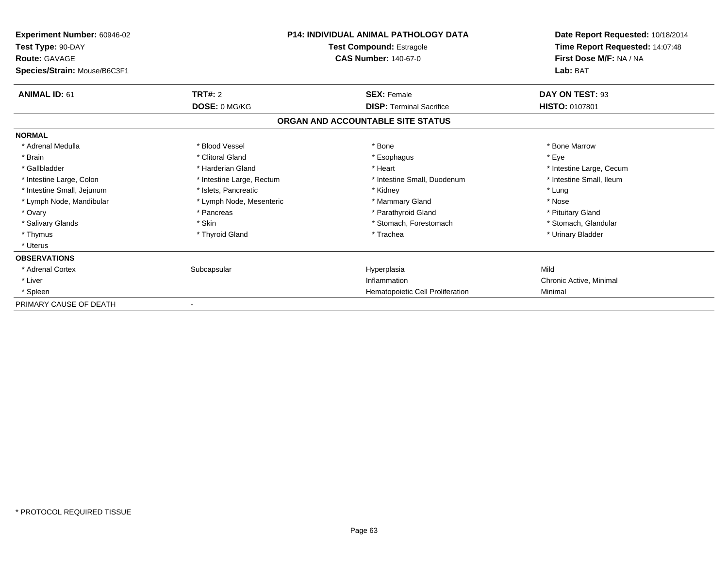| <b>Experiment Number: 60946-02</b><br>Test Type: 90-DAY |                           | <b>P14: INDIVIDUAL ANIMAL PATHOLOGY DATA</b><br><b>Test Compound: Estragole</b> | Date Report Requested: 10/18/2014<br>Time Report Requested: 14:07:48 |
|---------------------------------------------------------|---------------------------|---------------------------------------------------------------------------------|----------------------------------------------------------------------|
| <b>Route: GAVAGE</b><br>Species/Strain: Mouse/B6C3F1    |                           | <b>CAS Number: 140-67-0</b>                                                     | First Dose M/F: NA / NA<br>Lab: BAT                                  |
| <b>ANIMAL ID: 61</b>                                    | <b>TRT#: 2</b>            | <b>SEX: Female</b>                                                              | DAY ON TEST: 93                                                      |
|                                                         | DOSE: 0 MG/KG             | <b>DISP: Terminal Sacrifice</b>                                                 | <b>HISTO: 0107801</b>                                                |
|                                                         |                           | ORGAN AND ACCOUNTABLE SITE STATUS                                               |                                                                      |
| <b>NORMAL</b>                                           |                           |                                                                                 |                                                                      |
| * Adrenal Medulla                                       | * Blood Vessel            | * Bone                                                                          | * Bone Marrow                                                        |
| * Brain                                                 | * Clitoral Gland          | * Esophagus                                                                     | * Eye                                                                |
| * Gallbladder                                           | * Harderian Gland         | * Heart                                                                         | * Intestine Large, Cecum                                             |
| * Intestine Large, Colon                                | * Intestine Large, Rectum | * Intestine Small, Duodenum                                                     | * Intestine Small, Ileum                                             |
| * Intestine Small, Jejunum                              | * Islets, Pancreatic      | * Kidney                                                                        | * Lung                                                               |
| * Lymph Node, Mandibular                                | * Lymph Node, Mesenteric  | * Mammary Gland                                                                 | * Nose                                                               |
| * Ovary                                                 | * Pancreas                | * Parathyroid Gland                                                             | * Pituitary Gland                                                    |
| * Salivary Glands                                       | * Skin                    | * Stomach, Forestomach                                                          | * Stomach, Glandular                                                 |
| * Thymus                                                | * Thyroid Gland           | * Trachea                                                                       | * Urinary Bladder                                                    |
| * Uterus                                                |                           |                                                                                 |                                                                      |
| <b>OBSERVATIONS</b>                                     |                           |                                                                                 |                                                                      |
| * Adrenal Cortex                                        | Subcapsular               | Hyperplasia                                                                     | Mild                                                                 |
| * Liver                                                 |                           | Inflammation                                                                    | Chronic Active, Minimal                                              |
| * Spleen                                                |                           | Hematopoietic Cell Proliferation                                                | Minimal                                                              |
| PRIMARY CAUSE OF DEATH                                  |                           |                                                                                 |                                                                      |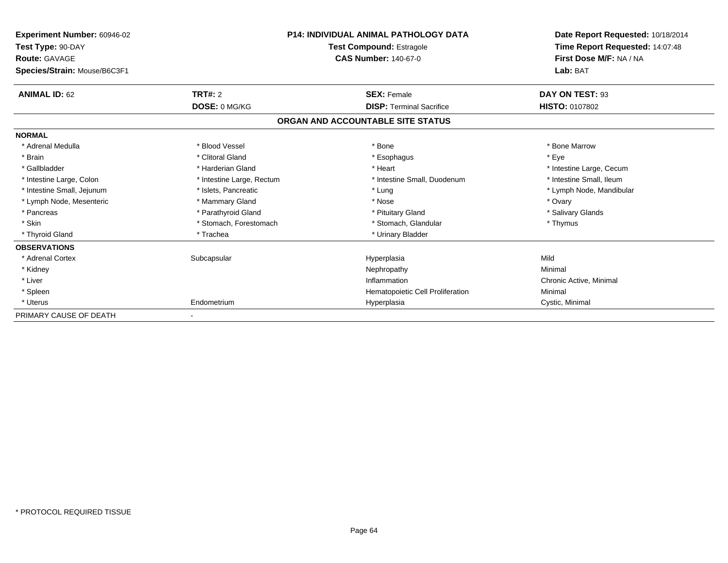| <b>Experiment Number: 60946-02</b><br>Test Type: 90-DAY<br><b>Route: GAVAGE</b> |                           | <b>P14: INDIVIDUAL ANIMAL PATHOLOGY DATA</b><br><b>Test Compound: Estragole</b><br><b>CAS Number: 140-67-0</b> | Date Report Requested: 10/18/2014<br>Time Report Requested: 14:07:48<br>First Dose M/F: NA / NA |
|---------------------------------------------------------------------------------|---------------------------|----------------------------------------------------------------------------------------------------------------|-------------------------------------------------------------------------------------------------|
| Species/Strain: Mouse/B6C3F1                                                    |                           |                                                                                                                | Lab: BAT                                                                                        |
| <b>ANIMAL ID: 62</b>                                                            | TRT#: 2                   | <b>SEX: Female</b>                                                                                             | DAY ON TEST: 93                                                                                 |
|                                                                                 | DOSE: 0 MG/KG             | <b>DISP: Terminal Sacrifice</b>                                                                                | <b>HISTO: 0107802</b>                                                                           |
|                                                                                 |                           | ORGAN AND ACCOUNTABLE SITE STATUS                                                                              |                                                                                                 |
| <b>NORMAL</b>                                                                   |                           |                                                                                                                |                                                                                                 |
| * Adrenal Medulla                                                               | * Blood Vessel            | * Bone                                                                                                         | * Bone Marrow                                                                                   |
| * Brain                                                                         | * Clitoral Gland          | * Esophagus                                                                                                    | * Eve                                                                                           |
| * Gallbladder                                                                   | * Harderian Gland         | * Heart                                                                                                        | * Intestine Large, Cecum                                                                        |
| * Intestine Large, Colon                                                        | * Intestine Large, Rectum | * Intestine Small, Duodenum                                                                                    | * Intestine Small, Ileum                                                                        |
| * Intestine Small, Jejunum                                                      | * Islets, Pancreatic      | * Lung                                                                                                         | * Lymph Node, Mandibular                                                                        |
| * Lymph Node, Mesenteric                                                        | * Mammary Gland           | * Nose                                                                                                         | * Ovary                                                                                         |
| * Pancreas                                                                      | * Parathyroid Gland       | * Pituitary Gland                                                                                              | * Salivary Glands                                                                               |
| * Skin                                                                          | * Stomach, Forestomach    | * Stomach, Glandular                                                                                           | * Thymus                                                                                        |
| * Thyroid Gland                                                                 | * Trachea                 | * Urinary Bladder                                                                                              |                                                                                                 |
| <b>OBSERVATIONS</b>                                                             |                           |                                                                                                                |                                                                                                 |
| * Adrenal Cortex                                                                | Subcapsular               | Hyperplasia                                                                                                    | Mild                                                                                            |
| * Kidney                                                                        |                           | Nephropathy                                                                                                    | Minimal                                                                                         |
| * Liver                                                                         |                           | Inflammation                                                                                                   | Chronic Active, Minimal                                                                         |
| * Spleen                                                                        |                           | Hematopoietic Cell Proliferation                                                                               | Minimal                                                                                         |
| * Uterus                                                                        | Endometrium               | Hyperplasia                                                                                                    | Cystic, Minimal                                                                                 |
| PRIMARY CAUSE OF DEATH                                                          |                           |                                                                                                                |                                                                                                 |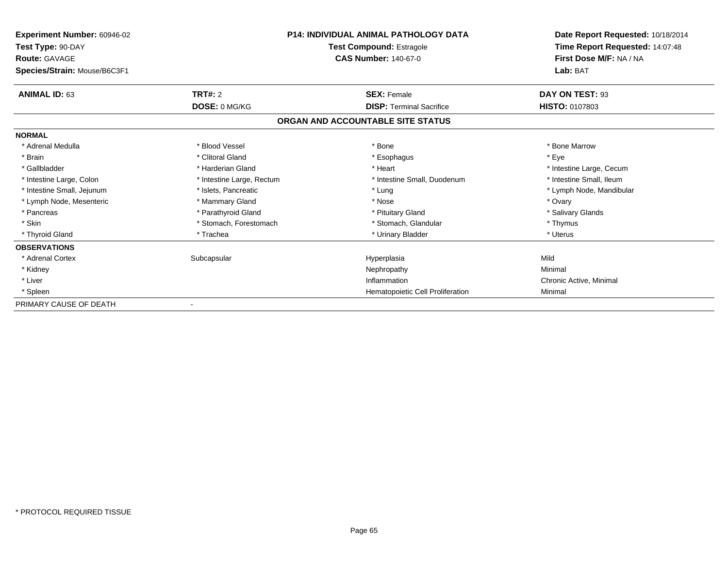| <b>Experiment Number: 60946-02</b> |                           | <b>P14: INDIVIDUAL ANIMAL PATHOLOGY DATA</b> | Date Report Requested: 10/18/2014 |
|------------------------------------|---------------------------|----------------------------------------------|-----------------------------------|
| Test Type: 90-DAY                  |                           | <b>Test Compound: Estragole</b>              | Time Report Requested: 14:07:48   |
| <b>Route: GAVAGE</b>               |                           | <b>CAS Number: 140-67-0</b>                  | First Dose M/F: NA / NA           |
| Species/Strain: Mouse/B6C3F1       |                           |                                              | Lab: BAT                          |
| <b>ANIMAL ID: 63</b>               | <b>TRT#: 2</b>            | <b>SEX: Female</b>                           | DAY ON TEST: 93                   |
|                                    | DOSE: 0 MG/KG             | <b>DISP: Terminal Sacrifice</b>              | <b>HISTO: 0107803</b>             |
|                                    |                           | ORGAN AND ACCOUNTABLE SITE STATUS            |                                   |
| <b>NORMAL</b>                      |                           |                                              |                                   |
| * Adrenal Medulla                  | * Blood Vessel            | * Bone                                       | * Bone Marrow                     |
| * Brain                            | * Clitoral Gland          | * Esophagus                                  | * Eye                             |
| * Gallbladder                      | * Harderian Gland         | * Heart                                      | * Intestine Large, Cecum          |
| * Intestine Large, Colon           | * Intestine Large, Rectum | * Intestine Small, Duodenum                  | * Intestine Small, Ileum          |
| * Intestine Small, Jejunum         | * Islets, Pancreatic      | * Lung                                       | * Lymph Node, Mandibular          |
| * Lymph Node, Mesenteric           | * Mammary Gland           | * Nose                                       | * Ovary                           |
| * Pancreas                         | * Parathyroid Gland       | * Pituitary Gland                            | * Salivary Glands                 |
| * Skin                             | * Stomach, Forestomach    | * Stomach, Glandular                         | * Thymus                          |
| * Thyroid Gland                    | * Trachea                 | * Urinary Bladder                            | * Uterus                          |
| <b>OBSERVATIONS</b>                |                           |                                              |                                   |
| * Adrenal Cortex                   | Subcapsular               | Hyperplasia                                  | Mild                              |
| * Kidney                           |                           | Nephropathy                                  | Minimal                           |
| * Liver                            |                           | Inflammation                                 | Chronic Active, Minimal           |
| * Spleen                           |                           | Hematopoietic Cell Proliferation             | Minimal                           |
| PRIMARY CAUSE OF DEATH             |                           |                                              |                                   |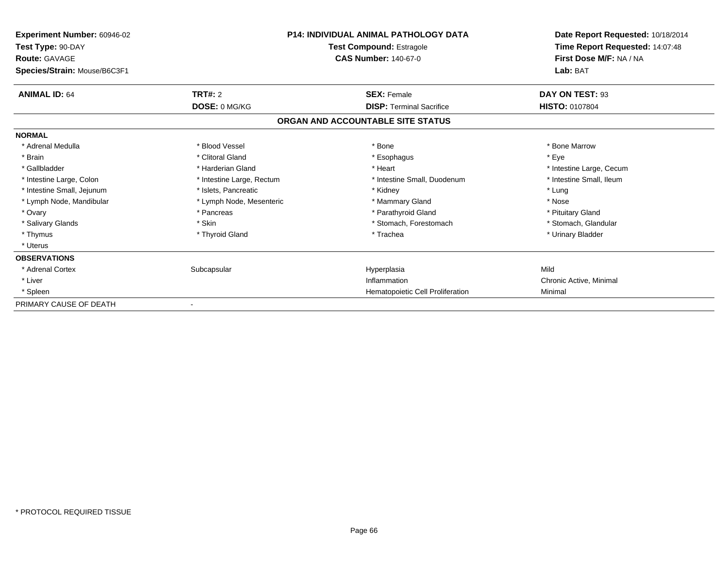| <b>Experiment Number: 60946-02</b><br>Test Type: 90-DAY |                           | <b>P14: INDIVIDUAL ANIMAL PATHOLOGY DATA</b><br><b>Test Compound: Estragole</b> | Date Report Requested: 10/18/2014<br>Time Report Requested: 14:07:48 |  |
|---------------------------------------------------------|---------------------------|---------------------------------------------------------------------------------|----------------------------------------------------------------------|--|
| <b>Route: GAVAGE</b>                                    |                           | <b>CAS Number: 140-67-0</b>                                                     | First Dose M/F: NA / NA                                              |  |
| Species/Strain: Mouse/B6C3F1                            |                           |                                                                                 | Lab: BAT                                                             |  |
| <b>ANIMAL ID: 64</b>                                    | <b>TRT#: 2</b>            | <b>SEX: Female</b>                                                              | DAY ON TEST: 93                                                      |  |
|                                                         | DOSE: 0 MG/KG             | <b>DISP: Terminal Sacrifice</b>                                                 | <b>HISTO: 0107804</b>                                                |  |
|                                                         |                           | ORGAN AND ACCOUNTABLE SITE STATUS                                               |                                                                      |  |
| <b>NORMAL</b>                                           |                           |                                                                                 |                                                                      |  |
| * Adrenal Medulla                                       | * Blood Vessel            | * Bone                                                                          | * Bone Marrow                                                        |  |
| * Brain                                                 | * Clitoral Gland          | * Esophagus                                                                     | * Eye                                                                |  |
| * Gallbladder                                           | * Harderian Gland         | * Heart                                                                         | * Intestine Large, Cecum                                             |  |
| * Intestine Large, Colon                                | * Intestine Large, Rectum | * Intestine Small, Duodenum                                                     | * Intestine Small, Ileum                                             |  |
| * Intestine Small, Jejunum                              | * Islets, Pancreatic      | * Kidney                                                                        | * Lung                                                               |  |
| * Lymph Node, Mandibular                                | * Lymph Node, Mesenteric  | * Mammary Gland                                                                 | * Nose                                                               |  |
| * Ovary                                                 | * Pancreas                | * Parathyroid Gland                                                             | * Pituitary Gland                                                    |  |
| * Salivary Glands                                       | * Skin                    | * Stomach, Forestomach                                                          | * Stomach, Glandular                                                 |  |
| * Thymus                                                | * Thyroid Gland           | * Trachea                                                                       | * Urinary Bladder                                                    |  |
| * Uterus                                                |                           |                                                                                 |                                                                      |  |
| <b>OBSERVATIONS</b>                                     |                           |                                                                                 |                                                                      |  |
| * Adrenal Cortex                                        | Subcapsular               | Hyperplasia                                                                     | Mild                                                                 |  |
| * Liver                                                 |                           | Inflammation                                                                    | Chronic Active, Minimal                                              |  |
| * Spleen                                                |                           | Hematopoietic Cell Proliferation                                                | Minimal                                                              |  |
| PRIMARY CAUSE OF DEATH                                  |                           |                                                                                 |                                                                      |  |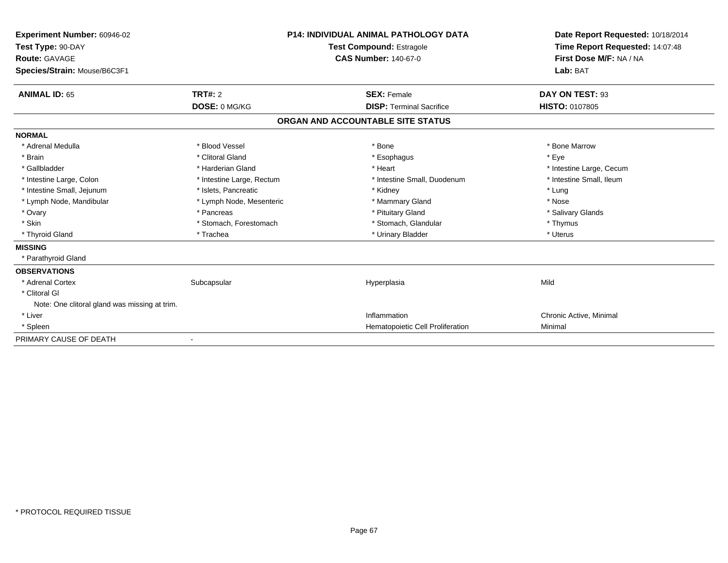| Experiment Number: 60946-02<br>Test Type: 90-DAY<br>Route: GAVAGE<br>Species/Strain: Mouse/B6C3F1 |                           | <b>P14: INDIVIDUAL ANIMAL PATHOLOGY DATA</b><br><b>Test Compound: Estragole</b><br><b>CAS Number: 140-67-0</b> | Date Report Requested: 10/18/2014<br>Time Report Requested: 14:07:48<br>First Dose M/F: NA / NA<br>Lab: BAT |
|---------------------------------------------------------------------------------------------------|---------------------------|----------------------------------------------------------------------------------------------------------------|-------------------------------------------------------------------------------------------------------------|
| <b>ANIMAL ID: 65</b>                                                                              | <b>TRT#: 2</b>            | <b>SEX: Female</b>                                                                                             | DAY ON TEST: 93                                                                                             |
|                                                                                                   | DOSE: 0 MG/KG             | <b>DISP: Terminal Sacrifice</b>                                                                                | <b>HISTO: 0107805</b>                                                                                       |
|                                                                                                   |                           | ORGAN AND ACCOUNTABLE SITE STATUS                                                                              |                                                                                                             |
| <b>NORMAL</b>                                                                                     |                           |                                                                                                                |                                                                                                             |
| * Adrenal Medulla                                                                                 | * Blood Vessel            | * Bone                                                                                                         | * Bone Marrow                                                                                               |
| * Brain                                                                                           | * Clitoral Gland          | * Esophagus                                                                                                    | * Eye                                                                                                       |
| * Gallbladder                                                                                     | * Harderian Gland         | * Heart                                                                                                        | * Intestine Large, Cecum                                                                                    |
| * Intestine Large, Colon                                                                          | * Intestine Large, Rectum | * Intestine Small, Duodenum                                                                                    | * Intestine Small, Ileum                                                                                    |
| * Intestine Small, Jejunum                                                                        | * Islets, Pancreatic      | * Kidney                                                                                                       | * Lung                                                                                                      |
| * Lymph Node, Mandibular                                                                          | * Lymph Node, Mesenteric  | * Mammary Gland                                                                                                | * Nose                                                                                                      |
| * Ovary                                                                                           | * Pancreas                | * Pituitary Gland                                                                                              | * Salivary Glands                                                                                           |
| * Skin                                                                                            | * Stomach, Forestomach    | * Stomach, Glandular                                                                                           | * Thymus                                                                                                    |
| * Thyroid Gland                                                                                   | * Trachea                 | * Urinary Bladder                                                                                              | * Uterus                                                                                                    |
| <b>MISSING</b>                                                                                    |                           |                                                                                                                |                                                                                                             |
| * Parathyroid Gland                                                                               |                           |                                                                                                                |                                                                                                             |
| <b>OBSERVATIONS</b>                                                                               |                           |                                                                                                                |                                                                                                             |
| * Adrenal Cortex                                                                                  | Subcapsular               | Hyperplasia                                                                                                    | Mild                                                                                                        |
| * Clitoral GI                                                                                     |                           |                                                                                                                |                                                                                                             |
| Note: One clitoral gland was missing at trim.                                                     |                           |                                                                                                                |                                                                                                             |
| * Liver                                                                                           |                           | Inflammation                                                                                                   | Chronic Active, Minimal                                                                                     |
| * Spleen                                                                                          |                           | Hematopoietic Cell Proliferation                                                                               | Minimal                                                                                                     |
| PRIMARY CAUSE OF DEATH                                                                            |                           |                                                                                                                |                                                                                                             |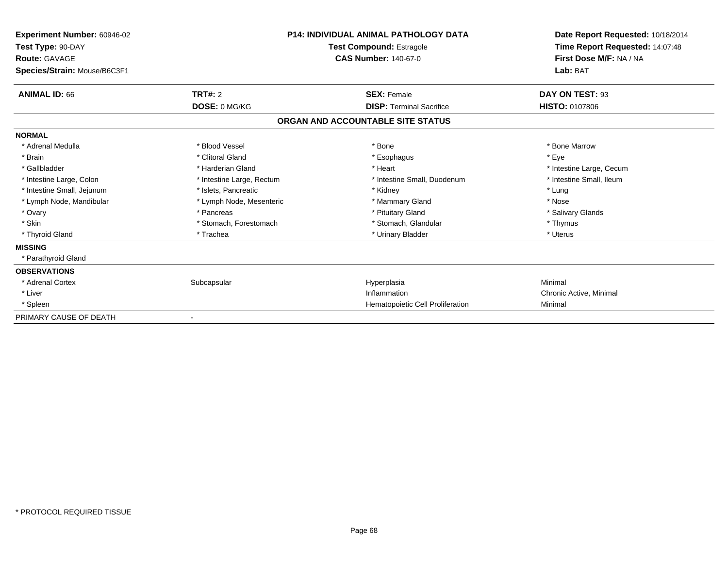| Experiment Number: 60946-02<br>Test Type: 90-DAY<br><b>Route: GAVAGE</b> |                           | P14: INDIVIDUAL ANIMAL PATHOLOGY DATA<br><b>Test Compound: Estragole</b><br><b>CAS Number: 140-67-0</b> | Date Report Requested: 10/18/2014<br>Time Report Requested: 14:07:48<br>First Dose M/F: NA / NA |
|--------------------------------------------------------------------------|---------------------------|---------------------------------------------------------------------------------------------------------|-------------------------------------------------------------------------------------------------|
| Species/Strain: Mouse/B6C3F1                                             |                           |                                                                                                         | Lab: BAT                                                                                        |
| <b>ANIMAL ID: 66</b>                                                     | <b>TRT#: 2</b>            | <b>SEX: Female</b>                                                                                      | DAY ON TEST: 93                                                                                 |
|                                                                          | DOSE: 0 MG/KG             | <b>DISP: Terminal Sacrifice</b>                                                                         | <b>HISTO: 0107806</b>                                                                           |
|                                                                          |                           | ORGAN AND ACCOUNTABLE SITE STATUS                                                                       |                                                                                                 |
| <b>NORMAL</b>                                                            |                           |                                                                                                         |                                                                                                 |
| * Adrenal Medulla                                                        | * Blood Vessel            | * Bone                                                                                                  | * Bone Marrow                                                                                   |
| * Brain                                                                  | * Clitoral Gland          | * Esophagus                                                                                             | * Eve                                                                                           |
| * Gallbladder                                                            | * Harderian Gland         | * Heart                                                                                                 | * Intestine Large, Cecum                                                                        |
| * Intestine Large, Colon                                                 | * Intestine Large, Rectum | * Intestine Small, Duodenum                                                                             | * Intestine Small. Ileum                                                                        |
| * Intestine Small, Jejunum                                               | * Islets, Pancreatic      | * Kidney                                                                                                | * Lung                                                                                          |
| * Lymph Node, Mandibular                                                 | * Lymph Node, Mesenteric  | * Mammary Gland                                                                                         | * Nose                                                                                          |
| * Ovary                                                                  | * Pancreas                | * Pituitary Gland                                                                                       | * Salivary Glands                                                                               |
| * Skin                                                                   | * Stomach, Forestomach    | * Stomach, Glandular                                                                                    | * Thymus                                                                                        |
| * Thyroid Gland                                                          | * Trachea                 | * Urinary Bladder                                                                                       | * Uterus                                                                                        |
| <b>MISSING</b>                                                           |                           |                                                                                                         |                                                                                                 |
| * Parathyroid Gland                                                      |                           |                                                                                                         |                                                                                                 |
| <b>OBSERVATIONS</b>                                                      |                           |                                                                                                         |                                                                                                 |
| * Adrenal Cortex                                                         | Subcapsular               | Hyperplasia                                                                                             | Minimal                                                                                         |
| * Liver                                                                  |                           | Inflammation                                                                                            | Chronic Active, Minimal                                                                         |
| * Spleen                                                                 |                           | Hematopoietic Cell Proliferation                                                                        | Minimal                                                                                         |
| PRIMARY CAUSE OF DEATH                                                   |                           |                                                                                                         |                                                                                                 |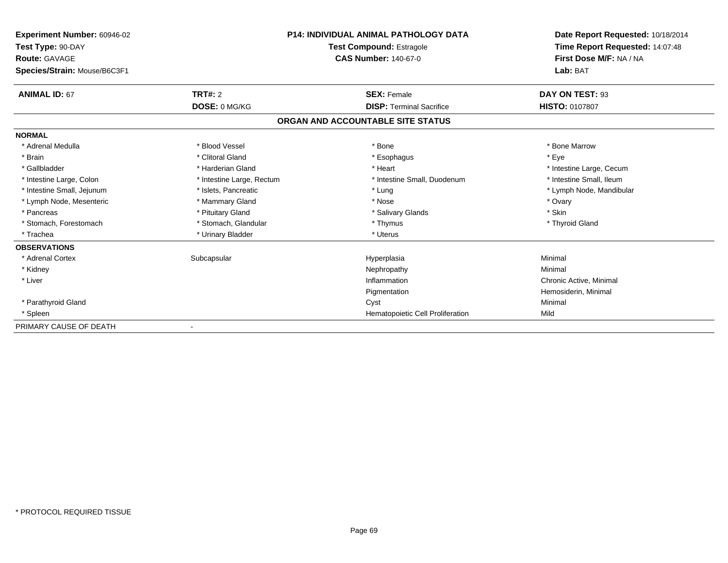| Experiment Number: 60946-02<br>Test Type: 90-DAY     |                           | P14: INDIVIDUAL ANIMAL PATHOLOGY DATA<br><b>Test Compound: Estragole</b> | Date Report Requested: 10/18/2014<br>Time Report Requested: 14:07:48 |  |
|------------------------------------------------------|---------------------------|--------------------------------------------------------------------------|----------------------------------------------------------------------|--|
| <b>Route: GAVAGE</b><br>Species/Strain: Mouse/B6C3F1 |                           | <b>CAS Number: 140-67-0</b>                                              | First Dose M/F: NA / NA<br>Lab: BAT                                  |  |
| <b>ANIMAL ID: 67</b>                                 | TRT#: 2                   | <b>SEX: Female</b>                                                       | DAY ON TEST: 93                                                      |  |
|                                                      | DOSE: 0 MG/KG             | <b>DISP: Terminal Sacrifice</b>                                          | <b>HISTO: 0107807</b>                                                |  |
|                                                      |                           | ORGAN AND ACCOUNTABLE SITE STATUS                                        |                                                                      |  |
| <b>NORMAL</b>                                        |                           |                                                                          |                                                                      |  |
| * Adrenal Medulla                                    | * Blood Vessel            | * Bone                                                                   | * Bone Marrow                                                        |  |
| * Brain                                              | * Clitoral Gland          | * Esophagus                                                              | * Eye                                                                |  |
| * Gallbladder                                        | * Harderian Gland         | * Heart                                                                  | * Intestine Large, Cecum                                             |  |
| * Intestine Large, Colon                             | * Intestine Large, Rectum | * Intestine Small, Duodenum                                              | * Intestine Small, Ileum                                             |  |
| * Intestine Small, Jejunum                           | * Islets, Pancreatic      | * Lung                                                                   | * Lymph Node, Mandibular                                             |  |
| * Lymph Node, Mesenteric                             | * Mammary Gland           | * Nose                                                                   | * Ovary                                                              |  |
| * Pancreas                                           | * Pituitary Gland         | * Salivary Glands                                                        | * Skin                                                               |  |
| * Stomach, Forestomach                               | * Stomach, Glandular      | * Thymus                                                                 | * Thyroid Gland                                                      |  |
| * Trachea                                            | * Urinary Bladder         | * Uterus                                                                 |                                                                      |  |
| <b>OBSERVATIONS</b>                                  |                           |                                                                          |                                                                      |  |
| * Adrenal Cortex                                     | Subcapsular               | Hyperplasia                                                              | Minimal                                                              |  |
| * Kidney                                             |                           | Nephropathy                                                              | Minimal                                                              |  |
| * Liver                                              |                           | Inflammation                                                             | Chronic Active, Minimal                                              |  |
|                                                      |                           | Pigmentation                                                             | Hemosiderin, Minimal                                                 |  |
| * Parathyroid Gland                                  |                           | Cyst                                                                     | Minimal                                                              |  |
| * Spleen                                             |                           | Hematopoietic Cell Proliferation                                         | Mild                                                                 |  |
| PRIMARY CAUSE OF DEATH                               |                           |                                                                          |                                                                      |  |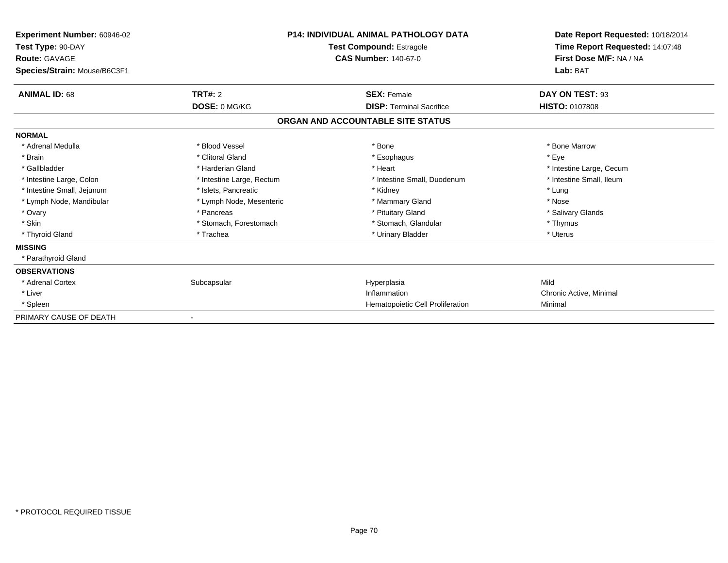| Experiment Number: 60946-02<br>Test Type: 90-DAY<br><b>Route: GAVAGE</b> |                           | <b>P14: INDIVIDUAL ANIMAL PATHOLOGY DATA</b><br><b>Test Compound: Estragole</b><br><b>CAS Number: 140-67-0</b> | Date Report Requested: 10/18/2014<br>Time Report Requested: 14:07:48<br>First Dose M/F: NA / NA |
|--------------------------------------------------------------------------|---------------------------|----------------------------------------------------------------------------------------------------------------|-------------------------------------------------------------------------------------------------|
| Species/Strain: Mouse/B6C3F1                                             |                           |                                                                                                                | Lab: BAT                                                                                        |
| <b>ANIMAL ID: 68</b>                                                     | <b>TRT#: 2</b>            | <b>SEX: Female</b>                                                                                             | DAY ON TEST: 93                                                                                 |
|                                                                          | DOSE: 0 MG/KG             | <b>DISP: Terminal Sacrifice</b>                                                                                | <b>HISTO: 0107808</b>                                                                           |
|                                                                          |                           | ORGAN AND ACCOUNTABLE SITE STATUS                                                                              |                                                                                                 |
| <b>NORMAL</b>                                                            |                           |                                                                                                                |                                                                                                 |
| * Adrenal Medulla                                                        | * Blood Vessel            | * Bone                                                                                                         | * Bone Marrow                                                                                   |
| * Brain                                                                  | * Clitoral Gland          | * Esophagus                                                                                                    | * Eve                                                                                           |
| * Gallbladder                                                            | * Harderian Gland         | * Heart                                                                                                        | * Intestine Large, Cecum                                                                        |
| * Intestine Large, Colon                                                 | * Intestine Large, Rectum | * Intestine Small, Duodenum                                                                                    | * Intestine Small, Ileum                                                                        |
| * Intestine Small, Jejunum                                               | * Islets, Pancreatic      | * Kidney                                                                                                       | * Lung                                                                                          |
| * Lymph Node, Mandibular                                                 | * Lymph Node, Mesenteric  | * Mammary Gland                                                                                                | * Nose                                                                                          |
| * Ovary                                                                  | * Pancreas                | * Pituitary Gland                                                                                              | * Salivary Glands                                                                               |
| * Skin                                                                   | * Stomach, Forestomach    | * Stomach, Glandular                                                                                           | * Thymus                                                                                        |
| * Thyroid Gland                                                          | * Trachea                 | * Urinary Bladder                                                                                              | * Uterus                                                                                        |
| <b>MISSING</b>                                                           |                           |                                                                                                                |                                                                                                 |
| * Parathyroid Gland                                                      |                           |                                                                                                                |                                                                                                 |
| <b>OBSERVATIONS</b>                                                      |                           |                                                                                                                |                                                                                                 |
| * Adrenal Cortex                                                         | Subcapsular               | Hyperplasia                                                                                                    | Mild                                                                                            |
| * Liver                                                                  |                           | Inflammation                                                                                                   | Chronic Active, Minimal                                                                         |
| * Spleen                                                                 |                           | Hematopoietic Cell Proliferation                                                                               | Minimal                                                                                         |
| PRIMARY CAUSE OF DEATH                                                   |                           |                                                                                                                |                                                                                                 |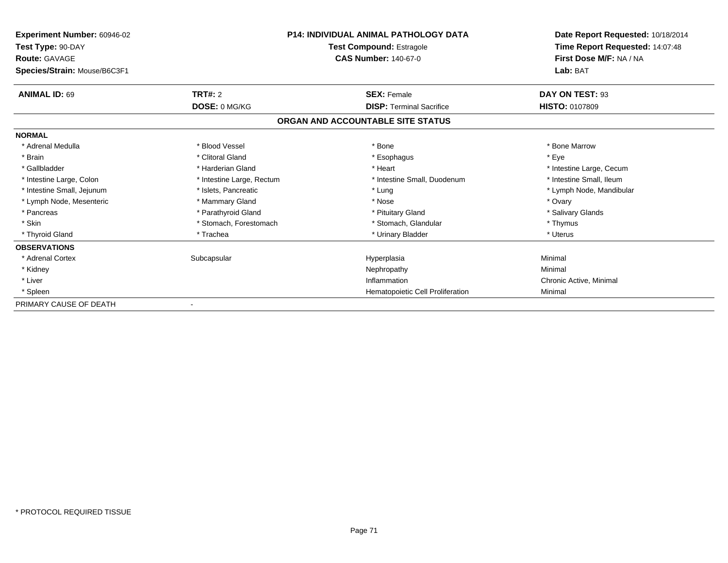| <b>Experiment Number: 60946-02</b> |                           | P14: INDIVIDUAL ANIMAL PATHOLOGY DATA | Date Report Requested: 10/18/2014 |
|------------------------------------|---------------------------|---------------------------------------|-----------------------------------|
| Test Type: 90-DAY                  |                           | <b>Test Compound: Estragole</b>       | Time Report Requested: 14:07:48   |
| <b>Route: GAVAGE</b>               |                           | <b>CAS Number: 140-67-0</b>           | First Dose M/F: NA / NA           |
| Species/Strain: Mouse/B6C3F1       |                           |                                       | Lab: BAT                          |
| <b>ANIMAL ID: 69</b>               | <b>TRT#: 2</b>            | <b>SEX: Female</b>                    | DAY ON TEST: 93                   |
|                                    | DOSE: 0 MG/KG             | <b>DISP: Terminal Sacrifice</b>       | <b>HISTO: 0107809</b>             |
|                                    |                           | ORGAN AND ACCOUNTABLE SITE STATUS     |                                   |
| <b>NORMAL</b>                      |                           |                                       |                                   |
| * Adrenal Medulla                  | * Blood Vessel            | * Bone                                | * Bone Marrow                     |
| * Brain                            | * Clitoral Gland          | * Esophagus                           | * Eye                             |
| * Gallbladder                      | * Harderian Gland         | * Heart                               | * Intestine Large, Cecum          |
| * Intestine Large, Colon           | * Intestine Large, Rectum | * Intestine Small, Duodenum           | * Intestine Small, Ileum          |
| * Intestine Small, Jejunum         | * Islets, Pancreatic      | * Lung                                | * Lymph Node, Mandibular          |
| * Lymph Node, Mesenteric           | * Mammary Gland           | * Nose                                | * Ovary                           |
| * Pancreas                         | * Parathyroid Gland       | * Pituitary Gland                     | * Salivary Glands                 |
| * Skin                             | * Stomach, Forestomach    | * Stomach, Glandular                  | * Thymus                          |
| * Thyroid Gland                    | * Trachea                 | * Urinary Bladder                     | * Uterus                          |
| <b>OBSERVATIONS</b>                |                           |                                       |                                   |
| * Adrenal Cortex                   | Subcapsular               | Hyperplasia                           | Minimal                           |
| * Kidney                           |                           | Nephropathy                           | Minimal                           |
| * Liver                            |                           | Inflammation                          | Chronic Active, Minimal           |
| * Spleen                           |                           | Hematopoietic Cell Proliferation      | Minimal                           |
| PRIMARY CAUSE OF DEATH             |                           |                                       |                                   |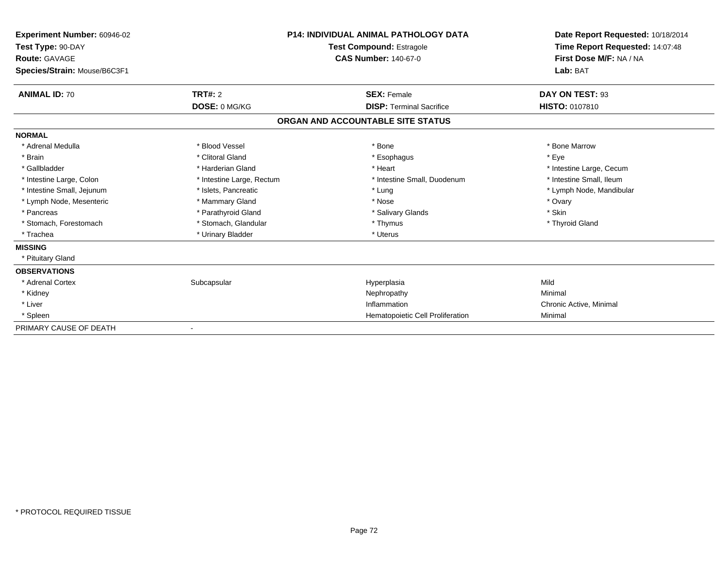| Experiment Number: 60946-02<br>Test Type: 90-DAY<br>Route: GAVAGE<br>Species/Strain: Mouse/B6C3F1 |                           | <b>P14: INDIVIDUAL ANIMAL PATHOLOGY DATA</b><br><b>Test Compound: Estragole</b><br><b>CAS Number: 140-67-0</b> | Date Report Requested: 10/18/2014<br>Time Report Requested: 14:07:48<br>First Dose M/F: NA / NA<br>Lab: BAT |
|---------------------------------------------------------------------------------------------------|---------------------------|----------------------------------------------------------------------------------------------------------------|-------------------------------------------------------------------------------------------------------------|
| <b>ANIMAL ID: 70</b>                                                                              | TRT#: 2                   | <b>SEX: Female</b>                                                                                             | DAY ON TEST: 93                                                                                             |
|                                                                                                   | DOSE: 0 MG/KG             | <b>DISP: Terminal Sacrifice</b>                                                                                | HISTO: 0107810                                                                                              |
|                                                                                                   |                           | ORGAN AND ACCOUNTABLE SITE STATUS                                                                              |                                                                                                             |
| <b>NORMAL</b>                                                                                     |                           |                                                                                                                |                                                                                                             |
| * Adrenal Medulla                                                                                 | * Blood Vessel            | * Bone                                                                                                         | * Bone Marrow                                                                                               |
| * Brain                                                                                           | * Clitoral Gland          | * Esophagus                                                                                                    | * Eye                                                                                                       |
| * Gallbladder                                                                                     | * Harderian Gland         | * Heart                                                                                                        | * Intestine Large, Cecum                                                                                    |
| * Intestine Large, Colon                                                                          | * Intestine Large, Rectum | * Intestine Small, Duodenum                                                                                    | * Intestine Small, Ileum                                                                                    |
| * Intestine Small, Jejunum                                                                        | * Islets, Pancreatic      | * Lung                                                                                                         | * Lymph Node, Mandibular                                                                                    |
| * Lymph Node, Mesenteric                                                                          | * Mammary Gland           | * Nose                                                                                                         | * Ovary                                                                                                     |
| * Pancreas                                                                                        | * Parathyroid Gland       | * Salivary Glands                                                                                              | * Skin                                                                                                      |
| * Stomach, Forestomach                                                                            | * Stomach, Glandular      | * Thymus                                                                                                       | * Thyroid Gland                                                                                             |
| * Trachea                                                                                         | * Urinary Bladder         | * Uterus                                                                                                       |                                                                                                             |
| <b>MISSING</b>                                                                                    |                           |                                                                                                                |                                                                                                             |
| * Pituitary Gland                                                                                 |                           |                                                                                                                |                                                                                                             |
| <b>OBSERVATIONS</b>                                                                               |                           |                                                                                                                |                                                                                                             |
| * Adrenal Cortex                                                                                  | Subcapsular               | Hyperplasia                                                                                                    | Mild                                                                                                        |
| * Kidney                                                                                          |                           | Nephropathy                                                                                                    | Minimal                                                                                                     |
| * Liver                                                                                           |                           | Inflammation                                                                                                   | Chronic Active, Minimal                                                                                     |
| * Spleen                                                                                          |                           | Hematopoietic Cell Proliferation                                                                               | Minimal                                                                                                     |
| PRIMARY CAUSE OF DEATH                                                                            |                           |                                                                                                                |                                                                                                             |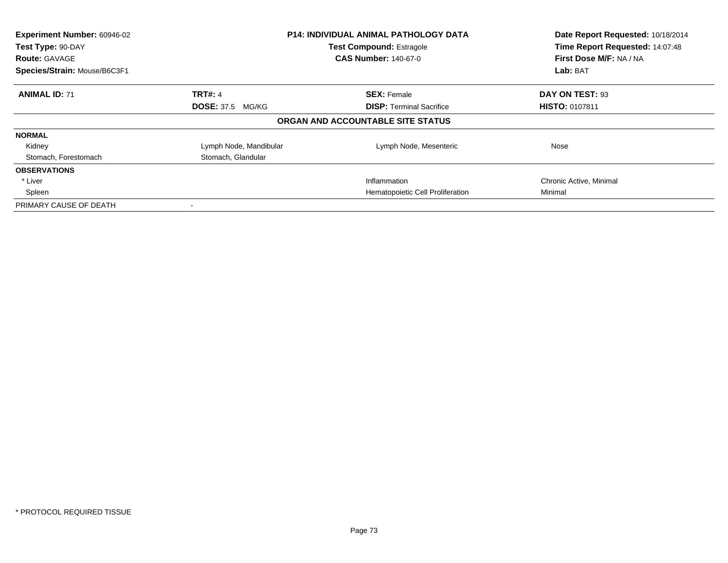| Experiment Number: 60946-02<br>Test Type: 90-DAY<br><b>Route: GAVAGE</b><br>Species/Strain: Mouse/B6C3F1 | <b>P14: INDIVIDUAL ANIMAL PATHOLOGY DATA</b><br><b>Test Compound: Estragole</b><br><b>CAS Number: 140-67-0</b> |                                   | Date Report Requested: 10/18/2014<br>Time Report Requested: 14:07:48<br>First Dose M/F: NA / NA<br>Lab: BAT |
|----------------------------------------------------------------------------------------------------------|----------------------------------------------------------------------------------------------------------------|-----------------------------------|-------------------------------------------------------------------------------------------------------------|
| <b>ANIMAL ID: 71</b>                                                                                     | <b>TRT#: 4</b>                                                                                                 | <b>SEX: Female</b>                | DAY ON TEST: 93                                                                                             |
|                                                                                                          | <b>DOSE: 37.5 MG/KG</b>                                                                                        | <b>DISP:</b> Terminal Sacrifice   | <b>HISTO: 0107811</b>                                                                                       |
|                                                                                                          |                                                                                                                | ORGAN AND ACCOUNTABLE SITE STATUS |                                                                                                             |
| <b>NORMAL</b>                                                                                            |                                                                                                                |                                   |                                                                                                             |
| Kidney                                                                                                   | Lymph Node, Mandibular                                                                                         | Lymph Node, Mesenteric            | Nose                                                                                                        |
| Stomach, Forestomach                                                                                     | Stomach, Glandular                                                                                             |                                   |                                                                                                             |
| <b>OBSERVATIONS</b>                                                                                      |                                                                                                                |                                   |                                                                                                             |
| * Liver                                                                                                  |                                                                                                                | Inflammation                      | Chronic Active, Minimal                                                                                     |
| Spleen                                                                                                   |                                                                                                                | Hematopoietic Cell Proliferation  | Minimal                                                                                                     |
| PRIMARY CAUSE OF DEATH                                                                                   |                                                                                                                |                                   |                                                                                                             |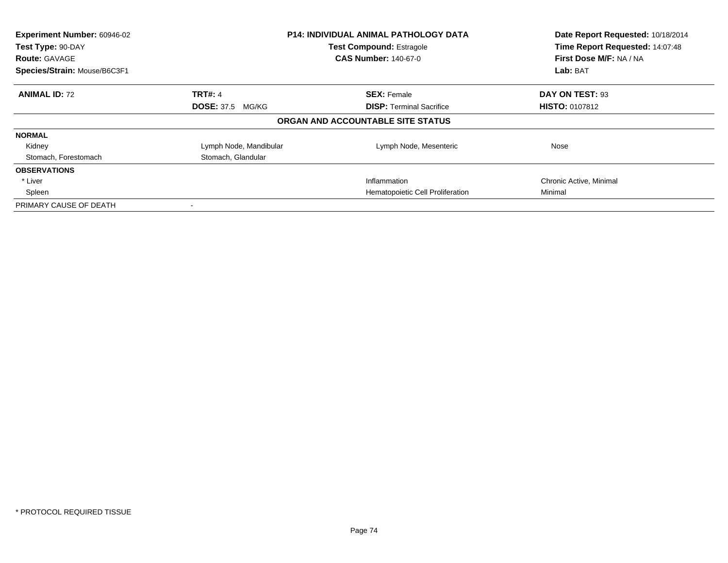| Experiment Number: 60946-02<br><b>P14: INDIVIDUAL ANIMAL PATHOLOGY DATA</b><br>Test Type: 90-DAY<br><b>Test Compound: Estragole</b> |                         |                                   | Date Report Requested: 10/18/2014<br>Time Report Requested: 14:07:48 |
|-------------------------------------------------------------------------------------------------------------------------------------|-------------------------|-----------------------------------|----------------------------------------------------------------------|
|                                                                                                                                     |                         |                                   |                                                                      |
| <b>Route: GAVAGE</b>                                                                                                                |                         | <b>CAS Number: 140-67-0</b>       | First Dose M/F: NA / NA                                              |
| Species/Strain: Mouse/B6C3F1                                                                                                        |                         |                                   | Lab: BAT                                                             |
| <b>ANIMAL ID: 72</b>                                                                                                                | <b>TRT#: 4</b>          | <b>SEX: Female</b>                | DAY ON TEST: 93                                                      |
|                                                                                                                                     | <b>DOSE: 37.5 MG/KG</b> | <b>DISP:</b> Terminal Sacrifice   | <b>HISTO: 0107812</b>                                                |
|                                                                                                                                     |                         | ORGAN AND ACCOUNTABLE SITE STATUS |                                                                      |
| <b>NORMAL</b>                                                                                                                       |                         |                                   |                                                                      |
| Kidney                                                                                                                              | Lymph Node, Mandibular  | Lymph Node, Mesenteric            | Nose                                                                 |
| Stomach, Forestomach                                                                                                                | Stomach, Glandular      |                                   |                                                                      |
| <b>OBSERVATIONS</b>                                                                                                                 |                         |                                   |                                                                      |
| * Liver                                                                                                                             |                         | Inflammation                      | Chronic Active, Minimal                                              |
| Spleen                                                                                                                              |                         | Hematopoietic Cell Proliferation  | Minimal                                                              |
| PRIMARY CAUSE OF DEATH                                                                                                              |                         |                                   |                                                                      |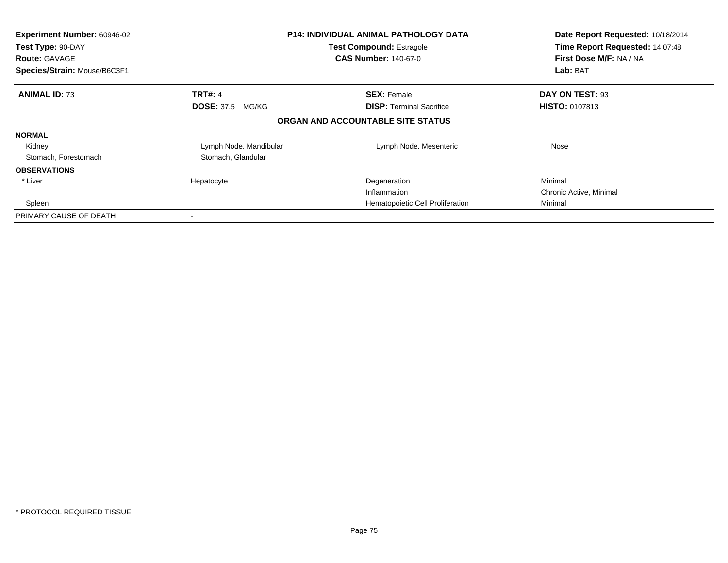| Experiment Number: 60946-02<br>Test Type: 90-DAY<br><b>Route: GAVAGE</b><br>Species/Strain: Mouse/B6C3F1 |                         | <b>P14: INDIVIDUAL ANIMAL PATHOLOGY DATA</b><br><b>Test Compound: Estragole</b><br><b>CAS Number: 140-67-0</b> | Date Report Requested: 10/18/2014<br>Time Report Requested: 14:07:48<br>First Dose M/F: NA / NA<br><b>Lab: BAT</b> |
|----------------------------------------------------------------------------------------------------------|-------------------------|----------------------------------------------------------------------------------------------------------------|--------------------------------------------------------------------------------------------------------------------|
| <b>ANIMAL ID: 73</b>                                                                                     | <b>TRT#: 4</b>          | <b>SEX: Female</b>                                                                                             | DAY ON TEST: 93                                                                                                    |
|                                                                                                          | <b>DOSE: 37.5 MG/KG</b> | <b>DISP:</b> Terminal Sacrifice                                                                                | <b>HISTO: 0107813</b>                                                                                              |
|                                                                                                          |                         | ORGAN AND ACCOUNTABLE SITE STATUS                                                                              |                                                                                                                    |
| <b>NORMAL</b>                                                                                            |                         |                                                                                                                |                                                                                                                    |
| Kidney                                                                                                   | Lymph Node, Mandibular  | Lymph Node, Mesenteric                                                                                         | Nose                                                                                                               |
| Stomach, Forestomach                                                                                     | Stomach, Glandular      |                                                                                                                |                                                                                                                    |
| <b>OBSERVATIONS</b>                                                                                      |                         |                                                                                                                |                                                                                                                    |
| * Liver                                                                                                  | Hepatocyte              | Degeneration                                                                                                   | Minimal                                                                                                            |
|                                                                                                          |                         | Inflammation                                                                                                   | Chronic Active, Minimal                                                                                            |
| Spleen                                                                                                   |                         | Hematopoietic Cell Proliferation                                                                               | Minimal                                                                                                            |
| PRIMARY CAUSE OF DEATH                                                                                   |                         |                                                                                                                |                                                                                                                    |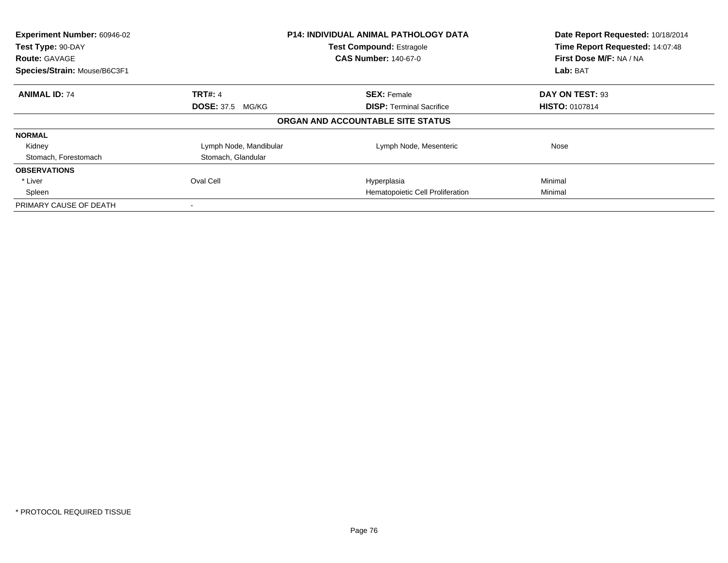| Experiment Number: 60946-02<br>Test Type: 90-DAY<br><b>Route: GAVAGE</b><br>Species/Strain: Mouse/B6C3F1 |                         | <b>P14: INDIVIDUAL ANIMAL PATHOLOGY DATA</b><br><b>Test Compound: Estragole</b><br><b>CAS Number: 140-67-0</b> | Date Report Requested: 10/18/2014<br>Time Report Requested: 14:07:48<br>First Dose M/F: NA / NA<br>Lab: BAT |
|----------------------------------------------------------------------------------------------------------|-------------------------|----------------------------------------------------------------------------------------------------------------|-------------------------------------------------------------------------------------------------------------|
| <b>ANIMAL ID: 74</b>                                                                                     | <b>TRT#: 4</b>          | <b>SEX: Female</b>                                                                                             | DAY ON TEST: 93                                                                                             |
|                                                                                                          | <b>DOSE: 37.5 MG/KG</b> | <b>DISP:</b> Terminal Sacrifice                                                                                | <b>HISTO: 0107814</b>                                                                                       |
|                                                                                                          |                         | ORGAN AND ACCOUNTABLE SITE STATUS                                                                              |                                                                                                             |
| <b>NORMAL</b>                                                                                            |                         |                                                                                                                |                                                                                                             |
| Kidney                                                                                                   | Lymph Node, Mandibular  | Lymph Node, Mesenteric                                                                                         | Nose                                                                                                        |
| Stomach, Forestomach                                                                                     | Stomach, Glandular      |                                                                                                                |                                                                                                             |
| <b>OBSERVATIONS</b>                                                                                      |                         |                                                                                                                |                                                                                                             |
| * Liver                                                                                                  | Oval Cell               | Hyperplasia                                                                                                    | Minimal                                                                                                     |
| Spleen                                                                                                   |                         | Hematopoietic Cell Proliferation                                                                               | Minimal                                                                                                     |
| PRIMARY CAUSE OF DEATH                                                                                   |                         |                                                                                                                |                                                                                                             |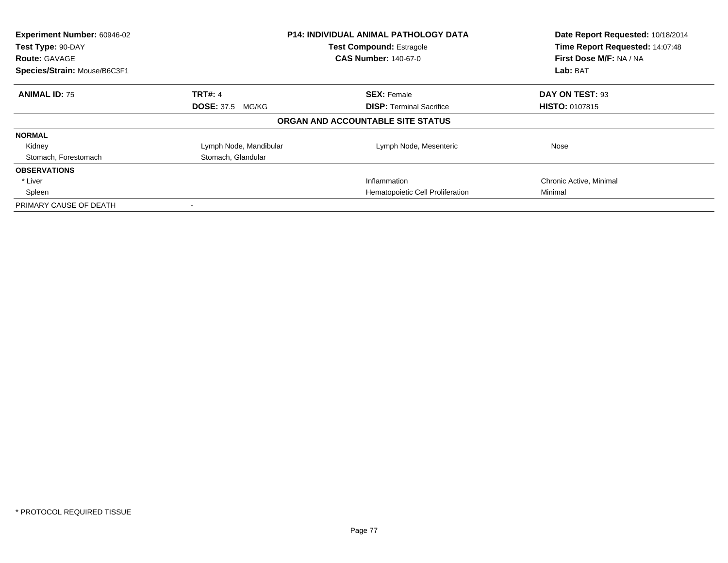| Experiment Number: 60946-02<br><b>P14: INDIVIDUAL ANIMAL PATHOLOGY DATA</b><br>Test Type: 90-DAY<br><b>Test Compound: Estragole</b> |                         |                                   | Date Report Requested: 10/18/2014<br>Time Report Requested: 14:07:48 |
|-------------------------------------------------------------------------------------------------------------------------------------|-------------------------|-----------------------------------|----------------------------------------------------------------------|
|                                                                                                                                     |                         |                                   |                                                                      |
| <b>Route: GAVAGE</b>                                                                                                                |                         | <b>CAS Number: 140-67-0</b>       | First Dose M/F: NA / NA                                              |
| Species/Strain: Mouse/B6C3F1                                                                                                        |                         |                                   | Lab: BAT                                                             |
| <b>ANIMAL ID: 75</b>                                                                                                                | <b>TRT#: 4</b>          | <b>SEX: Female</b>                | DAY ON TEST: 93                                                      |
|                                                                                                                                     | <b>DOSE: 37.5 MG/KG</b> | <b>DISP:</b> Terminal Sacrifice   | <b>HISTO: 0107815</b>                                                |
|                                                                                                                                     |                         | ORGAN AND ACCOUNTABLE SITE STATUS |                                                                      |
| <b>NORMAL</b>                                                                                                                       |                         |                                   |                                                                      |
| Kidney                                                                                                                              | Lymph Node, Mandibular  | Lymph Node, Mesenteric            | Nose                                                                 |
| Stomach, Forestomach                                                                                                                | Stomach, Glandular      |                                   |                                                                      |
| <b>OBSERVATIONS</b>                                                                                                                 |                         |                                   |                                                                      |
| * Liver                                                                                                                             |                         | Inflammation                      | Chronic Active, Minimal                                              |
| Spleen                                                                                                                              |                         | Hematopoietic Cell Proliferation  | Minimal                                                              |
| PRIMARY CAUSE OF DEATH                                                                                                              |                         |                                   |                                                                      |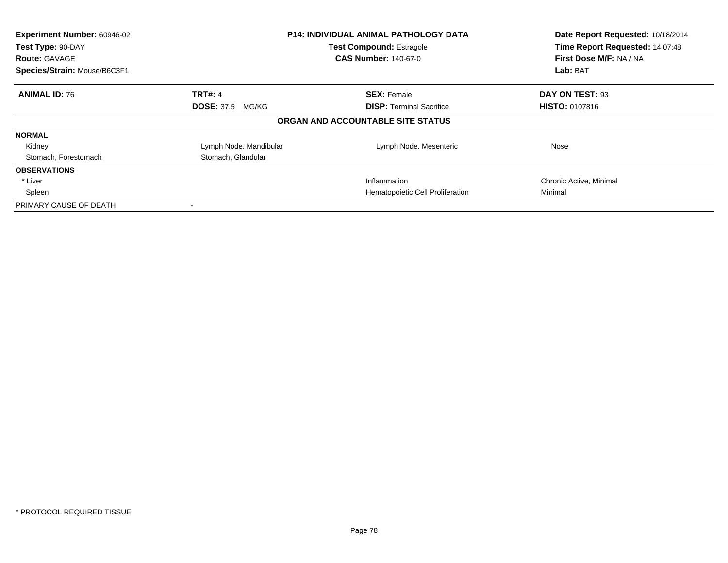| Experiment Number: 60946-02<br>Test Type: 90-DAY<br><b>Route: GAVAGE</b><br>Species/Strain: Mouse/B6C3F1 | <b>P14: INDIVIDUAL ANIMAL PATHOLOGY DATA</b><br><b>Test Compound: Estragole</b><br><b>CAS Number: 140-67-0</b> |                                   | Date Report Requested: 10/18/2014<br>Time Report Requested: 14:07:48<br>First Dose M/F: NA / NA<br>Lab: BAT |
|----------------------------------------------------------------------------------------------------------|----------------------------------------------------------------------------------------------------------------|-----------------------------------|-------------------------------------------------------------------------------------------------------------|
| <b>ANIMAL ID: 76</b>                                                                                     | <b>TRT#: 4</b>                                                                                                 | <b>SEX: Female</b>                | DAY ON TEST: 93                                                                                             |
|                                                                                                          | <b>DOSE: 37.5 MG/KG</b>                                                                                        | <b>DISP:</b> Terminal Sacrifice   | <b>HISTO: 0107816</b>                                                                                       |
|                                                                                                          |                                                                                                                | ORGAN AND ACCOUNTABLE SITE STATUS |                                                                                                             |
| <b>NORMAL</b>                                                                                            |                                                                                                                |                                   |                                                                                                             |
| Kidney                                                                                                   | Lymph Node, Mandibular                                                                                         | Lymph Node, Mesenteric            | Nose                                                                                                        |
| Stomach, Forestomach                                                                                     | Stomach, Glandular                                                                                             |                                   |                                                                                                             |
| <b>OBSERVATIONS</b>                                                                                      |                                                                                                                |                                   |                                                                                                             |
| * Liver                                                                                                  |                                                                                                                | Inflammation                      | Chronic Active, Minimal                                                                                     |
| Spleen                                                                                                   |                                                                                                                | Hematopoietic Cell Proliferation  | Minimal                                                                                                     |
| PRIMARY CAUSE OF DEATH                                                                                   |                                                                                                                |                                   |                                                                                                             |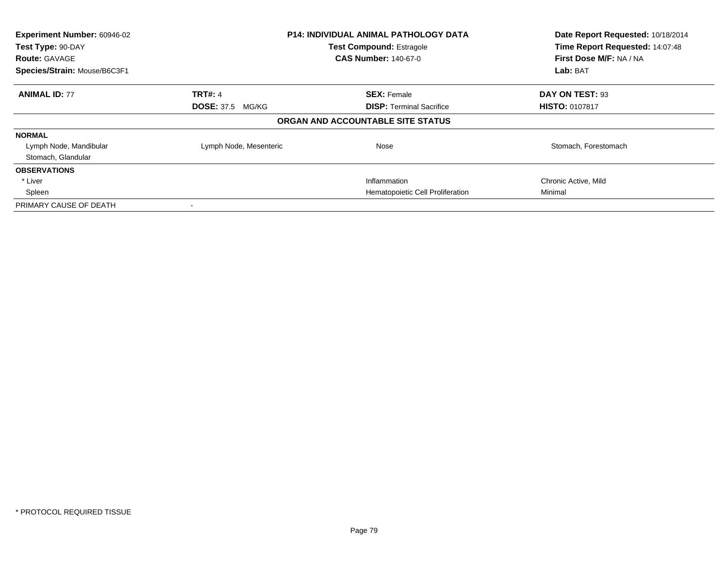| Experiment Number: 60946-02<br>Test Type: 90-DAY<br><b>Route: GAVAGE</b><br>Species/Strain: Mouse/B6C3F1 | <b>P14: INDIVIDUAL ANIMAL PATHOLOGY DATA</b><br><b>Test Compound: Estragole</b><br><b>CAS Number: 140-67-0</b> |                                   | Date Report Requested: 10/18/2014<br>Time Report Requested: 14:07:48<br>First Dose M/F: NA / NA<br>Lab: BAT |
|----------------------------------------------------------------------------------------------------------|----------------------------------------------------------------------------------------------------------------|-----------------------------------|-------------------------------------------------------------------------------------------------------------|
| <b>ANIMAL ID: 77</b>                                                                                     | <b>TRT#: 4</b>                                                                                                 | <b>SEX: Female</b>                | DAY ON TEST: 93                                                                                             |
|                                                                                                          | <b>DOSE: 37.5 MG/KG</b>                                                                                        | <b>DISP:</b> Terminal Sacrifice   | <b>HISTO: 0107817</b>                                                                                       |
|                                                                                                          |                                                                                                                | ORGAN AND ACCOUNTABLE SITE STATUS |                                                                                                             |
| <b>NORMAL</b>                                                                                            |                                                                                                                |                                   |                                                                                                             |
| Lymph Node, Mandibular<br>Stomach, Glandular                                                             | Lymph Node, Mesenteric                                                                                         | Nose                              | Stomach, Forestomach                                                                                        |
| <b>OBSERVATIONS</b>                                                                                      |                                                                                                                |                                   |                                                                                                             |
| * Liver                                                                                                  |                                                                                                                | Inflammation                      | Chronic Active, Mild                                                                                        |
| Spleen                                                                                                   |                                                                                                                | Hematopoietic Cell Proliferation  | Minimal                                                                                                     |
| PRIMARY CAUSE OF DEATH                                                                                   |                                                                                                                |                                   |                                                                                                             |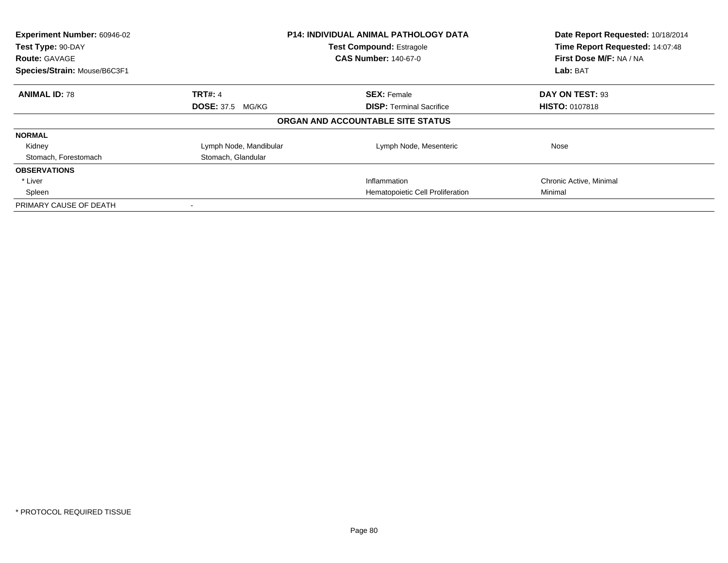| Experiment Number: 60946-02<br>Test Type: 90-DAY<br><b>Route: GAVAGE</b><br>Species/Strain: Mouse/B6C3F1 | <b>P14: INDIVIDUAL ANIMAL PATHOLOGY DATA</b><br><b>Test Compound: Estragole</b><br><b>CAS Number: 140-67-0</b> |                                   | Date Report Requested: 10/18/2014<br>Time Report Requested: 14:07:48<br>First Dose M/F: NA / NA<br>Lab: BAT |
|----------------------------------------------------------------------------------------------------------|----------------------------------------------------------------------------------------------------------------|-----------------------------------|-------------------------------------------------------------------------------------------------------------|
| <b>ANIMAL ID: 78</b>                                                                                     | <b>TRT#: 4</b>                                                                                                 | <b>SEX: Female</b>                | DAY ON TEST: 93                                                                                             |
|                                                                                                          | <b>DOSE: 37.5 MG/KG</b>                                                                                        | <b>DISP:</b> Terminal Sacrifice   | <b>HISTO: 0107818</b>                                                                                       |
|                                                                                                          |                                                                                                                | ORGAN AND ACCOUNTABLE SITE STATUS |                                                                                                             |
| <b>NORMAL</b>                                                                                            |                                                                                                                |                                   |                                                                                                             |
| Kidney                                                                                                   | Lymph Node, Mandibular                                                                                         | Lymph Node, Mesenteric            | Nose                                                                                                        |
| Stomach, Forestomach                                                                                     | Stomach, Glandular                                                                                             |                                   |                                                                                                             |
| <b>OBSERVATIONS</b>                                                                                      |                                                                                                                |                                   |                                                                                                             |
| * Liver                                                                                                  |                                                                                                                | Inflammation                      | Chronic Active, Minimal                                                                                     |
| Spleen                                                                                                   |                                                                                                                | Hematopoietic Cell Proliferation  | Minimal                                                                                                     |
| PRIMARY CAUSE OF DEATH                                                                                   |                                                                                                                |                                   |                                                                                                             |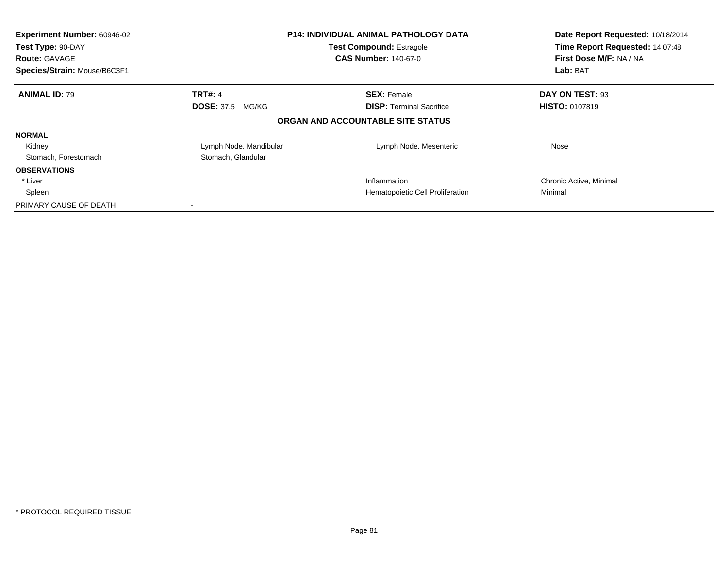| Experiment Number: 60946-02  |                                 | <b>P14: INDIVIDUAL ANIMAL PATHOLOGY DATA</b> | Date Report Requested: 10/18/2014<br>Time Report Requested: 14:07:48 |
|------------------------------|---------------------------------|----------------------------------------------|----------------------------------------------------------------------|
| Test Type: 90-DAY            | <b>Test Compound: Estragole</b> |                                              |                                                                      |
| <b>Route: GAVAGE</b>         |                                 | <b>CAS Number: 140-67-0</b>                  | First Dose M/F: NA / NA                                              |
| Species/Strain: Mouse/B6C3F1 |                                 |                                              | Lab: BAT                                                             |
| <b>ANIMAL ID: 79</b>         | <b>TRT#: 4</b>                  | <b>SEX: Female</b>                           | DAY ON TEST: 93                                                      |
|                              | <b>DOSE: 37.5 MG/KG</b>         | <b>DISP:</b> Terminal Sacrifice              | <b>HISTO: 0107819</b>                                                |
|                              |                                 | ORGAN AND ACCOUNTABLE SITE STATUS            |                                                                      |
| <b>NORMAL</b>                |                                 |                                              |                                                                      |
| Kidney                       | Lymph Node, Mandibular          | Lymph Node, Mesenteric                       | Nose                                                                 |
| Stomach, Forestomach         | Stomach, Glandular              |                                              |                                                                      |
| <b>OBSERVATIONS</b>          |                                 |                                              |                                                                      |
| * Liver                      |                                 | Inflammation                                 | Chronic Active, Minimal                                              |
| Spleen                       |                                 | Hematopoietic Cell Proliferation             | Minimal                                                              |
| PRIMARY CAUSE OF DEATH       |                                 |                                              |                                                                      |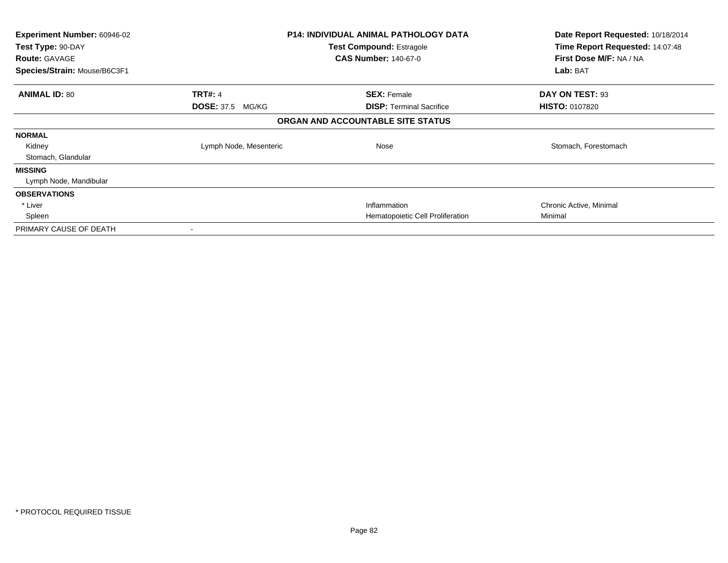| <b>Experiment Number: 60946-02</b><br>Test Type: 90-DAY |                         | <b>P14: INDIVIDUAL ANIMAL PATHOLOGY DATA</b><br><b>Test Compound: Estragole</b> | Date Report Requested: 10/18/2014<br>Time Report Requested: 14:07:48 |
|---------------------------------------------------------|-------------------------|---------------------------------------------------------------------------------|----------------------------------------------------------------------|
| <b>Route: GAVAGE</b>                                    |                         | <b>CAS Number: 140-67-0</b>                                                     | First Dose M/F: NA / NA                                              |
| Species/Strain: Mouse/B6C3F1                            |                         |                                                                                 | Lab: BAT                                                             |
| <b>ANIMAL ID: 80</b>                                    | <b>TRT#: 4</b>          | <b>SEX: Female</b>                                                              | DAY ON TEST: 93                                                      |
|                                                         | <b>DOSE: 37.5 MG/KG</b> | <b>DISP:</b> Terminal Sacrifice                                                 | <b>HISTO: 0107820</b>                                                |
|                                                         |                         | ORGAN AND ACCOUNTABLE SITE STATUS                                               |                                                                      |
| <b>NORMAL</b>                                           |                         |                                                                                 |                                                                      |
| Kidney                                                  | Lymph Node, Mesenteric  | Nose                                                                            | Stomach, Forestomach                                                 |
| Stomach, Glandular                                      |                         |                                                                                 |                                                                      |
| <b>MISSING</b>                                          |                         |                                                                                 |                                                                      |
| Lymph Node, Mandibular                                  |                         |                                                                                 |                                                                      |
| <b>OBSERVATIONS</b>                                     |                         |                                                                                 |                                                                      |
| * Liver                                                 |                         | Inflammation                                                                    | Chronic Active, Minimal                                              |
| Spleen                                                  |                         | Hematopoietic Cell Proliferation                                                | Minimal                                                              |
| PRIMARY CAUSE OF DEATH                                  | $\,$                    |                                                                                 |                                                                      |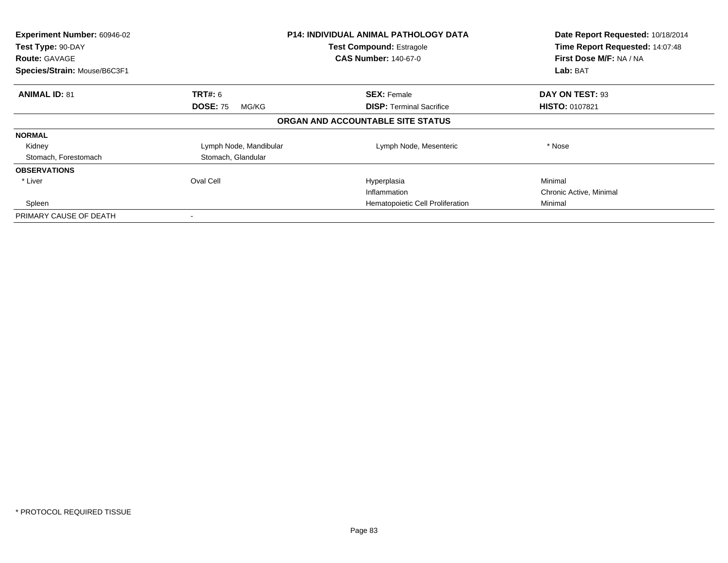| Experiment Number: 60946-02<br>Test Type: 90-DAY<br><b>Route: GAVAGE</b><br>Species/Strain: Mouse/B6C3F1 |                          | <b>P14: INDIVIDUAL ANIMAL PATHOLOGY DATA</b><br><b>Test Compound: Estragole</b><br><b>CAS Number: 140-67-0</b> | Date Report Requested: 10/18/2014<br>Time Report Requested: 14:07:48<br>First Dose M/F: NA / NA<br>Lab: BAT |
|----------------------------------------------------------------------------------------------------------|--------------------------|----------------------------------------------------------------------------------------------------------------|-------------------------------------------------------------------------------------------------------------|
| <b>ANIMAL ID: 81</b>                                                                                     | <b>TRT#: 6</b>           | <b>SEX: Female</b>                                                                                             | DAY ON TEST: 93                                                                                             |
|                                                                                                          | <b>DOSE: 75</b><br>MG/KG | <b>DISP:</b> Terminal Sacrifice                                                                                | <b>HISTO: 0107821</b>                                                                                       |
|                                                                                                          |                          | ORGAN AND ACCOUNTABLE SITE STATUS                                                                              |                                                                                                             |
| <b>NORMAL</b>                                                                                            |                          |                                                                                                                |                                                                                                             |
| Kidney                                                                                                   | Lymph Node, Mandibular   | Lymph Node, Mesenteric                                                                                         | * Nose                                                                                                      |
| Stomach, Forestomach                                                                                     | Stomach, Glandular       |                                                                                                                |                                                                                                             |
| <b>OBSERVATIONS</b>                                                                                      |                          |                                                                                                                |                                                                                                             |
| * Liver                                                                                                  | Oval Cell                | Hyperplasia                                                                                                    | Minimal                                                                                                     |
|                                                                                                          |                          | Inflammation                                                                                                   | Chronic Active, Minimal                                                                                     |
| Spleen                                                                                                   |                          | Hematopoietic Cell Proliferation                                                                               | Minimal                                                                                                     |
| PRIMARY CAUSE OF DEATH                                                                                   |                          |                                                                                                                |                                                                                                             |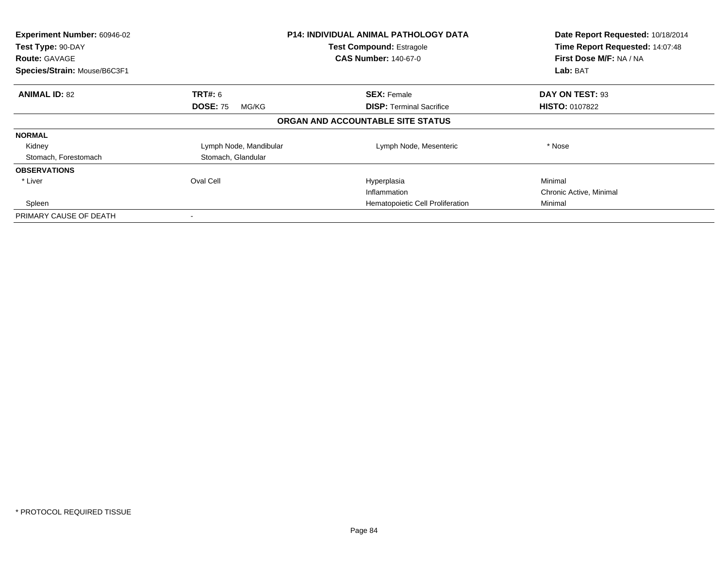| Experiment Number: 60946-02<br>Test Type: 90-DAY<br><b>Route: GAVAGE</b><br>Species/Strain: Mouse/B6C3F1 |                          | <b>P14: INDIVIDUAL ANIMAL PATHOLOGY DATA</b><br><b>Test Compound: Estragole</b><br><b>CAS Number: 140-67-0</b> | Date Report Requested: 10/18/2014<br>Time Report Requested: 14:07:48<br>First Dose M/F: NA / NA<br>Lab: BAT |
|----------------------------------------------------------------------------------------------------------|--------------------------|----------------------------------------------------------------------------------------------------------------|-------------------------------------------------------------------------------------------------------------|
| <b>ANIMAL ID: 82</b>                                                                                     | <b>TRT#: 6</b>           | <b>SEX: Female</b>                                                                                             | DAY ON TEST: 93                                                                                             |
|                                                                                                          | <b>DOSE: 75</b><br>MG/KG | <b>DISP:</b> Terminal Sacrifice                                                                                | <b>HISTO: 0107822</b>                                                                                       |
|                                                                                                          |                          | ORGAN AND ACCOUNTABLE SITE STATUS                                                                              |                                                                                                             |
| <b>NORMAL</b>                                                                                            |                          |                                                                                                                |                                                                                                             |
| Kidney                                                                                                   | Lymph Node, Mandibular   | Lymph Node, Mesenteric                                                                                         | * Nose                                                                                                      |
| Stomach, Forestomach                                                                                     | Stomach, Glandular       |                                                                                                                |                                                                                                             |
| <b>OBSERVATIONS</b>                                                                                      |                          |                                                                                                                |                                                                                                             |
| * Liver                                                                                                  | Oval Cell                | Hyperplasia                                                                                                    | Minimal                                                                                                     |
|                                                                                                          |                          | Inflammation                                                                                                   | Chronic Active, Minimal                                                                                     |
| Spleen                                                                                                   |                          | Hematopoietic Cell Proliferation                                                                               | Minimal                                                                                                     |
| PRIMARY CAUSE OF DEATH                                                                                   |                          |                                                                                                                |                                                                                                             |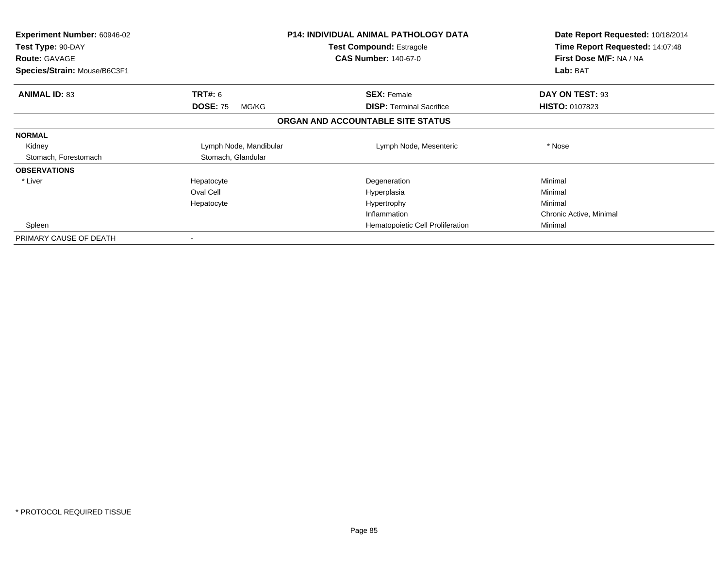| <b>Experiment Number: 60946-02</b><br>Test Type: 90-DAY<br><b>Route: GAVAGE</b><br>Species/Strain: Mouse/B6C3F1 |                          | <b>P14: INDIVIDUAL ANIMAL PATHOLOGY DATA</b><br><b>Test Compound: Estragole</b><br><b>CAS Number: 140-67-0</b> | Date Report Requested: 10/18/2014<br>Time Report Requested: 14:07:48<br>First Dose M/F: NA / NA<br>Lab: BAT |
|-----------------------------------------------------------------------------------------------------------------|--------------------------|----------------------------------------------------------------------------------------------------------------|-------------------------------------------------------------------------------------------------------------|
| <b>ANIMAL ID: 83</b>                                                                                            | <b>TRT#:</b> 6           | <b>SEX: Female</b>                                                                                             | DAY ON TEST: 93                                                                                             |
|                                                                                                                 | <b>DOSE: 75</b><br>MG/KG | <b>DISP:</b> Terminal Sacrifice                                                                                | <b>HISTO: 0107823</b>                                                                                       |
|                                                                                                                 |                          | ORGAN AND ACCOUNTABLE SITE STATUS                                                                              |                                                                                                             |
| <b>NORMAL</b>                                                                                                   |                          |                                                                                                                |                                                                                                             |
| Kidney                                                                                                          | Lymph Node, Mandibular   | Lymph Node, Mesenteric                                                                                         | * Nose                                                                                                      |
| Stomach, Forestomach                                                                                            | Stomach, Glandular       |                                                                                                                |                                                                                                             |
| <b>OBSERVATIONS</b>                                                                                             |                          |                                                                                                                |                                                                                                             |
| * Liver                                                                                                         | Hepatocyte               | Degeneration                                                                                                   | Minimal                                                                                                     |
|                                                                                                                 | Oval Cell                | Hyperplasia                                                                                                    | Minimal                                                                                                     |
|                                                                                                                 | Hepatocyte               | Hypertrophy                                                                                                    | Minimal                                                                                                     |
|                                                                                                                 |                          | Inflammation                                                                                                   | Chronic Active, Minimal                                                                                     |
| Spleen                                                                                                          |                          | Hematopoietic Cell Proliferation                                                                               | Minimal                                                                                                     |
| PRIMARY CAUSE OF DEATH                                                                                          |                          |                                                                                                                |                                                                                                             |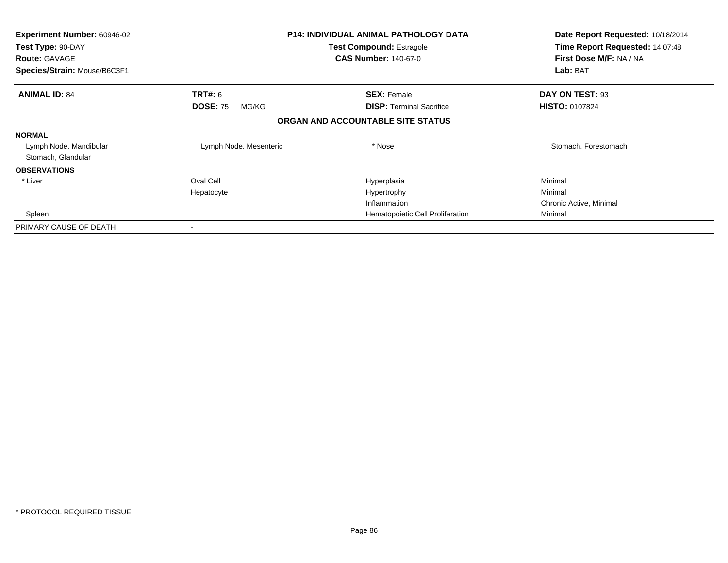| <b>Experiment Number: 60946-02</b> |                          | <b>P14: INDIVIDUAL ANIMAL PATHOLOGY DATA</b> | Date Report Requested: 10/18/2014<br>Time Report Requested: 14:07:48 |
|------------------------------------|--------------------------|----------------------------------------------|----------------------------------------------------------------------|
| Test Type: 90-DAY                  |                          | <b>Test Compound: Estragole</b>              |                                                                      |
| <b>Route: GAVAGE</b>               |                          | <b>CAS Number: 140-67-0</b>                  | First Dose M/F: NA / NA                                              |
| Species/Strain: Mouse/B6C3F1       |                          |                                              | Lab: BAT                                                             |
| <b>ANIMAL ID: 84</b>               | <b>TRT#: 6</b>           | <b>SEX: Female</b>                           | DAY ON TEST: 93                                                      |
|                                    | <b>DOSE: 75</b><br>MG/KG | <b>DISP:</b> Terminal Sacrifice              | <b>HISTO: 0107824</b>                                                |
|                                    |                          | ORGAN AND ACCOUNTABLE SITE STATUS            |                                                                      |
| <b>NORMAL</b>                      |                          |                                              |                                                                      |
| Lymph Node, Mandibular             | Lymph Node, Mesenteric   | * Nose                                       | Stomach, Forestomach                                                 |
| Stomach, Glandular                 |                          |                                              |                                                                      |
| <b>OBSERVATIONS</b>                |                          |                                              |                                                                      |
| * Liver                            | Oval Cell                | Hyperplasia                                  | Minimal                                                              |
|                                    | Hepatocyte               | Hypertrophy                                  | Minimal                                                              |
|                                    |                          | Inflammation                                 | Chronic Active, Minimal                                              |
| Spleen                             |                          | Hematopoietic Cell Proliferation             | Minimal                                                              |
| PRIMARY CAUSE OF DEATH             |                          |                                              |                                                                      |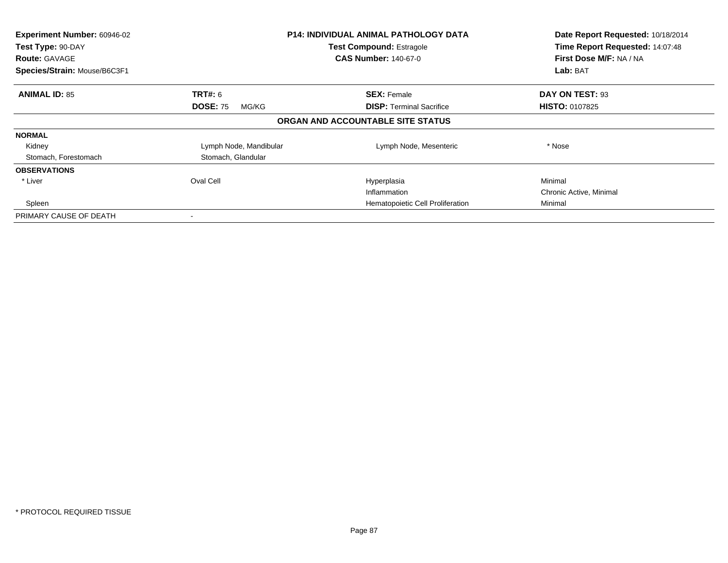| Experiment Number: 60946-02<br>Test Type: 90-DAY<br><b>Route: GAVAGE</b><br>Species/Strain: Mouse/B6C3F1 |                          | <b>P14: INDIVIDUAL ANIMAL PATHOLOGY DATA</b><br><b>Test Compound: Estragole</b><br><b>CAS Number: 140-67-0</b> | Date Report Requested: 10/18/2014<br>Time Report Requested: 14:07:48<br>First Dose M/F: NA / NA<br>Lab: BAT |
|----------------------------------------------------------------------------------------------------------|--------------------------|----------------------------------------------------------------------------------------------------------------|-------------------------------------------------------------------------------------------------------------|
| <b>ANIMAL ID: 85</b>                                                                                     | <b>TRT#: 6</b>           | <b>SEX: Female</b>                                                                                             | DAY ON TEST: 93                                                                                             |
|                                                                                                          | <b>DOSE: 75</b><br>MG/KG | <b>DISP:</b> Terminal Sacrifice                                                                                | <b>HISTO: 0107825</b>                                                                                       |
|                                                                                                          |                          | ORGAN AND ACCOUNTABLE SITE STATUS                                                                              |                                                                                                             |
| <b>NORMAL</b>                                                                                            |                          |                                                                                                                |                                                                                                             |
| Kidney                                                                                                   | Lymph Node, Mandibular   | Lymph Node, Mesenteric                                                                                         | * Nose                                                                                                      |
| Stomach, Forestomach                                                                                     | Stomach, Glandular       |                                                                                                                |                                                                                                             |
| <b>OBSERVATIONS</b>                                                                                      |                          |                                                                                                                |                                                                                                             |
| * Liver                                                                                                  | Oval Cell                | Hyperplasia                                                                                                    | Minimal                                                                                                     |
|                                                                                                          |                          | Inflammation                                                                                                   | Chronic Active, Minimal                                                                                     |
| Spleen                                                                                                   |                          | Hematopoietic Cell Proliferation                                                                               | Minimal                                                                                                     |
| PRIMARY CAUSE OF DEATH                                                                                   |                          |                                                                                                                |                                                                                                             |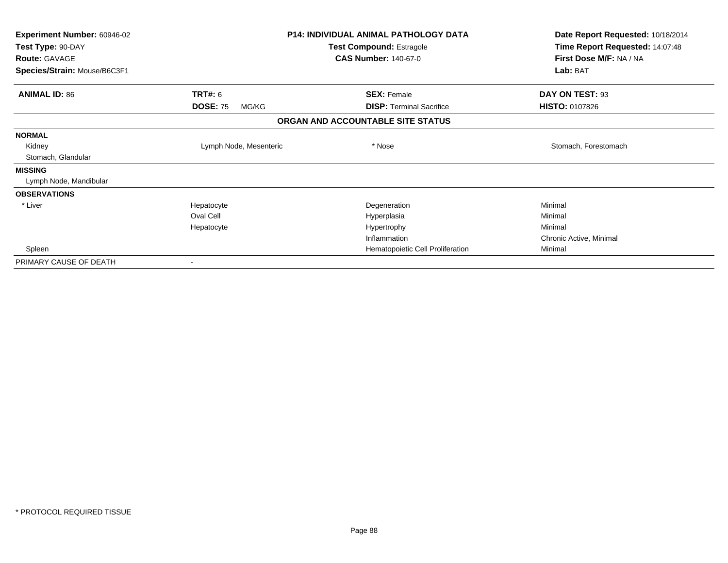| <b>Experiment Number: 60946-02</b> |                          | <b>P14: INDIVIDUAL ANIMAL PATHOLOGY DATA</b> | Date Report Requested: 10/18/2014 |
|------------------------------------|--------------------------|----------------------------------------------|-----------------------------------|
| Test Type: 90-DAY                  |                          | Test Compound: Estragole                     | Time Report Requested: 14:07:48   |
| <b>Route: GAVAGE</b>               |                          | <b>CAS Number: 140-67-0</b>                  | First Dose M/F: NA / NA           |
| Species/Strain: Mouse/B6C3F1       |                          |                                              | Lab: BAT                          |
| <b>ANIMAL ID: 86</b>               | <b>TRT#: 6</b>           | <b>SEX: Female</b>                           | DAY ON TEST: 93                   |
|                                    | <b>DOSE: 75</b><br>MG/KG | <b>DISP:</b> Terminal Sacrifice              | <b>HISTO: 0107826</b>             |
|                                    |                          | ORGAN AND ACCOUNTABLE SITE STATUS            |                                   |
| <b>NORMAL</b>                      |                          |                                              |                                   |
| Kidney                             | Lymph Node, Mesenteric   | * Nose                                       | Stomach, Forestomach              |
| Stomach, Glandular                 |                          |                                              |                                   |
| <b>MISSING</b>                     |                          |                                              |                                   |
| Lymph Node, Mandibular             |                          |                                              |                                   |
| <b>OBSERVATIONS</b>                |                          |                                              |                                   |
| * Liver                            | Hepatocyte               | Degeneration                                 | Minimal                           |
|                                    | Oval Cell                | Hyperplasia                                  | Minimal                           |
|                                    | Hepatocyte               | Hypertrophy                                  | Minimal                           |
|                                    |                          | Inflammation                                 | Chronic Active, Minimal           |
| Spleen                             |                          | Hematopoietic Cell Proliferation             | Minimal                           |
| PRIMARY CAUSE OF DEATH             |                          |                                              |                                   |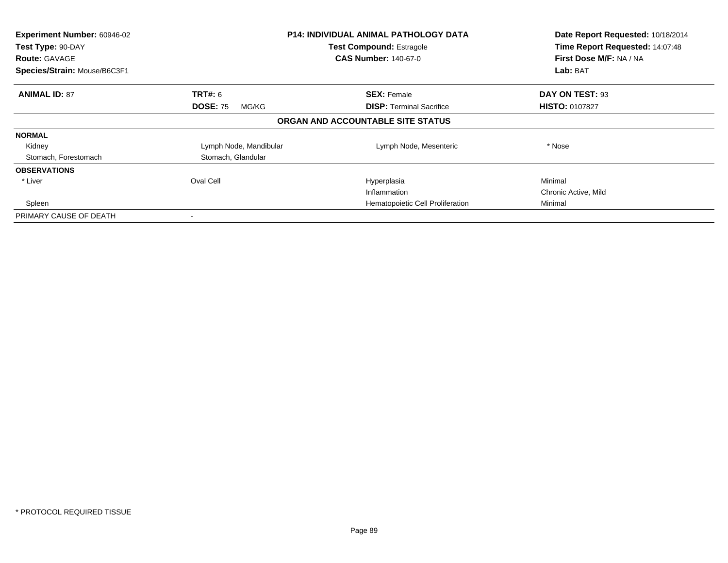| Experiment Number: 60946-02<br>Test Type: 90-DAY<br><b>Route: GAVAGE</b><br>Species/Strain: Mouse/B6C3F1 |                          | <b>P14: INDIVIDUAL ANIMAL PATHOLOGY DATA</b><br><b>Test Compound: Estragole</b><br><b>CAS Number: 140-67-0</b> | Date Report Requested: 10/18/2014<br>Time Report Requested: 14:07:48<br>First Dose M/F: NA / NA<br>Lab: BAT |
|----------------------------------------------------------------------------------------------------------|--------------------------|----------------------------------------------------------------------------------------------------------------|-------------------------------------------------------------------------------------------------------------|
| <b>ANIMAL ID: 87</b>                                                                                     | <b>TRT#: 6</b>           | <b>SEX: Female</b>                                                                                             | DAY ON TEST: 93                                                                                             |
|                                                                                                          | <b>DOSE: 75</b><br>MG/KG | <b>DISP:</b> Terminal Sacrifice                                                                                | <b>HISTO: 0107827</b>                                                                                       |
|                                                                                                          |                          | ORGAN AND ACCOUNTABLE SITE STATUS                                                                              |                                                                                                             |
| <b>NORMAL</b>                                                                                            |                          |                                                                                                                |                                                                                                             |
| Kidney                                                                                                   | Lymph Node, Mandibular   | Lymph Node, Mesenteric                                                                                         | * Nose                                                                                                      |
| Stomach, Forestomach                                                                                     | Stomach, Glandular       |                                                                                                                |                                                                                                             |
| <b>OBSERVATIONS</b>                                                                                      |                          |                                                                                                                |                                                                                                             |
| * Liver                                                                                                  | Oval Cell                | Hyperplasia                                                                                                    | Minimal                                                                                                     |
|                                                                                                          |                          | Inflammation                                                                                                   | Chronic Active, Mild                                                                                        |
| Spleen                                                                                                   |                          | Hematopoietic Cell Proliferation                                                                               | Minimal                                                                                                     |
| PRIMARY CAUSE OF DEATH                                                                                   |                          |                                                                                                                |                                                                                                             |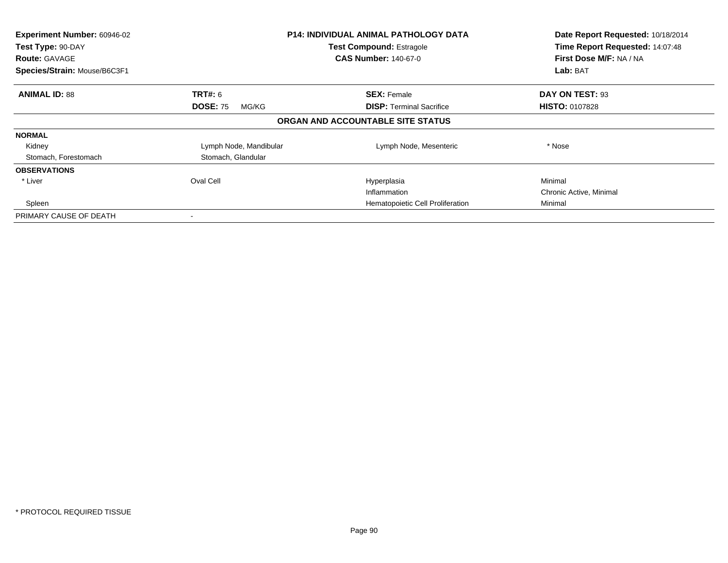| Experiment Number: 60946-02<br>Test Type: 90-DAY<br><b>Route: GAVAGE</b><br>Species/Strain: Mouse/B6C3F1 |                          | <b>P14: INDIVIDUAL ANIMAL PATHOLOGY DATA</b><br><b>Test Compound: Estragole</b><br><b>CAS Number: 140-67-0</b> | Date Report Requested: 10/18/2014<br>Time Report Requested: 14:07:48<br>First Dose M/F: NA / NA<br>Lab: BAT |
|----------------------------------------------------------------------------------------------------------|--------------------------|----------------------------------------------------------------------------------------------------------------|-------------------------------------------------------------------------------------------------------------|
| <b>ANIMAL ID: 88</b>                                                                                     | <b>TRT#: 6</b>           | <b>SEX: Female</b>                                                                                             | DAY ON TEST: 93                                                                                             |
|                                                                                                          | <b>DOSE: 75</b><br>MG/KG | <b>DISP:</b> Terminal Sacrifice                                                                                | <b>HISTO: 0107828</b>                                                                                       |
|                                                                                                          |                          | ORGAN AND ACCOUNTABLE SITE STATUS                                                                              |                                                                                                             |
| <b>NORMAL</b>                                                                                            |                          |                                                                                                                |                                                                                                             |
| Kidney                                                                                                   | Lymph Node, Mandibular   | Lymph Node, Mesenteric                                                                                         | * Nose                                                                                                      |
| Stomach, Forestomach                                                                                     | Stomach, Glandular       |                                                                                                                |                                                                                                             |
| <b>OBSERVATIONS</b>                                                                                      |                          |                                                                                                                |                                                                                                             |
| * Liver                                                                                                  | Oval Cell                | Hyperplasia                                                                                                    | Minimal                                                                                                     |
|                                                                                                          |                          | Inflammation                                                                                                   | Chronic Active, Minimal                                                                                     |
| Spleen                                                                                                   |                          | Hematopoietic Cell Proliferation                                                                               | Minimal                                                                                                     |
| PRIMARY CAUSE OF DEATH                                                                                   |                          |                                                                                                                |                                                                                                             |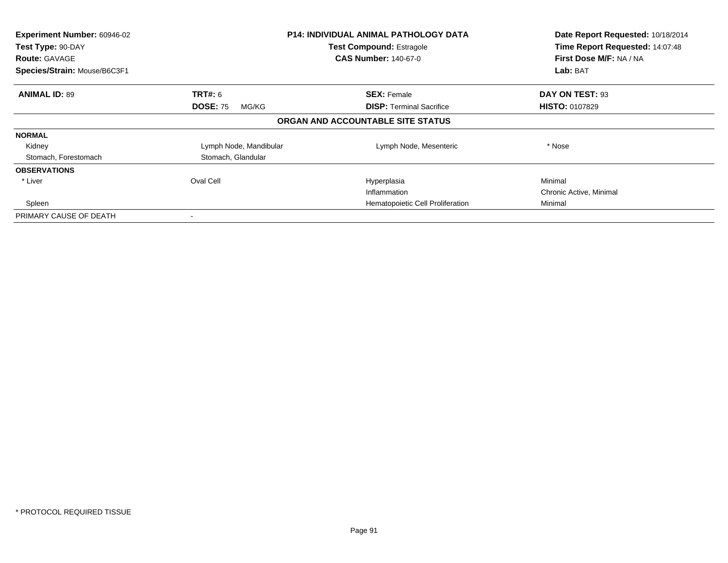| Experiment Number: 60946-02<br>Test Type: 90-DAY<br><b>Route: GAVAGE</b><br>Species/Strain: Mouse/B6C3F1 |                          | <b>P14: INDIVIDUAL ANIMAL PATHOLOGY DATA</b><br><b>Test Compound: Estragole</b><br><b>CAS Number: 140-67-0</b> | Date Report Requested: 10/18/2014<br>Time Report Requested: 14:07:48<br>First Dose M/F: NA / NA<br>Lab: BAT |
|----------------------------------------------------------------------------------------------------------|--------------------------|----------------------------------------------------------------------------------------------------------------|-------------------------------------------------------------------------------------------------------------|
| <b>ANIMAL ID: 89</b>                                                                                     | <b>TRT#: 6</b>           | <b>SEX: Female</b>                                                                                             | DAY ON TEST: 93                                                                                             |
|                                                                                                          | <b>DOSE: 75</b><br>MG/KG | <b>DISP:</b> Terminal Sacrifice                                                                                | <b>HISTO: 0107829</b>                                                                                       |
|                                                                                                          |                          | ORGAN AND ACCOUNTABLE SITE STATUS                                                                              |                                                                                                             |
| <b>NORMAL</b>                                                                                            |                          |                                                                                                                |                                                                                                             |
| Kidney                                                                                                   | Lymph Node, Mandibular   | Lymph Node, Mesenteric                                                                                         | * Nose                                                                                                      |
| Stomach, Forestomach                                                                                     | Stomach, Glandular       |                                                                                                                |                                                                                                             |
| <b>OBSERVATIONS</b>                                                                                      |                          |                                                                                                                |                                                                                                             |
| * Liver                                                                                                  | Oval Cell                | Hyperplasia                                                                                                    | Minimal                                                                                                     |
|                                                                                                          |                          | Inflammation                                                                                                   | Chronic Active, Minimal                                                                                     |
| Spleen                                                                                                   |                          | Hematopoietic Cell Proliferation                                                                               | Minimal                                                                                                     |
| PRIMARY CAUSE OF DEATH                                                                                   |                          |                                                                                                                |                                                                                                             |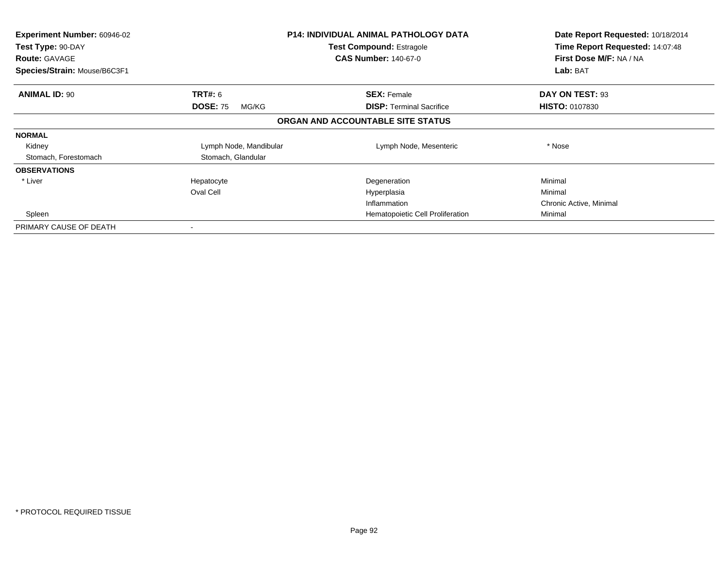| <b>Experiment Number: 60946-02</b><br>Test Type: 90-DAY<br><b>Route: GAVAGE</b> |                          | <b>P14: INDIVIDUAL ANIMAL PATHOLOGY DATA</b><br><b>Test Compound: Estragole</b><br><b>CAS Number: 140-67-0</b> | Date Report Requested: 10/18/2014<br>Time Report Requested: 14:07:48<br>First Dose M/F: NA / NA |
|---------------------------------------------------------------------------------|--------------------------|----------------------------------------------------------------------------------------------------------------|-------------------------------------------------------------------------------------------------|
| Species/Strain: Mouse/B6C3F1                                                    |                          |                                                                                                                | Lab: BAT                                                                                        |
| <b>ANIMAL ID: 90</b>                                                            | <b>TRT#: 6</b>           | <b>SEX: Female</b>                                                                                             | DAY ON TEST: 93                                                                                 |
|                                                                                 | <b>DOSE: 75</b><br>MG/KG | <b>DISP: Terminal Sacrifice</b>                                                                                | <b>HISTO: 0107830</b>                                                                           |
|                                                                                 |                          | ORGAN AND ACCOUNTABLE SITE STATUS                                                                              |                                                                                                 |
| <b>NORMAL</b>                                                                   |                          |                                                                                                                |                                                                                                 |
| Kidney                                                                          | Lymph Node, Mandibular   | Lymph Node, Mesenteric                                                                                         | * Nose                                                                                          |
| Stomach, Forestomach                                                            | Stomach, Glandular       |                                                                                                                |                                                                                                 |
| <b>OBSERVATIONS</b>                                                             |                          |                                                                                                                |                                                                                                 |
| * Liver                                                                         | Hepatocyte               | Degeneration                                                                                                   | Minimal                                                                                         |
|                                                                                 | Oval Cell                | Hyperplasia                                                                                                    | Minimal                                                                                         |
|                                                                                 |                          | Inflammation                                                                                                   | Chronic Active, Minimal                                                                         |
| Spleen                                                                          |                          | Hematopoietic Cell Proliferation                                                                               | Minimal                                                                                         |
| PRIMARY CAUSE OF DEATH                                                          |                          |                                                                                                                |                                                                                                 |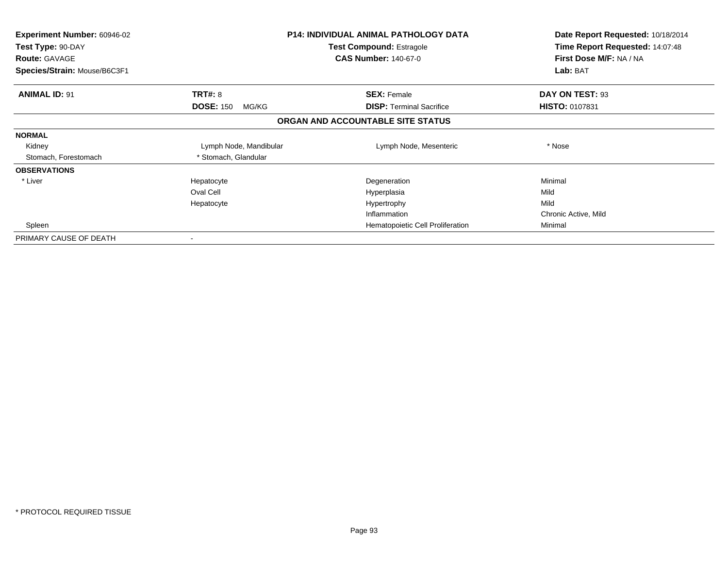| <b>Experiment Number: 60946-02</b><br>Test Type: 90-DAY<br><b>Route: GAVAGE</b><br>Species/Strain: Mouse/B6C3F1 |                           | <b>P14: INDIVIDUAL ANIMAL PATHOLOGY DATA</b><br><b>Test Compound: Estragole</b><br><b>CAS Number: 140-67-0</b> | Date Report Requested: 10/18/2014<br>Time Report Requested: 14:07:48<br>First Dose M/F: NA / NA<br>Lab: BAT |
|-----------------------------------------------------------------------------------------------------------------|---------------------------|----------------------------------------------------------------------------------------------------------------|-------------------------------------------------------------------------------------------------------------|
| <b>ANIMAL ID: 91</b>                                                                                            | <b>TRT#: 8</b>            | <b>SEX: Female</b>                                                                                             | DAY ON TEST: 93                                                                                             |
|                                                                                                                 | <b>DOSE: 150</b><br>MG/KG | <b>DISP:</b> Terminal Sacrifice                                                                                | <b>HISTO: 0107831</b>                                                                                       |
|                                                                                                                 |                           | ORGAN AND ACCOUNTABLE SITE STATUS                                                                              |                                                                                                             |
| <b>NORMAL</b>                                                                                                   |                           |                                                                                                                |                                                                                                             |
| Kidney                                                                                                          | Lymph Node, Mandibular    | Lymph Node, Mesenteric                                                                                         | * Nose                                                                                                      |
| Stomach, Forestomach                                                                                            | * Stomach, Glandular      |                                                                                                                |                                                                                                             |
| <b>OBSERVATIONS</b>                                                                                             |                           |                                                                                                                |                                                                                                             |
| * Liver                                                                                                         | Hepatocyte                | Degeneration                                                                                                   | Minimal                                                                                                     |
|                                                                                                                 | Oval Cell                 | Hyperplasia                                                                                                    | Mild                                                                                                        |
|                                                                                                                 | Hepatocyte                | Hypertrophy                                                                                                    | Mild                                                                                                        |
|                                                                                                                 |                           | Inflammation                                                                                                   | Chronic Active, Mild                                                                                        |
| Spleen                                                                                                          |                           | Hematopoietic Cell Proliferation                                                                               | Minimal                                                                                                     |
| PRIMARY CAUSE OF DEATH                                                                                          |                           |                                                                                                                |                                                                                                             |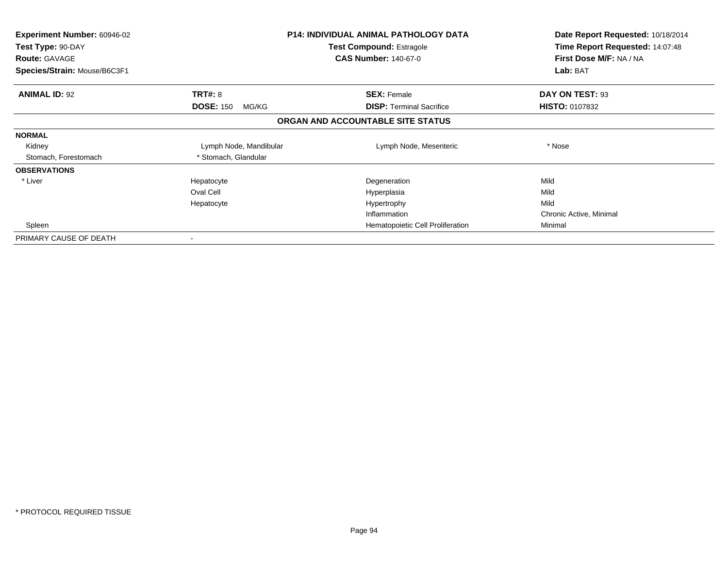| <b>Experiment Number: 60946-02</b><br>Test Type: 90-DAY<br><b>Route: GAVAGE</b><br>Species/Strain: Mouse/B6C3F1 |                           | <b>P14: INDIVIDUAL ANIMAL PATHOLOGY DATA</b><br><b>Test Compound: Estragole</b><br><b>CAS Number: 140-67-0</b> | Date Report Requested: 10/18/2014<br>Time Report Requested: 14:07:48<br>First Dose M/F: NA / NA<br>Lab: BAT |
|-----------------------------------------------------------------------------------------------------------------|---------------------------|----------------------------------------------------------------------------------------------------------------|-------------------------------------------------------------------------------------------------------------|
| <b>ANIMAL ID: 92</b>                                                                                            | <b>TRT#: 8</b>            | <b>SEX: Female</b>                                                                                             | DAY ON TEST: 93                                                                                             |
|                                                                                                                 | <b>DOSE: 150</b><br>MG/KG | <b>DISP:</b> Terminal Sacrifice                                                                                | <b>HISTO: 0107832</b>                                                                                       |
|                                                                                                                 |                           | ORGAN AND ACCOUNTABLE SITE STATUS                                                                              |                                                                                                             |
| <b>NORMAL</b>                                                                                                   |                           |                                                                                                                |                                                                                                             |
| Kidney                                                                                                          | Lymph Node, Mandibular    | Lymph Node, Mesenteric                                                                                         | * Nose                                                                                                      |
| Stomach, Forestomach                                                                                            | * Stomach, Glandular      |                                                                                                                |                                                                                                             |
| <b>OBSERVATIONS</b>                                                                                             |                           |                                                                                                                |                                                                                                             |
| * Liver                                                                                                         | Hepatocyte                | Degeneration                                                                                                   | Mild                                                                                                        |
|                                                                                                                 | Oval Cell                 | Hyperplasia                                                                                                    | Mild                                                                                                        |
|                                                                                                                 | Hepatocyte                | Hypertrophy                                                                                                    | Mild                                                                                                        |
|                                                                                                                 |                           | Inflammation                                                                                                   | Chronic Active, Minimal                                                                                     |
| Spleen                                                                                                          |                           | Hematopoietic Cell Proliferation                                                                               | Minimal                                                                                                     |
| PRIMARY CAUSE OF DEATH                                                                                          |                           |                                                                                                                |                                                                                                             |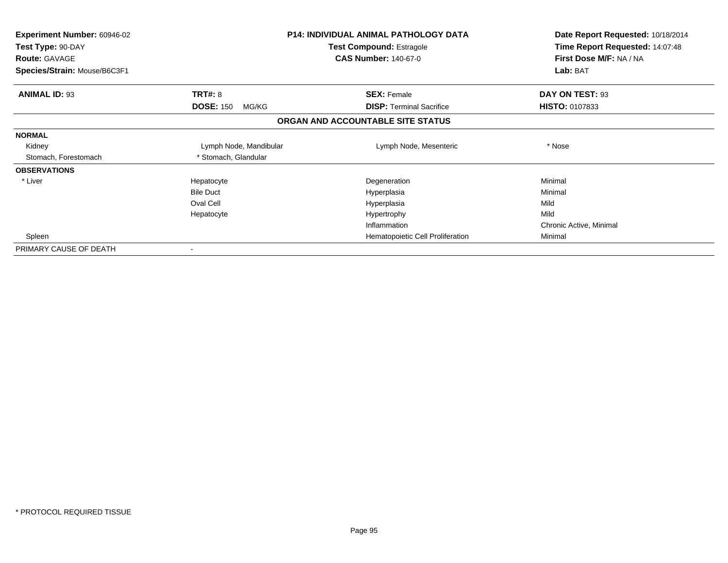| <b>Experiment Number: 60946-02</b><br>Test Type: 90-DAY<br><b>Route: GAVAGE</b><br>Species/Strain: Mouse/B6C3F1 |                           | <b>P14: INDIVIDUAL ANIMAL PATHOLOGY DATA</b><br><b>Test Compound: Estragole</b><br><b>CAS Number: 140-67-0</b> | Date Report Requested: 10/18/2014<br>Time Report Requested: 14:07:48<br>First Dose M/F: NA / NA<br>Lab: BAT |
|-----------------------------------------------------------------------------------------------------------------|---------------------------|----------------------------------------------------------------------------------------------------------------|-------------------------------------------------------------------------------------------------------------|
| <b>ANIMAL ID: 93</b>                                                                                            | TRT#: 8                   | <b>SEX: Female</b>                                                                                             | DAY ON TEST: 93                                                                                             |
|                                                                                                                 | <b>DOSE: 150</b><br>MG/KG | <b>DISP:</b> Terminal Sacrifice                                                                                | <b>HISTO: 0107833</b>                                                                                       |
|                                                                                                                 |                           | ORGAN AND ACCOUNTABLE SITE STATUS                                                                              |                                                                                                             |
| <b>NORMAL</b>                                                                                                   |                           |                                                                                                                |                                                                                                             |
| Kidney                                                                                                          | Lymph Node, Mandibular    | Lymph Node, Mesenteric                                                                                         | * Nose                                                                                                      |
| Stomach, Forestomach                                                                                            | * Stomach, Glandular      |                                                                                                                |                                                                                                             |
| <b>OBSERVATIONS</b>                                                                                             |                           |                                                                                                                |                                                                                                             |
| * Liver                                                                                                         | Hepatocyte                | Degeneration                                                                                                   | Minimal                                                                                                     |
|                                                                                                                 | <b>Bile Duct</b>          | Hyperplasia                                                                                                    | Minimal                                                                                                     |
|                                                                                                                 | Oval Cell                 | Hyperplasia                                                                                                    | Mild                                                                                                        |
|                                                                                                                 | Hepatocyte                | Hypertrophy                                                                                                    | Mild                                                                                                        |
|                                                                                                                 |                           | Inflammation                                                                                                   | Chronic Active, Minimal                                                                                     |
| Spleen                                                                                                          |                           | Hematopoietic Cell Proliferation                                                                               | Minimal                                                                                                     |
| PRIMARY CAUSE OF DEATH                                                                                          |                           |                                                                                                                |                                                                                                             |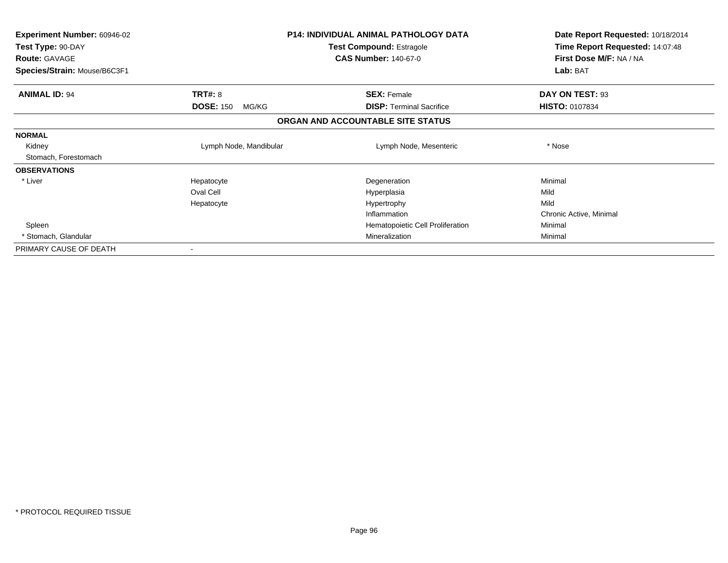| <b>Experiment Number: 60946-02</b><br>Test Type: 90-DAY<br><b>Route: GAVAGE</b> | <b>P14: INDIVIDUAL ANIMAL PATHOLOGY DATA</b><br>Test Compound: Estragole<br><b>CAS Number: 140-67-0</b> |                                   | Date Report Requested: 10/18/2014<br>Time Report Requested: 14:07:48<br>First Dose M/F: NA / NA |
|---------------------------------------------------------------------------------|---------------------------------------------------------------------------------------------------------|-----------------------------------|-------------------------------------------------------------------------------------------------|
| Species/Strain: Mouse/B6C3F1                                                    |                                                                                                         |                                   | Lab: BAT                                                                                        |
| <b>ANIMAL ID: 94</b>                                                            | <b>TRT#: 8</b>                                                                                          | <b>SEX: Female</b>                | DAY ON TEST: 93                                                                                 |
|                                                                                 | <b>DOSE: 150</b><br>MG/KG                                                                               | <b>DISP:</b> Terminal Sacrifice   | <b>HISTO: 0107834</b>                                                                           |
|                                                                                 |                                                                                                         | ORGAN AND ACCOUNTABLE SITE STATUS |                                                                                                 |
| <b>NORMAL</b>                                                                   |                                                                                                         |                                   |                                                                                                 |
| Kidney                                                                          | Lymph Node, Mandibular                                                                                  | Lymph Node, Mesenteric            | * Nose                                                                                          |
| Stomach, Forestomach                                                            |                                                                                                         |                                   |                                                                                                 |
| <b>OBSERVATIONS</b>                                                             |                                                                                                         |                                   |                                                                                                 |
| * Liver                                                                         | Hepatocyte                                                                                              | Degeneration                      | Minimal                                                                                         |
|                                                                                 | Oval Cell                                                                                               | Hyperplasia                       | Mild                                                                                            |
|                                                                                 | Hepatocyte                                                                                              | Hypertrophy                       | Mild                                                                                            |
|                                                                                 |                                                                                                         | Inflammation                      | Chronic Active, Minimal                                                                         |
| Spleen                                                                          |                                                                                                         | Hematopoietic Cell Proliferation  | Minimal                                                                                         |
| * Stomach, Glandular                                                            |                                                                                                         | Mineralization                    | Minimal                                                                                         |
| PRIMARY CAUSE OF DEATH                                                          |                                                                                                         |                                   |                                                                                                 |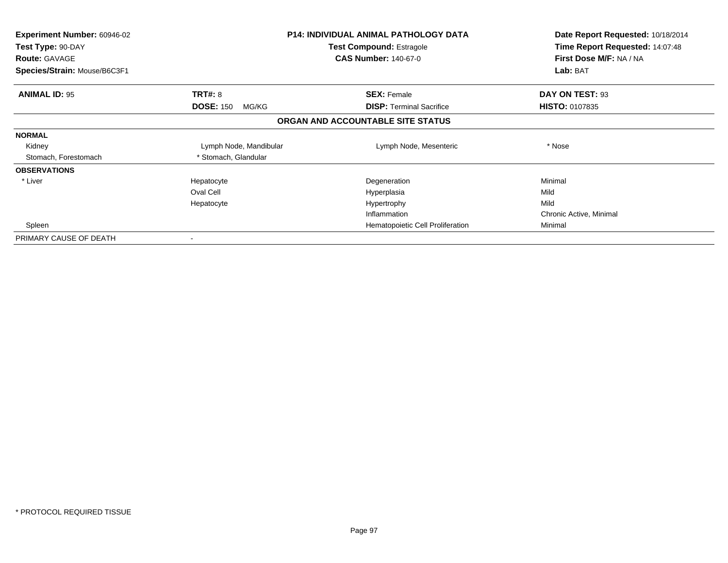| Experiment Number: 60946-02<br>Test Type: 90-DAY<br><b>Route: GAVAGE</b><br>Species/Strain: Mouse/B6C3F1 |                           | <b>P14: INDIVIDUAL ANIMAL PATHOLOGY DATA</b><br><b>Test Compound: Estragole</b><br><b>CAS Number: 140-67-0</b> | Date Report Requested: 10/18/2014<br>Time Report Requested: 14:07:48<br>First Dose M/F: NA / NA<br>Lab: BAT |
|----------------------------------------------------------------------------------------------------------|---------------------------|----------------------------------------------------------------------------------------------------------------|-------------------------------------------------------------------------------------------------------------|
| <b>ANIMAL ID: 95</b>                                                                                     | <b>TRT#: 8</b>            | <b>SEX: Female</b>                                                                                             | DAY ON TEST: 93                                                                                             |
|                                                                                                          | <b>DOSE: 150</b><br>MG/KG | <b>DISP:</b> Terminal Sacrifice                                                                                | <b>HISTO: 0107835</b>                                                                                       |
|                                                                                                          |                           | ORGAN AND ACCOUNTABLE SITE STATUS                                                                              |                                                                                                             |
| <b>NORMAL</b>                                                                                            |                           |                                                                                                                |                                                                                                             |
| Kidney                                                                                                   | Lymph Node, Mandibular    | Lymph Node, Mesenteric                                                                                         | * Nose                                                                                                      |
| Stomach, Forestomach                                                                                     | * Stomach, Glandular      |                                                                                                                |                                                                                                             |
| <b>OBSERVATIONS</b>                                                                                      |                           |                                                                                                                |                                                                                                             |
| * Liver                                                                                                  | Hepatocyte                | Degeneration                                                                                                   | Minimal                                                                                                     |
|                                                                                                          | Oval Cell                 | Hyperplasia                                                                                                    | Mild                                                                                                        |
|                                                                                                          | Hepatocyte                | Hypertrophy                                                                                                    | Mild                                                                                                        |
|                                                                                                          |                           | Inflammation                                                                                                   | Chronic Active, Minimal                                                                                     |
| Spleen                                                                                                   |                           | Hematopoietic Cell Proliferation                                                                               | Minimal                                                                                                     |
| PRIMARY CAUSE OF DEATH                                                                                   |                           |                                                                                                                |                                                                                                             |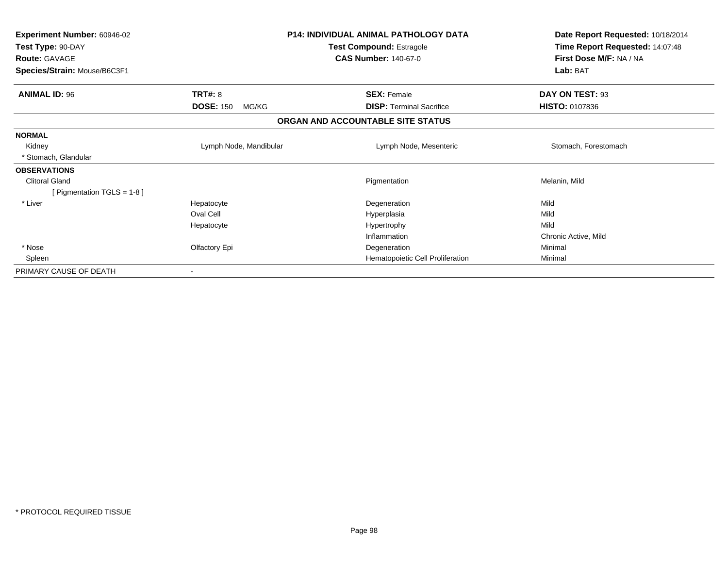| <b>Experiment Number: 60946-02</b><br>Test Type: 90-DAY<br><b>Route: GAVAGE</b><br>Species/Strain: Mouse/B6C3F1 |                           | <b>P14: INDIVIDUAL ANIMAL PATHOLOGY DATA</b><br>Test Compound: Estragole<br><b>CAS Number: 140-67-0</b> | Date Report Requested: 10/18/2014<br>Time Report Requested: 14:07:48<br>First Dose M/F: NA / NA<br>Lab: BAT |
|-----------------------------------------------------------------------------------------------------------------|---------------------------|---------------------------------------------------------------------------------------------------------|-------------------------------------------------------------------------------------------------------------|
| <b>ANIMAL ID: 96</b>                                                                                            | <b>TRT#: 8</b>            | <b>SEX: Female</b>                                                                                      | DAY ON TEST: 93                                                                                             |
|                                                                                                                 | <b>DOSE: 150</b><br>MG/KG | <b>DISP:</b> Terminal Sacrifice                                                                         | <b>HISTO: 0107836</b>                                                                                       |
|                                                                                                                 |                           | ORGAN AND ACCOUNTABLE SITE STATUS                                                                       |                                                                                                             |
| <b>NORMAL</b>                                                                                                   |                           |                                                                                                         |                                                                                                             |
| Kidney                                                                                                          | Lymph Node, Mandibular    | Lymph Node, Mesenteric                                                                                  | Stomach, Forestomach                                                                                        |
| * Stomach, Glandular                                                                                            |                           |                                                                                                         |                                                                                                             |
| <b>OBSERVATIONS</b>                                                                                             |                           |                                                                                                         |                                                                                                             |
| <b>Clitoral Gland</b>                                                                                           |                           | Pigmentation                                                                                            | Melanin, Mild                                                                                               |
| [ Pigmentation TGLS = $1-8$ ]                                                                                   |                           |                                                                                                         |                                                                                                             |
| * Liver                                                                                                         | Hepatocyte                | Degeneration                                                                                            | Mild                                                                                                        |
|                                                                                                                 | Oval Cell                 | Hyperplasia                                                                                             | Mild                                                                                                        |
|                                                                                                                 | Hepatocyte                | Hypertrophy                                                                                             | Mild                                                                                                        |
|                                                                                                                 |                           | Inflammation                                                                                            | Chronic Active, Mild                                                                                        |
| * Nose                                                                                                          | Olfactory Epi             | Degeneration                                                                                            | Minimal                                                                                                     |
| Spleen                                                                                                          |                           | Hematopoietic Cell Proliferation                                                                        | Minimal                                                                                                     |
| PRIMARY CAUSE OF DEATH                                                                                          |                           |                                                                                                         |                                                                                                             |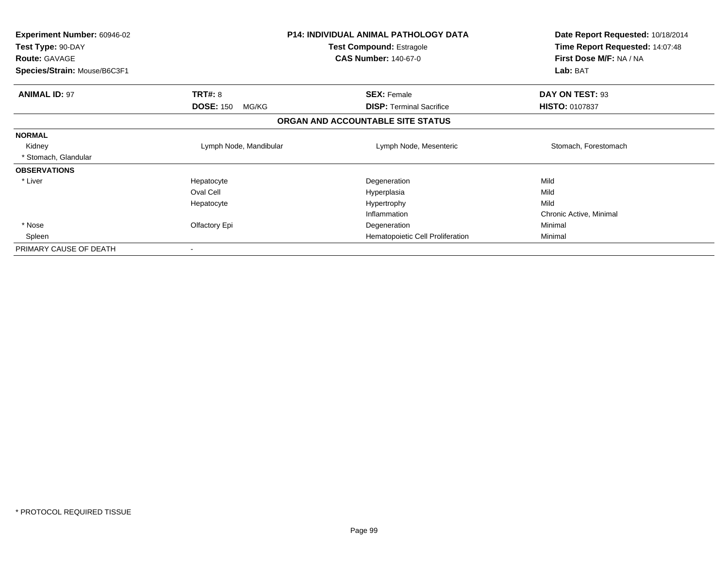| <b>Experiment Number: 60946-02</b><br>Test Type: 90-DAY<br><b>Route: GAVAGE</b><br>Species/Strain: Mouse/B6C3F1 |                                             | P14: INDIVIDUAL ANIMAL PATHOLOGY DATA<br>Test Compound: Estragole<br><b>CAS Number: 140-67-0</b> | Date Report Requested: 10/18/2014<br>Time Report Requested: 14:07:48<br>First Dose M/F: NA / NA<br>Lab: BAT |
|-----------------------------------------------------------------------------------------------------------------|---------------------------------------------|--------------------------------------------------------------------------------------------------|-------------------------------------------------------------------------------------------------------------|
| <b>ANIMAL ID: 97</b>                                                                                            | <b>TRT#: 8</b><br><b>DOSE: 150</b><br>MG/KG | <b>SEX: Female</b><br><b>DISP:</b> Terminal Sacrifice                                            | DAY ON TEST: 93<br><b>HISTO: 0107837</b>                                                                    |
|                                                                                                                 |                                             |                                                                                                  |                                                                                                             |
|                                                                                                                 |                                             | ORGAN AND ACCOUNTABLE SITE STATUS                                                                |                                                                                                             |
| <b>NORMAL</b>                                                                                                   |                                             |                                                                                                  |                                                                                                             |
| Kidney                                                                                                          | Lymph Node, Mandibular                      | Lymph Node, Mesenteric                                                                           | Stomach, Forestomach                                                                                        |
| * Stomach, Glandular                                                                                            |                                             |                                                                                                  |                                                                                                             |
| <b>OBSERVATIONS</b>                                                                                             |                                             |                                                                                                  |                                                                                                             |
| * Liver                                                                                                         | Hepatocyte                                  | Degeneration                                                                                     | Mild                                                                                                        |
|                                                                                                                 | Oval Cell                                   | Hyperplasia                                                                                      | Mild                                                                                                        |
|                                                                                                                 | Hepatocyte                                  | Hypertrophy                                                                                      | Mild                                                                                                        |
|                                                                                                                 |                                             | Inflammation                                                                                     | Chronic Active, Minimal                                                                                     |
| * Nose                                                                                                          | Olfactory Epi                               | Degeneration                                                                                     | Minimal                                                                                                     |
| Spleen                                                                                                          |                                             | Hematopoietic Cell Proliferation                                                                 | Minimal                                                                                                     |
| PRIMARY CAUSE OF DEATH                                                                                          |                                             |                                                                                                  |                                                                                                             |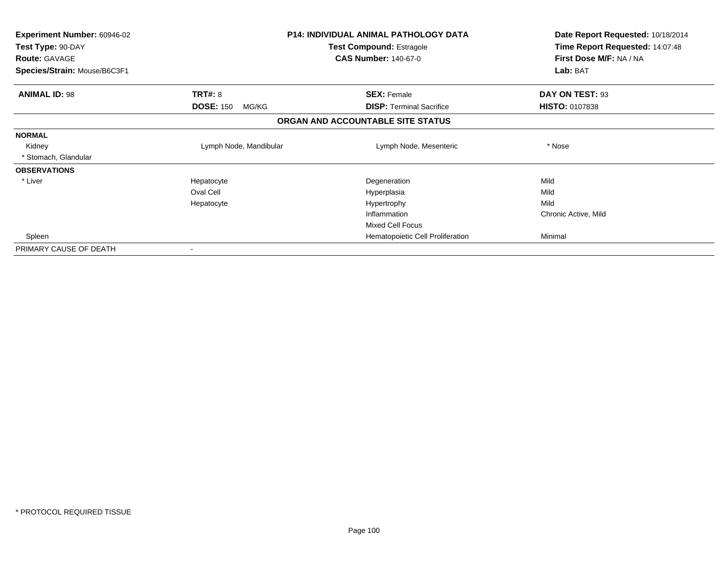| Experiment Number: 60946-02<br>Test Type: 90-DAY<br><b>Route: GAVAGE</b> | <b>P14: INDIVIDUAL ANIMAL PATHOLOGY DATA</b><br>Test Compound: Estragole<br><b>CAS Number: 140-67-0</b> |                                   | Date Report Requested: 10/18/2014<br>Time Report Requested: 14:07:48<br>First Dose M/F: NA / NA |
|--------------------------------------------------------------------------|---------------------------------------------------------------------------------------------------------|-----------------------------------|-------------------------------------------------------------------------------------------------|
| Species/Strain: Mouse/B6C3F1                                             |                                                                                                         |                                   | Lab: BAT                                                                                        |
| <b>ANIMAL ID: 98</b>                                                     | <b>TRT#: 8</b>                                                                                          | <b>SEX: Female</b>                | DAY ON TEST: 93                                                                                 |
|                                                                          | <b>DOSE: 150</b><br>MG/KG                                                                               | <b>DISP:</b> Terminal Sacrifice   | <b>HISTO: 0107838</b>                                                                           |
|                                                                          |                                                                                                         | ORGAN AND ACCOUNTABLE SITE STATUS |                                                                                                 |
| <b>NORMAL</b>                                                            |                                                                                                         |                                   |                                                                                                 |
| Kidney                                                                   | Lymph Node, Mandibular                                                                                  | Lymph Node, Mesenteric            | * Nose                                                                                          |
| * Stomach, Glandular                                                     |                                                                                                         |                                   |                                                                                                 |
| <b>OBSERVATIONS</b>                                                      |                                                                                                         |                                   |                                                                                                 |
| * Liver                                                                  | Hepatocyte                                                                                              | Degeneration                      | Mild                                                                                            |
|                                                                          | Oval Cell                                                                                               | Hyperplasia                       | Mild                                                                                            |
|                                                                          | Hepatocyte                                                                                              | Hypertrophy                       | Mild                                                                                            |
|                                                                          |                                                                                                         | Inflammation                      | Chronic Active, Mild                                                                            |
|                                                                          |                                                                                                         | <b>Mixed Cell Focus</b>           |                                                                                                 |
| Spleen                                                                   |                                                                                                         | Hematopoietic Cell Proliferation  | Minimal                                                                                         |
| PRIMARY CAUSE OF DEATH                                                   |                                                                                                         |                                   |                                                                                                 |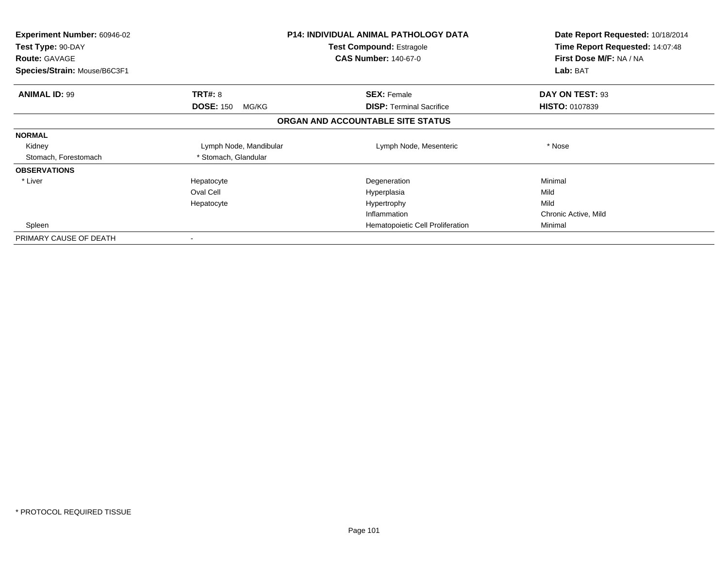| <b>Experiment Number: 60946-02</b><br>Test Type: 90-DAY<br><b>Route: GAVAGE</b><br>Species/Strain: Mouse/B6C3F1 |                           | <b>P14: INDIVIDUAL ANIMAL PATHOLOGY DATA</b><br>Test Compound: Estragole<br><b>CAS Number: 140-67-0</b> | Date Report Requested: 10/18/2014<br>Time Report Requested: 14:07:48<br>First Dose M/F: NA / NA<br>Lab: BAT |
|-----------------------------------------------------------------------------------------------------------------|---------------------------|---------------------------------------------------------------------------------------------------------|-------------------------------------------------------------------------------------------------------------|
| <b>ANIMAL ID: 99</b>                                                                                            | <b>TRT#: 8</b>            | <b>SEX: Female</b>                                                                                      | DAY ON TEST: 93                                                                                             |
|                                                                                                                 | <b>DOSE: 150</b><br>MG/KG | <b>DISP:</b> Terminal Sacrifice                                                                         | <b>HISTO: 0107839</b>                                                                                       |
|                                                                                                                 |                           | ORGAN AND ACCOUNTABLE SITE STATUS                                                                       |                                                                                                             |
| <b>NORMAL</b>                                                                                                   |                           |                                                                                                         |                                                                                                             |
| Kidney                                                                                                          | Lymph Node, Mandibular    | Lymph Node, Mesenteric                                                                                  | * Nose                                                                                                      |
| Stomach, Forestomach                                                                                            | * Stomach, Glandular      |                                                                                                         |                                                                                                             |
| <b>OBSERVATIONS</b>                                                                                             |                           |                                                                                                         |                                                                                                             |
| * Liver                                                                                                         | Hepatocyte                | Degeneration                                                                                            | Minimal                                                                                                     |
|                                                                                                                 | Oval Cell                 | Hyperplasia                                                                                             | Mild                                                                                                        |
|                                                                                                                 | Hepatocyte                | Hypertrophy                                                                                             | Mild                                                                                                        |
|                                                                                                                 |                           | Inflammation                                                                                            | Chronic Active, Mild                                                                                        |
| Spleen                                                                                                          |                           | Hematopoietic Cell Proliferation                                                                        | Minimal                                                                                                     |
| PRIMARY CAUSE OF DEATH                                                                                          |                           |                                                                                                         |                                                                                                             |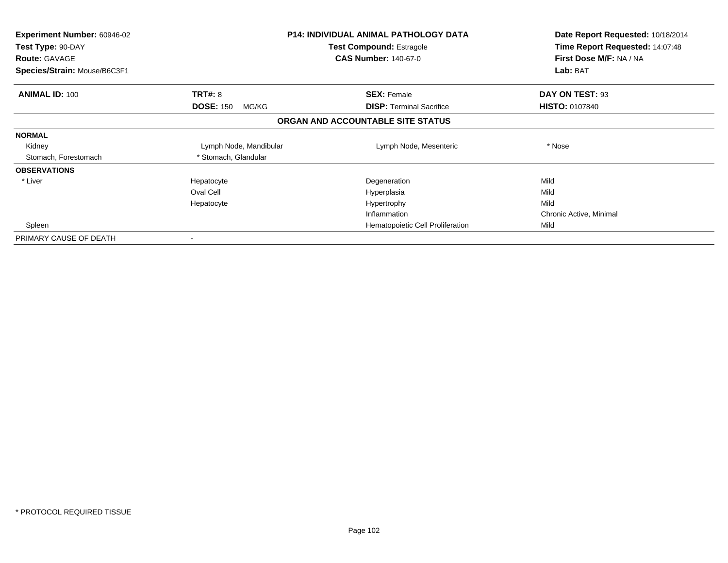| <b>Experiment Number: 60946-02</b><br>Test Type: 90-DAY<br><b>Route: GAVAGE</b><br>Species/Strain: Mouse/B6C3F1 |                           | <b>P14: INDIVIDUAL ANIMAL PATHOLOGY DATA</b><br><b>Test Compound: Estragole</b><br><b>CAS Number: 140-67-0</b> | Date Report Requested: 10/18/2014<br>Time Report Requested: 14:07:48<br>First Dose M/F: NA / NA<br>Lab: BAT |
|-----------------------------------------------------------------------------------------------------------------|---------------------------|----------------------------------------------------------------------------------------------------------------|-------------------------------------------------------------------------------------------------------------|
|                                                                                                                 |                           |                                                                                                                |                                                                                                             |
| <b>ANIMAL ID: 100</b>                                                                                           | <b>TRT#: 8</b>            | <b>SEX: Female</b>                                                                                             | DAY ON TEST: 93                                                                                             |
|                                                                                                                 | <b>DOSE: 150</b><br>MG/KG | <b>DISP:</b> Terminal Sacrifice                                                                                | <b>HISTO: 0107840</b>                                                                                       |
|                                                                                                                 |                           | ORGAN AND ACCOUNTABLE SITE STATUS                                                                              |                                                                                                             |
| <b>NORMAL</b>                                                                                                   |                           |                                                                                                                |                                                                                                             |
| Kidney                                                                                                          | Lymph Node, Mandibular    | Lymph Node, Mesenteric                                                                                         | * Nose                                                                                                      |
| Stomach, Forestomach                                                                                            | * Stomach, Glandular      |                                                                                                                |                                                                                                             |
| <b>OBSERVATIONS</b>                                                                                             |                           |                                                                                                                |                                                                                                             |
| * Liver                                                                                                         | Hepatocyte                | Degeneration                                                                                                   | Mild                                                                                                        |
|                                                                                                                 | Oval Cell                 | Hyperplasia                                                                                                    | Mild                                                                                                        |
|                                                                                                                 | Hepatocyte                | Hypertrophy                                                                                                    | Mild                                                                                                        |
|                                                                                                                 |                           | Inflammation                                                                                                   | Chronic Active, Minimal                                                                                     |
| Spleen                                                                                                          |                           | Hematopoietic Cell Proliferation                                                                               | Mild                                                                                                        |
| PRIMARY CAUSE OF DEATH                                                                                          |                           |                                                                                                                |                                                                                                             |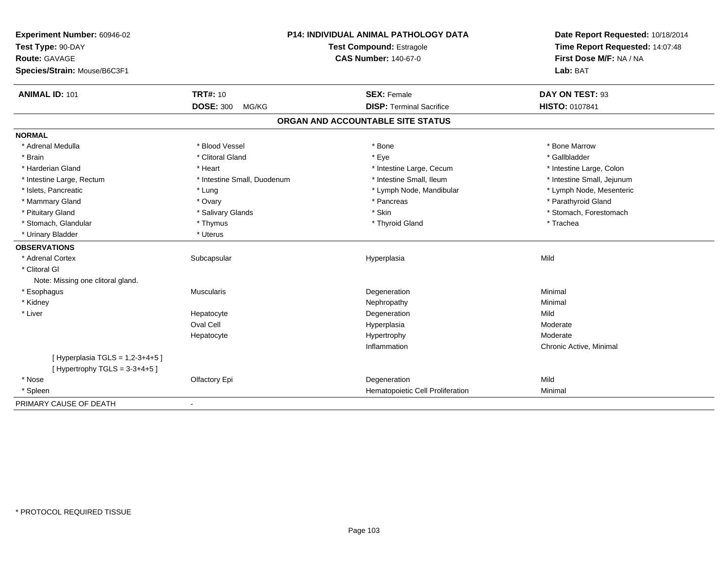| Experiment Number: 60946-02<br>Test Type: 90-DAY<br>Route: GAVAGE<br>Species/Strain: Mouse/B6C3F1 | P14: INDIVIDUAL ANIMAL PATHOLOGY DATA<br><b>Test Compound: Estragole</b><br><b>CAS Number: 140-67-0</b> |                                   | Date Report Requested: 10/18/2014<br>Time Report Requested: 14:07:48<br>First Dose M/F: NA / NA<br>Lab: BAT |
|---------------------------------------------------------------------------------------------------|---------------------------------------------------------------------------------------------------------|-----------------------------------|-------------------------------------------------------------------------------------------------------------|
| <b>ANIMAL ID: 101</b>                                                                             | <b>TRT#: 10</b>                                                                                         | <b>SEX: Female</b>                | DAY ON TEST: 93                                                                                             |
|                                                                                                   | <b>DOSE: 300</b><br>MG/KG                                                                               | <b>DISP: Terminal Sacrifice</b>   | HISTO: 0107841                                                                                              |
|                                                                                                   |                                                                                                         | ORGAN AND ACCOUNTABLE SITE STATUS |                                                                                                             |
| <b>NORMAL</b>                                                                                     |                                                                                                         |                                   |                                                                                                             |
| * Adrenal Medulla                                                                                 | * Blood Vessel                                                                                          | * Bone                            | * Bone Marrow                                                                                               |
| * Brain                                                                                           | * Clitoral Gland                                                                                        | * Eye                             | * Gallbladder                                                                                               |
| * Harderian Gland                                                                                 | * Heart                                                                                                 | * Intestine Large, Cecum          | * Intestine Large, Colon                                                                                    |
| * Intestine Large, Rectum                                                                         | * Intestine Small, Duodenum                                                                             | * Intestine Small, Ileum          | * Intestine Small, Jejunum                                                                                  |
| * Islets, Pancreatic                                                                              | * Lung                                                                                                  | * Lymph Node, Mandibular          | * Lymph Node, Mesenteric                                                                                    |
| * Mammary Gland                                                                                   | * Ovary                                                                                                 | * Pancreas                        | * Parathyroid Gland                                                                                         |
| * Pituitary Gland                                                                                 | * Salivary Glands                                                                                       | * Skin                            | * Stomach, Forestomach                                                                                      |
| * Stomach, Glandular                                                                              | * Thymus                                                                                                | * Thyroid Gland                   | * Trachea                                                                                                   |
| * Urinary Bladder                                                                                 | * Uterus                                                                                                |                                   |                                                                                                             |
| <b>OBSERVATIONS</b>                                                                               |                                                                                                         |                                   |                                                                                                             |
| * Adrenal Cortex                                                                                  | Subcapsular                                                                                             | Hyperplasia                       | Mild                                                                                                        |
| * Clitoral GI                                                                                     |                                                                                                         |                                   |                                                                                                             |
| Note: Missing one clitoral gland.                                                                 |                                                                                                         |                                   |                                                                                                             |
| * Esophagus                                                                                       | <b>Muscularis</b>                                                                                       | Degeneration                      | Minimal                                                                                                     |
| * Kidney                                                                                          |                                                                                                         | Nephropathy                       | Minimal                                                                                                     |
| * Liver                                                                                           | Hepatocyte                                                                                              | Degeneration                      | Mild                                                                                                        |
|                                                                                                   | <b>Oval Cell</b>                                                                                        | Hyperplasia                       | Moderate                                                                                                    |
|                                                                                                   | Hepatocyte                                                                                              | Hypertrophy                       | Moderate                                                                                                    |
|                                                                                                   |                                                                                                         | Inflammation                      | Chronic Active, Minimal                                                                                     |
| [Hyperplasia TGLS = $1,2-3+4+5$ ]<br>[Hypertrophy TGLS = $3-3+4+5$ ]                              |                                                                                                         |                                   |                                                                                                             |
| * Nose                                                                                            | Olfactory Epi                                                                                           | Degeneration                      | Mild                                                                                                        |
| * Spleen                                                                                          |                                                                                                         | Hematopoietic Cell Proliferation  | Minimal                                                                                                     |
| PRIMARY CAUSE OF DEATH                                                                            | $\blacksquare$                                                                                          |                                   |                                                                                                             |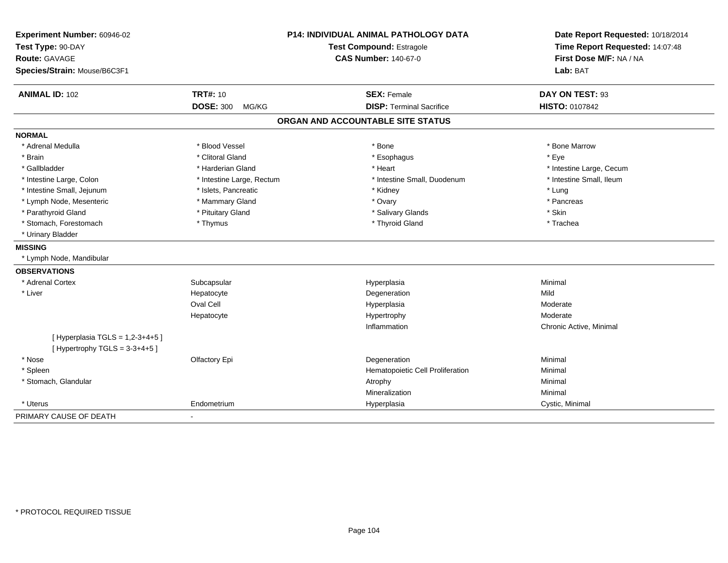| Experiment Number: 60946-02        |                           | P14: INDIVIDUAL ANIMAL PATHOLOGY DATA | Date Report Requested: 10/18/2014 |
|------------------------------------|---------------------------|---------------------------------------|-----------------------------------|
| Test Type: 90-DAY                  | Test Compound: Estragole  |                                       | Time Report Requested: 14:07:48   |
| Route: GAVAGE                      |                           | <b>CAS Number: 140-67-0</b>           | First Dose M/F: NA / NA           |
| Species/Strain: Mouse/B6C3F1       |                           |                                       | Lab: BAT                          |
| <b>ANIMAL ID: 102</b>              | <b>TRT#: 10</b>           | <b>SEX: Female</b>                    | DAY ON TEST: 93                   |
|                                    | <b>DOSE: 300</b><br>MG/KG | <b>DISP: Terminal Sacrifice</b>       | <b>HISTO: 0107842</b>             |
|                                    |                           | ORGAN AND ACCOUNTABLE SITE STATUS     |                                   |
| <b>NORMAL</b>                      |                           |                                       |                                   |
| * Adrenal Medulla                  | * Blood Vessel            | * Bone                                | * Bone Marrow                     |
| * Brain                            | * Clitoral Gland          | * Esophagus                           | * Eye                             |
| * Gallbladder                      | * Harderian Gland         | * Heart                               | * Intestine Large, Cecum          |
| * Intestine Large, Colon           | * Intestine Large, Rectum | * Intestine Small, Duodenum           | * Intestine Small, Ileum          |
| * Intestine Small, Jejunum         | * Islets, Pancreatic      | * Kidney                              | * Lung                            |
| * Lymph Node, Mesenteric           | * Mammary Gland           | * Ovary                               | * Pancreas                        |
| * Parathyroid Gland                | * Pituitary Gland         | * Salivary Glands                     | * Skin                            |
| * Stomach, Forestomach             | * Thymus                  | * Thyroid Gland                       | * Trachea                         |
| * Urinary Bladder                  |                           |                                       |                                   |
| <b>MISSING</b>                     |                           |                                       |                                   |
| * Lymph Node, Mandibular           |                           |                                       |                                   |
| <b>OBSERVATIONS</b>                |                           |                                       |                                   |
| * Adrenal Cortex                   | Subcapsular               | Hyperplasia                           | Minimal                           |
| * Liver                            | Hepatocyte                | Degeneration                          | Mild                              |
|                                    | Oval Cell                 | Hyperplasia                           | Moderate                          |
|                                    | Hepatocyte                | Hypertrophy                           | Moderate                          |
|                                    |                           | Inflammation                          | Chronic Active, Minimal           |
| [ Hyperplasia TGLS = $1,2-3+4+5$ ] |                           |                                       |                                   |
| [Hypertrophy TGLS = $3-3+4+5$ ]    |                           |                                       |                                   |
| * Nose                             | Olfactory Epi             | Degeneration                          | Minimal                           |
| * Spleen                           |                           | Hematopoietic Cell Proliferation      | Minimal                           |
| * Stomach, Glandular               |                           | Atrophy                               | Minimal                           |
|                                    |                           | Mineralization                        | Minimal                           |
| * Uterus                           | Endometrium               | Hyperplasia                           | Cystic, Minimal                   |
| PRIMARY CAUSE OF DEATH             | $\mathbf{r}$              |                                       |                                   |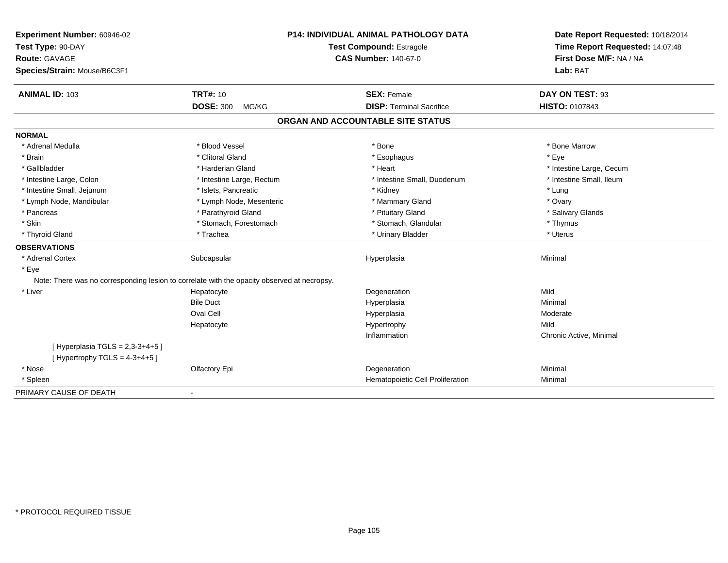| Experiment Number: 60946-02                                                                 | <b>P14: INDIVIDUAL ANIMAL PATHOLOGY DATA</b><br><b>Test Compound: Estragole</b> |                                   | Date Report Requested: 10/18/2014<br>Time Report Requested: 14:07:48 |
|---------------------------------------------------------------------------------------------|---------------------------------------------------------------------------------|-----------------------------------|----------------------------------------------------------------------|
| Test Type: 90-DAY                                                                           |                                                                                 |                                   |                                                                      |
| <b>Route: GAVAGE</b>                                                                        |                                                                                 | <b>CAS Number: 140-67-0</b>       | First Dose M/F: NA / NA                                              |
| Species/Strain: Mouse/B6C3F1                                                                |                                                                                 |                                   | Lab: BAT                                                             |
| <b>ANIMAL ID: 103</b>                                                                       | <b>TRT#: 10</b>                                                                 | <b>SEX: Female</b>                | DAY ON TEST: 93                                                      |
|                                                                                             | <b>DOSE: 300</b><br>MG/KG                                                       | <b>DISP: Terminal Sacrifice</b>   | HISTO: 0107843                                                       |
|                                                                                             |                                                                                 | ORGAN AND ACCOUNTABLE SITE STATUS |                                                                      |
| <b>NORMAL</b>                                                                               |                                                                                 |                                   |                                                                      |
| * Adrenal Medulla                                                                           | * Blood Vessel                                                                  | * Bone                            | * Bone Marrow                                                        |
| * Brain                                                                                     | * Clitoral Gland                                                                | * Esophagus                       | * Eye                                                                |
| * Gallbladder                                                                               | * Harderian Gland                                                               | * Heart                           | * Intestine Large, Cecum                                             |
| * Intestine Large, Colon                                                                    | * Intestine Large, Rectum                                                       | * Intestine Small, Duodenum       | * Intestine Small, Ileum                                             |
| * Intestine Small, Jejunum                                                                  | * Islets, Pancreatic                                                            | * Kidney                          | * Lung                                                               |
| * Lymph Node, Mandibular                                                                    | * Lymph Node, Mesenteric                                                        | * Mammary Gland                   | * Ovary                                                              |
| * Pancreas                                                                                  | * Parathyroid Gland                                                             | * Pituitary Gland                 | * Salivary Glands                                                    |
| * Skin                                                                                      | * Stomach, Forestomach                                                          | * Stomach, Glandular              | * Thymus                                                             |
| * Thyroid Gland                                                                             | * Trachea                                                                       | * Urinary Bladder                 | * Uterus                                                             |
| <b>OBSERVATIONS</b>                                                                         |                                                                                 |                                   |                                                                      |
| * Adrenal Cortex                                                                            | Subcapsular                                                                     | Hyperplasia                       | Minimal                                                              |
| * Eye                                                                                       |                                                                                 |                                   |                                                                      |
| Note: There was no corresponding lesion to correlate with the opacity observed at necropsy. |                                                                                 |                                   |                                                                      |
| * Liver                                                                                     | Hepatocyte                                                                      | Degeneration                      | Mild                                                                 |
|                                                                                             | <b>Bile Duct</b>                                                                | Hyperplasia                       | Minimal                                                              |
|                                                                                             | <b>Oval Cell</b>                                                                | Hyperplasia                       | Moderate                                                             |
|                                                                                             | Hepatocyte                                                                      | Hypertrophy                       | Mild                                                                 |
|                                                                                             |                                                                                 | Inflammation                      | Chronic Active, Minimal                                              |
| [ Hyperplasia TGLS = $2,3-3+4+5$ ]<br>[Hypertrophy TGLS = $4-3+4+5$ ]                       |                                                                                 |                                   |                                                                      |
| * Nose                                                                                      | Olfactory Epi                                                                   | Degeneration                      | Minimal                                                              |
| * Spleen                                                                                    |                                                                                 | Hematopoietic Cell Proliferation  | Minimal                                                              |
| PRIMARY CAUSE OF DEATH                                                                      |                                                                                 |                                   |                                                                      |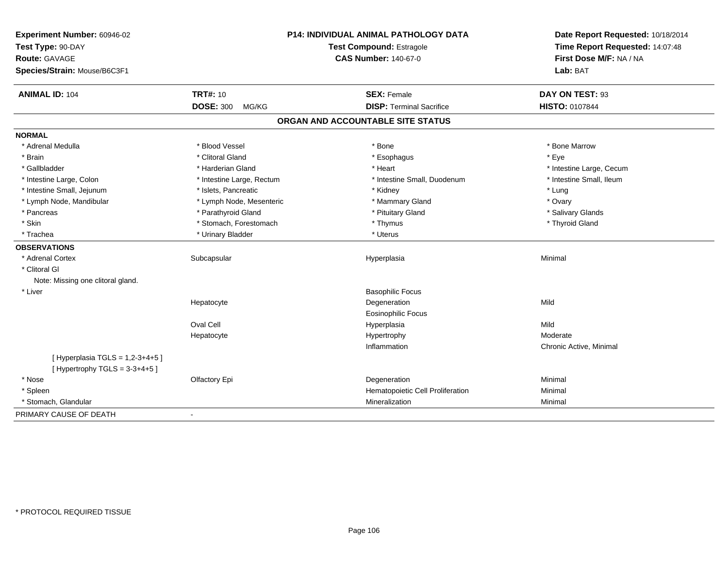| Experiment Number: 60946-02                                           | P14: INDIVIDUAL ANIMAL PATHOLOGY DATA<br>Test Compound: Estragole |                                   | Date Report Requested: 10/18/2014<br>Time Report Requested: 14:07:48 |
|-----------------------------------------------------------------------|-------------------------------------------------------------------|-----------------------------------|----------------------------------------------------------------------|
| Test Type: 90-DAY                                                     |                                                                   |                                   |                                                                      |
| Route: GAVAGE                                                         |                                                                   | <b>CAS Number: 140-67-0</b>       | First Dose M/F: NA / NA                                              |
| Species/Strain: Mouse/B6C3F1                                          |                                                                   |                                   | Lab: BAT                                                             |
| <b>ANIMAL ID: 104</b>                                                 | <b>TRT#: 10</b>                                                   | <b>SEX: Female</b>                | DAY ON TEST: 93                                                      |
|                                                                       | <b>DOSE: 300</b><br>MG/KG                                         | <b>DISP: Terminal Sacrifice</b>   | HISTO: 0107844                                                       |
|                                                                       |                                                                   | ORGAN AND ACCOUNTABLE SITE STATUS |                                                                      |
| <b>NORMAL</b>                                                         |                                                                   |                                   |                                                                      |
| * Adrenal Medulla                                                     | * Blood Vessel                                                    | * Bone                            | * Bone Marrow                                                        |
| * Brain                                                               | * Clitoral Gland                                                  | * Esophagus                       | * Eye                                                                |
| * Gallbladder                                                         | * Harderian Gland                                                 | * Heart                           | * Intestine Large, Cecum                                             |
| * Intestine Large, Colon                                              | * Intestine Large, Rectum                                         | * Intestine Small, Duodenum       | * Intestine Small, Ileum                                             |
| * Intestine Small, Jejunum                                            | * Islets, Pancreatic                                              | * Kidney                          | * Lung                                                               |
| * Lymph Node, Mandibular                                              | * Lymph Node, Mesenteric                                          | * Mammary Gland                   | * Ovary                                                              |
| * Pancreas                                                            | * Parathyroid Gland                                               | * Pituitary Gland                 | * Salivary Glands                                                    |
| * Skin                                                                | * Stomach, Forestomach                                            | * Thymus                          | * Thyroid Gland                                                      |
| * Trachea                                                             | * Urinary Bladder                                                 | * Uterus                          |                                                                      |
| <b>OBSERVATIONS</b>                                                   |                                                                   |                                   |                                                                      |
| * Adrenal Cortex                                                      | Subcapsular                                                       | Hyperplasia                       | Minimal                                                              |
| * Clitoral GI                                                         |                                                                   |                                   |                                                                      |
| Note: Missing one clitoral gland.                                     |                                                                   |                                   |                                                                      |
| * Liver                                                               |                                                                   | <b>Basophilic Focus</b>           |                                                                      |
|                                                                       | Hepatocyte                                                        | Degeneration                      | Mild                                                                 |
|                                                                       |                                                                   | Eosinophilic Focus                |                                                                      |
|                                                                       | Oval Cell                                                         | Hyperplasia                       | Mild                                                                 |
|                                                                       | Hepatocyte                                                        | Hypertrophy                       | Moderate                                                             |
|                                                                       |                                                                   | Inflammation                      | Chronic Active, Minimal                                              |
| [ Hyperplasia TGLS = $1,2-3+4+5$ ]<br>[Hypertrophy TGLS = $3-3+4+5$ ] |                                                                   |                                   |                                                                      |
| * Nose                                                                | Olfactory Epi                                                     | Degeneration                      | Minimal                                                              |
| * Spleen                                                              |                                                                   | Hematopoietic Cell Proliferation  | Minimal                                                              |
| * Stomach, Glandular                                                  |                                                                   | Mineralization                    | Minimal                                                              |
| PRIMARY CAUSE OF DEATH                                                | $\overline{\phantom{a}}$                                          |                                   |                                                                      |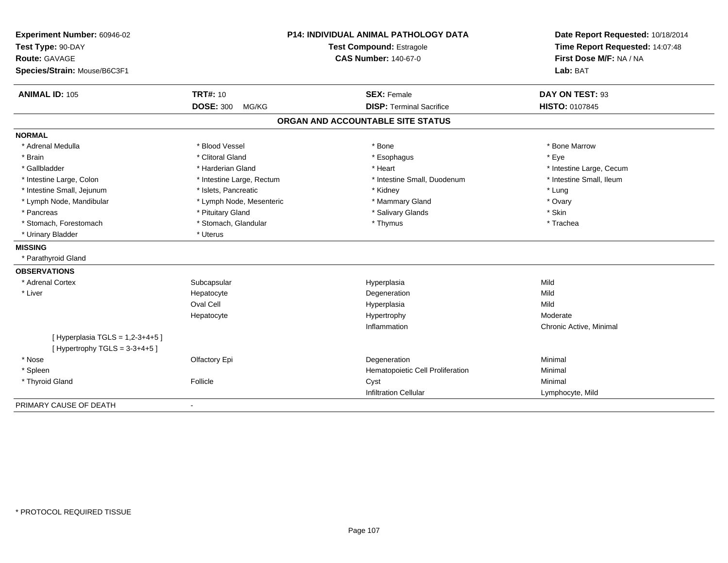| Experiment Number: 60946-02<br>Test Type: 90-DAY<br><b>Route: GAVAGE</b><br>Species/Strain: Mouse/B6C3F1 | P14: INDIVIDUAL ANIMAL PATHOLOGY DATA<br>Test Compound: Estragole<br><b>CAS Number: 140-67-0</b> |                                                       | Date Report Requested: 10/18/2014<br>Time Report Requested: 14:07:48<br>First Dose M/F: NA / NA<br>Lab: BAT |
|----------------------------------------------------------------------------------------------------------|--------------------------------------------------------------------------------------------------|-------------------------------------------------------|-------------------------------------------------------------------------------------------------------------|
| <b>ANIMAL ID: 105</b>                                                                                    | <b>TRT#: 10</b><br><b>DOSE: 300</b><br>MG/KG                                                     | <b>SEX: Female</b><br><b>DISP: Terminal Sacrifice</b> | DAY ON TEST: 93<br>HISTO: 0107845                                                                           |
|                                                                                                          |                                                                                                  |                                                       |                                                                                                             |
|                                                                                                          |                                                                                                  | ORGAN AND ACCOUNTABLE SITE STATUS                     |                                                                                                             |
| <b>NORMAL</b>                                                                                            |                                                                                                  |                                                       |                                                                                                             |
| * Adrenal Medulla                                                                                        | * Blood Vessel                                                                                   | * Bone                                                | * Bone Marrow                                                                                               |
| * Brain                                                                                                  | * Clitoral Gland                                                                                 | * Esophagus                                           | * Eve                                                                                                       |
| * Gallbladder                                                                                            | * Harderian Gland                                                                                | * Heart                                               | * Intestine Large, Cecum                                                                                    |
| * Intestine Large, Colon                                                                                 | * Intestine Large, Rectum                                                                        | * Intestine Small, Duodenum                           | * Intestine Small, Ileum                                                                                    |
| * Intestine Small, Jejunum                                                                               | * Islets, Pancreatic                                                                             | * Kidney                                              | * Lung                                                                                                      |
| * Lymph Node, Mandibular                                                                                 | * Lymph Node, Mesenteric                                                                         | * Mammary Gland                                       | * Ovary                                                                                                     |
| * Pancreas                                                                                               | * Pituitary Gland                                                                                | * Salivary Glands                                     | * Skin                                                                                                      |
| * Stomach, Forestomach                                                                                   | * Stomach, Glandular                                                                             | * Thymus                                              | * Trachea                                                                                                   |
| * Urinary Bladder                                                                                        | * Uterus                                                                                         |                                                       |                                                                                                             |
| <b>MISSING</b>                                                                                           |                                                                                                  |                                                       |                                                                                                             |
| * Parathyroid Gland                                                                                      |                                                                                                  |                                                       |                                                                                                             |
| <b>OBSERVATIONS</b>                                                                                      |                                                                                                  |                                                       |                                                                                                             |
| * Adrenal Cortex                                                                                         | Subcapsular                                                                                      | Hyperplasia                                           | Mild                                                                                                        |
| * Liver                                                                                                  | Hepatocyte                                                                                       | Degeneration                                          | Mild                                                                                                        |
|                                                                                                          | Oval Cell                                                                                        | Hyperplasia                                           | Mild                                                                                                        |
|                                                                                                          | Hepatocyte                                                                                       | Hypertrophy                                           | Moderate                                                                                                    |
|                                                                                                          |                                                                                                  | Inflammation                                          | Chronic Active, Minimal                                                                                     |
| [ Hyperplasia TGLS = $1,2-3+4+5$ ]<br>[Hypertrophy TGLS = $3-3+4+5$ ]                                    |                                                                                                  |                                                       |                                                                                                             |
| * Nose                                                                                                   | Olfactory Epi                                                                                    | Degeneration                                          | Minimal                                                                                                     |
| * Spleen                                                                                                 |                                                                                                  | Hematopoietic Cell Proliferation                      | Minimal                                                                                                     |
| * Thyroid Gland                                                                                          | Follicle                                                                                         | Cyst                                                  | Minimal                                                                                                     |
|                                                                                                          |                                                                                                  | <b>Infiltration Cellular</b>                          | Lymphocyte, Mild                                                                                            |
| PRIMARY CAUSE OF DEATH                                                                                   |                                                                                                  |                                                       |                                                                                                             |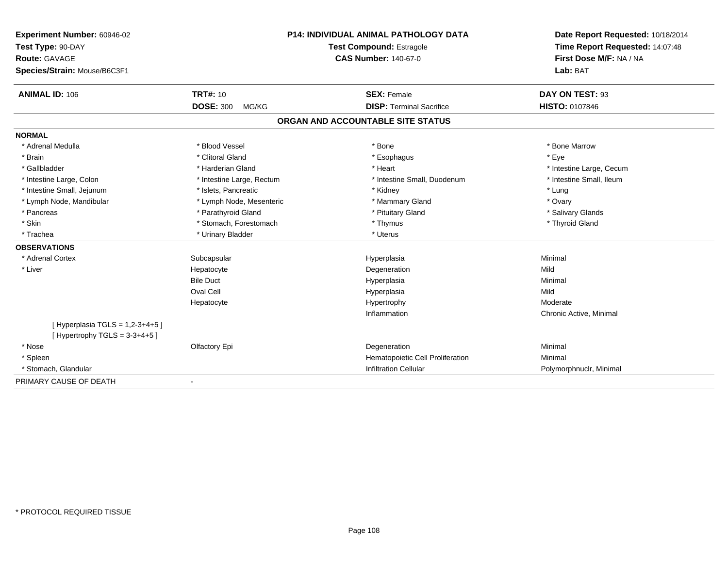| Experiment Number: 60946-02                                           |                           | P14: INDIVIDUAL ANIMAL PATHOLOGY DATA | Date Report Requested: 10/18/2014 |  |
|-----------------------------------------------------------------------|---------------------------|---------------------------------------|-----------------------------------|--|
| Test Type: 90-DAY                                                     | Test Compound: Estragole  |                                       | Time Report Requested: 14:07:48   |  |
| <b>Route: GAVAGE</b>                                                  |                           | <b>CAS Number: 140-67-0</b>           | First Dose M/F: NA / NA           |  |
| Species/Strain: Mouse/B6C3F1                                          |                           |                                       | Lab: BAT                          |  |
| <b>ANIMAL ID: 106</b>                                                 | <b>TRT#: 10</b>           | <b>SEX: Female</b>                    | DAY ON TEST: 93                   |  |
|                                                                       | <b>DOSE: 300</b><br>MG/KG | <b>DISP: Terminal Sacrifice</b>       | <b>HISTO: 0107846</b>             |  |
|                                                                       |                           | ORGAN AND ACCOUNTABLE SITE STATUS     |                                   |  |
| <b>NORMAL</b>                                                         |                           |                                       |                                   |  |
| * Adrenal Medulla                                                     | * Blood Vessel            | * Bone                                | * Bone Marrow                     |  |
| * Brain                                                               | * Clitoral Gland          | * Esophagus                           | * Eye                             |  |
| * Gallbladder                                                         | * Harderian Gland         | * Heart                               | * Intestine Large, Cecum          |  |
| * Intestine Large, Colon                                              | * Intestine Large, Rectum | * Intestine Small, Duodenum           | * Intestine Small, Ileum          |  |
| * Intestine Small, Jejunum                                            | * Islets, Pancreatic      | * Kidney                              | * Lung                            |  |
| * Lymph Node, Mandibular                                              | * Lymph Node, Mesenteric  | * Mammary Gland                       | * Ovary                           |  |
| * Pancreas                                                            | * Parathyroid Gland       | * Pituitary Gland                     | * Salivary Glands                 |  |
| * Skin                                                                | * Stomach, Forestomach    | * Thymus                              | * Thyroid Gland                   |  |
| * Trachea                                                             | * Urinary Bladder         | * Uterus                              |                                   |  |
| <b>OBSERVATIONS</b>                                                   |                           |                                       |                                   |  |
| * Adrenal Cortex                                                      | Subcapsular               | Hyperplasia                           | Minimal                           |  |
| * Liver                                                               | Hepatocyte                | Degeneration                          | Mild                              |  |
|                                                                       | <b>Bile Duct</b>          | Hyperplasia                           | Minimal                           |  |
|                                                                       | Oval Cell                 | Hyperplasia                           | Mild                              |  |
|                                                                       | Hepatocyte                | Hypertrophy                           | Moderate                          |  |
|                                                                       |                           | Inflammation                          | Chronic Active, Minimal           |  |
| [ Hyperplasia TGLS = $1,2-3+4+5$ ]<br>[Hypertrophy TGLS = $3-3+4+5$ ] |                           |                                       |                                   |  |
| * Nose                                                                | Olfactory Epi             | Degeneration                          | Minimal                           |  |
| * Spleen                                                              |                           | Hematopoietic Cell Proliferation      | Minimal                           |  |
| * Stomach, Glandular                                                  |                           | <b>Infiltration Cellular</b>          | Polymorphnuclr, Minimal           |  |
| PRIMARY CAUSE OF DEATH                                                |                           |                                       |                                   |  |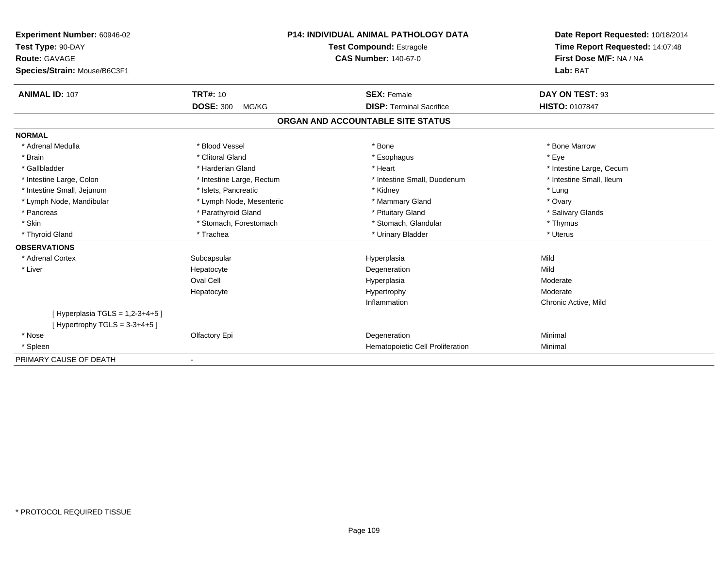| Experiment Number: 60946-02       | <b>P14: INDIVIDUAL ANIMAL PATHOLOGY DATA</b><br>Test Compound: Estragole<br><b>CAS Number: 140-67-0</b> |                                   | Date Report Requested: 10/18/2014                          |  |
|-----------------------------------|---------------------------------------------------------------------------------------------------------|-----------------------------------|------------------------------------------------------------|--|
| Test Type: 90-DAY                 |                                                                                                         |                                   | Time Report Requested: 14:07:48<br>First Dose M/F: NA / NA |  |
| <b>Route: GAVAGE</b>              |                                                                                                         |                                   |                                                            |  |
| Species/Strain: Mouse/B6C3F1      |                                                                                                         |                                   | Lab: BAT                                                   |  |
| <b>ANIMAL ID: 107</b>             | <b>TRT#: 10</b>                                                                                         | <b>SEX: Female</b>                | DAY ON TEST: 93                                            |  |
|                                   | <b>DOSE: 300</b><br>MG/KG                                                                               | <b>DISP: Terminal Sacrifice</b>   | HISTO: 0107847                                             |  |
|                                   |                                                                                                         | ORGAN AND ACCOUNTABLE SITE STATUS |                                                            |  |
| <b>NORMAL</b>                     |                                                                                                         |                                   |                                                            |  |
| * Adrenal Medulla                 | * Blood Vessel                                                                                          | * Bone                            | * Bone Marrow                                              |  |
| * Brain                           | * Clitoral Gland                                                                                        | * Esophagus                       | * Eye                                                      |  |
| * Gallbladder                     | * Harderian Gland                                                                                       | * Heart                           | * Intestine Large, Cecum                                   |  |
| * Intestine Large, Colon          | * Intestine Large, Rectum                                                                               | * Intestine Small, Duodenum       | * Intestine Small, Ileum                                   |  |
| * Intestine Small, Jejunum        | * Islets, Pancreatic                                                                                    | * Kidney                          | * Lung                                                     |  |
| * Lymph Node, Mandibular          | * Lymph Node, Mesenteric                                                                                | * Mammary Gland                   | * Ovary                                                    |  |
| * Pancreas                        | * Parathyroid Gland                                                                                     | * Pituitary Gland                 | * Salivary Glands                                          |  |
| * Skin                            | * Stomach, Forestomach                                                                                  | * Stomach, Glandular              | * Thymus                                                   |  |
| * Thyroid Gland                   | * Trachea                                                                                               | * Urinary Bladder                 | * Uterus                                                   |  |
| <b>OBSERVATIONS</b>               |                                                                                                         |                                   |                                                            |  |
| * Adrenal Cortex                  | Subcapsular                                                                                             | Hyperplasia                       | Mild                                                       |  |
| * Liver                           | Hepatocyte                                                                                              | Degeneration                      | Mild                                                       |  |
|                                   | Oval Cell                                                                                               | Hyperplasia                       | Moderate                                                   |  |
|                                   | Hepatocyte                                                                                              | Hypertrophy                       | Moderate                                                   |  |
|                                   |                                                                                                         | Inflammation                      | Chronic Active, Mild                                       |  |
| [Hyperplasia TGLS = $1,2-3+4+5$ ] |                                                                                                         |                                   |                                                            |  |
| [Hypertrophy TGLS = $3-3+4+5$ ]   |                                                                                                         |                                   |                                                            |  |
| * Nose                            | Olfactory Epi                                                                                           | Degeneration                      | Minimal                                                    |  |
| * Spleen                          |                                                                                                         | Hematopoietic Cell Proliferation  | Minimal                                                    |  |
| PRIMARY CAUSE OF DEATH            |                                                                                                         |                                   |                                                            |  |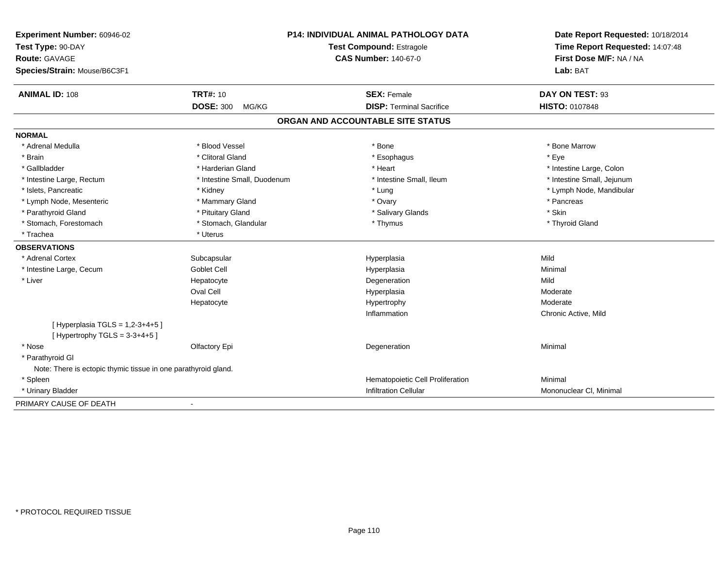| Experiment Number: 60946-02<br>Test Type: 90-DAY<br>Route: GAVAGE<br>Species/Strain: Mouse/B6C3F1 | P14: INDIVIDUAL ANIMAL PATHOLOGY DATA<br><b>Test Compound: Estragole</b><br><b>CAS Number: 140-67-0</b> |                                   | Date Report Requested: 10/18/2014<br>Time Report Requested: 14:07:48<br>First Dose M/F: NA / NA<br>Lab: BAT |
|---------------------------------------------------------------------------------------------------|---------------------------------------------------------------------------------------------------------|-----------------------------------|-------------------------------------------------------------------------------------------------------------|
| <b>ANIMAL ID: 108</b>                                                                             | <b>TRT#: 10</b>                                                                                         | <b>SEX: Female</b>                | DAY ON TEST: 93                                                                                             |
|                                                                                                   | <b>DOSE: 300</b><br>MG/KG                                                                               | <b>DISP: Terminal Sacrifice</b>   | <b>HISTO: 0107848</b>                                                                                       |
|                                                                                                   |                                                                                                         | ORGAN AND ACCOUNTABLE SITE STATUS |                                                                                                             |
| <b>NORMAL</b>                                                                                     |                                                                                                         |                                   |                                                                                                             |
| * Adrenal Medulla                                                                                 | * Blood Vessel                                                                                          | * Bone                            | * Bone Marrow                                                                                               |
| * Brain                                                                                           | * Clitoral Gland                                                                                        | * Esophagus                       | * Eye                                                                                                       |
| * Gallbladder                                                                                     | * Harderian Gland                                                                                       | * Heart                           | * Intestine Large, Colon                                                                                    |
| * Intestine Large, Rectum                                                                         | * Intestine Small, Duodenum                                                                             | * Intestine Small. Ileum          | * Intestine Small, Jejunum                                                                                  |
| * Islets, Pancreatic                                                                              | * Kidney                                                                                                | * Lung                            | * Lymph Node, Mandibular                                                                                    |
| * Lymph Node, Mesenteric                                                                          | * Mammary Gland                                                                                         | * Ovary                           | * Pancreas                                                                                                  |
| * Parathyroid Gland                                                                               | * Pituitary Gland                                                                                       | * Salivary Glands                 | * Skin                                                                                                      |
| * Stomach, Forestomach                                                                            | * Stomach, Glandular                                                                                    | * Thymus                          | * Thyroid Gland                                                                                             |
| * Trachea                                                                                         | * Uterus                                                                                                |                                   |                                                                                                             |
| <b>OBSERVATIONS</b>                                                                               |                                                                                                         |                                   |                                                                                                             |
| * Adrenal Cortex                                                                                  | Subcapsular                                                                                             | Hyperplasia                       | Mild                                                                                                        |
| * Intestine Large, Cecum                                                                          | <b>Goblet Cell</b>                                                                                      | Hyperplasia                       | Minimal                                                                                                     |
| * Liver                                                                                           | Hepatocyte                                                                                              | Degeneration                      | Mild                                                                                                        |
|                                                                                                   | <b>Oval Cell</b>                                                                                        | Hyperplasia                       | Moderate                                                                                                    |
|                                                                                                   | Hepatocyte                                                                                              | Hypertrophy                       | Moderate                                                                                                    |
|                                                                                                   |                                                                                                         | Inflammation                      | Chronic Active, Mild                                                                                        |
| [ Hyperplasia TGLS = 1,2-3+4+5 ]<br>[Hypertrophy TGLS = $3-3+4+5$ ]                               |                                                                                                         |                                   |                                                                                                             |
| * Nose                                                                                            | Olfactory Epi                                                                                           | Degeneration                      | Minimal                                                                                                     |
| * Parathyroid GI                                                                                  |                                                                                                         |                                   |                                                                                                             |
| Note: There is ectopic thymic tissue in one parathyroid gland.                                    |                                                                                                         |                                   |                                                                                                             |
| * Spleen                                                                                          |                                                                                                         | Hematopoietic Cell Proliferation  | Minimal                                                                                                     |
| * Urinary Bladder                                                                                 |                                                                                                         | <b>Infiltration Cellular</b>      | Mononuclear CI, Minimal                                                                                     |
| PRIMARY CAUSE OF DEATH                                                                            | $\blacksquare$                                                                                          |                                   |                                                                                                             |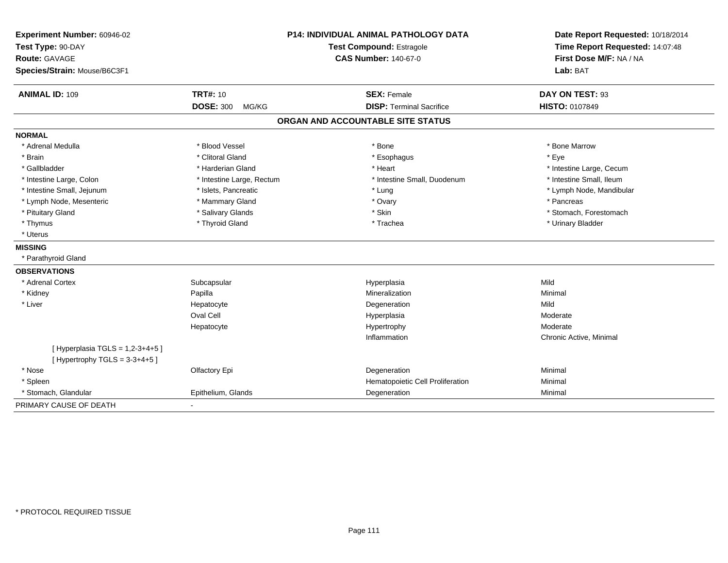| Experiment Number: 60946-02<br>Test Type: 90-DAY<br><b>Route: GAVAGE</b><br>Species/Strain: Mouse/B6C3F1 | <b>P14: INDIVIDUAL ANIMAL PATHOLOGY DATA</b><br><b>Test Compound: Estragole</b><br><b>CAS Number: 140-67-0</b> |                                   | Date Report Requested: 10/18/2014<br>Time Report Requested: 14:07:48<br>First Dose M/F: NA / NA<br>Lab: BAT |
|----------------------------------------------------------------------------------------------------------|----------------------------------------------------------------------------------------------------------------|-----------------------------------|-------------------------------------------------------------------------------------------------------------|
| <b>ANIMAL ID: 109</b>                                                                                    | <b>TRT#: 10</b>                                                                                                | <b>SEX: Female</b>                | DAY ON TEST: 93                                                                                             |
|                                                                                                          | <b>DOSE: 300</b><br>MG/KG                                                                                      | <b>DISP: Terminal Sacrifice</b>   | HISTO: 0107849                                                                                              |
|                                                                                                          |                                                                                                                | ORGAN AND ACCOUNTABLE SITE STATUS |                                                                                                             |
| <b>NORMAL</b>                                                                                            |                                                                                                                |                                   |                                                                                                             |
| * Adrenal Medulla                                                                                        | * Blood Vessel                                                                                                 | * Bone                            | * Bone Marrow                                                                                               |
| * Brain                                                                                                  | * Clitoral Gland                                                                                               | * Esophagus                       | * Eve                                                                                                       |
| * Gallbladder                                                                                            | * Harderian Gland                                                                                              | * Heart                           | * Intestine Large, Cecum                                                                                    |
| * Intestine Large, Colon                                                                                 | * Intestine Large, Rectum                                                                                      | * Intestine Small, Duodenum       | * Intestine Small, Ileum                                                                                    |
| * Intestine Small, Jejunum                                                                               | * Islets, Pancreatic                                                                                           | * Lung                            | * Lymph Node, Mandibular                                                                                    |
| * Lymph Node, Mesenteric                                                                                 | * Mammary Gland                                                                                                | * Ovary                           | * Pancreas                                                                                                  |
| * Pituitary Gland                                                                                        | * Salivary Glands                                                                                              | * Skin                            | * Stomach, Forestomach                                                                                      |
| * Thymus                                                                                                 | * Thyroid Gland                                                                                                | * Trachea                         | * Urinary Bladder                                                                                           |
| * Uterus                                                                                                 |                                                                                                                |                                   |                                                                                                             |
| <b>MISSING</b>                                                                                           |                                                                                                                |                                   |                                                                                                             |
| * Parathyroid Gland                                                                                      |                                                                                                                |                                   |                                                                                                             |
| <b>OBSERVATIONS</b>                                                                                      |                                                                                                                |                                   |                                                                                                             |
| * Adrenal Cortex                                                                                         | Subcapsular                                                                                                    | Hyperplasia                       | Mild                                                                                                        |
| * Kidney                                                                                                 | Papilla                                                                                                        | Mineralization                    | Minimal                                                                                                     |
| * Liver                                                                                                  | Hepatocyte                                                                                                     | Degeneration                      | Mild                                                                                                        |
|                                                                                                          | Oval Cell                                                                                                      | Hyperplasia                       | Moderate                                                                                                    |
|                                                                                                          | Hepatocyte                                                                                                     | Hypertrophy                       | Moderate                                                                                                    |
|                                                                                                          |                                                                                                                | Inflammation                      | Chronic Active, Minimal                                                                                     |
| [ Hyperplasia TGLS = $1,2-3+4+5$ ]<br>[Hypertrophy TGLS = $3-3+4+5$ ]                                    |                                                                                                                |                                   |                                                                                                             |
| * Nose                                                                                                   | Olfactory Epi                                                                                                  | Degeneration                      | Minimal                                                                                                     |
| * Spleen                                                                                                 |                                                                                                                | Hematopoietic Cell Proliferation  | Minimal                                                                                                     |
| * Stomach, Glandular                                                                                     | Epithelium, Glands                                                                                             | Degeneration                      | Minimal                                                                                                     |
| PRIMARY CAUSE OF DEATH                                                                                   |                                                                                                                |                                   |                                                                                                             |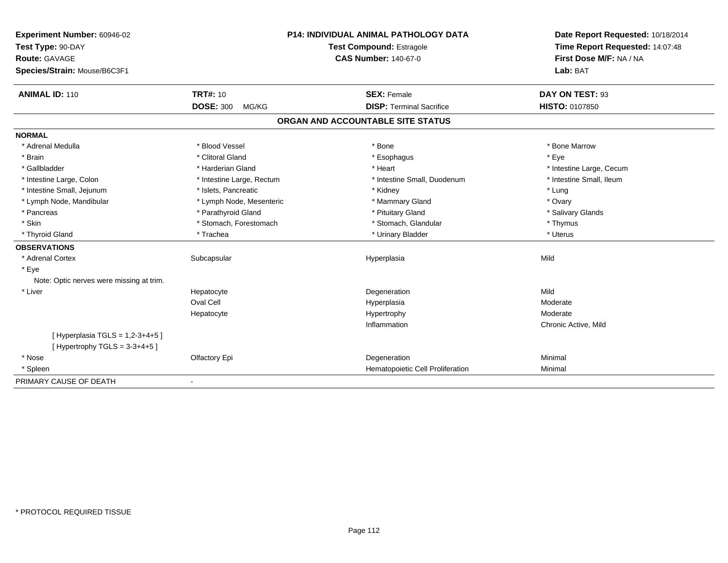| Experiment Number: 60946-02                                         |                           | P14: INDIVIDUAL ANIMAL PATHOLOGY DATA | Date Report Requested: 10/18/2014                          |  |
|---------------------------------------------------------------------|---------------------------|---------------------------------------|------------------------------------------------------------|--|
| Test Type: 90-DAY                                                   |                           | Test Compound: Estragole              | Time Report Requested: 14:07:48<br>First Dose M/F: NA / NA |  |
| Route: GAVAGE                                                       |                           | <b>CAS Number: 140-67-0</b>           |                                                            |  |
| Species/Strain: Mouse/B6C3F1                                        |                           |                                       | Lab: BAT                                                   |  |
| <b>ANIMAL ID: 110</b>                                               | <b>TRT#: 10</b>           | <b>SEX: Female</b>                    | DAY ON TEST: 93                                            |  |
|                                                                     | <b>DOSE: 300</b><br>MG/KG | <b>DISP: Terminal Sacrifice</b>       | <b>HISTO: 0107850</b>                                      |  |
|                                                                     |                           | ORGAN AND ACCOUNTABLE SITE STATUS     |                                                            |  |
| <b>NORMAL</b>                                                       |                           |                                       |                                                            |  |
| * Adrenal Medulla                                                   | * Blood Vessel            | * Bone                                | * Bone Marrow                                              |  |
| * Brain                                                             | * Clitoral Gland          | * Esophagus                           | * Eye                                                      |  |
| * Gallbladder                                                       | * Harderian Gland         | * Heart                               | * Intestine Large, Cecum                                   |  |
| * Intestine Large, Colon                                            | * Intestine Large, Rectum | * Intestine Small, Duodenum           | * Intestine Small, Ileum                                   |  |
| * Intestine Small, Jejunum                                          | * Islets, Pancreatic      | * Kidney                              | * Lung                                                     |  |
| * Lymph Node, Mandibular                                            | * Lymph Node, Mesenteric  | * Mammary Gland                       | * Ovary                                                    |  |
| * Pancreas                                                          | * Parathyroid Gland       | * Pituitary Gland                     | * Salivary Glands                                          |  |
| * Skin                                                              | * Stomach, Forestomach    | * Stomach, Glandular                  | * Thymus                                                   |  |
| * Thyroid Gland                                                     | * Trachea                 | * Urinary Bladder                     | * Uterus                                                   |  |
| <b>OBSERVATIONS</b>                                                 |                           |                                       |                                                            |  |
| * Adrenal Cortex                                                    | Subcapsular               | Hyperplasia                           | Mild                                                       |  |
| * Eye                                                               |                           |                                       |                                                            |  |
| Note: Optic nerves were missing at trim.                            |                           |                                       |                                                            |  |
| * Liver                                                             | Hepatocyte                | Degeneration                          | Mild                                                       |  |
|                                                                     | Oval Cell                 | Hyperplasia                           | Moderate                                                   |  |
|                                                                     | Hepatocyte                | Hypertrophy                           | Moderate                                                   |  |
|                                                                     |                           | Inflammation                          | Chronic Active, Mild                                       |  |
| [ Hyperplasia TGLS = 1,2-3+4+5 ]<br>[Hypertrophy TGLS = $3-3+4+5$ ] |                           |                                       |                                                            |  |
| * Nose                                                              | Olfactory Epi             | Degeneration                          | Minimal                                                    |  |
| * Spleen                                                            |                           | Hematopoietic Cell Proliferation      | Minimal                                                    |  |
| PRIMARY CAUSE OF DEATH                                              | $\blacksquare$            |                                       |                                                            |  |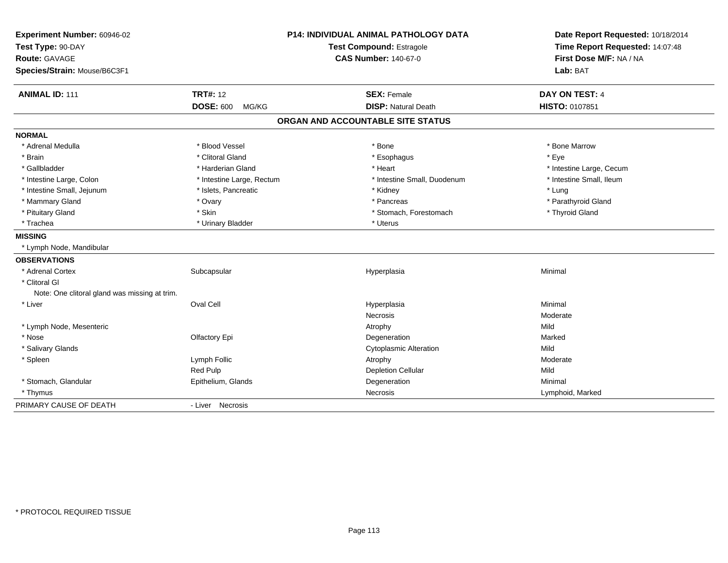| Experiment Number: 60946-02<br>Test Type: 90-DAY<br>Route: GAVAGE<br>Species/Strain: Mouse/B6C3F1 |                           | P14: INDIVIDUAL ANIMAL PATHOLOGY DATA<br>Test Compound: Estragole<br><b>CAS Number: 140-67-0</b> | Date Report Requested: 10/18/2014<br>Time Report Requested: 14:07:48<br>First Dose M/F: NA / NA<br>Lab: BAT |  |
|---------------------------------------------------------------------------------------------------|---------------------------|--------------------------------------------------------------------------------------------------|-------------------------------------------------------------------------------------------------------------|--|
| <b>ANIMAL ID: 111</b>                                                                             | <b>TRT#: 12</b>           | <b>SEX: Female</b>                                                                               | <b>DAY ON TEST: 4</b>                                                                                       |  |
|                                                                                                   | <b>DOSE: 600</b><br>MG/KG | <b>DISP: Natural Death</b>                                                                       | HISTO: 0107851                                                                                              |  |
|                                                                                                   |                           | ORGAN AND ACCOUNTABLE SITE STATUS                                                                |                                                                                                             |  |
| <b>NORMAL</b>                                                                                     |                           |                                                                                                  |                                                                                                             |  |
| * Adrenal Medulla                                                                                 | * Blood Vessel            | * Bone                                                                                           | * Bone Marrow                                                                                               |  |
| * Brain                                                                                           | * Clitoral Gland          | * Esophagus                                                                                      | * Eye                                                                                                       |  |
| * Gallbladder                                                                                     | * Harderian Gland         | * Heart                                                                                          | * Intestine Large, Cecum                                                                                    |  |
| * Intestine Large, Colon                                                                          | * Intestine Large, Rectum | * Intestine Small, Duodenum                                                                      | * Intestine Small, Ileum                                                                                    |  |
| * Intestine Small, Jejunum                                                                        | * Islets, Pancreatic      | * Kidney                                                                                         | * Lung                                                                                                      |  |
| * Mammary Gland                                                                                   | * Ovary                   | * Pancreas                                                                                       | * Parathyroid Gland                                                                                         |  |
| * Pituitary Gland                                                                                 | * Skin                    | * Stomach, Forestomach                                                                           | * Thyroid Gland                                                                                             |  |
| * Trachea                                                                                         | * Urinary Bladder         | * Uterus                                                                                         |                                                                                                             |  |
| <b>MISSING</b>                                                                                    |                           |                                                                                                  |                                                                                                             |  |
| * Lymph Node, Mandibular                                                                          |                           |                                                                                                  |                                                                                                             |  |
| <b>OBSERVATIONS</b>                                                                               |                           |                                                                                                  |                                                                                                             |  |
| * Adrenal Cortex                                                                                  | Subcapsular               | Hyperplasia                                                                                      | Minimal                                                                                                     |  |
| * Clitoral GI                                                                                     |                           |                                                                                                  |                                                                                                             |  |
| Note: One clitoral gland was missing at trim.                                                     |                           |                                                                                                  |                                                                                                             |  |
| * Liver                                                                                           | Oval Cell                 | Hyperplasia                                                                                      | Minimal                                                                                                     |  |
|                                                                                                   |                           | Necrosis                                                                                         | Moderate                                                                                                    |  |
| * Lymph Node, Mesenteric                                                                          |                           | Atrophy                                                                                          | Mild                                                                                                        |  |
| * Nose                                                                                            | Olfactory Epi             | Degeneration                                                                                     | Marked                                                                                                      |  |
| * Salivary Glands                                                                                 |                           | <b>Cytoplasmic Alteration</b>                                                                    | Mild                                                                                                        |  |
| * Spleen                                                                                          | Lymph Follic              | Atrophy                                                                                          | Moderate                                                                                                    |  |
|                                                                                                   | Red Pulp                  | <b>Depletion Cellular</b>                                                                        | Mild                                                                                                        |  |
| * Stomach, Glandular                                                                              | Epithelium, Glands        | Degeneration                                                                                     | Minimal                                                                                                     |  |
| * Thymus                                                                                          |                           | Necrosis                                                                                         | Lymphoid, Marked                                                                                            |  |
| PRIMARY CAUSE OF DEATH                                                                            | - Liver Necrosis          |                                                                                                  |                                                                                                             |  |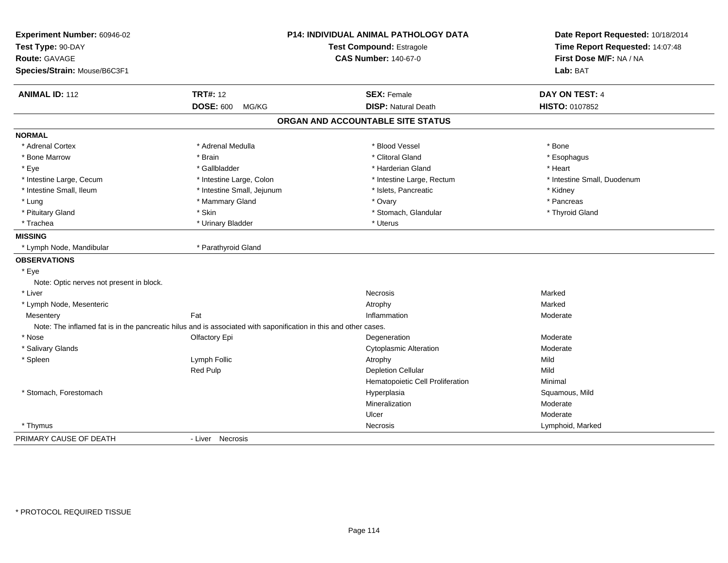| Experiment Number: 60946-02              |                                                                                                                  | <b>P14: INDIVIDUAL ANIMAL PATHOLOGY DATA</b> | Date Report Requested: 10/18/2014<br>Time Report Requested: 14:07:48 |
|------------------------------------------|------------------------------------------------------------------------------------------------------------------|----------------------------------------------|----------------------------------------------------------------------|
| Test Type: 90-DAY                        |                                                                                                                  | <b>Test Compound: Estragole</b>              |                                                                      |
| Route: GAVAGE                            |                                                                                                                  | <b>CAS Number: 140-67-0</b>                  | First Dose M/F: NA / NA                                              |
| Species/Strain: Mouse/B6C3F1             |                                                                                                                  |                                              | Lab: BAT                                                             |
| <b>ANIMAL ID: 112</b>                    | <b>TRT#: 12</b>                                                                                                  | <b>SEX: Female</b>                           | DAY ON TEST: 4                                                       |
|                                          | <b>DOSE: 600</b><br>MG/KG                                                                                        | <b>DISP: Natural Death</b>                   | HISTO: 0107852                                                       |
|                                          |                                                                                                                  | ORGAN AND ACCOUNTABLE SITE STATUS            |                                                                      |
| <b>NORMAL</b>                            |                                                                                                                  |                                              |                                                                      |
| * Adrenal Cortex                         | * Adrenal Medulla                                                                                                | * Blood Vessel                               | * Bone                                                               |
| * Bone Marrow                            | * Brain                                                                                                          | * Clitoral Gland                             | * Esophagus                                                          |
| * Eye                                    | * Gallbladder                                                                                                    | * Harderian Gland                            | * Heart                                                              |
| * Intestine Large, Cecum                 | * Intestine Large, Colon                                                                                         | * Intestine Large, Rectum                    | * Intestine Small, Duodenum                                          |
| * Intestine Small, Ileum                 | * Intestine Small, Jejunum                                                                                       | * Islets, Pancreatic                         | * Kidney                                                             |
| * Lung                                   | * Mammary Gland                                                                                                  | * Ovary                                      | * Pancreas                                                           |
| * Pituitary Gland                        | * Skin                                                                                                           | * Stomach, Glandular                         | * Thyroid Gland                                                      |
| * Trachea                                | * Urinary Bladder                                                                                                | * Uterus                                     |                                                                      |
| <b>MISSING</b>                           |                                                                                                                  |                                              |                                                                      |
| * Lymph Node, Mandibular                 | * Parathyroid Gland                                                                                              |                                              |                                                                      |
| <b>OBSERVATIONS</b>                      |                                                                                                                  |                                              |                                                                      |
| * Eye                                    |                                                                                                                  |                                              |                                                                      |
| Note: Optic nerves not present in block. |                                                                                                                  |                                              |                                                                      |
| * Liver                                  |                                                                                                                  | <b>Necrosis</b>                              | Marked                                                               |
| * Lymph Node, Mesenteric                 |                                                                                                                  | Atrophy                                      | Marked                                                               |
| Mesentery                                | Fat                                                                                                              | Inflammation                                 | Moderate                                                             |
|                                          | Note: The inflamed fat is in the pancreatic hilus and is associated with saponification in this and other cases. |                                              |                                                                      |
| * Nose                                   | Olfactory Epi                                                                                                    | Degeneration                                 | Moderate                                                             |
| * Salivary Glands                        |                                                                                                                  | <b>Cytoplasmic Alteration</b>                | Moderate                                                             |
| * Spleen                                 | Lymph Follic                                                                                                     | Atrophy                                      | Mild                                                                 |
|                                          | Red Pulp                                                                                                         | <b>Depletion Cellular</b>                    | Mild                                                                 |
|                                          |                                                                                                                  | Hematopoietic Cell Proliferation             | Minimal                                                              |
| * Stomach, Forestomach                   |                                                                                                                  | Hyperplasia                                  | Squamous, Mild                                                       |
|                                          |                                                                                                                  | Mineralization                               | Moderate                                                             |
|                                          |                                                                                                                  | Ulcer                                        | Moderate                                                             |
| * Thymus                                 |                                                                                                                  | Necrosis                                     | Lymphoid, Marked                                                     |
| PRIMARY CAUSE OF DEATH                   | - Liver Necrosis                                                                                                 |                                              |                                                                      |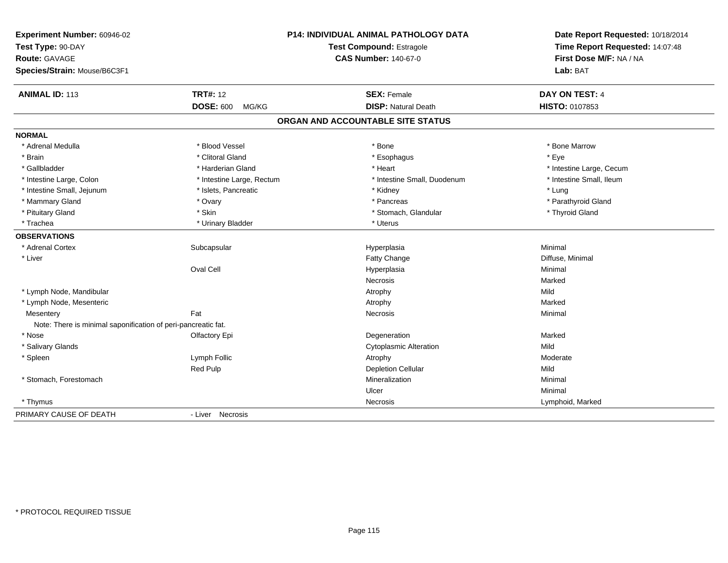| Experiment Number: 60946-02                                   |                           | <b>P14: INDIVIDUAL ANIMAL PATHOLOGY DATA</b> | Date Report Requested: 10/18/2014<br>Time Report Requested: 14:07:48 |
|---------------------------------------------------------------|---------------------------|----------------------------------------------|----------------------------------------------------------------------|
| Test Type: 90-DAY                                             |                           | Test Compound: Estragole                     |                                                                      |
| <b>Route: GAVAGE</b>                                          |                           | <b>CAS Number: 140-67-0</b>                  | First Dose M/F: NA / NA                                              |
| Species/Strain: Mouse/B6C3F1                                  |                           |                                              | Lab: BAT                                                             |
| <b>ANIMAL ID: 113</b>                                         | <b>TRT#: 12</b>           | <b>SEX: Female</b>                           | DAY ON TEST: 4                                                       |
|                                                               | <b>DOSE: 600</b><br>MG/KG | <b>DISP: Natural Death</b>                   | HISTO: 0107853                                                       |
|                                                               |                           | ORGAN AND ACCOUNTABLE SITE STATUS            |                                                                      |
| <b>NORMAL</b>                                                 |                           |                                              |                                                                      |
| * Adrenal Medulla                                             | * Blood Vessel            | $*$ Bone                                     | * Bone Marrow                                                        |
| * Brain                                                       | * Clitoral Gland          | * Esophagus                                  | * Eye                                                                |
| * Gallbladder                                                 | * Harderian Gland         | * Heart                                      | * Intestine Large, Cecum                                             |
| * Intestine Large, Colon                                      | * Intestine Large, Rectum | * Intestine Small, Duodenum                  | * Intestine Small, Ileum                                             |
| * Intestine Small, Jejunum                                    | * Islets, Pancreatic      | * Kidney                                     | * Lung                                                               |
| * Mammary Gland                                               | * Ovary                   | * Pancreas                                   | * Parathyroid Gland                                                  |
| * Pituitary Gland                                             | * Skin                    | * Stomach, Glandular                         | * Thyroid Gland                                                      |
| * Trachea                                                     | * Urinary Bladder         | * Uterus                                     |                                                                      |
| <b>OBSERVATIONS</b>                                           |                           |                                              |                                                                      |
| * Adrenal Cortex                                              | Subcapsular               | Hyperplasia                                  | Minimal                                                              |
| * Liver                                                       |                           | Fatty Change                                 | Diffuse, Minimal                                                     |
|                                                               | Oval Cell                 | Hyperplasia                                  | Minimal                                                              |
|                                                               |                           | <b>Necrosis</b>                              | Marked                                                               |
| * Lymph Node, Mandibular                                      |                           | Atrophy                                      | Mild                                                                 |
| * Lymph Node, Mesenteric                                      |                           | Atrophy                                      | Marked                                                               |
| Mesentery                                                     | Fat                       | Necrosis                                     | Minimal                                                              |
| Note: There is minimal saponification of peri-pancreatic fat. |                           |                                              |                                                                      |
| * Nose                                                        | <b>Olfactory Epi</b>      | Degeneration                                 | Marked                                                               |
| * Salivary Glands                                             |                           | <b>Cytoplasmic Alteration</b>                | Mild                                                                 |
| * Spleen                                                      | Lymph Follic              | Atrophy                                      | Moderate                                                             |
|                                                               | <b>Red Pulp</b>           | <b>Depletion Cellular</b>                    | Mild                                                                 |
| * Stomach, Forestomach                                        |                           | Mineralization                               | Minimal                                                              |
|                                                               |                           | Ulcer                                        | Minimal                                                              |
| * Thymus                                                      |                           | Necrosis                                     | Lymphoid, Marked                                                     |
| PRIMARY CAUSE OF DEATH                                        | - Liver Necrosis          |                                              |                                                                      |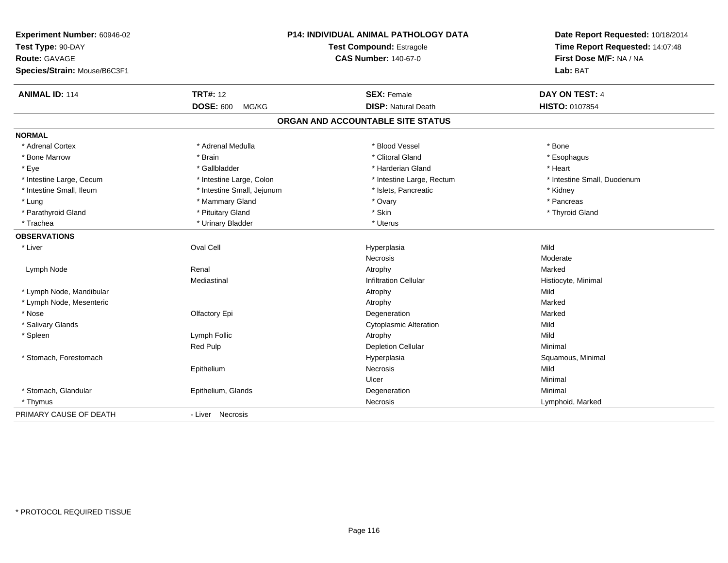| Experiment Number: 60946-02  | P14: INDIVIDUAL ANIMAL PATHOLOGY DATA<br><b>Test Compound: Estragole</b> |                                   | Date Report Requested: 10/18/2014<br>Time Report Requested: 14:07:48 |
|------------------------------|--------------------------------------------------------------------------|-----------------------------------|----------------------------------------------------------------------|
| Test Type: 90-DAY            |                                                                          |                                   |                                                                      |
| <b>Route: GAVAGE</b>         |                                                                          | <b>CAS Number: 140-67-0</b>       |                                                                      |
| Species/Strain: Mouse/B6C3F1 |                                                                          |                                   | Lab: BAT                                                             |
| <b>ANIMAL ID: 114</b>        | <b>TRT#: 12</b>                                                          | <b>SEX: Female</b>                | DAY ON TEST: 4                                                       |
|                              | <b>DOSE: 600</b><br>MG/KG                                                | <b>DISP: Natural Death</b>        | HISTO: 0107854                                                       |
|                              |                                                                          | ORGAN AND ACCOUNTABLE SITE STATUS |                                                                      |
| <b>NORMAL</b>                |                                                                          |                                   |                                                                      |
| * Adrenal Cortex             | * Adrenal Medulla                                                        | * Blood Vessel                    | * Bone                                                               |
| * Bone Marrow                | * Brain                                                                  | * Clitoral Gland                  | * Esophagus                                                          |
| * Eye                        | * Gallbladder                                                            | * Harderian Gland                 | * Heart                                                              |
| * Intestine Large, Cecum     | * Intestine Large, Colon                                                 | * Intestine Large, Rectum         | * Intestine Small, Duodenum                                          |
| * Intestine Small, Ileum     | * Intestine Small, Jejunum                                               | * Islets, Pancreatic              | * Kidney                                                             |
| * Lung                       | * Mammary Gland                                                          | * Ovary                           | * Pancreas                                                           |
| * Parathyroid Gland          | * Pituitary Gland                                                        | * Skin                            | * Thyroid Gland                                                      |
| * Trachea                    | * Urinary Bladder                                                        | * Uterus                          |                                                                      |
| <b>OBSERVATIONS</b>          |                                                                          |                                   |                                                                      |
| * Liver                      | Oval Cell                                                                | Hyperplasia                       | Mild                                                                 |
|                              |                                                                          | Necrosis                          | Moderate                                                             |
| Lymph Node                   | Renal                                                                    | Atrophy                           | Marked                                                               |
|                              | Mediastinal                                                              | <b>Infiltration Cellular</b>      | Histiocyte, Minimal                                                  |
| * Lymph Node, Mandibular     |                                                                          | Atrophy                           | Mild                                                                 |
| * Lymph Node, Mesenteric     |                                                                          | Atrophy                           | Marked                                                               |
| * Nose                       | Olfactory Epi                                                            | Degeneration                      | Marked                                                               |
| * Salivary Glands            |                                                                          | <b>Cytoplasmic Alteration</b>     | Mild                                                                 |
| * Spleen                     | Lymph Follic                                                             | Atrophy                           | Mild                                                                 |
|                              | Red Pulp                                                                 | <b>Depletion Cellular</b>         | Minimal                                                              |
| * Stomach, Forestomach       |                                                                          | Hyperplasia                       | Squamous, Minimal                                                    |
|                              | Epithelium                                                               | Necrosis                          | Mild                                                                 |
|                              |                                                                          | Ulcer                             | Minimal                                                              |
| * Stomach, Glandular         | Epithelium, Glands                                                       | Degeneration                      | Minimal                                                              |
| * Thymus                     |                                                                          | Necrosis                          | Lymphoid, Marked                                                     |
| PRIMARY CAUSE OF DEATH       | - Liver Necrosis                                                         |                                   |                                                                      |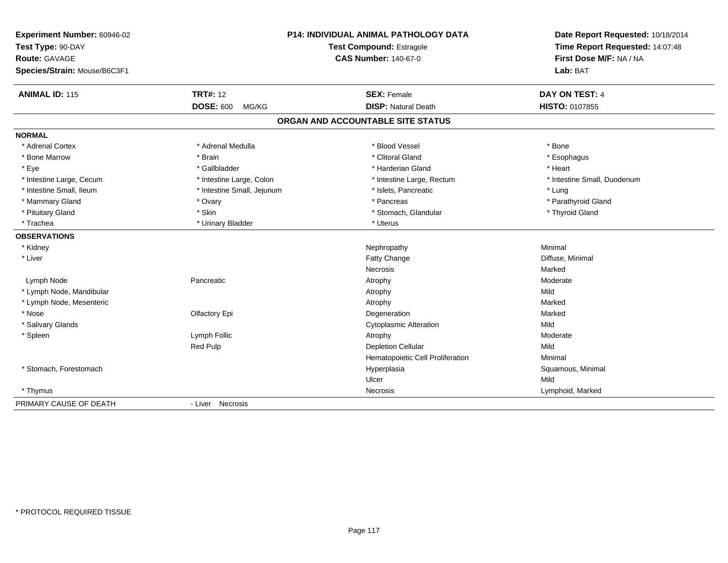| Experiment Number: 60946-02  | P14: INDIVIDUAL ANIMAL PATHOLOGY DATA |                                   | Date Report Requested: 10/18/2014 |
|------------------------------|---------------------------------------|-----------------------------------|-----------------------------------|
| Test Type: 90-DAY            |                                       | Test Compound: Estragole          | Time Report Requested: 14:07:48   |
| Route: GAVAGE                |                                       | <b>CAS Number: 140-67-0</b>       | First Dose M/F: NA / NA           |
| Species/Strain: Mouse/B6C3F1 |                                       |                                   | Lab: BAT                          |
| <b>ANIMAL ID: 115</b>        | <b>TRT#: 12</b>                       | <b>SEX: Female</b>                | DAY ON TEST: 4                    |
|                              | <b>DOSE: 600</b><br>MG/KG             | <b>DISP: Natural Death</b>        | HISTO: 0107855                    |
|                              |                                       | ORGAN AND ACCOUNTABLE SITE STATUS |                                   |
| <b>NORMAL</b>                |                                       |                                   |                                   |
| * Adrenal Cortex             | * Adrenal Medulla                     | * Blood Vessel                    | * Bone                            |
| * Bone Marrow                | * Brain                               | * Clitoral Gland                  | * Esophagus                       |
| * Eye                        | * Gallbladder                         | * Harderian Gland                 | * Heart                           |
| * Intestine Large, Cecum     | * Intestine Large, Colon              | * Intestine Large, Rectum         | * Intestine Small, Duodenum       |
| * Intestine Small, Ileum     | * Intestine Small, Jejunum            | * Islets, Pancreatic              | * Lung                            |
| * Mammary Gland              | * Ovary                               | * Pancreas                        | * Parathyroid Gland               |
| * Pituitary Gland            | * Skin                                | * Stomach, Glandular              | * Thyroid Gland                   |
| * Trachea                    | * Urinary Bladder                     | * Uterus                          |                                   |
| <b>OBSERVATIONS</b>          |                                       |                                   |                                   |
| * Kidney                     |                                       | Nephropathy                       | Minimal                           |
| * Liver                      |                                       | Fatty Change                      | Diffuse, Minimal                  |
|                              |                                       | <b>Necrosis</b>                   | Marked                            |
| Lymph Node                   | Pancreatic                            | Atrophy                           | Moderate                          |
| * Lymph Node, Mandibular     |                                       | Atrophy                           | Mild                              |
| * Lymph Node, Mesenteric     |                                       | Atrophy                           | Marked                            |
| * Nose                       | Olfactory Epi                         | Degeneration                      | Marked                            |
| * Salivary Glands            |                                       | <b>Cytoplasmic Alteration</b>     | Mild                              |
| * Spleen                     | Lymph Follic                          | Atrophy                           | Moderate                          |
|                              | Red Pulp                              | <b>Depletion Cellular</b>         | Mild                              |
|                              |                                       | Hematopoietic Cell Proliferation  | Minimal                           |
| * Stomach, Forestomach       |                                       | Hyperplasia                       | Squamous, Minimal                 |
|                              |                                       | Ulcer                             | Mild                              |
| * Thymus                     |                                       | Necrosis                          | Lymphoid, Marked                  |
| PRIMARY CAUSE OF DEATH       | - Liver Necrosis                      |                                   |                                   |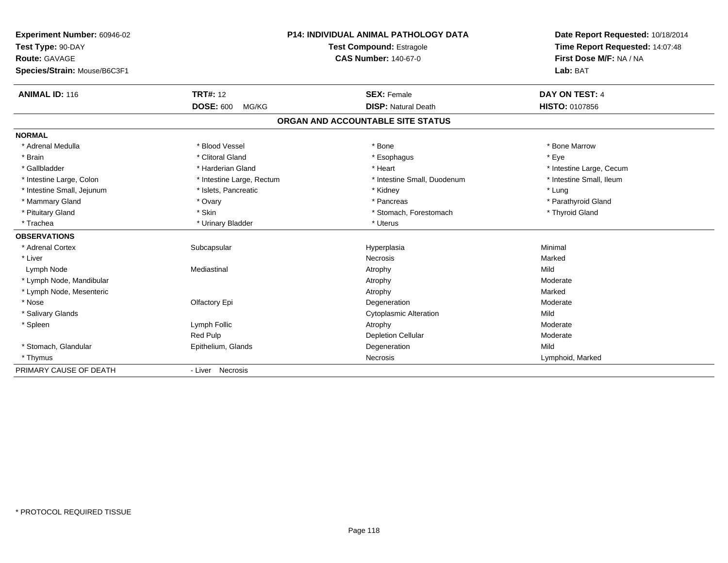| Experiment Number: 60946-02  |                           | P14: INDIVIDUAL ANIMAL PATHOLOGY DATA | Date Report Requested: 10/18/2014 |  |
|------------------------------|---------------------------|---------------------------------------|-----------------------------------|--|
| Test Type: 90-DAY            |                           | <b>Test Compound: Estragole</b>       | Time Report Requested: 14:07:48   |  |
| <b>Route: GAVAGE</b>         |                           | <b>CAS Number: 140-67-0</b>           | First Dose M/F: NA / NA           |  |
| Species/Strain: Mouse/B6C3F1 |                           |                                       | Lab: BAT                          |  |
| <b>ANIMAL ID: 116</b>        | <b>TRT#: 12</b>           | <b>SEX: Female</b>                    | DAY ON TEST: 4                    |  |
|                              | <b>DOSE: 600</b><br>MG/KG | <b>DISP: Natural Death</b>            | HISTO: 0107856                    |  |
|                              |                           | ORGAN AND ACCOUNTABLE SITE STATUS     |                                   |  |
| <b>NORMAL</b>                |                           |                                       |                                   |  |
| * Adrenal Medulla            | * Blood Vessel            | * Bone                                | * Bone Marrow                     |  |
| * Brain                      | * Clitoral Gland          | * Esophagus                           | * Eye                             |  |
| * Gallbladder                | * Harderian Gland         | * Heart                               | * Intestine Large, Cecum          |  |
| * Intestine Large, Colon     | * Intestine Large, Rectum | * Intestine Small, Duodenum           | * Intestine Small. Ileum          |  |
| * Intestine Small, Jejunum   | * Islets, Pancreatic      | * Kidney                              | * Lung                            |  |
| * Mammary Gland              | * Ovary                   | * Pancreas                            | * Parathyroid Gland               |  |
| * Pituitary Gland            | * Skin                    | * Stomach, Forestomach                | * Thyroid Gland                   |  |
| * Trachea                    | * Urinary Bladder         | * Uterus                              |                                   |  |
| <b>OBSERVATIONS</b>          |                           |                                       |                                   |  |
| * Adrenal Cortex             | Subcapsular               | Hyperplasia                           | Minimal                           |  |
| * Liver                      |                           | <b>Necrosis</b>                       | Marked                            |  |
| Lymph Node                   | Mediastinal               | Atrophy                               | Mild                              |  |
| * Lymph Node, Mandibular     |                           | Atrophy                               | Moderate                          |  |
| * Lymph Node, Mesenteric     |                           | Atrophy                               | Marked                            |  |
| * Nose                       | Olfactory Epi             | Degeneration                          | Moderate                          |  |
| * Salivary Glands            |                           | <b>Cytoplasmic Alteration</b>         | Mild                              |  |
| * Spleen                     | Lymph Follic              | Atrophy                               | Moderate                          |  |
|                              | Red Pulp                  | <b>Depletion Cellular</b>             | Moderate                          |  |
| * Stomach, Glandular         | Epithelium, Glands        | Degeneration                          | Mild                              |  |
| * Thymus                     |                           | Necrosis                              | Lymphoid, Marked                  |  |
| PRIMARY CAUSE OF DEATH       | - Liver Necrosis          |                                       |                                   |  |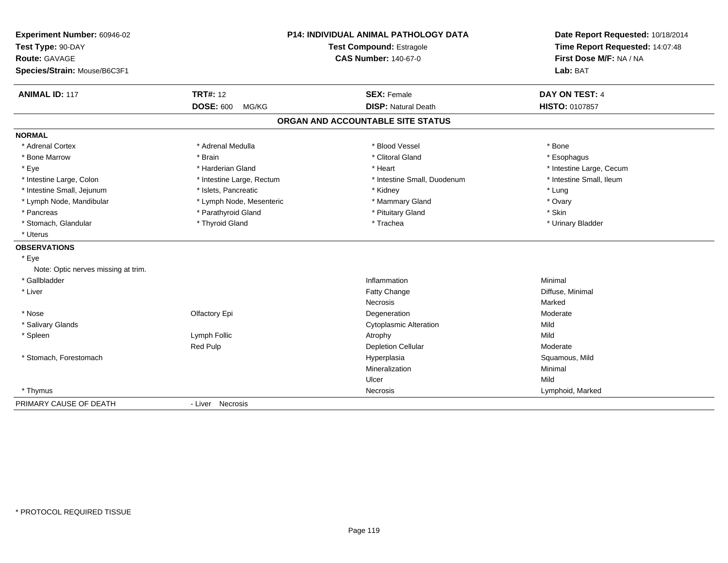| Experiment Number: 60946-02<br>Test Type: 90-DAY<br>Route: GAVAGE<br>Species/Strain: Mouse/B6C3F1 | P14: INDIVIDUAL ANIMAL PATHOLOGY DATA<br>Test Compound: Estragole<br><b>CAS Number: 140-67-0</b> |                                   | Date Report Requested: 10/18/2014<br>Time Report Requested: 14:07:48<br>First Dose M/F: NA / NA<br>Lab: BAT |
|---------------------------------------------------------------------------------------------------|--------------------------------------------------------------------------------------------------|-----------------------------------|-------------------------------------------------------------------------------------------------------------|
| <b>ANIMAL ID: 117</b>                                                                             | <b>TRT#: 12</b>                                                                                  | <b>SEX: Female</b>                | DAY ON TEST: 4                                                                                              |
|                                                                                                   | <b>DOSE: 600</b><br>MG/KG                                                                        | <b>DISP: Natural Death</b>        | <b>HISTO: 0107857</b>                                                                                       |
|                                                                                                   |                                                                                                  | ORGAN AND ACCOUNTABLE SITE STATUS |                                                                                                             |
| <b>NORMAL</b>                                                                                     |                                                                                                  |                                   |                                                                                                             |
| * Adrenal Cortex                                                                                  | * Adrenal Medulla                                                                                | * Blood Vessel                    | * Bone                                                                                                      |
| * Bone Marrow                                                                                     | * Brain                                                                                          | * Clitoral Gland                  | * Esophagus                                                                                                 |
| * Eye                                                                                             | * Harderian Gland                                                                                | * Heart                           | * Intestine Large, Cecum                                                                                    |
| * Intestine Large, Colon                                                                          | * Intestine Large, Rectum                                                                        | * Intestine Small, Duodenum       | * Intestine Small, Ileum                                                                                    |
| * Intestine Small, Jejunum                                                                        | * Islets, Pancreatic                                                                             | * Kidney                          | * Lung                                                                                                      |
| * Lymph Node, Mandibular                                                                          | * Lymph Node, Mesenteric                                                                         | * Mammary Gland                   | * Ovary                                                                                                     |
| * Pancreas                                                                                        | * Parathyroid Gland                                                                              | * Pituitary Gland                 | * Skin                                                                                                      |
| * Stomach, Glandular                                                                              | * Thyroid Gland                                                                                  | * Trachea                         | * Urinary Bladder                                                                                           |
| * Uterus                                                                                          |                                                                                                  |                                   |                                                                                                             |
| <b>OBSERVATIONS</b>                                                                               |                                                                                                  |                                   |                                                                                                             |
| * Eye                                                                                             |                                                                                                  |                                   |                                                                                                             |
| Note: Optic nerves missing at trim.                                                               |                                                                                                  |                                   |                                                                                                             |
| * Gallbladder                                                                                     |                                                                                                  | Inflammation                      | Minimal                                                                                                     |
| * Liver                                                                                           |                                                                                                  | Fatty Change                      | Diffuse, Minimal                                                                                            |
|                                                                                                   |                                                                                                  | Necrosis                          | Marked                                                                                                      |
| * Nose                                                                                            | Olfactory Epi                                                                                    | Degeneration                      | Moderate                                                                                                    |
| * Salivary Glands                                                                                 |                                                                                                  | <b>Cytoplasmic Alteration</b>     | Mild                                                                                                        |
| * Spleen                                                                                          | Lymph Follic                                                                                     | Atrophy                           | Mild                                                                                                        |
|                                                                                                   | Red Pulp                                                                                         | <b>Depletion Cellular</b>         | Moderate                                                                                                    |
| * Stomach, Forestomach                                                                            |                                                                                                  | Hyperplasia                       | Squamous, Mild                                                                                              |
|                                                                                                   |                                                                                                  | Mineralization                    | Minimal                                                                                                     |
|                                                                                                   |                                                                                                  | Ulcer                             | Mild                                                                                                        |
| * Thymus                                                                                          |                                                                                                  | Necrosis                          | Lymphoid, Marked                                                                                            |
| PRIMARY CAUSE OF DEATH                                                                            | - Liver Necrosis                                                                                 |                                   |                                                                                                             |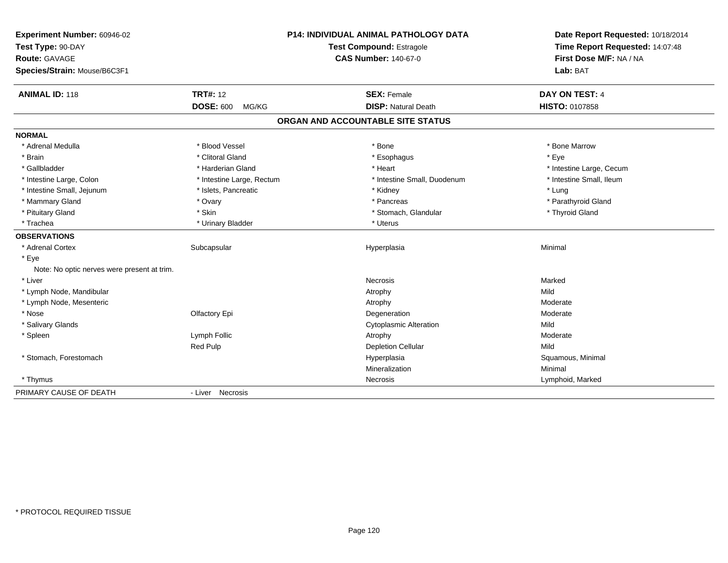| Experiment Number: 60946-02<br>Test Type: 90-DAY |                             | <b>P14: INDIVIDUAL ANIMAL PATHOLOGY DATA</b><br>Test Compound: Estragole | Date Report Requested: 10/18/2014<br>Time Report Requested: 14:07:48 |
|--------------------------------------------------|-----------------------------|--------------------------------------------------------------------------|----------------------------------------------------------------------|
| <b>Route: GAVAGE</b>                             | <b>CAS Number: 140-67-0</b> |                                                                          | First Dose M/F: NA / NA                                              |
| Species/Strain: Mouse/B6C3F1                     |                             |                                                                          | Lab: BAT                                                             |
| <b>ANIMAL ID: 118</b>                            | <b>TRT#: 12</b>             | <b>SEX: Female</b>                                                       | DAY ON TEST: 4                                                       |
|                                                  | <b>DOSE: 600</b><br>MG/KG   | <b>DISP: Natural Death</b>                                               | HISTO: 0107858                                                       |
|                                                  |                             | ORGAN AND ACCOUNTABLE SITE STATUS                                        |                                                                      |
| <b>NORMAL</b>                                    |                             |                                                                          |                                                                      |
| * Adrenal Medulla                                | * Blood Vessel              | * Bone                                                                   | * Bone Marrow                                                        |
| * Brain                                          | * Clitoral Gland            | * Esophagus                                                              | * Eye                                                                |
| * Gallbladder                                    | * Harderian Gland           | * Heart                                                                  | * Intestine Large, Cecum                                             |
| * Intestine Large, Colon                         | * Intestine Large, Rectum   | * Intestine Small, Duodenum                                              | * Intestine Small, Ileum                                             |
| * Intestine Small, Jejunum                       | * Islets, Pancreatic        | * Kidney                                                                 | * Lung                                                               |
| * Mammary Gland                                  | * Ovary                     | * Pancreas                                                               | * Parathyroid Gland                                                  |
| * Pituitary Gland                                | * Skin                      | * Stomach, Glandular                                                     | * Thyroid Gland                                                      |
| * Trachea                                        | * Urinary Bladder           | * Uterus                                                                 |                                                                      |
| <b>OBSERVATIONS</b>                              |                             |                                                                          |                                                                      |
| * Adrenal Cortex                                 | Subcapsular                 | Hyperplasia                                                              | Minimal                                                              |
| * Eye                                            |                             |                                                                          |                                                                      |
| Note: No optic nerves were present at trim.      |                             |                                                                          |                                                                      |
| * Liver                                          |                             | Necrosis                                                                 | Marked                                                               |
| * Lymph Node, Mandibular                         |                             | Atrophy                                                                  | Mild                                                                 |
| * Lymph Node, Mesenteric                         |                             | Atrophy                                                                  | Moderate                                                             |
| * Nose                                           | Olfactory Epi               | Degeneration                                                             | Moderate                                                             |
| * Salivary Glands                                |                             | <b>Cytoplasmic Alteration</b>                                            | Mild                                                                 |
| * Spleen                                         | Lymph Follic                | Atrophy                                                                  | Moderate                                                             |
|                                                  | <b>Red Pulp</b>             | <b>Depletion Cellular</b>                                                | Mild                                                                 |
| * Stomach, Forestomach                           |                             | Hyperplasia                                                              | Squamous, Minimal                                                    |
|                                                  |                             | Mineralization                                                           | Minimal                                                              |
| * Thymus                                         |                             | Necrosis                                                                 | Lymphoid, Marked                                                     |
| PRIMARY CAUSE OF DEATH                           | - Liver Necrosis            |                                                                          |                                                                      |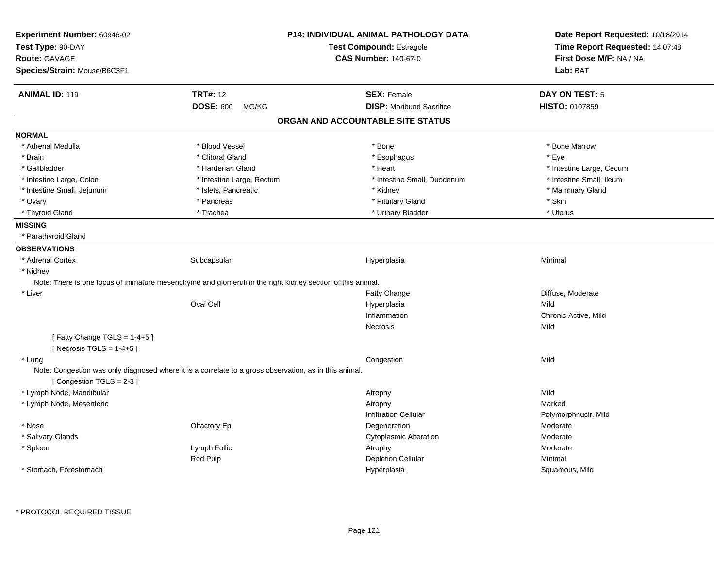| Test Compound: Estragole<br>Time Report Requested: 14:07:48<br>First Dose M/F: NA / NA<br><b>Route: GAVAGE</b><br><b>CAS Number: 140-67-0</b><br>Lab: BAT<br><b>TRT#: 12</b><br><b>ANIMAL ID: 119</b><br><b>SEX: Female</b><br><b>DAY ON TEST: 5</b><br><b>DISP:</b> Moribund Sacrifice<br><b>DOSE: 600</b><br>HISTO: 0107859<br>MG/KG<br>ORGAN AND ACCOUNTABLE SITE STATUS<br><b>NORMAL</b><br>* Blood Vessel<br>* Bone Marrow<br>* Adrenal Medulla<br>* Bone<br>* Eye<br>* Brain<br>* Clitoral Gland<br>* Esophagus<br>* Gallbladder<br>* Harderian Gland<br>* Heart<br>* Intestine Large, Cecum<br>* Intestine Small, Ileum<br>* Intestine Large, Colon<br>* Intestine Large, Rectum<br>* Intestine Small, Duodenum<br>* Intestine Small, Jejunum<br>* Islets, Pancreatic<br>* Mammary Gland<br>* Kidney<br>* Ovary<br>* Pancreas<br>* Pituitary Gland<br>* Skin<br>* Thyroid Gland<br>* Uterus<br>* Trachea<br>* Urinary Bladder<br><b>MISSING</b><br>* Parathyroid Gland<br><b>OBSERVATIONS</b><br>* Adrenal Cortex<br>Subcapsular<br>Minimal<br>Hyperplasia<br>* Kidney<br>Note: There is one focus of immature mesenchyme and glomeruli in the right kidney section of this animal.<br>* Liver<br>Fatty Change<br>Diffuse, Moderate<br><b>Oval Cell</b><br>Mild<br>Hyperplasia<br>Inflammation<br>Chronic Active, Mild<br>Mild<br>Necrosis<br>[Fatty Change TGLS = 1-4+5]<br>[Necrosis TGLS = $1-4+5$ ]<br>* Lung<br>Mild<br>Congestion<br>Note: Congestion was only diagnosed where it is a correlate to a gross observation, as in this animal.<br>[Congestion TGLS = 2-3]<br>* Lymph Node, Mandibular<br>Mild<br>Atrophy<br>* Lymph Node, Mesenteric<br>Marked<br>Atrophy<br><b>Infiltration Cellular</b><br>Polymorphnuclr, Mild<br>* Nose<br>Olfactory Epi<br>Moderate<br>Degeneration<br>* Salivary Glands<br><b>Cytoplasmic Alteration</b><br>Moderate<br>Lymph Follic<br>Moderate<br>* Spleen<br>Atrophy<br>Red Pulp<br><b>Depletion Cellular</b><br>Minimal | Experiment Number: 60946-02  | <b>P14: INDIVIDUAL ANIMAL PATHOLOGY DATA</b> | Date Report Requested: 10/18/2014 |  |
|-----------------------------------------------------------------------------------------------------------------------------------------------------------------------------------------------------------------------------------------------------------------------------------------------------------------------------------------------------------------------------------------------------------------------------------------------------------------------------------------------------------------------------------------------------------------------------------------------------------------------------------------------------------------------------------------------------------------------------------------------------------------------------------------------------------------------------------------------------------------------------------------------------------------------------------------------------------------------------------------------------------------------------------------------------------------------------------------------------------------------------------------------------------------------------------------------------------------------------------------------------------------------------------------------------------------------------------------------------------------------------------------------------------------------------------------------------------------------------------------------------------------------------------------------------------------------------------------------------------------------------------------------------------------------------------------------------------------------------------------------------------------------------------------------------------------------------------------------------------------------------------------------------------------------------------------------------------------------------|------------------------------|----------------------------------------------|-----------------------------------|--|
|                                                                                                                                                                                                                                                                                                                                                                                                                                                                                                                                                                                                                                                                                                                                                                                                                                                                                                                                                                                                                                                                                                                                                                                                                                                                                                                                                                                                                                                                                                                                                                                                                                                                                                                                                                                                                                                                                                                                                                             | Test Type: 90-DAY            |                                              |                                   |  |
|                                                                                                                                                                                                                                                                                                                                                                                                                                                                                                                                                                                                                                                                                                                                                                                                                                                                                                                                                                                                                                                                                                                                                                                                                                                                                                                                                                                                                                                                                                                                                                                                                                                                                                                                                                                                                                                                                                                                                                             |                              |                                              |                                   |  |
|                                                                                                                                                                                                                                                                                                                                                                                                                                                                                                                                                                                                                                                                                                                                                                                                                                                                                                                                                                                                                                                                                                                                                                                                                                                                                                                                                                                                                                                                                                                                                                                                                                                                                                                                                                                                                                                                                                                                                                             | Species/Strain: Mouse/B6C3F1 |                                              |                                   |  |
|                                                                                                                                                                                                                                                                                                                                                                                                                                                                                                                                                                                                                                                                                                                                                                                                                                                                                                                                                                                                                                                                                                                                                                                                                                                                                                                                                                                                                                                                                                                                                                                                                                                                                                                                                                                                                                                                                                                                                                             |                              |                                              |                                   |  |
|                                                                                                                                                                                                                                                                                                                                                                                                                                                                                                                                                                                                                                                                                                                                                                                                                                                                                                                                                                                                                                                                                                                                                                                                                                                                                                                                                                                                                                                                                                                                                                                                                                                                                                                                                                                                                                                                                                                                                                             |                              |                                              |                                   |  |
|                                                                                                                                                                                                                                                                                                                                                                                                                                                                                                                                                                                                                                                                                                                                                                                                                                                                                                                                                                                                                                                                                                                                                                                                                                                                                                                                                                                                                                                                                                                                                                                                                                                                                                                                                                                                                                                                                                                                                                             |                              |                                              |                                   |  |
|                                                                                                                                                                                                                                                                                                                                                                                                                                                                                                                                                                                                                                                                                                                                                                                                                                                                                                                                                                                                                                                                                                                                                                                                                                                                                                                                                                                                                                                                                                                                                                                                                                                                                                                                                                                                                                                                                                                                                                             |                              |                                              |                                   |  |
|                                                                                                                                                                                                                                                                                                                                                                                                                                                                                                                                                                                                                                                                                                                                                                                                                                                                                                                                                                                                                                                                                                                                                                                                                                                                                                                                                                                                                                                                                                                                                                                                                                                                                                                                                                                                                                                                                                                                                                             |                              |                                              |                                   |  |
|                                                                                                                                                                                                                                                                                                                                                                                                                                                                                                                                                                                                                                                                                                                                                                                                                                                                                                                                                                                                                                                                                                                                                                                                                                                                                                                                                                                                                                                                                                                                                                                                                                                                                                                                                                                                                                                                                                                                                                             |                              |                                              |                                   |  |
|                                                                                                                                                                                                                                                                                                                                                                                                                                                                                                                                                                                                                                                                                                                                                                                                                                                                                                                                                                                                                                                                                                                                                                                                                                                                                                                                                                                                                                                                                                                                                                                                                                                                                                                                                                                                                                                                                                                                                                             |                              |                                              |                                   |  |
|                                                                                                                                                                                                                                                                                                                                                                                                                                                                                                                                                                                                                                                                                                                                                                                                                                                                                                                                                                                                                                                                                                                                                                                                                                                                                                                                                                                                                                                                                                                                                                                                                                                                                                                                                                                                                                                                                                                                                                             |                              |                                              |                                   |  |
|                                                                                                                                                                                                                                                                                                                                                                                                                                                                                                                                                                                                                                                                                                                                                                                                                                                                                                                                                                                                                                                                                                                                                                                                                                                                                                                                                                                                                                                                                                                                                                                                                                                                                                                                                                                                                                                                                                                                                                             |                              |                                              |                                   |  |
|                                                                                                                                                                                                                                                                                                                                                                                                                                                                                                                                                                                                                                                                                                                                                                                                                                                                                                                                                                                                                                                                                                                                                                                                                                                                                                                                                                                                                                                                                                                                                                                                                                                                                                                                                                                                                                                                                                                                                                             |                              |                                              |                                   |  |
|                                                                                                                                                                                                                                                                                                                                                                                                                                                                                                                                                                                                                                                                                                                                                                                                                                                                                                                                                                                                                                                                                                                                                                                                                                                                                                                                                                                                                                                                                                                                                                                                                                                                                                                                                                                                                                                                                                                                                                             |                              |                                              |                                   |  |
|                                                                                                                                                                                                                                                                                                                                                                                                                                                                                                                                                                                                                                                                                                                                                                                                                                                                                                                                                                                                                                                                                                                                                                                                                                                                                                                                                                                                                                                                                                                                                                                                                                                                                                                                                                                                                                                                                                                                                                             |                              |                                              |                                   |  |
|                                                                                                                                                                                                                                                                                                                                                                                                                                                                                                                                                                                                                                                                                                                                                                                                                                                                                                                                                                                                                                                                                                                                                                                                                                                                                                                                                                                                                                                                                                                                                                                                                                                                                                                                                                                                                                                                                                                                                                             |                              |                                              |                                   |  |
|                                                                                                                                                                                                                                                                                                                                                                                                                                                                                                                                                                                                                                                                                                                                                                                                                                                                                                                                                                                                                                                                                                                                                                                                                                                                                                                                                                                                                                                                                                                                                                                                                                                                                                                                                                                                                                                                                                                                                                             |                              |                                              |                                   |  |
|                                                                                                                                                                                                                                                                                                                                                                                                                                                                                                                                                                                                                                                                                                                                                                                                                                                                                                                                                                                                                                                                                                                                                                                                                                                                                                                                                                                                                                                                                                                                                                                                                                                                                                                                                                                                                                                                                                                                                                             |                              |                                              |                                   |  |
|                                                                                                                                                                                                                                                                                                                                                                                                                                                                                                                                                                                                                                                                                                                                                                                                                                                                                                                                                                                                                                                                                                                                                                                                                                                                                                                                                                                                                                                                                                                                                                                                                                                                                                                                                                                                                                                                                                                                                                             |                              |                                              |                                   |  |
|                                                                                                                                                                                                                                                                                                                                                                                                                                                                                                                                                                                                                                                                                                                                                                                                                                                                                                                                                                                                                                                                                                                                                                                                                                                                                                                                                                                                                                                                                                                                                                                                                                                                                                                                                                                                                                                                                                                                                                             |                              |                                              |                                   |  |
|                                                                                                                                                                                                                                                                                                                                                                                                                                                                                                                                                                                                                                                                                                                                                                                                                                                                                                                                                                                                                                                                                                                                                                                                                                                                                                                                                                                                                                                                                                                                                                                                                                                                                                                                                                                                                                                                                                                                                                             |                              |                                              |                                   |  |
|                                                                                                                                                                                                                                                                                                                                                                                                                                                                                                                                                                                                                                                                                                                                                                                                                                                                                                                                                                                                                                                                                                                                                                                                                                                                                                                                                                                                                                                                                                                                                                                                                                                                                                                                                                                                                                                                                                                                                                             |                              |                                              |                                   |  |
|                                                                                                                                                                                                                                                                                                                                                                                                                                                                                                                                                                                                                                                                                                                                                                                                                                                                                                                                                                                                                                                                                                                                                                                                                                                                                                                                                                                                                                                                                                                                                                                                                                                                                                                                                                                                                                                                                                                                                                             |                              |                                              |                                   |  |
|                                                                                                                                                                                                                                                                                                                                                                                                                                                                                                                                                                                                                                                                                                                                                                                                                                                                                                                                                                                                                                                                                                                                                                                                                                                                                                                                                                                                                                                                                                                                                                                                                                                                                                                                                                                                                                                                                                                                                                             |                              |                                              |                                   |  |
|                                                                                                                                                                                                                                                                                                                                                                                                                                                                                                                                                                                                                                                                                                                                                                                                                                                                                                                                                                                                                                                                                                                                                                                                                                                                                                                                                                                                                                                                                                                                                                                                                                                                                                                                                                                                                                                                                                                                                                             |                              |                                              |                                   |  |
|                                                                                                                                                                                                                                                                                                                                                                                                                                                                                                                                                                                                                                                                                                                                                                                                                                                                                                                                                                                                                                                                                                                                                                                                                                                                                                                                                                                                                                                                                                                                                                                                                                                                                                                                                                                                                                                                                                                                                                             |                              |                                              |                                   |  |
|                                                                                                                                                                                                                                                                                                                                                                                                                                                                                                                                                                                                                                                                                                                                                                                                                                                                                                                                                                                                                                                                                                                                                                                                                                                                                                                                                                                                                                                                                                                                                                                                                                                                                                                                                                                                                                                                                                                                                                             |                              |                                              |                                   |  |
|                                                                                                                                                                                                                                                                                                                                                                                                                                                                                                                                                                                                                                                                                                                                                                                                                                                                                                                                                                                                                                                                                                                                                                                                                                                                                                                                                                                                                                                                                                                                                                                                                                                                                                                                                                                                                                                                                                                                                                             |                              |                                              |                                   |  |
|                                                                                                                                                                                                                                                                                                                                                                                                                                                                                                                                                                                                                                                                                                                                                                                                                                                                                                                                                                                                                                                                                                                                                                                                                                                                                                                                                                                                                                                                                                                                                                                                                                                                                                                                                                                                                                                                                                                                                                             |                              |                                              |                                   |  |
|                                                                                                                                                                                                                                                                                                                                                                                                                                                                                                                                                                                                                                                                                                                                                                                                                                                                                                                                                                                                                                                                                                                                                                                                                                                                                                                                                                                                                                                                                                                                                                                                                                                                                                                                                                                                                                                                                                                                                                             |                              |                                              |                                   |  |
|                                                                                                                                                                                                                                                                                                                                                                                                                                                                                                                                                                                                                                                                                                                                                                                                                                                                                                                                                                                                                                                                                                                                                                                                                                                                                                                                                                                                                                                                                                                                                                                                                                                                                                                                                                                                                                                                                                                                                                             |                              |                                              |                                   |  |
|                                                                                                                                                                                                                                                                                                                                                                                                                                                                                                                                                                                                                                                                                                                                                                                                                                                                                                                                                                                                                                                                                                                                                                                                                                                                                                                                                                                                                                                                                                                                                                                                                                                                                                                                                                                                                                                                                                                                                                             |                              |                                              |                                   |  |
|                                                                                                                                                                                                                                                                                                                                                                                                                                                                                                                                                                                                                                                                                                                                                                                                                                                                                                                                                                                                                                                                                                                                                                                                                                                                                                                                                                                                                                                                                                                                                                                                                                                                                                                                                                                                                                                                                                                                                                             |                              |                                              |                                   |  |
|                                                                                                                                                                                                                                                                                                                                                                                                                                                                                                                                                                                                                                                                                                                                                                                                                                                                                                                                                                                                                                                                                                                                                                                                                                                                                                                                                                                                                                                                                                                                                                                                                                                                                                                                                                                                                                                                                                                                                                             |                              |                                              |                                   |  |
|                                                                                                                                                                                                                                                                                                                                                                                                                                                                                                                                                                                                                                                                                                                                                                                                                                                                                                                                                                                                                                                                                                                                                                                                                                                                                                                                                                                                                                                                                                                                                                                                                                                                                                                                                                                                                                                                                                                                                                             |                              |                                              |                                   |  |
|                                                                                                                                                                                                                                                                                                                                                                                                                                                                                                                                                                                                                                                                                                                                                                                                                                                                                                                                                                                                                                                                                                                                                                                                                                                                                                                                                                                                                                                                                                                                                                                                                                                                                                                                                                                                                                                                                                                                                                             |                              |                                              |                                   |  |
|                                                                                                                                                                                                                                                                                                                                                                                                                                                                                                                                                                                                                                                                                                                                                                                                                                                                                                                                                                                                                                                                                                                                                                                                                                                                                                                                                                                                                                                                                                                                                                                                                                                                                                                                                                                                                                                                                                                                                                             | * Stomach, Forestomach       | Hyperplasia                                  | Squamous, Mild                    |  |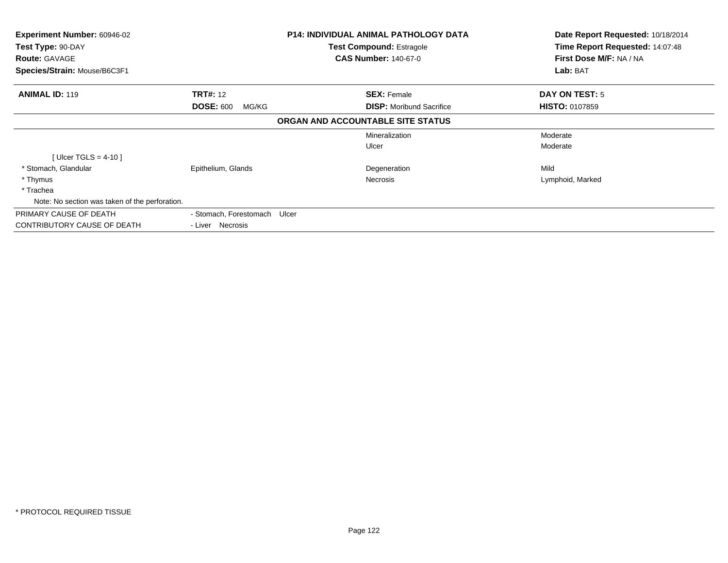| <b>Experiment Number: 60946-02</b><br>Test Type: 90-DAY<br><b>Route: GAVAGE</b><br>Species/Strain: Mouse/B6C3F1 |                              | <b>P14: INDIVIDUAL ANIMAL PATHOLOGY DATA</b><br><b>Test Compound: Estragole</b><br><b>CAS Number: 140-67-0</b> |                                   | Date Report Requested: 10/18/2014<br>Time Report Requested: 14:07:48<br>First Dose M/F: NA / NA<br>Lab: BAT |
|-----------------------------------------------------------------------------------------------------------------|------------------------------|----------------------------------------------------------------------------------------------------------------|-----------------------------------|-------------------------------------------------------------------------------------------------------------|
| <b>ANIMAL ID: 119</b>                                                                                           | <b>TRT#: 12</b>              |                                                                                                                | <b>SEX: Female</b>                | <b>DAY ON TEST: 5</b>                                                                                       |
|                                                                                                                 | <b>DOSE: 600</b><br>MG/KG    |                                                                                                                | <b>DISP:</b> Moribund Sacrifice   | <b>HISTO: 0107859</b>                                                                                       |
|                                                                                                                 |                              |                                                                                                                | ORGAN AND ACCOUNTABLE SITE STATUS |                                                                                                             |
|                                                                                                                 |                              |                                                                                                                | Mineralization                    | Moderate                                                                                                    |
|                                                                                                                 |                              |                                                                                                                | Ulcer                             | Moderate                                                                                                    |
| [ $Uicer$ TGLS = 4-10]                                                                                          |                              |                                                                                                                |                                   |                                                                                                             |
| * Stomach, Glandular                                                                                            | Epithelium, Glands           |                                                                                                                | Degeneration                      | Mild                                                                                                        |
| * Thymus                                                                                                        |                              |                                                                                                                | Necrosis                          | Lymphoid, Marked                                                                                            |
| * Trachea                                                                                                       |                              |                                                                                                                |                                   |                                                                                                             |
| Note: No section was taken of the perforation.                                                                  |                              |                                                                                                                |                                   |                                                                                                             |
| PRIMARY CAUSE OF DEATH                                                                                          | - Stomach, Forestomach Ulcer |                                                                                                                |                                   |                                                                                                             |
| CONTRIBUTORY CAUSE OF DEATH                                                                                     | - Liver Necrosis             |                                                                                                                |                                   |                                                                                                             |